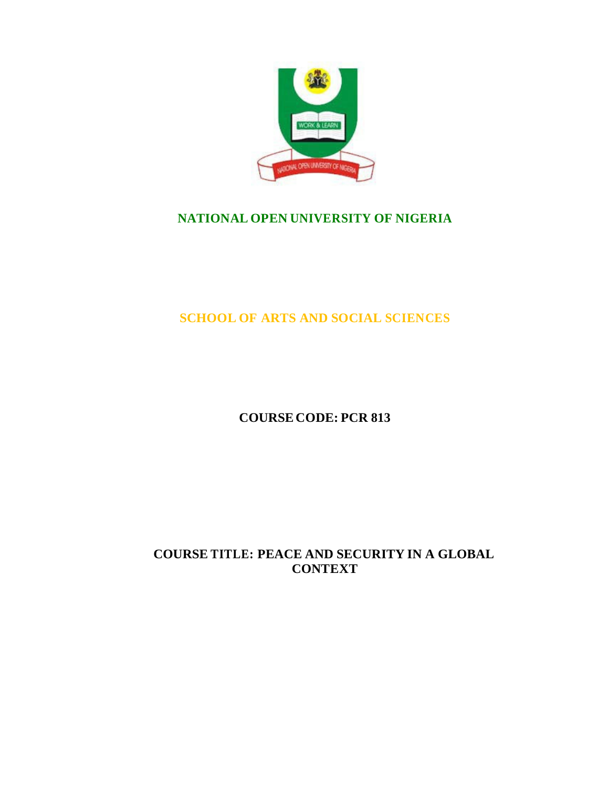

# **NATIONAL OPEN UNIVERSITY OF NIGERIA**

# **SCHOOL OF ARTS AND SOCIAL SCIENCES**

# **COURSE CODE: PCR 813**

# **COURSE TITLE: PEACE AND SECURITY IN A GLOBAL CONTEXT**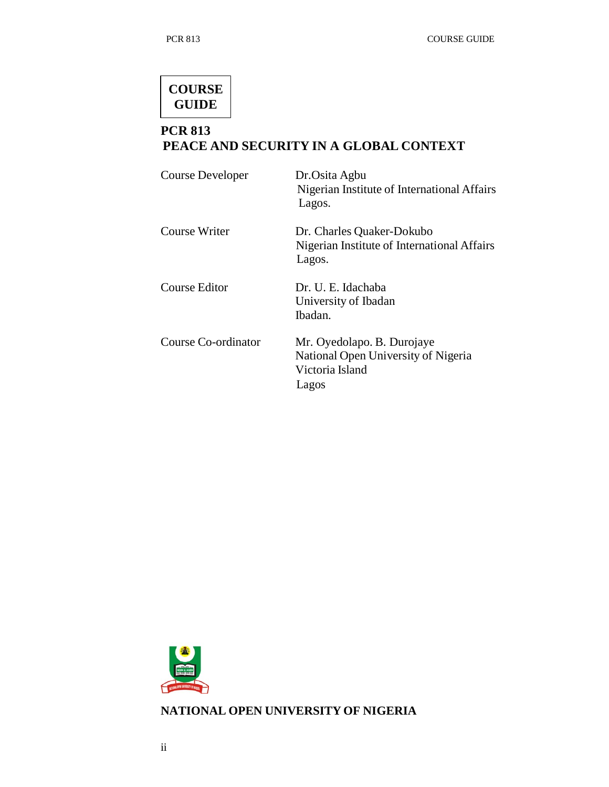# **COURSE GUIDE**

# **PCR 813 PEACE AND SECURITY IN A GLOBAL CONTEXT**

| Course Developer    | Dr. Osita Agbu<br>Nigerian Institute of International Affairs<br>Lagos.                       |
|---------------------|-----------------------------------------------------------------------------------------------|
| Course Writer       | Dr. Charles Quaker-Dokubo<br>Nigerian Institute of International Affairs<br>Lagos.            |
| Course Editor       | Dr. U. E. Idachaba<br>University of Ibadan<br>Ibadan.                                         |
| Course Co-ordinator | Mr. Oyedolapo. B. Durojaye<br>National Open University of Nigeria<br>Victoria Island<br>Lagos |



**NATIONAL OPEN UNIVERSITY OF NIGERIA**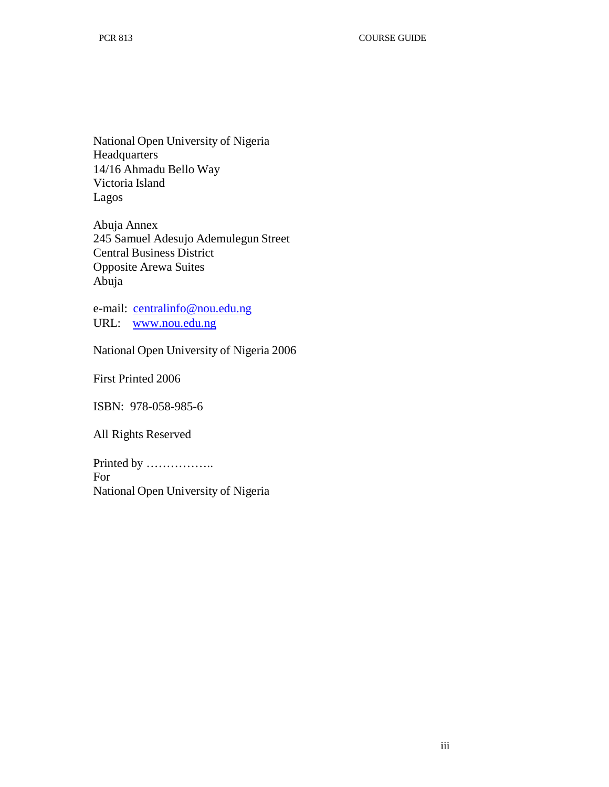National Open University of Nigeria Headquarters 14/16 Ahmadu Bello Way Victoria Island Lagos

Abuja Annex 245 Samuel Adesujo Ademulegun Street Central Business District Opposite Arewa Suites Abuja

e-mail: centralinfo@nou.edu.ng URL: www.nou.edu.ng

National Open University of Nigeria 2006

First Printed 2006

ISBN: 978-058-985-6

All Rights Reserved

Printed by …………….. For National Open University of Nigeria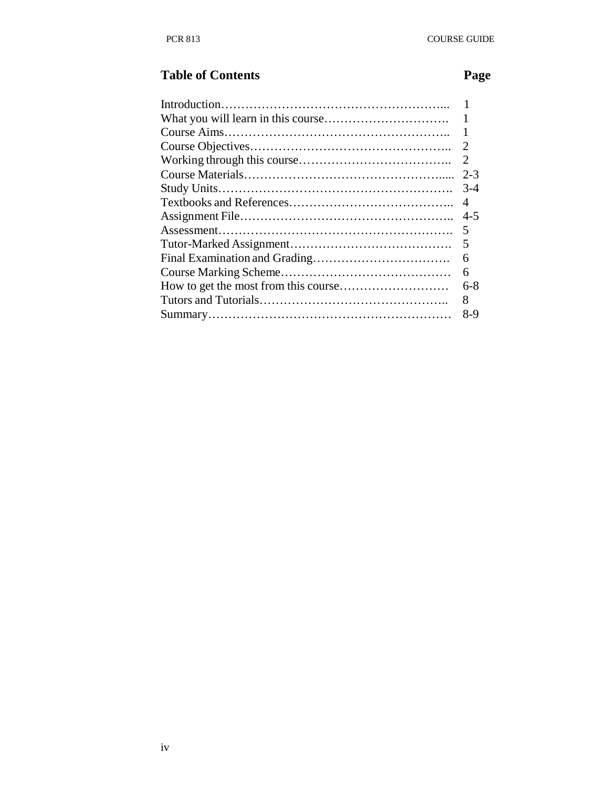# **Table of Contents** Page

| $\mathcal{D}_{\mathcal{L}}$ |
|-----------------------------|
| $\mathcal{D}_{\cdot}$       |
| $2 - 3$                     |
| $3-4$                       |
| 4                           |
| $4 - 5$                     |
| 5                           |
| 5                           |
| 6                           |
| 6                           |
| 6-8                         |
| 8                           |
| 8-9                         |
|                             |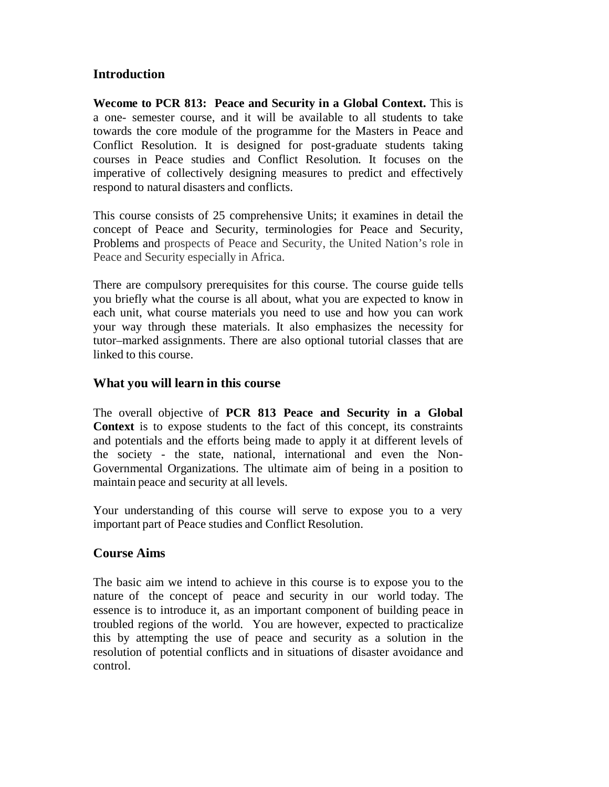# **Introduction**

**Wecome to PCR 813: Peace and Security in a Global Context.** This is a one- semester course, and it will be available to all students to take towards the core module of the programme for the Masters in Peace and Conflict Resolution. It is designed for post-graduate students taking courses in Peace studies and Conflict Resolution. It focuses on the imperative of collectively designing measures to predict and effectively respond to natural disasters and conflicts.

This course consists of 25 comprehensive Units; it examines in detail the concept of Peace and Security, terminologies for Peace and Security, Problems and prospects of Peace and Security, the United Nation's role in Peace and Security especially in Africa.

There are compulsory prerequisites for this course. The course guide tells you briefly what the course is all about, what you are expected to know in each unit, what course materials you need to use and how you can work your way through these materials. It also emphasizes the necessity for tutor–marked assignments. There are also optional tutorial classes that are linked to this course.

## **What you will learn in this course**

The overall objective of **PCR 813 Peace and Security in a Global Context** is to expose students to the fact of this concept, its constraints and potentials and the efforts being made to apply it at different levels of the society - the state, national, international and even the Non-Governmental Organizations. The ultimate aim of being in a position to maintain peace and security at all levels.

Your understanding of this course will serve to expose you to a very important part of Peace studies and Conflict Resolution.

# **Course Aims**

The basic aim we intend to achieve in this course is to expose you to the nature of the concept of peace and security in our world today. The essence is to introduce it, as an important component of building peace in troubled regions of the world. You are however, expected to practicalize this by attempting the use of peace and security as a solution in the resolution of potential conflicts and in situations of disaster avoidance and control.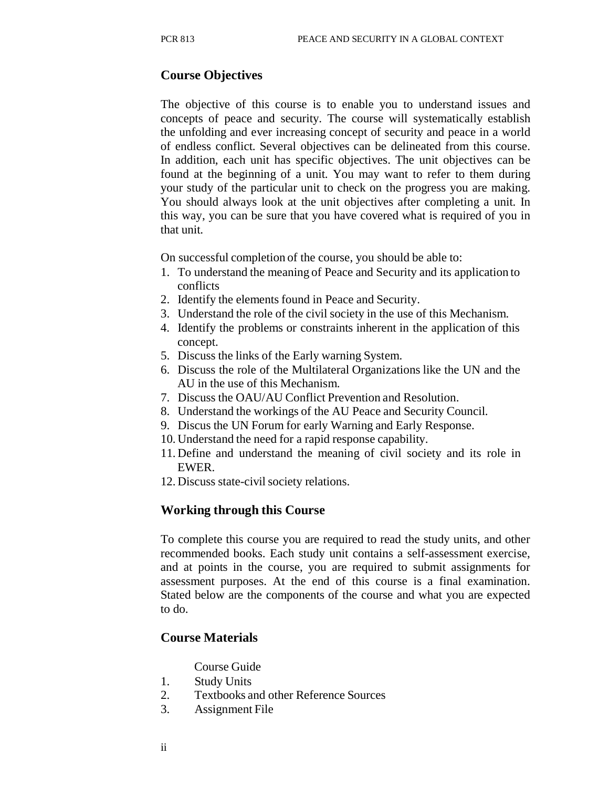#### **Course Objectives**

The objective of this course is to enable you to understand issues and concepts of peace and security. The course will systematically establish the unfolding and ever increasing concept of security and peace in a world of endless conflict. Several objectives can be delineated from this course. In addition, each unit has specific objectives. The unit objectives can be found at the beginning of a unit. You may want to refer to them during your study of the particular unit to check on the progress you are making. You should always look at the unit objectives after completing a unit. In this way, you can be sure that you have covered what is required of you in that unit.

On successful completion of the course, you should be able to:

- 1. To understand the meaning of Peace and Security and its application to conflicts
- 2. Identify the elements found in Peace and Security.
- 3. Understand the role of the civil society in the use of this Mechanism.
- 4. Identify the problems or constraints inherent in the application of this concept.
- 5. Discuss the links of the Early warning System.
- 6. Discuss the role of the Multilateral Organizations like the UN and the AU in the use of this Mechanism.
- 7. Discuss the OAU/AU Conflict Prevention and Resolution.
- 8. Understand the workings of the AU Peace and Security Council.
- 9. Discus the UN Forum for early Warning and Early Response.
- 10. Understand the need for a rapid response capability.
- 11. Define and understand the meaning of civil society and its role in EWER.
- 12. Discuss state-civil society relations.

#### **Working through this Course**

To complete this course you are required to read the study units, and other recommended books. Each study unit contains a self-assessment exercise, and at points in the course, you are required to submit assignments for assessment purposes. At the end of this course is a final examination. Stated below are the components of the course and what you are expected to do.

#### **Course Materials**

Course Guide

- 1. Study Units
- 2. Textbooks and other Reference Sources
- 3. Assignment File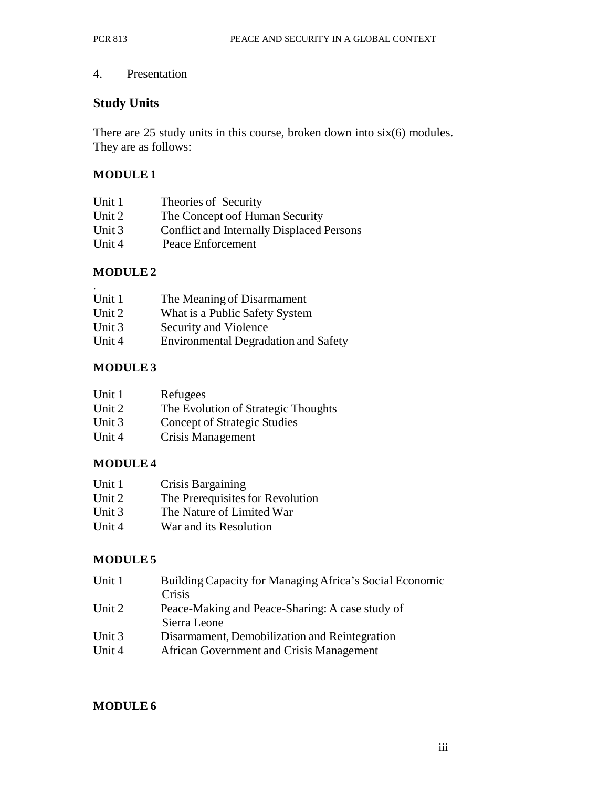### 4. Presentation

## **Study Units**

There are 25 study units in this course, broken down into six(6) modules. They are as follows:

## **MODULE 1**

| Unit 1 | Theories of Security                             |
|--------|--------------------------------------------------|
| Unit 2 | The Concept oof Human Security                   |
| Unit 3 | <b>Conflict and Internally Displaced Persons</b> |
| Unit 4 | Peace Enforcement                                |

## **MODULE 2**

.

| The Meaning of Disarmament                  |
|---------------------------------------------|
| What is a Public Safety System              |
| Security and Violence                       |
| <b>Environmental Degradation and Safety</b> |
|                                             |

## **MODULE 3**

| Unit 1 | Refugees                            |
|--------|-------------------------------------|
| Unit 2 | The Evolution of Strategic Thoughts |
| Unit 3 | <b>Concept of Strategic Studies</b> |
| Unit 4 | Crisis Management                   |

# **MODULE 4**

| Unit 1 | Crisis Bargaining                |
|--------|----------------------------------|
| Unit 2 | The Prerequisites for Revolution |
| Unit 3 | The Nature of Limited War        |
| Unit 4 | War and its Resolution           |

# **MODULE 5**

| Building Capacity for Managing Africa's Social Economic |
|---------------------------------------------------------|
|                                                         |
|                                                         |
|                                                         |
|                                                         |
|                                                         |
|                                                         |

## **MODULE 6**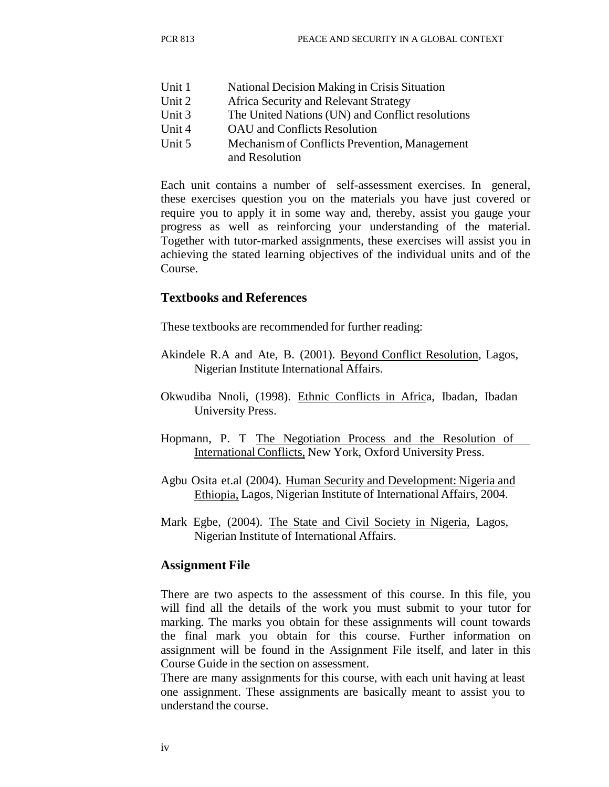- Unit 1 National Decision Making in Crisis Situation
- Unit 2 Africa Security and Relevant Strategy
- Unit 3 The United Nations (UN) and Conflict resolutions
- Unit 4 OAU and Conflicts Resolution
- Unit 5 Mechanism of Conflicts Prevention, Management and Resolution

Each unit contains a number of self-assessment exercises. In general, these exercises question you on the materials you have just covered or require you to apply it in some way and, thereby, assist you gauge your progress as well as reinforcing your understanding of the material. Together with tutor-marked assignments, these exercises will assist you in achieving the stated learning objectives of the individual units and of the Course.

#### **Textbooks and References**

These textbooks are recommended for further reading:

- Akindele R.A and Ate, B. (2001). Beyond Conflict Resolution, Lagos, Nigerian Institute International Affairs.
- Okwudiba Nnoli, (1998). Ethnic Conflicts in Africa, Ibadan, Ibadan University Press.
- Hopmann, P. T The Negotiation Process and the Resolution of International Conflicts, New York, Oxford University Press.
- Agbu Osita et.al (2004). Human Security and Development: Nigeria and Ethiopia, Lagos, Nigerian Institute of International Affairs, 2004.
- Mark Egbe, (2004). The State and Civil Society in Nigeria, Lagos, Nigerian Institute of International Affairs.

#### **Assignment File**

There are two aspects to the assessment of this course. In this file, you will find all the details of the work you must submit to your tutor for marking. The marks you obtain for these assignments will count towards the final mark you obtain for this course. Further information on assignment will be found in the Assignment File itself, and later in this Course Guide in the section on assessment.

There are many assignments for this course, with each unit having at least one assignment. These assignments are basically meant to assist you to understand the course.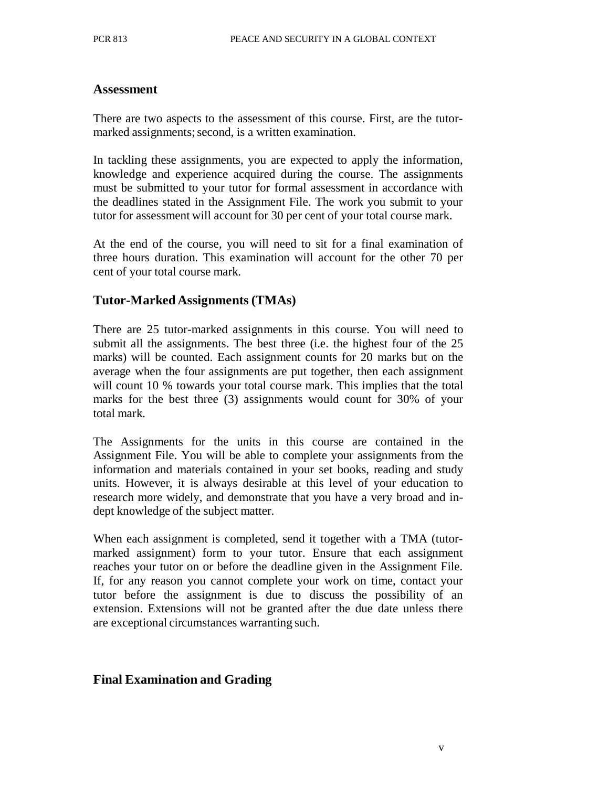#### **Assessment**

There are two aspects to the assessment of this course. First, are the tutormarked assignments; second, is a written examination.

In tackling these assignments, you are expected to apply the information, knowledge and experience acquired during the course. The assignments must be submitted to your tutor for formal assessment in accordance with the deadlines stated in the Assignment File. The work you submit to your tutor for assessment will account for 30 per cent of your total course mark.

At the end of the course, you will need to sit for a final examination of three hours duration. This examination will account for the other 70 per cent of your total course mark.

## **Tutor-Marked Assignments (TMAs)**

There are 25 tutor-marked assignments in this course. You will need to submit all the assignments. The best three (i.e. the highest four of the 25 marks) will be counted. Each assignment counts for 20 marks but on the average when the four assignments are put together, then each assignment will count 10 % towards your total course mark. This implies that the total marks for the best three (3) assignments would count for 30% of your total mark.

The Assignments for the units in this course are contained in the Assignment File. You will be able to complete your assignments from the information and materials contained in your set books, reading and study units. However, it is always desirable at this level of your education to research more widely, and demonstrate that you have a very broad and indept knowledge of the subject matter.

When each assignment is completed, send it together with a TMA (tutormarked assignment) form to your tutor. Ensure that each assignment reaches your tutor on or before the deadline given in the Assignment File. If, for any reason you cannot complete your work on time, contact your tutor before the assignment is due to discuss the possibility of an extension. Extensions will not be granted after the due date unless there are exceptional circumstances warranting such.

# **Final Examination and Grading**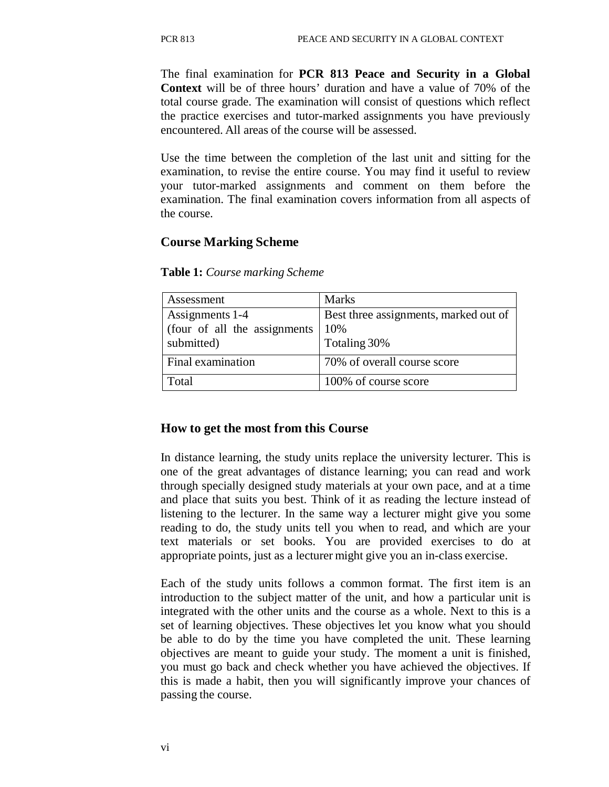The final examination for **PCR 813 Peace and Security in a Global Context** will be of three hours' duration and have a value of 70% of the total course grade. The examination will consist of questions which reflect the practice exercises and tutor-marked assignments you have previously encountered. All areas of the course will be assessed.

Use the time between the completion of the last unit and sitting for the examination, to revise the entire course. You may find it useful to review your tutor-marked assignments and comment on them before the examination. The final examination covers information from all aspects of the course.

#### **Course Marking Scheme**

| Assessment                                                    | <b>Marks</b>                                                 |
|---------------------------------------------------------------|--------------------------------------------------------------|
| Assignments 1-4<br>(four of all the assignments<br>submitted) | Best three assignments, marked out of<br>10%<br>Totaling 30% |
| Final examination                                             | 70% of overall course score                                  |
| Total                                                         | 100% of course score                                         |

**Table 1:** *Course marking Scheme*

#### **How to get the most from this Course**

In distance learning, the study units replace the university lecturer. This is one of the great advantages of distance learning; you can read and work through specially designed study materials at your own pace, and at a time and place that suits you best. Think of it as reading the lecture instead of listening to the lecturer. In the same way a lecturer might give you some reading to do, the study units tell you when to read, and which are your text materials or set books. You are provided exercises to do at appropriate points, just as a lecturer might give you an in-class exercise.

Each of the study units follows a common format. The first item is an introduction to the subject matter of the unit, and how a particular unit is integrated with the other units and the course as a whole. Next to this is a set of learning objectives. These objectives let you know what you should be able to do by the time you have completed the unit. These learning objectives are meant to guide your study. The moment a unit is finished, you must go back and check whether you have achieved the objectives. If this is made a habit, then you will significantly improve your chances of passing the course.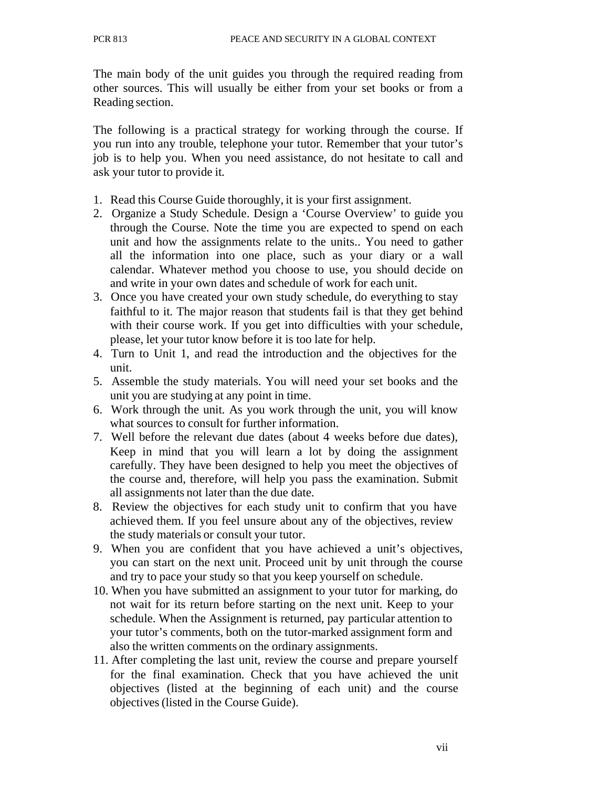The main body of the unit guides you through the required reading from other sources. This will usually be either from your set books or from a Reading section.

The following is a practical strategy for working through the course. If you run into any trouble, telephone your tutor. Remember that your tutor's job is to help you. When you need assistance, do not hesitate to call and ask your tutor to provide it.

- 1. Read this Course Guide thoroughly, it is your first assignment.
- 2. Organize a Study Schedule. Design a 'Course Overview' to guide you through the Course. Note the time you are expected to spend on each unit and how the assignments relate to the units.. You need to gather all the information into one place, such as your diary or a wall calendar. Whatever method you choose to use, you should decide on and write in your own dates and schedule of work for each unit.
- 3. Once you have created your own study schedule, do everything to stay faithful to it. The major reason that students fail is that they get behind with their course work. If you get into difficulties with your schedule, please, let your tutor know before it is too late for help.
- 4. Turn to Unit 1, and read the introduction and the objectives for the unit.
- 5. Assemble the study materials. You will need your set books and the unit you are studying at any point in time.
- 6. Work through the unit. As you work through the unit, you will know what sources to consult for further information.
- 7. Well before the relevant due dates (about 4 weeks before due dates), Keep in mind that you will learn a lot by doing the assignment carefully. They have been designed to help you meet the objectives of the course and, therefore, will help you pass the examination. Submit all assignments not later than the due date.
- 8. Review the objectives for each study unit to confirm that you have achieved them. If you feel unsure about any of the objectives, review the study materials or consult your tutor.
- 9. When you are confident that you have achieved a unit's objectives, you can start on the next unit. Proceed unit by unit through the course and try to pace your study so that you keep yourself on schedule.
- 10. When you have submitted an assignment to your tutor for marking, do not wait for its return before starting on the next unit. Keep to your schedule. When the Assignment is returned, pay particular attention to your tutor's comments, both on the tutor-marked assignment form and also the written comments on the ordinary assignments.
- 11. After completing the last unit, review the course and prepare yourself for the final examination. Check that you have achieved the unit objectives (listed at the beginning of each unit) and the course objectives (listed in the Course Guide).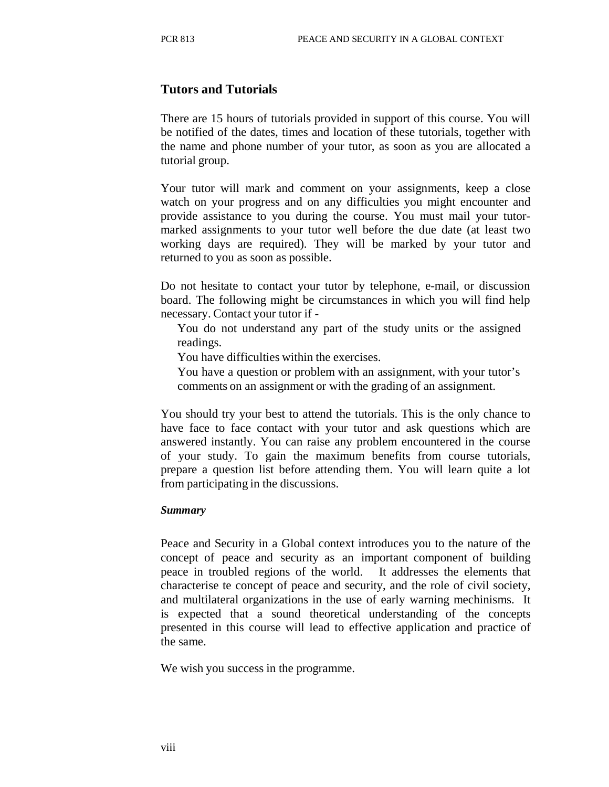### **Tutors and Tutorials**

There are 15 hours of tutorials provided in support of this course. You will be notified of the dates, times and location of these tutorials, together with the name and phone number of your tutor, as soon as you are allocated a tutorial group.

Your tutor will mark and comment on your assignments, keep a close watch on your progress and on any difficulties you might encounter and provide assistance to you during the course. You must mail your tutormarked assignments to your tutor well before the due date (at least two working days are required). They will be marked by your tutor and returned to you as soon as possible.

Do not hesitate to contact your tutor by telephone, e-mail, or discussion board. The following might be circumstances in which you will find help necessary. Contact your tutor if -

You do not understand any part of the study units or the assigned readings.

You have difficulties within the exercises.

You have a question or problem with an assignment, with your tutor's comments on an assignment or with the grading of an assignment.

You should try your best to attend the tutorials. This is the only chance to have face to face contact with your tutor and ask questions which are answered instantly. You can raise any problem encountered in the course of your study. To gain the maximum benefits from course tutorials, prepare a question list before attending them. You will learn quite a lot from participating in the discussions.

#### *Summary*

Peace and Security in a Global context introduces you to the nature of the concept of peace and security as an important component of building peace in troubled regions of the world. It addresses the elements that characterise te concept of peace and security, and the role of civil society, and multilateral organizations in the use of early warning mechinisms. It is expected that a sound theoretical understanding of the concepts presented in this course will lead to effective application and practice of the same.

We wish you success in the programme.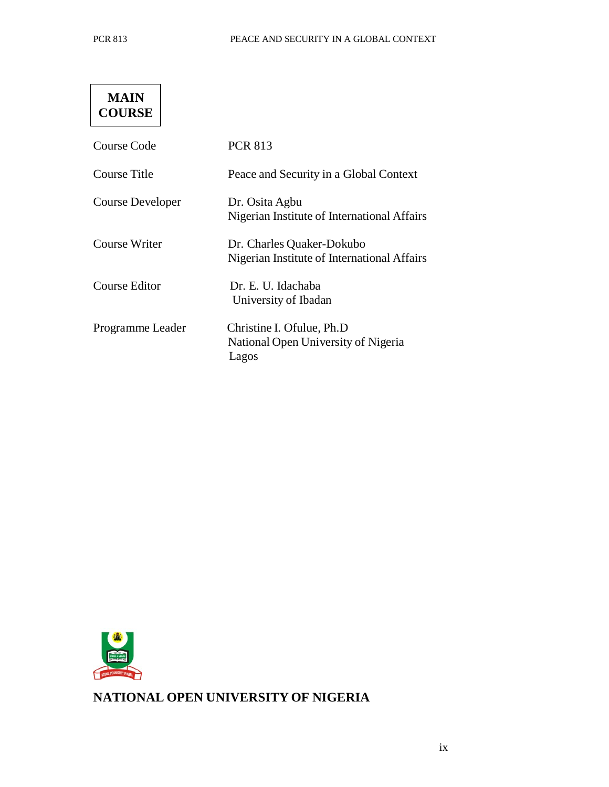

| Course Code      | <b>PCR 813</b>                                                             |
|------------------|----------------------------------------------------------------------------|
| Course Title     | Peace and Security in a Global Context                                     |
| Course Developer | Dr. Osita Agbu<br>Nigerian Institute of International Affairs              |
| Course Writer    | Dr. Charles Quaker-Dokubo<br>Nigerian Institute of International Affairs   |
| Course Editor    | Dr. E. U. Idachaba<br>University of Ibadan                                 |
| Programme Leader | Christine I. Ofulue, Ph.D.<br>National Open University of Nigeria<br>Lagos |



# **NATIONAL OPEN UNIVERSITY OF NIGERIA**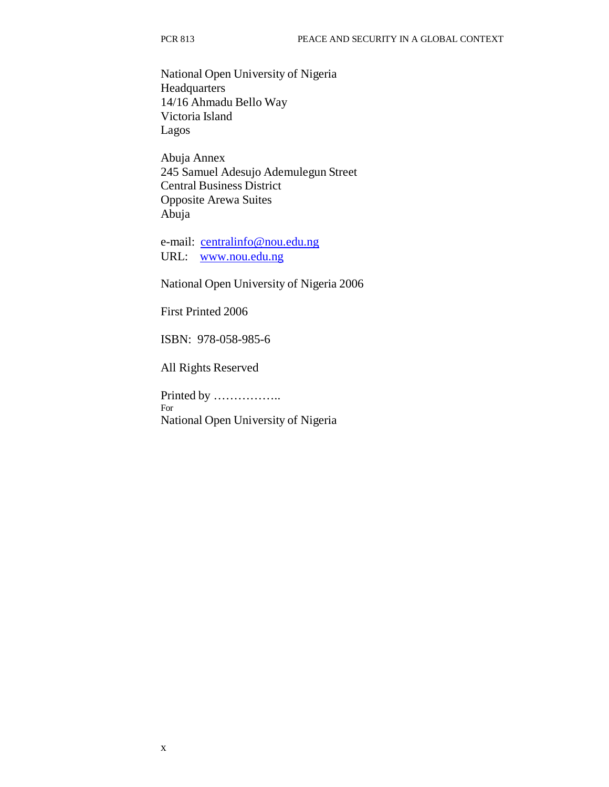National Open University of Nigeria Headquarters 14/16 Ahmadu Bello Way Victoria Island Lagos

Abuja Annex 245 Samuel Adesujo Ademulegun Street Central Business District Opposite Arewa Suites Abuja

e-mail: centralinfo@nou.edu.ng URL: www.nou.edu.ng

National Open University of Nigeria 2006

First Printed 2006

ISBN: 978-058-985-6

All Rights Reserved

Printed by …………….. For National Open University of Nigeria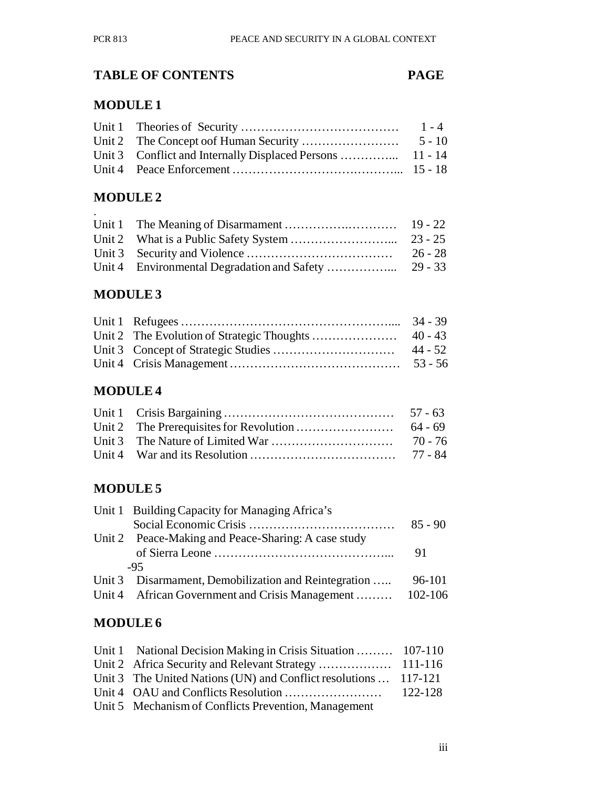# **TABLE OF CONTENTS PAGE**

# **MODULE 1**

# **MODULE 2**

.

|  | 26 - 28 |
|--|---------|
|  |         |

# **MODULE 3**

# **MODULE 4**

| $57 - 63$ |
|-----------|
|           |
| - 70 - 76 |
|           |
|           |

# **MODULE 5**

| Unit 1 Building Capacity for Managing Africa's       |             |
|------------------------------------------------------|-------------|
|                                                      | $85 - 90$   |
| Unit 2 Peace-Making and Peace-Sharing: A case study  |             |
|                                                      | 91          |
| -95                                                  |             |
| Unit 3 Disarmament, Demobilization and Reintegration | 96-101      |
| Unit 4 African Government and Crisis Management      | $102 - 106$ |

# **MODULE 6**

| Unit 1 National Decision Making in Crisis Situation  107-110     |  |
|------------------------------------------------------------------|--|
|                                                                  |  |
| Unit 3 The United Nations (UN) and Conflict resolutions  117-121 |  |
|                                                                  |  |
| Unit 5 Mechanism of Conflicts Prevention, Management             |  |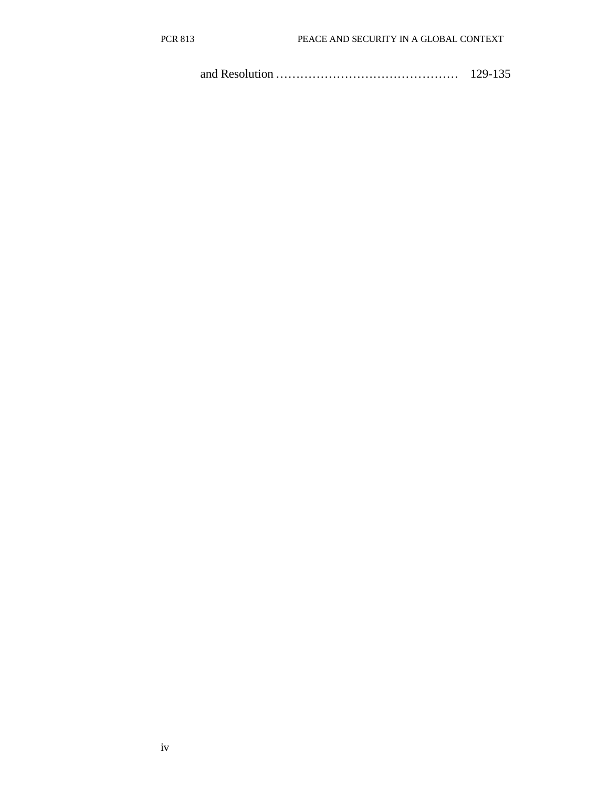and Resolution ……………………………………… 129-135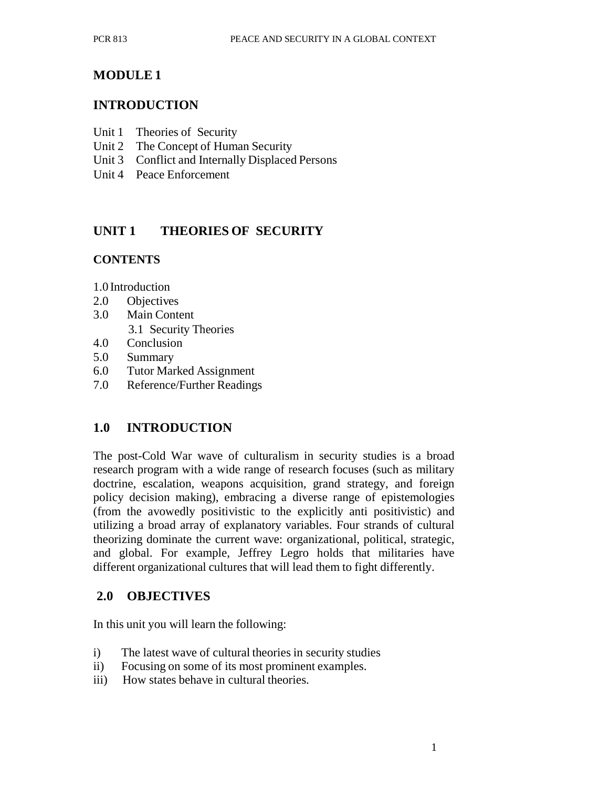# **MODULE 1**

# **INTRODUCTION**

- Unit 1 Theories of Security
- Unit 2 The Concept of Human Security
- Unit 3 Conflict and Internally Displaced Persons
- Unit 4 Peace Enforcement

# **UNIT 1 THEORIES OF SECURITY**

## **CONTENTS**

- 1.0 Introduction
- 2.0 Objectives
- 3.0 Main Content
	- 3.1 Security Theories
- 4.0 Conclusion
- 5.0 Summary
- 6.0 Tutor Marked Assignment
- 7.0 Reference/Further Readings

# **1.0 INTRODUCTION**

The post-Cold War wave of culturalism in security studies is a broad research program with a wide range of research focuses (such as military doctrine, escalation, weapons acquisition, grand strategy, and foreign policy decision making), embracing a diverse range of epistemologies (from the avowedly positivistic to the explicitly anti positivistic) and utilizing a broad array of explanatory variables. Four strands of cultural theorizing dominate the current wave: organizational, political, strategic, and global. For example, Jeffrey Legro holds that militaries have different organizational cultures that will lead them to fight differently.

# **2.0 OBJECTIVES**

In this unit you will learn the following:

- i) The latest wave of cultural theories in security studies
- ii) Focusing on some of its most prominent examples.
- iii) How states behave in cultural theories.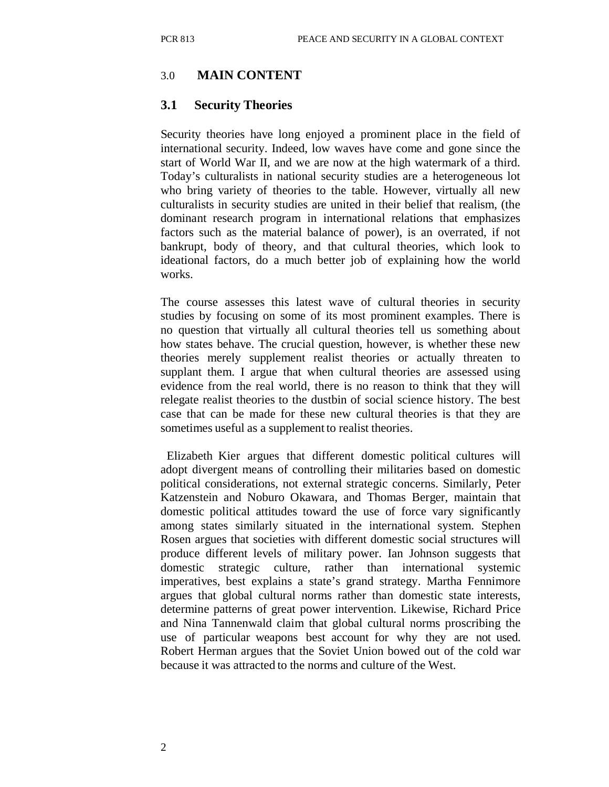#### 3.0 **MAIN CONTENT**

#### **3.1 Security Theories**

Security theories have long enjoyed a prominent place in the field of international security. Indeed, low waves have come and gone since the start of World War II, and we are now at the high watermark of a third. Today's culturalists in national security studies are a heterogeneous lot who bring variety of theories to the table. However, virtually all new culturalists in security studies are united in their belief that realism, (the dominant research program in international relations that emphasizes factors such as the material balance of power), is an overrated, if not bankrupt, body of theory, and that cultural theories, which look to ideational factors, do a much better job of explaining how the world works.

The course assesses this latest wave of cultural theories in security studies by focusing on some of its most prominent examples. There is no question that virtually all cultural theories tell us something about how states behave. The crucial question, however, is whether these new theories merely supplement realist theories or actually threaten to supplant them. I argue that when cultural theories are assessed using evidence from the real world, there is no reason to think that they will relegate realist theories to the dustbin of social science history. The best case that can be made for these new cultural theories is that they are sometimes useful as a supplement to realist theories.

Elizabeth Kier argues that different domestic political cultures will adopt divergent means of controlling their militaries based on domestic political considerations, not external strategic concerns. Similarly, Peter Katzenstein and Noburo Okawara, and Thomas Berger, maintain that domestic political attitudes toward the use of force vary significantly among states similarly situated in the international system. Stephen Rosen argues that societies with different domestic social structures will produce different levels of military power. Ian Johnson suggests that domestic strategic culture, rather than international systemic imperatives, best explains a state's grand strategy. Martha Fennimore argues that global cultural norms rather than domestic state interests, determine patterns of great power intervention. Likewise, Richard Price and Nina Tannenwald claim that global cultural norms proscribing the use of particular weapons best account for why they are not used. Robert Herman argues that the Soviet Union bowed out of the cold war because it was attracted to the norms and culture of the West.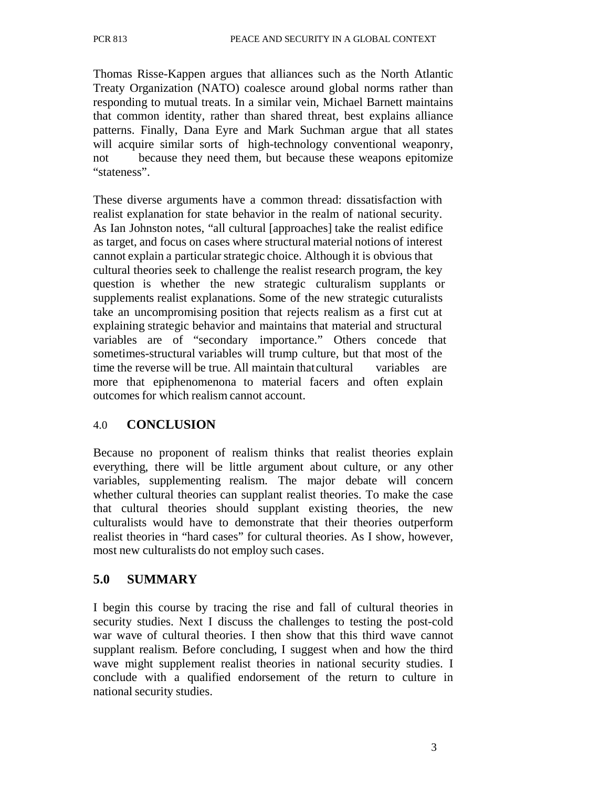Thomas Risse-Kappen argues that alliances such as the North Atlantic Treaty Organization (NATO) coalesce around global norms rather than responding to mutual treats. In a similar vein, Michael Barnett maintains that common identity, rather than shared threat, best explains alliance patterns. Finally, Dana Eyre and Mark Suchman argue that all states will acquire similar sorts of high-technology conventional weaponry, not because they need them, but because these weapons epitomize "stateness".

These diverse arguments have a common thread: dissatisfaction with realist explanation for state behavior in the realm of national security. As Ian Johnston notes, "all cultural [approaches] take the realist edifice as target, and focus on cases where structural material notions of interest cannot explain a particular strategic choice. Although it is obvious that cultural theories seek to challenge the realist research program, the key question is whether the new strategic culturalism supplants or supplements realist explanations. Some of the new strategic cuturalists take an uncompromising position that rejects realism as a first cut at explaining strategic behavior and maintains that material and structural variables are of "secondary importance." Others concede that sometimes-structural variables will trump culture, but that most of the time the reverse will be true. All maintain that cultural variables are more that epiphenomenona to material facers and often explain outcomes for which realism cannot account.

# 4.0 **CONCLUSION**

Because no proponent of realism thinks that realist theories explain everything, there will be little argument about culture, or any other variables, supplementing realism. The major debate will concern whether cultural theories can supplant realist theories. To make the case that cultural theories should supplant existing theories, the new culturalists would have to demonstrate that their theories outperform realist theories in "hard cases" for cultural theories. As I show, however, most new culturalists do not employ such cases.

# **5.0 SUMMARY**

I begin this course by tracing the rise and fall of cultural theories in security studies. Next I discuss the challenges to testing the post-cold war wave of cultural theories. I then show that this third wave cannot supplant realism. Before concluding, I suggest when and how the third wave might supplement realist theories in national security studies. I conclude with a qualified endorsement of the return to culture in national security studies.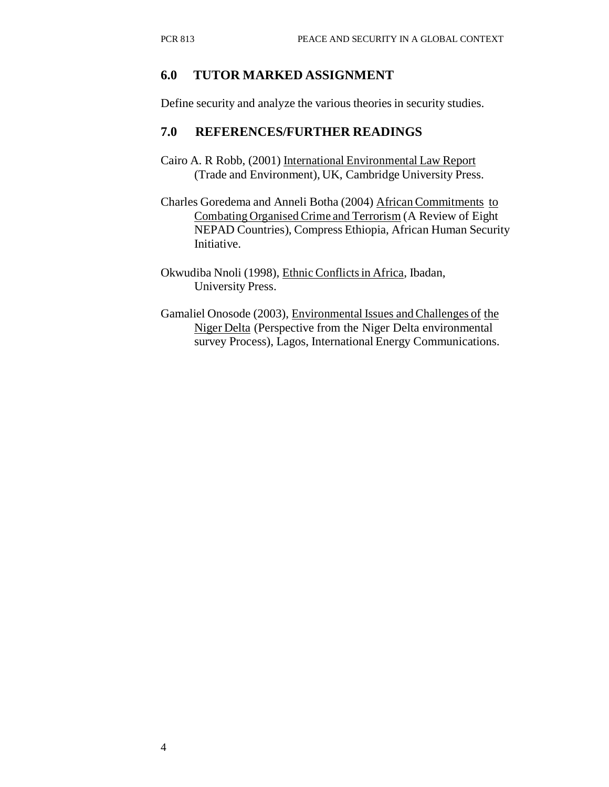#### **6.0 TUTOR MARKED ASSIGNMENT**

Define security and analyze the various theories in security studies.

#### **7.0 REFERENCES/FURTHER READINGS**

- Cairo A. R Robb, (2001) International Environmental Law Report (Trade and Environment), UK, Cambridge University Press.
- Charles Goredema and Anneli Botha (2004) African Commitments to Combating Organised Crime and Terrorism (A Review of Eight NEPAD Countries), Compress Ethiopia, African Human Security Initiative.
- Okwudiba Nnoli (1998), Ethnic Conflicts in Africa, Ibadan, University Press.
- Gamaliel Onosode (2003), Environmental Issues and Challenges of the Niger Delta (Perspective from the Niger Delta environmental survey Process), Lagos, International Energy Communications.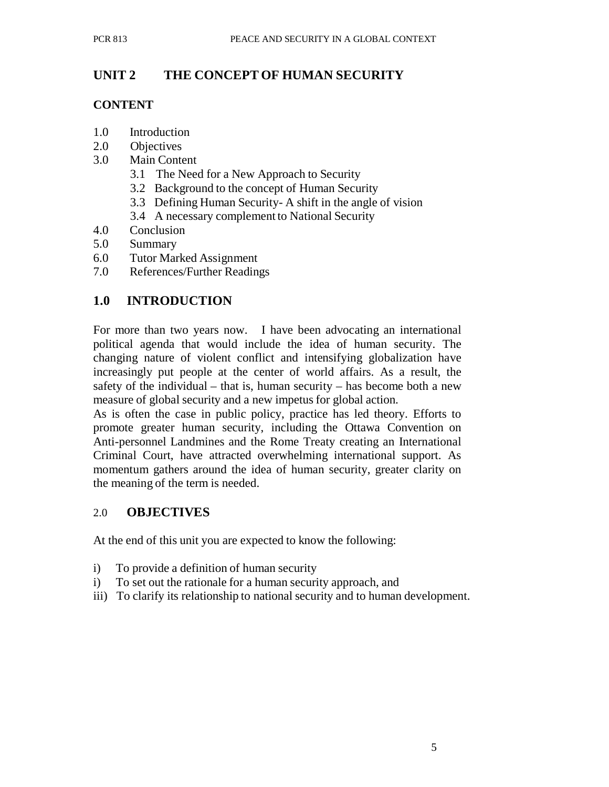# **UNIT 2 THE CONCEPT OF HUMAN SECURITY**

## **CONTENT**

- 1.0 Introduction
- 2.0 Objectives
- 3.0 Main Content
	- 3.1 The Need for a New Approach to Security
	- 3.2 Background to the concept of Human Security
	- 3.3 Defining Human Security- A shift in the angle of vision
	- 3.4 A necessary complement to National Security
- 4.0 Conclusion
- 5.0 Summary
- 6.0 Tutor Marked Assignment
- 7.0 References/Further Readings

# **1.0 INTRODUCTION**

For more than two years now. I have been advocating an international political agenda that would include the idea of human security. The changing nature of violent conflict and intensifying globalization have increasingly put people at the center of world affairs. As a result, the safety of the individual – that is, human security – has become both a new measure of global security and a new impetus for global action.

As is often the case in public policy, practice has led theory. Efforts to promote greater human security, including the Ottawa Convention on Anti-personnel Landmines and the Rome Treaty creating an International Criminal Court, have attracted overwhelming international support. As momentum gathers around the idea of human security, greater clarity on the meaning of the term is needed.

# 2.0 **OBJECTIVES**

At the end of this unit you are expected to know the following:

- i) To provide a definition of human security
- i) To set out the rationale for a human security approach, and
- iii) To clarify its relationship to national security and to human development.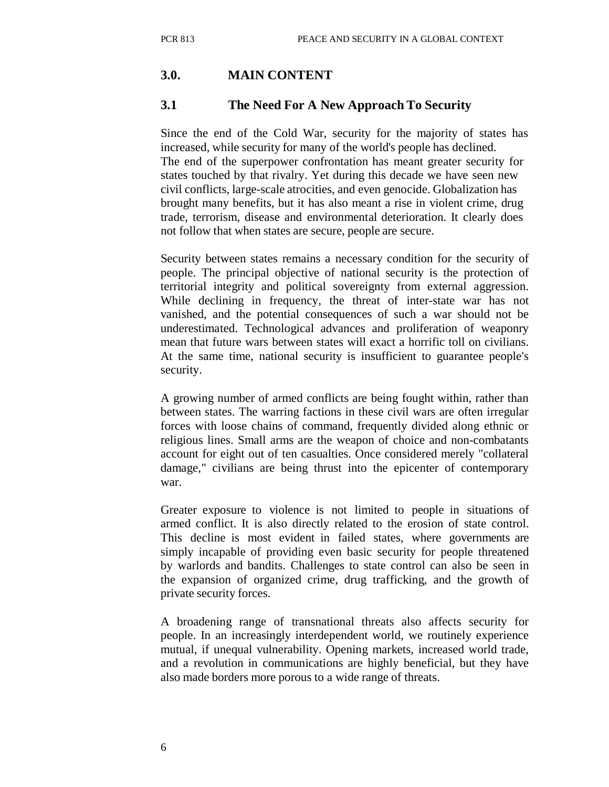#### **3.0. MAIN CONTENT**

### **3.1 The Need For A New Approach To Security**

Since the end of the Cold War, security for the majority of states has increased, while security for many of the world's people has declined. The end of the superpower confrontation has meant greater security for states touched by that rivalry. Yet during this decade we have seen new civil conflicts, large-scale atrocities, and even genocide. Globalization has brought many benefits, but it has also meant a rise in violent crime, drug trade, terrorism, disease and environmental deterioration. It clearly does not follow that when states are secure, people are secure.

Security between states remains a necessary condition for the security of people. The principal objective of national security is the protection of territorial integrity and political sovereignty from external aggression. While declining in frequency, the threat of inter-state war has not vanished, and the potential consequences of such a war should not be underestimated. Technological advances and proliferation of weaponry mean that future wars between states will exact a horrific toll on civilians. At the same time, national security is insufficient to guarantee people's security.

A growing number of armed conflicts are being fought within, rather than between states. The warring factions in these civil wars are often irregular forces with loose chains of command, frequently divided along ethnic or religious lines. Small arms are the weapon of choice and non-combatants account for eight out of ten casualties. Once considered merely "collateral damage," civilians are being thrust into the epicenter of contemporary war.

Greater exposure to violence is not limited to people in situations of armed conflict. It is also directly related to the erosion of state control. This decline is most evident in failed states, where governments are simply incapable of providing even basic security for people threatened by warlords and bandits. Challenges to state control can also be seen in the expansion of organized crime, drug trafficking, and the growth of private security forces.

A broadening range of transnational threats also affects security for people. In an increasingly interdependent world, we routinely experience mutual, if unequal vulnerability. Opening markets, increased world trade, and a revolution in communications are highly beneficial, but they have also made borders more porous to a wide range of threats.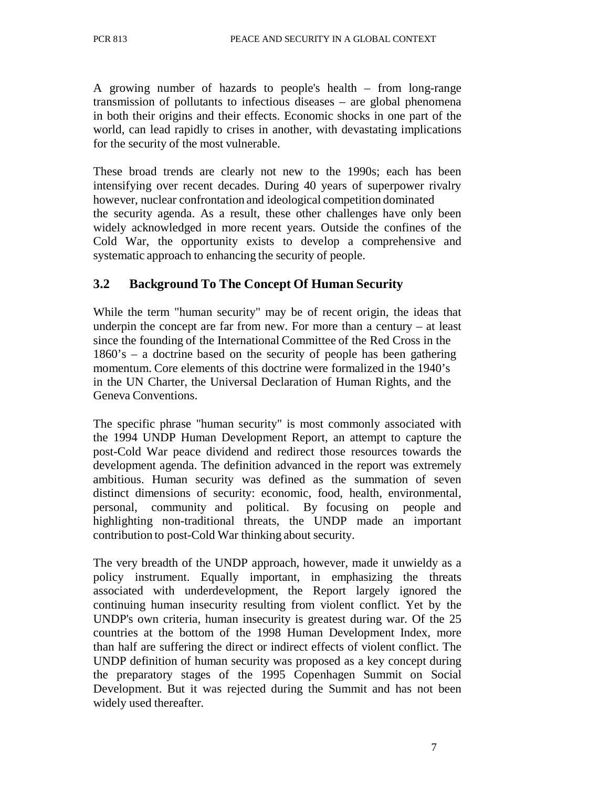A growing number of hazards to people's health – from long-range transmission of pollutants to infectious diseases – are global phenomena in both their origins and their effects. Economic shocks in one part of the world, can lead rapidly to crises in another, with devastating implications for the security of the most vulnerable.

These broad trends are clearly not new to the 1990s; each has been intensifying over recent decades. During 40 years of superpower rivalry however, nuclear confrontation and ideological competition dominated the security agenda. As a result, these other challenges have only been widely acknowledged in more recent years. Outside the confines of the Cold War, the opportunity exists to develop a comprehensive and systematic approach to enhancing the security of people.

# **3.2 Background To The Concept Of Human Security**

While the term "human security" may be of recent origin, the ideas that underpin the concept are far from new. For more than a century – at least since the founding of the International Committee of the Red Cross in the 1860's – a doctrine based on the security of people has been gathering momentum. Core elements of this doctrine were formalized in the 1940's in the UN Charter, the Universal Declaration of Human Rights, and the Geneva Conventions.

The specific phrase "human security" is most commonly associated with the 1994 UNDP Human Development Report, an attempt to capture the post-Cold War peace dividend and redirect those resources towards the development agenda. The definition advanced in the report was extremely ambitious. Human security was defined as the summation of seven distinct dimensions of security: economic, food, health, environmental, personal, community and political. By focusing on people and highlighting non-traditional threats, the UNDP made an important contribution to post-Cold War thinking about security.

The very breadth of the UNDP approach, however, made it unwieldy as a policy instrument. Equally important, in emphasizing the threats associated with underdevelopment, the Report largely ignored the continuing human insecurity resulting from violent conflict. Yet by the UNDP's own criteria, human insecurity is greatest during war. Of the 25 countries at the bottom of the 1998 Human Development Index, more than half are suffering the direct or indirect effects of violent conflict. The UNDP definition of human security was proposed as a key concept during the preparatory stages of the 1995 Copenhagen Summit on Social Development. But it was rejected during the Summit and has not been widely used thereafter.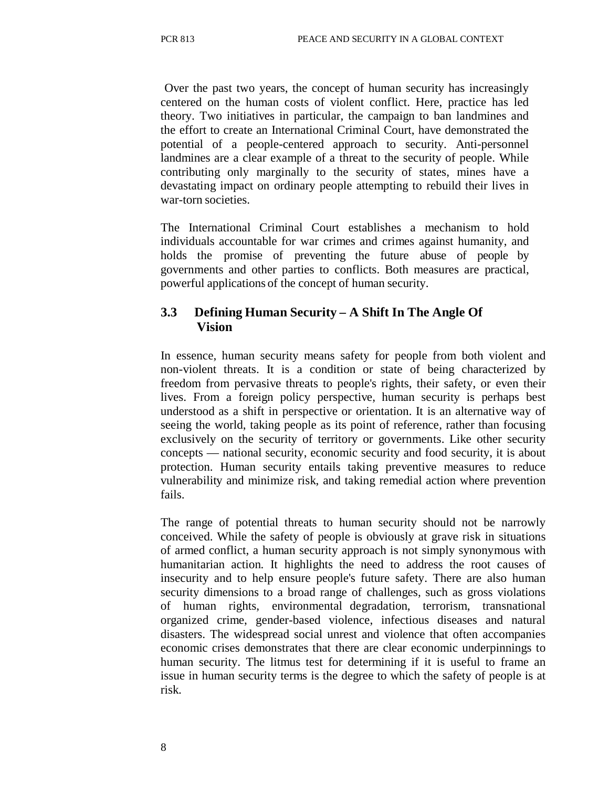Over the past two years, the concept of human security has increasingly centered on the human costs of violent conflict. Here, practice has led theory. Two initiatives in particular, the campaign to ban landmines and the effort to create an International Criminal Court, have demonstrated the potential of a people-centered approach to security. Anti-personnel landmines are a clear example of a threat to the security of people. While contributing only marginally to the security of states, mines have a devastating impact on ordinary people attempting to rebuild their lives in war-torn societies.

The International Criminal Court establishes a mechanism to hold individuals accountable for war crimes and crimes against humanity, and holds the promise of preventing the future abuse of people by governments and other parties to conflicts. Both measures are practical, powerful applications of the concept of human security.

## **3.3 Defining Human Security – A Shift In The Angle Of Vision**

In essence, human security means safety for people from both violent and non-violent threats. It is a condition or state of being characterized by freedom from pervasive threats to people's rights, their safety, or even their lives. From a foreign policy perspective, human security is perhaps best understood as a shift in perspective or orientation. It is an alternative way of seeing the world, taking people as its point of reference, rather than focusing exclusively on the security of territory or governments. Like other security concepts — national security, economic security and food security, it is about protection. Human security entails taking preventive measures to reduce vulnerability and minimize risk, and taking remedial action where prevention fails.

The range of potential threats to human security should not be narrowly conceived. While the safety of people is obviously at grave risk in situations of armed conflict, a human security approach is not simply synonymous with humanitarian action. It highlights the need to address the root causes of insecurity and to help ensure people's future safety. There are also human security dimensions to a broad range of challenges, such as gross violations of human rights, environmental degradation, terrorism, transnational organized crime, gender-based violence, infectious diseases and natural disasters. The widespread social unrest and violence that often accompanies economic crises demonstrates that there are clear economic underpinnings to human security. The litmus test for determining if it is useful to frame an issue in human security terms is the degree to which the safety of people is at risk.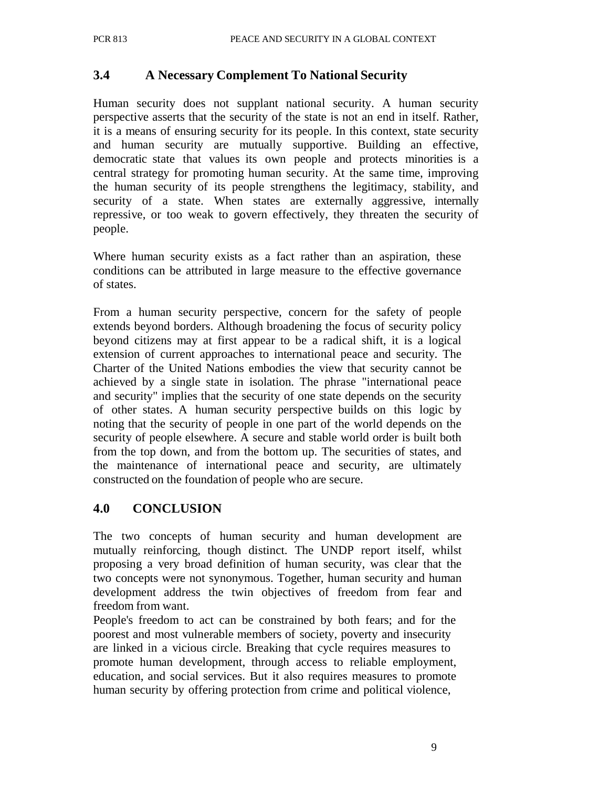# **3.4 A Necessary Complement To National Security**

Human security does not supplant national security. A human security perspective asserts that the security of the state is not an end in itself. Rather, it is a means of ensuring security for its people. In this context, state security and human security are mutually supportive. Building an effective, democratic state that values its own people and protects minorities is a central strategy for promoting human security. At the same time, improving the human security of its people strengthens the legitimacy, stability, and security of a state. When states are externally aggressive, internally repressive, or too weak to govern effectively, they threaten the security of people.

Where human security exists as a fact rather than an aspiration, these conditions can be attributed in large measure to the effective governance of states.

From a human security perspective, concern for the safety of people extends beyond borders. Although broadening the focus of security policy beyond citizens may at first appear to be a radical shift, it is a logical extension of current approaches to international peace and security. The Charter of the United Nations embodies the view that security cannot be achieved by a single state in isolation. The phrase "international peace and security" implies that the security of one state depends on the security of other states. A human security perspective builds on this logic by noting that the security of people in one part of the world depends on the security of people elsewhere. A secure and stable world order is built both from the top down, and from the bottom up. The securities of states, and the maintenance of international peace and security, are ultimately constructed on the foundation of people who are secure.

# **4.0 CONCLUSION**

The two concepts of human security and human development are mutually reinforcing, though distinct. The UNDP report itself, whilst proposing a very broad definition of human security, was clear that the two concepts were not synonymous. Together, human security and human development address the twin objectives of freedom from fear and freedom from want.

People's freedom to act can be constrained by both fears; and for the poorest and most vulnerable members of society, poverty and insecurity are linked in a vicious circle. Breaking that cycle requires measures to promote human development, through access to reliable employment, education, and social services. But it also requires measures to promote human security by offering protection from crime and political violence,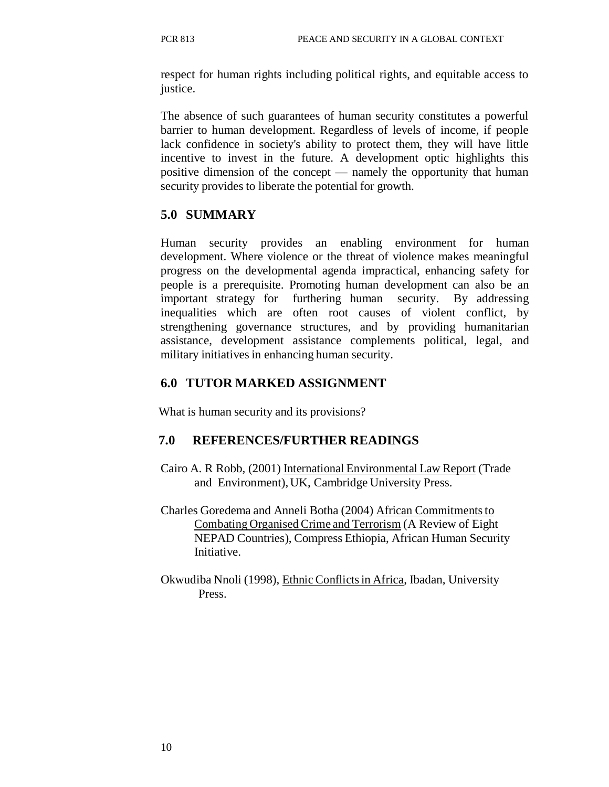respect for human rights including political rights, and equitable access to justice.

The absence of such guarantees of human security constitutes a powerful barrier to human development. Regardless of levels of income, if people lack confidence in society's ability to protect them, they will have little incentive to invest in the future. A development optic highlights this positive dimension of the concept — namely the opportunity that human security provides to liberate the potential for growth.

## **5.0 SUMMARY**

Human security provides an enabling environment for human development. Where violence or the threat of violence makes meaningful progress on the developmental agenda impractical, enhancing safety for people is a prerequisite. Promoting human development can also be an important strategy for furthering human security. By addressing inequalities which are often root causes of violent conflict, by strengthening governance structures, and by providing humanitarian assistance, development assistance complements political, legal, and military initiatives in enhancing human security.

### **6.0 TUTOR MARKED ASSIGNMENT**

What is human security and its provisions?

## **7.0 REFERENCES/FURTHER READINGS**

- Cairo A. R Robb, (2001) International Environmental Law Report (Trade and Environment), UK, Cambridge University Press.
- Charles Goredema and Anneli Botha (2004) African Commitments to Combating Organised Crime and Terrorism (A Review of Eight NEPAD Countries), Compress Ethiopia, African Human Security Initiative.
- Okwudiba Nnoli (1998), Ethnic Conflicts in Africa, Ibadan, University Press.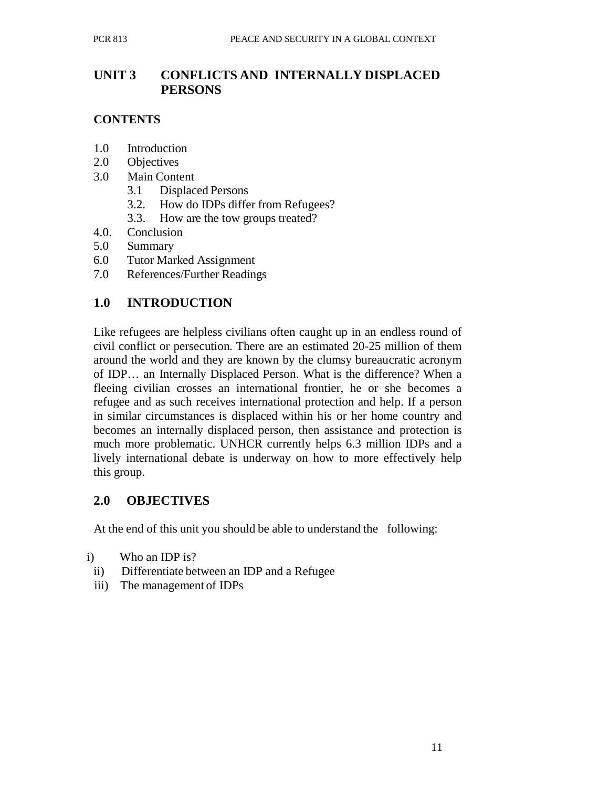# **UNIT 3 CONFLICTS AND INTERNALLY DISPLACED PERSONS**

## **CONTENTS**

- 1.0 Introduction
- 2.0 Objectives
- 3.0 Main Content
	- 3.1 Displaced Persons
	- 3.2. How do IDPs differ from Refugees?
	- 3.3. How are the tow groups treated?
- 4.0. Conclusion
- 5.0 Summary
- 6.0 Tutor Marked Assignment
- 7.0 References/Further Readings

# **1.0 INTRODUCTION**

Like refugees are helpless civilians often caught up in an endless round of civil conflict or persecution. There are an estimated 20-25 million of them around the world and they are known by the clumsy bureaucratic acronym of IDP… an Internally Displaced Person. What is the difference? When a fleeing civilian crosses an international frontier, he or she becomes a refugee and as such receives international protection and help. If a person in similar circumstances is displaced within his or her home country and becomes an internally displaced person, then assistance and protection is much more problematic. UNHCR currently helps 6.3 million IDPs and a lively international debate is underway on how to more effectively help this group.

# **2.0 OBJECTIVES**

At the end of this unit you should be able to understand the following:

- i) Who an IDP is?
- ii) Differentiate between an IDP and a Refugee
- iii) The management of IDPs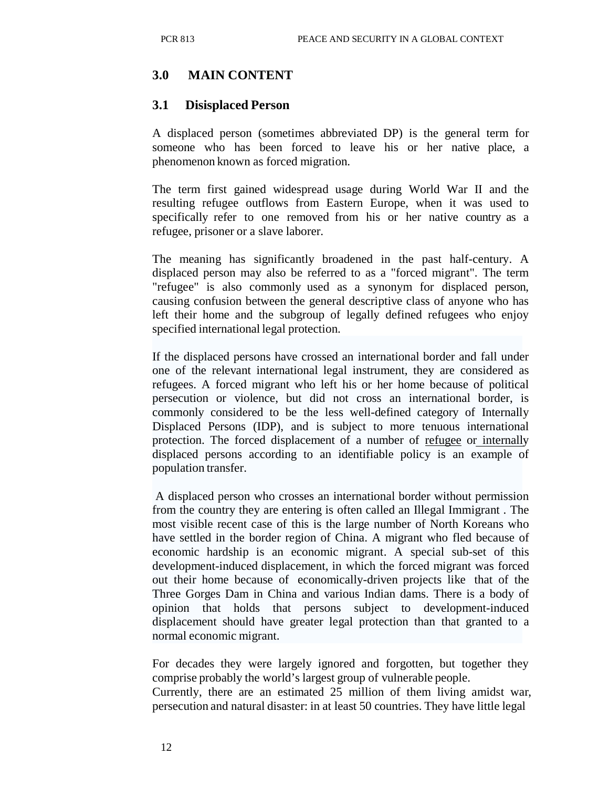#### **3.0 MAIN CONTENT**

#### **3.1 Disisplaced Person**

A displaced person (sometimes abbreviated DP) is the general term for someone who has been forced to leave his or her native place, a phenomenon known as forced migration.

The term first gained widespread usage during World War II and the resulting refugee outflows from Eastern Europe, when it was used to specifically refer to one removed from his or her native country as a refugee, prisoner or a slave laborer.

The meaning has significantly broadened in the past half-century. A displaced person may also be referred to as a "forced migrant". The term "refugee" is also commonly used as a synonym for displaced person, causing confusion between the general descriptive class of anyone who has left their home and the subgroup of legally defined refugees who enjoy specified international legal protection.

If the displaced persons have crossed an international border and fall under one of the relevant international legal instrument, they are considered as refugees. A forced migrant who left his or her home because of political persecution or violence, but did not cross an international border, is commonly considered to be the less well-defined category of Internally Displaced Persons (IDP), and is subject to more tenuous international protection. The forced displacement of a number of refugee or internally displaced persons according to an identifiable policy is an example of population transfer.

A displaced person who crosses an international border without permission from the country they are entering is often called an Illegal Immigrant . The most visible recent case of this is the large number of North Koreans who have settled in the border region of China. A migrant who fled because of economic hardship is an economic migrant. A special sub-set of this development-induced displacement, in which the forced migrant was forced out their home because of economically-driven projects like that of the Three Gorges Dam in China and various Indian dams. There is a body of opinion that holds that persons subject to development-induced displacement should have greater legal protection than that granted to a normal economic migrant.

For decades they were largely ignored and forgotten, but together they comprise probably the world's largest group of vulnerable people.

Currently, there are an estimated 25 million of them living amidst war, persecution and natural disaster: in at least 50 countries. They have little legal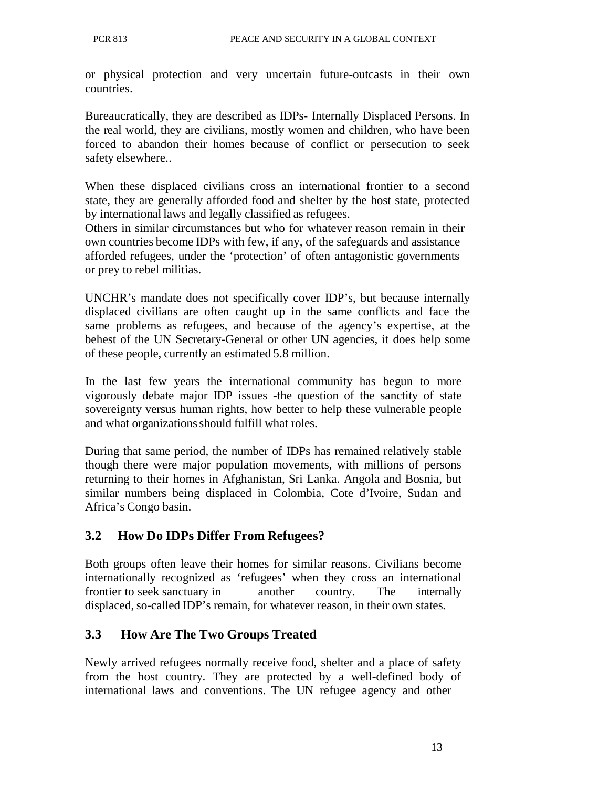or physical protection and very uncertain future-outcasts in their own countries.

Bureaucratically, they are described as IDPs- Internally Displaced Persons. In the real world, they are civilians, mostly women and children, who have been forced to abandon their homes because of conflict or persecution to seek safety elsewhere..

When these displaced civilians cross an international frontier to a second state, they are generally afforded food and shelter by the host state, protected by international laws and legally classified as refugees.

Others in similar circumstances but who for whatever reason remain in their own countries become IDPs with few, if any, of the safeguards and assistance afforded refugees, under the 'protection' of often antagonistic governments or prey to rebel militias.

UNCHR's mandate does not specifically cover IDP's, but because internally displaced civilians are often caught up in the same conflicts and face the same problems as refugees, and because of the agency's expertise, at the behest of the UN Secretary-General or other UN agencies, it does help some of these people, currently an estimated 5.8 million.

In the last few years the international community has begun to more vigorously debate major IDP issues -the question of the sanctity of state sovereignty versus human rights, how better to help these vulnerable people and what organizations should fulfill what roles.

During that same period, the number of IDPs has remained relatively stable though there were major population movements, with millions of persons returning to their homes in Afghanistan, Sri Lanka. Angola and Bosnia, but similar numbers being displaced in Colombia, Cote d'Ivoire, Sudan and Africa's Congo basin.

# **3.2 How Do IDPs Differ From Refugees?**

Both groups often leave their homes for similar reasons. Civilians become internationally recognized as 'refugees' when they cross an international frontier to seek sanctuary in another country. The internally displaced, so-called IDP's remain, for whatever reason, in their own states.

# **3.3 How Are The Two Groups Treated**

Newly arrived refugees normally receive food, shelter and a place of safety from the host country. They are protected by a well-defined body of international laws and conventions. The UN refugee agency and other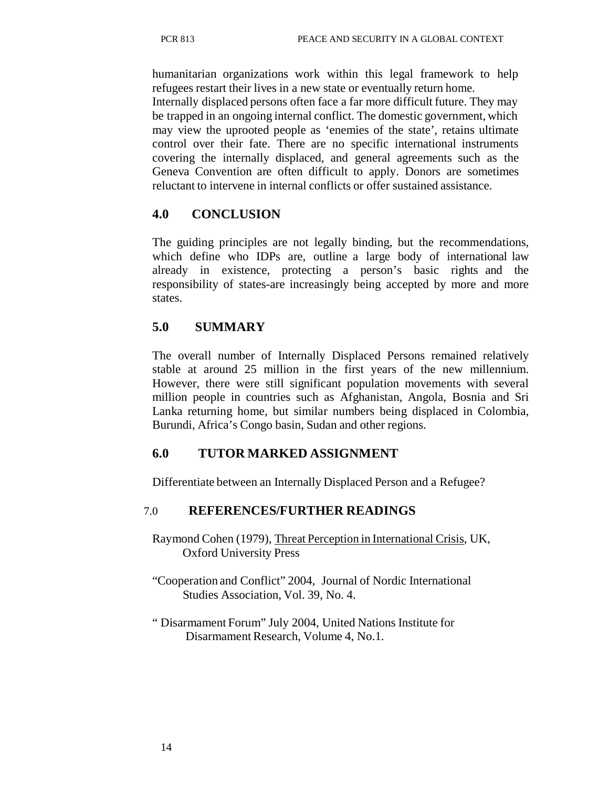humanitarian organizations work within this legal framework to help refugees restart their lives in a new state or eventually return home.

Internally displaced persons often face a far more difficult future. They may be trapped in an ongoing internal conflict. The domestic government, which may view the uprooted people as 'enemies of the state', retains ultimate control over their fate. There are no specific international instruments covering the internally displaced, and general agreements such as the Geneva Convention are often difficult to apply. Donors are sometimes reluctant to intervene in internal conflicts or offer sustained assistance.

## **4.0 CONCLUSION**

The guiding principles are not legally binding, but the recommendations, which define who IDPs are, outline a large body of international law already in existence, protecting a person's basic rights and the responsibility of states-are increasingly being accepted by more and more states.

## **5.0 SUMMARY**

The overall number of Internally Displaced Persons remained relatively stable at around 25 million in the first years of the new millennium. However, there were still significant population movements with several million people in countries such as Afghanistan, Angola, Bosnia and Sri Lanka returning home, but similar numbers being displaced in Colombia, Burundi, Africa's Congo basin, Sudan and other regions.

## **6.0 TUTOR MARKED ASSIGNMENT**

Differentiate between an Internally Displaced Person and a Refugee?

## 7.0 **REFERENCES/FURTHER READINGS**

- Raymond Cohen (1979), Threat Perception in International Crisis, UK, Oxford University Press
- "Cooperation and Conflict" 2004, Journal of Nordic International Studies Association, Vol. 39, No. 4.
- " Disarmament Forum" July 2004, United Nations Institute for Disarmament Research, Volume 4, No.1.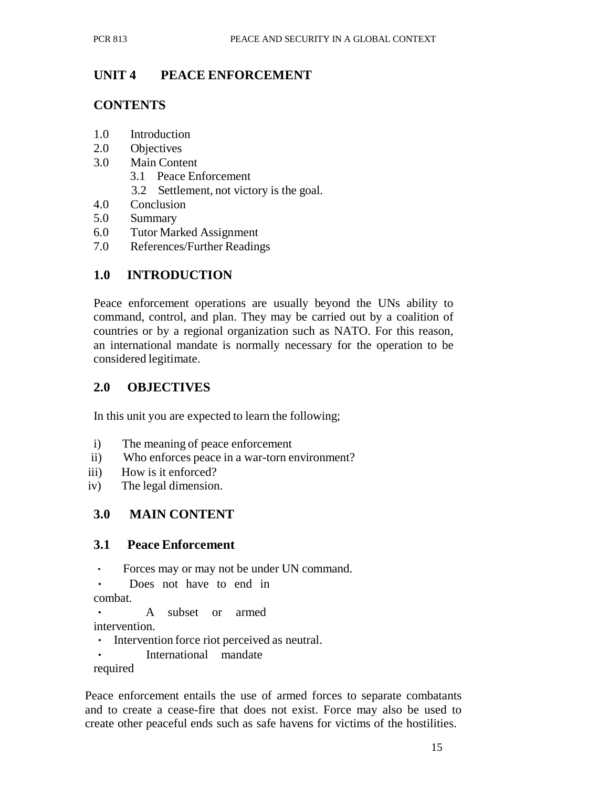# **UNIT 4 PEACE ENFORCEMENT**

## **CONTENTS**

- 1.0 Introduction
- 2.0 Objectives
- 3.0 Main Content
	- 3.1 Peace Enforcement
	- 3.2 Settlement, not victory is the goal.
- 4.0 Conclusion
- 5.0 Summary
- 6.0 Tutor Marked Assignment
- 7.0 References/Further Readings

# **1.0 INTRODUCTION**

Peace enforcement operations are usually beyond the UNs ability to command, control, and plan. They may be carried out by a coalition of countries or by a regional organization such as NATO. For this reason, an international mandate is normally necessary for the operation to be considered legitimate.

# **2.0 OBJECTIVES**

In this unit you are expected to learn the following;

- i) The meaning of peace enforcement
- ii) Who enforces peace in a war-torn environment?
- iii) How is it enforced?
- iv) The legal dimension.

# **3.0 MAIN CONTENT**

## **3.1 Peace Enforcement**

- ・ Forces may or may not be under UN command.
- ・ Does not have to end in

combat.

A subset or armed

intervention.

- ・ Intervention force riot perceived as neutral.
	- International mandate

```
required
```
Peace enforcement entails the use of armed forces to separate combatants and to create a cease-fire that does not exist. Force may also be used to create other peaceful ends such as safe havens for victims of the hostilities.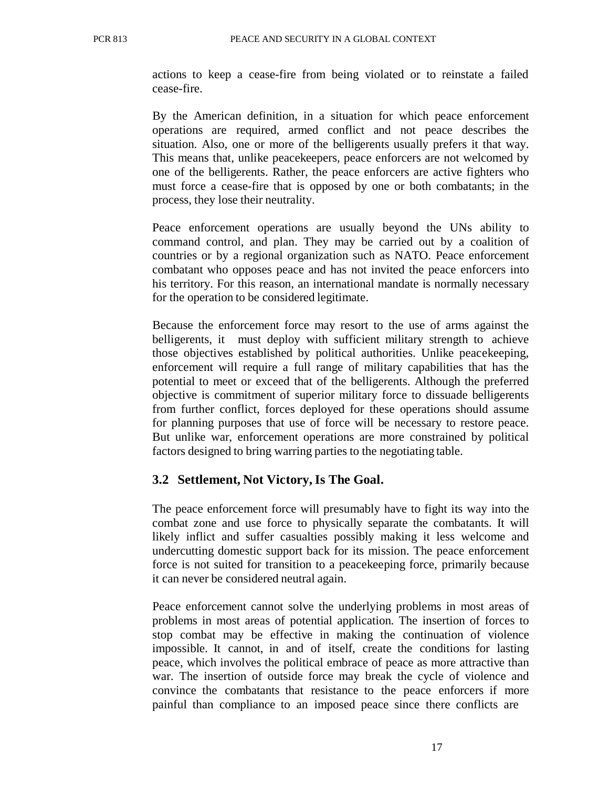actions to keep a cease-fire from being violated or to reinstate a failed cease-fire.

By the American definition, in a situation for which peace enforcement operations are required, armed conflict and not peace describes the situation. Also, one or more of the belligerents usually prefers it that way. This means that, unlike peacekeepers, peace enforcers are not welcomed by one of the belligerents. Rather, the peace enforcers are active fighters who must force a cease-fire that is opposed by one or both combatants; in the process, they lose their neutrality.

Peace enforcement operations are usually beyond the UNs ability to command control, and plan. They may be carried out by a coalition of countries or by a regional organization such as NATO. Peace enforcement combatant who opposes peace and has not invited the peace enforcers into his territory. For this reason, an international mandate is normally necessary for the operation to be considered legitimate.

Because the enforcement force may resort to the use of arms against the belligerents, it must deploy with sufficient military strength to achieve those objectives established by political authorities. Unlike peacekeeping, enforcement will require a full range of military capabilities that has the potential to meet or exceed that of the belligerents. Although the preferred objective is commitment of superior military force to dissuade belligerents from further conflict, forces deployed for these operations should assume for planning purposes that use of force will be necessary to restore peace. But unlike war, enforcement operations are more constrained by political factors designed to bring warring parties to the negotiating table.

#### **3.2 Settlement, Not Victory, Is The Goal.**

The peace enforcement force will presumably have to fight its way into the combat zone and use force to physically separate the combatants. It will likely inflict and suffer casualties possibly making it less welcome and undercutting domestic support back for its mission. The peace enforcement force is not suited for transition to a peacekeeping force, primarily because it can never be considered neutral again.

Peace enforcement cannot solve the underlying problems in most areas of problems in most areas of potential application. The insertion of forces to stop combat may be effective in making the continuation of violence impossible. It cannot, in and of itself, create the conditions for lasting peace, which involves the political embrace of peace as more attractive than war. The insertion of outside force may break the cycle of violence and convince the combatants that resistance to the peace enforcers if more painful than compliance to an imposed peace since there conflicts are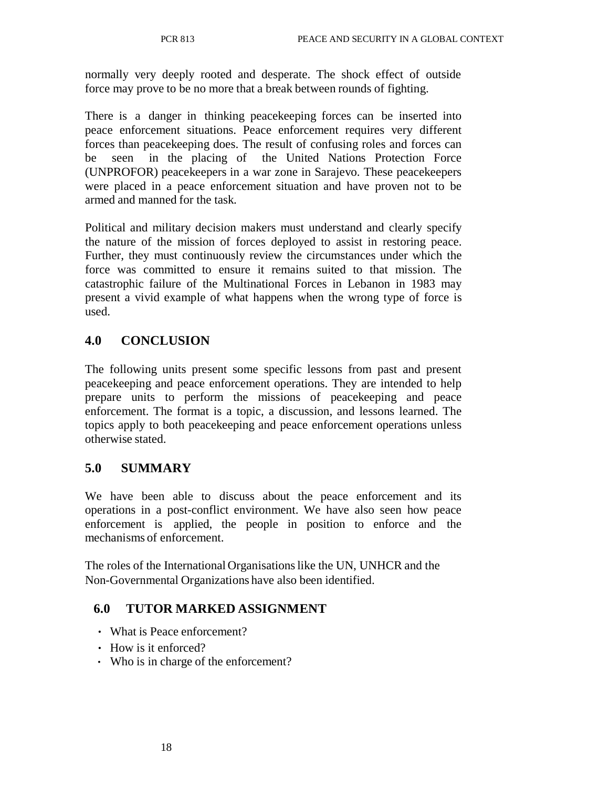normally very deeply rooted and desperate. The shock effect of outside force may prove to be no more that a break between rounds of fighting.

There is a danger in thinking peacekeeping forces can be inserted into peace enforcement situations. Peace enforcement requires very different forces than peacekeeping does. The result of confusing roles and forces can be seen in the placing of the United Nations Protection Force (UNPROFOR) peacekeepers in a war zone in Sarajevo. These peacekeepers were placed in a peace enforcement situation and have proven not to be armed and manned for the task.

Political and military decision makers must understand and clearly specify the nature of the mission of forces deployed to assist in restoring peace. Further, they must continuously review the circumstances under which the force was committed to ensure it remains suited to that mission. The catastrophic failure of the Multinational Forces in Lebanon in 1983 may present a vivid example of what happens when the wrong type of force is used.

# **4.0 CONCLUSION**

The following units present some specific lessons from past and present peacekeeping and peace enforcement operations. They are intended to help prepare units to perform the missions of peacekeeping and peace enforcement. The format is a topic, a discussion, and lessons learned. The topics apply to both peacekeeping and peace enforcement operations unless otherwise stated.

## **5.0 SUMMARY**

We have been able to discuss about the peace enforcement and its operations in a post-conflict environment. We have also seen how peace enforcement is applied, the people in position to enforce and the mechanisms of enforcement.

The roles of the International Organisations like the UN, UNHCR and the Non-Governmental Organizations have also been identified.

## **6.0 TUTOR MARKED ASSIGNMENT**

- ・ What is Peace enforcement?
- How is it enforced?
- ・ Who is in charge of the enforcement?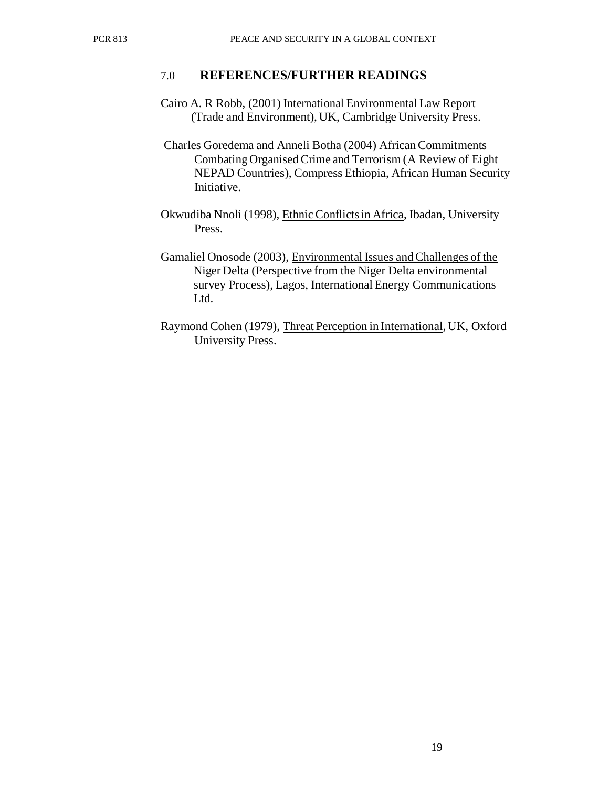#### 7.0 **REFERENCES/FURTHER READINGS**

- Cairo A. R Robb, (2001) International Environmental Law Report (Trade and Environment), UK, Cambridge University Press.
- Charles Goredema and Anneli Botha (2004) African Commitments Combating Organised Crime and Terrorism (A Review of Eight NEPAD Countries), Compress Ethiopia, African Human Security Initiative.
- Okwudiba Nnoli (1998), Ethnic Conflicts in Africa, Ibadan, University Press.
- Gamaliel Onosode (2003), Environmental Issues and Challenges of the Niger Delta (Perspective from the Niger Delta environmental survey Process), Lagos, International Energy Communications Ltd.
- Raymond Cohen (1979), Threat Perception in International, UK, Oxford University Press.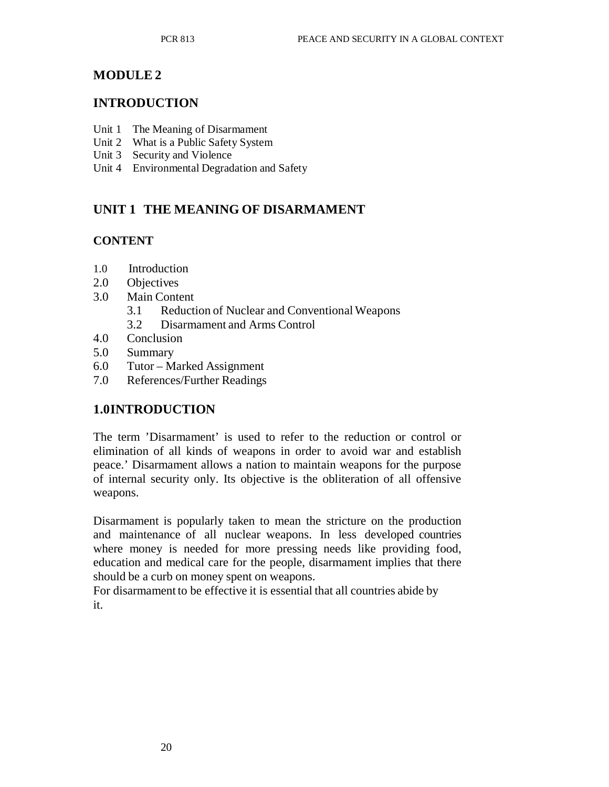# **MODULE 2**

# **INTRODUCTION**

- Unit 1 The Meaning of Disarmament
- Unit 2 What is a Public Safety System
- Unit 3 Security and Violence
- Unit 4 Environmental Degradation and Safety

# **UNIT 1 THE MEANING OF DISARMAMENT**

## **CONTENT**

- 1.0 Introduction
- 2.0 Objectives
- 3.0 Main Content
	- 3.1 Reduction of Nuclear and Conventional Weapons
	- 3.2 Disarmament and Arms Control
- 4.0 Conclusion
- 5.0 Summary
- 6.0 Tutor Marked Assignment
- 7.0 References/Further Readings

# **1.0INTRODUCTION**

The term 'Disarmament' is used to refer to the reduction or control or elimination of all kinds of weapons in order to avoid war and establish peace.' Disarmament allows a nation to maintain weapons for the purpose of internal security only. Its objective is the obliteration of all offensive weapons.

Disarmament is popularly taken to mean the stricture on the production and maintenance of all nuclear weapons. In less developed countries where money is needed for more pressing needs like providing food, education and medical care for the people, disarmament implies that there should be a curb on money spent on weapons.

For disarmament to be effective it is essential that all countries abide by it.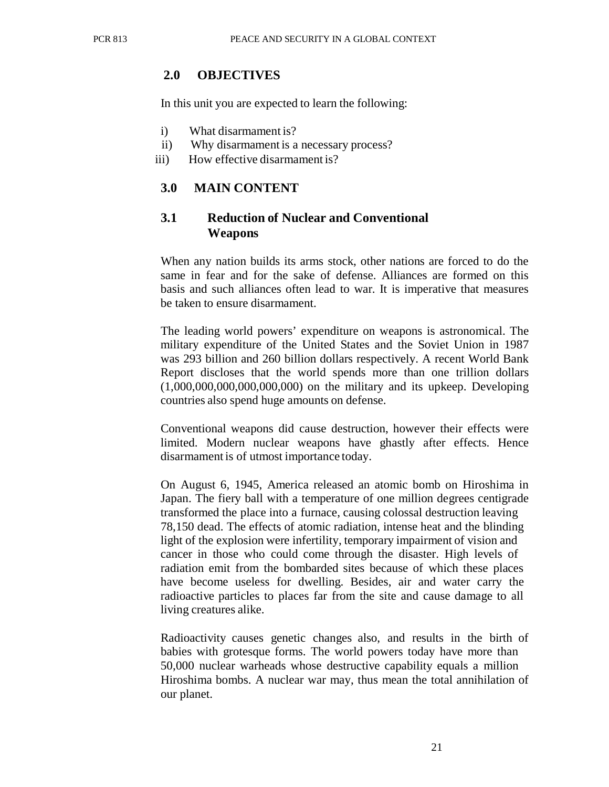## **2.0 OBJECTIVES**

In this unit you are expected to learn the following:

- i) What disarmament is?
- ii) Why disarmament is a necessary process?
- iii) How effective disarmament is?

## **3.0 MAIN CONTENT**

### **3.1 Reduction of Nuclear and Conventional Weapons**

When any nation builds its arms stock, other nations are forced to do the same in fear and for the sake of defense. Alliances are formed on this basis and such alliances often lead to war. It is imperative that measures be taken to ensure disarmament.

The leading world powers' expenditure on weapons is astronomical. The military expenditure of the United States and the Soviet Union in 1987 was 293 billion and 260 billion dollars respectively. A recent World Bank Report discloses that the world spends more than one trillion dollars (1,000,000,000,000,000,000) on the military and its upkeep. Developing countries also spend huge amounts on defense.

Conventional weapons did cause destruction, however their effects were limited. Modern nuclear weapons have ghastly after effects. Hence disarmament is of utmost importance today.

On August 6, 1945, America released an atomic bomb on Hiroshima in Japan. The fiery ball with a temperature of one million degrees centigrade transformed the place into a furnace, causing colossal destruction leaving 78,150 dead. The effects of atomic radiation, intense heat and the blinding light of the explosion were infertility, temporary impairment of vision and cancer in those who could come through the disaster. High levels of radiation emit from the bombarded sites because of which these places have become useless for dwelling. Besides, air and water carry the radioactive particles to places far from the site and cause damage to all living creatures alike.

Radioactivity causes genetic changes also, and results in the birth of babies with grotesque forms. The world powers today have more than 50,000 nuclear warheads whose destructive capability equals a million Hiroshima bombs. A nuclear war may, thus mean the total annihilation of our planet.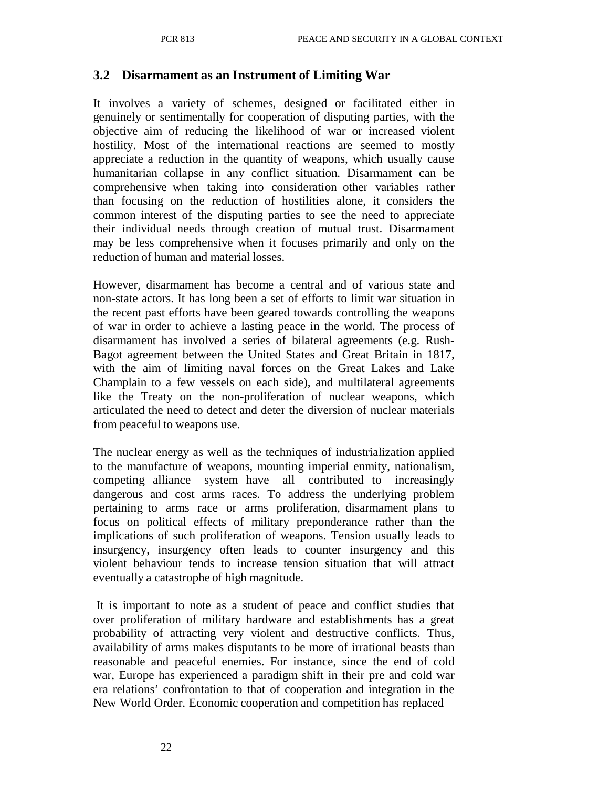#### **3.2 Disarmament as an Instrument of Limiting War**

It involves a variety of schemes, designed or facilitated either in genuinely or sentimentally for cooperation of disputing parties, with the objective aim of reducing the likelihood of war or increased violent hostility. Most of the international reactions are seemed to mostly appreciate a reduction in the quantity of weapons, which usually cause humanitarian collapse in any conflict situation. Disarmament can be comprehensive when taking into consideration other variables rather than focusing on the reduction of hostilities alone, it considers the common interest of the disputing parties to see the need to appreciate their individual needs through creation of mutual trust. Disarmament may be less comprehensive when it focuses primarily and only on the reduction of human and material losses.

However, disarmament has become a central and of various state and non-state actors. It has long been a set of efforts to limit war situation in the recent past efforts have been geared towards controlling the weapons of war in order to achieve a lasting peace in the world. The process of disarmament has involved a series of bilateral agreements (e.g. Rush-Bagot agreement between the United States and Great Britain in 1817, with the aim of limiting naval forces on the Great Lakes and Lake Champlain to a few vessels on each side), and multilateral agreements like the Treaty on the non-proliferation of nuclear weapons, which articulated the need to detect and deter the diversion of nuclear materials from peaceful to weapons use.

The nuclear energy as well as the techniques of industrialization applied to the manufacture of weapons, mounting imperial enmity, nationalism, competing alliance system have all contributed to increasingly dangerous and cost arms races. To address the underlying problem pertaining to arms race or arms proliferation, disarmament plans to focus on political effects of military preponderance rather than the implications of such proliferation of weapons. Tension usually leads to insurgency, insurgency often leads to counter insurgency and this violent behaviour tends to increase tension situation that will attract eventually a catastrophe of high magnitude.

It is important to note as a student of peace and conflict studies that over proliferation of military hardware and establishments has a great probability of attracting very violent and destructive conflicts. Thus, availability of arms makes disputants to be more of irrational beasts than reasonable and peaceful enemies. For instance, since the end of cold war, Europe has experienced a paradigm shift in their pre and cold war era relations' confrontation to that of cooperation and integration in the New World Order. Economic cooperation and competition has replaced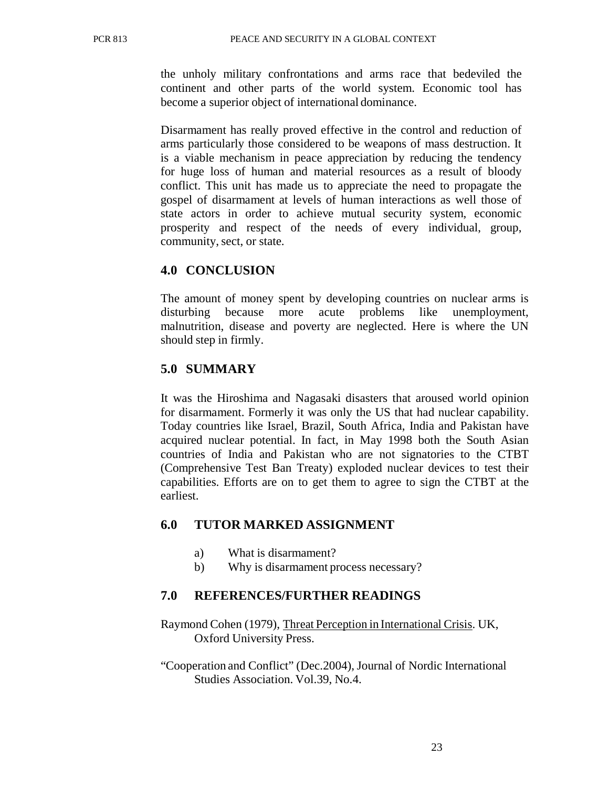the unholy military confrontations and arms race that bedeviled the continent and other parts of the world system. Economic tool has become a superior object of international dominance.

Disarmament has really proved effective in the control and reduction of arms particularly those considered to be weapons of mass destruction. It is a viable mechanism in peace appreciation by reducing the tendency for huge loss of human and material resources as a result of bloody conflict. This unit has made us to appreciate the need to propagate the gospel of disarmament at levels of human interactions as well those of state actors in order to achieve mutual security system, economic prosperity and respect of the needs of every individual, group, community, sect, or state.

### **4.0 CONCLUSION**

The amount of money spent by developing countries on nuclear arms is disturbing because more acute problems like unemployment, malnutrition, disease and poverty are neglected. Here is where the UN should step in firmly.

## **5.0 SUMMARY**

It was the Hiroshima and Nagasaki disasters that aroused world opinion for disarmament. Formerly it was only the US that had nuclear capability. Today countries like Israel, Brazil, South Africa, India and Pakistan have acquired nuclear potential. In fact, in May 1998 both the South Asian countries of India and Pakistan who are not signatories to the CTBT (Comprehensive Test Ban Treaty) exploded nuclear devices to test their capabilities. Efforts are on to get them to agree to sign the CTBT at the earliest.

### **6.0 TUTOR MARKED ASSIGNMENT**

- a) What is disarmament?
- b) Why is disarmament process necessary?

### **7.0 REFERENCES/FURTHER READINGS**

Raymond Cohen (1979), Threat Perception in International Crisis. UK, Oxford University Press.

"Cooperation and Conflict" (Dec.2004), Journal of Nordic International Studies Association. Vol.39, No.4.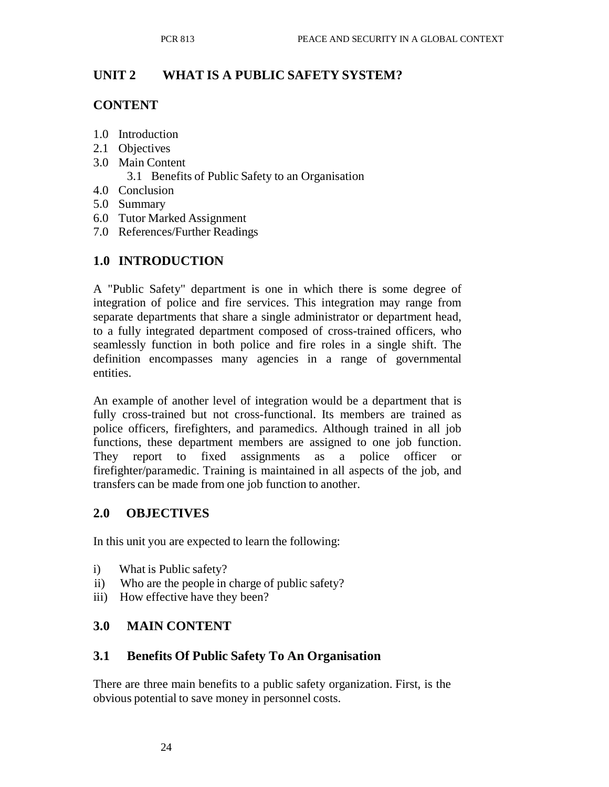### **UNIT 2 WHAT IS A PUBLIC SAFETY SYSTEM?**

#### **CONTENT**

- 1.0 Introduction
- 2.1 Objectives
- 3.0 Main Content
	- 3.1 Benefits of Public Safety to an Organisation
- 4.0 Conclusion
- 5.0 Summary
- 6.0 Tutor Marked Assignment
- 7.0 References/Further Readings

### **1.0 INTRODUCTION**

A "Public Safety" department is one in which there is some degree of integration of police and fire services. This integration may range from separate departments that share a single administrator or department head, to a fully integrated department composed of cross-trained officers, who seamlessly function in both police and fire roles in a single shift. The definition encompasses many agencies in a range of governmental entities.

An example of another level of integration would be a department that is fully cross-trained but not cross-functional. Its members are trained as police officers, firefighters, and paramedics. Although trained in all job functions, these department members are assigned to one job function. They report to fixed assignments as a police officer or firefighter/paramedic. Training is maintained in all aspects of the job, and transfers can be made from one job function to another.

### **2.0 OBJECTIVES**

In this unit you are expected to learn the following:

- i) What is Public safety?
- ii) Who are the people in charge of public safety?
- iii) How effective have they been?

#### **3.0 MAIN CONTENT**

#### **3.1 Benefits Of Public Safety To An Organisation**

There are three main benefits to a public safety organization. First, is the obvious potential to save money in personnel costs.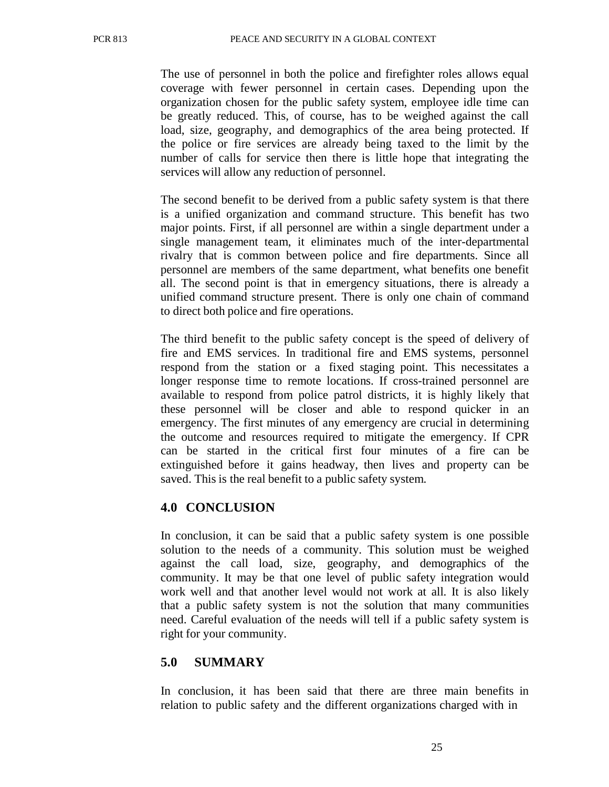The use of personnel in both the police and firefighter roles allows equal coverage with fewer personnel in certain cases. Depending upon the organization chosen for the public safety system, employee idle time can be greatly reduced. This, of course, has to be weighed against the call load, size, geography, and demographics of the area being protected. If the police or fire services are already being taxed to the limit by the number of calls for service then there is little hope that integrating the services will allow any reduction of personnel.

The second benefit to be derived from a public safety system is that there is a unified organization and command structure. This benefit has two major points. First, if all personnel are within a single department under a single management team, it eliminates much of the inter-departmental rivalry that is common between police and fire departments. Since all personnel are members of the same department, what benefits one benefit all. The second point is that in emergency situations, there is already a unified command structure present. There is only one chain of command to direct both police and fire operations.

The third benefit to the public safety concept is the speed of delivery of fire and EMS services. In traditional fire and EMS systems, personnel respond from the station or a fixed staging point. This necessitates a longer response time to remote locations. If cross-trained personnel are available to respond from police patrol districts, it is highly likely that these personnel will be closer and able to respond quicker in an emergency. The first minutes of any emergency are crucial in determining the outcome and resources required to mitigate the emergency. If CPR can be started in the critical first four minutes of a fire can be extinguished before it gains headway, then lives and property can be saved. This is the real benefit to a public safety system.

#### **4.0 CONCLUSION**

In conclusion, it can be said that a public safety system is one possible solution to the needs of a community. This solution must be weighed against the call load, size, geography, and demographics of the community. It may be that one level of public safety integration would work well and that another level would not work at all. It is also likely that a public safety system is not the solution that many communities need. Careful evaluation of the needs will tell if a public safety system is right for your community.

#### **5.0 SUMMARY**

In conclusion, it has been said that there are three main benefits in relation to public safety and the different organizations charged with in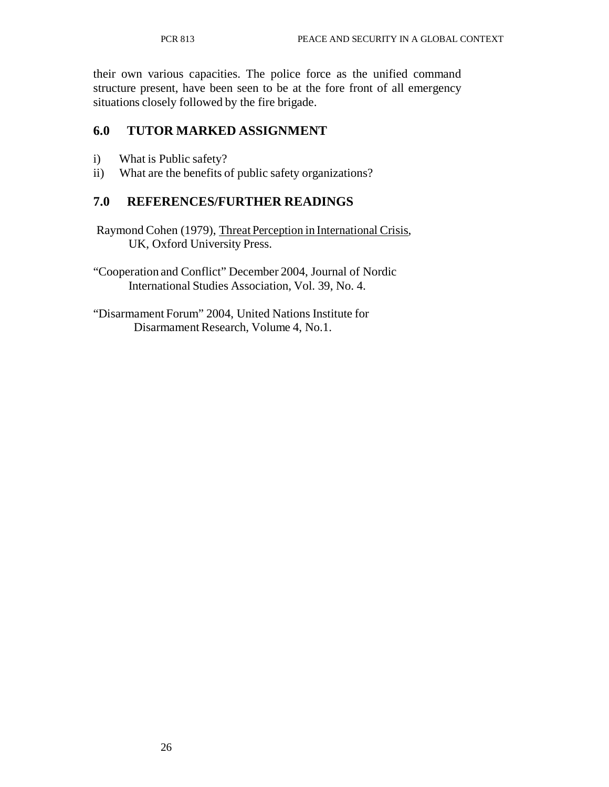their own various capacities. The police force as the unified command structure present, have been seen to be at the fore front of all emergency situations closely followed by the fire brigade.

### **6.0 TUTOR MARKED ASSIGNMENT**

- i) What is Public safety?
- ii) What are the benefits of public safety organizations?

## **7.0 REFERENCES/FURTHER READINGS**

- Raymond Cohen (1979), Threat Perception in International Crisis, UK, Oxford University Press.
- "Cooperation and Conflict" December 2004, Journal of Nordic International Studies Association, Vol. 39, No. 4.
- "Disarmament Forum" 2004, United Nations Institute for Disarmament Research, Volume 4, No.1.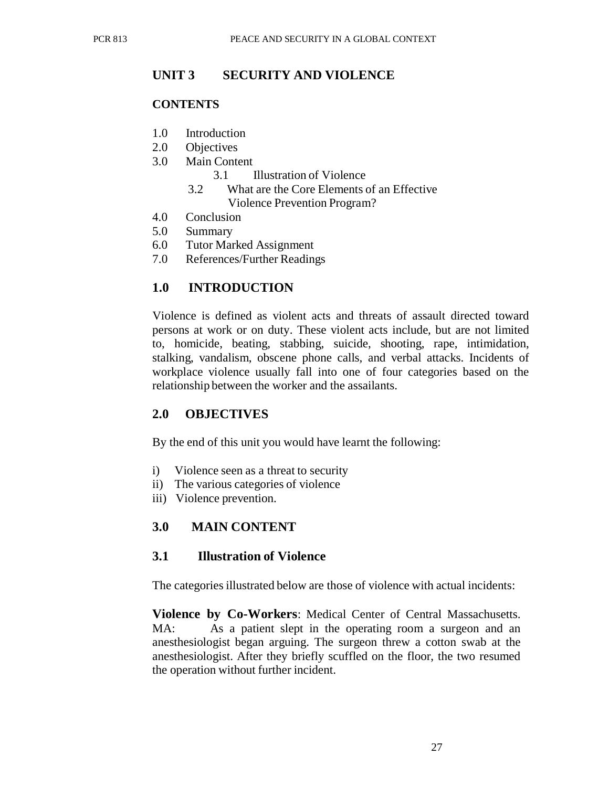# **UNIT 3 SECURITY AND VIOLENCE**

### **CONTENTS**

- 1.0 Introduction
- 2.0 Objectives
- 3.0 Main Content
	- 3.1 Illustration of Violence
	- 3.2 What are the Core Elements of an Effective Violence Prevention Program?
- 4.0 Conclusion
- 5.0 Summary
- 6.0 Tutor Marked Assignment
- 7.0 References/Further Readings

## **1.0 INTRODUCTION**

Violence is defined as violent acts and threats of assault directed toward persons at work or on duty. These violent acts include, but are not limited to, homicide, beating, stabbing, suicide, shooting, rape, intimidation, stalking, vandalism, obscene phone calls, and verbal attacks. Incidents of workplace violence usually fall into one of four categories based on the relationship between the worker and the assailants.

## **2.0 OBJECTIVES**

By the end of this unit you would have learnt the following:

- i) Violence seen as a threat to security
- ii) The various categories of violence
- iii) Violence prevention.

## **3.0 MAIN CONTENT**

### **3.1 Illustration of Violence**

The categories illustrated below are those of violence with actual incidents:

**Violence by Co-Workers**: Medical Center of Central Massachusetts. MA: As a patient slept in the operating room a surgeon and an anesthesiologist began arguing. The surgeon threw a cotton swab at the anesthesiologist. After they briefly scuffled on the floor, the two resumed the operation without further incident.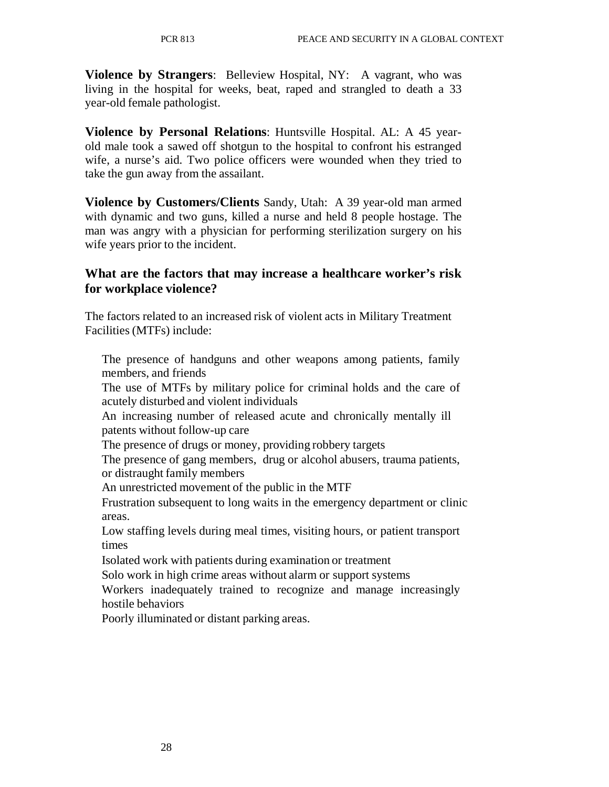**Violence by Strangers**: Belleview Hospital, NY: A vagrant, who was living in the hospital for weeks, beat, raped and strangled to death a 33 year-old female pathologist.

**Violence by Personal Relations**: Huntsville Hospital. AL: A 45 yearold male took a sawed off shotgun to the hospital to confront his estranged wife, a nurse's aid. Two police officers were wounded when they tried to take the gun away from the assailant.

**Violence by Customers/Clients** Sandy, Utah: A 39 year-old man armed with dynamic and two guns, killed a nurse and held 8 people hostage. The man was angry with a physician for performing sterilization surgery on his wife years prior to the incident.

#### **What are the factors that may increase a healthcare worker's risk for workplace violence?**

The factors related to an increased risk of violent acts in Military Treatment Facilities (MTFs) include:

The presence of handguns and other weapons among patients, family members, and friends

The use of MTFs by military police for criminal holds and the care of acutely disturbed and violent individuals

An increasing number of released acute and chronically mentally ill patents without follow-up care

The presence of drugs or money, providing robbery targets

The presence of gang members, drug or alcohol abusers, trauma patients, or distraught family members

An unrestricted movement of the public in the MTF

Frustration subsequent to long waits in the emergency department or clinic areas.

Low staffing levels during meal times, visiting hours, or patient transport times

Isolated work with patients during examination or treatment

Solo work in high crime areas without alarm or support systems

Workers inadequately trained to recognize and manage increasingly hostile behaviors

Poorly illuminated or distant parking areas.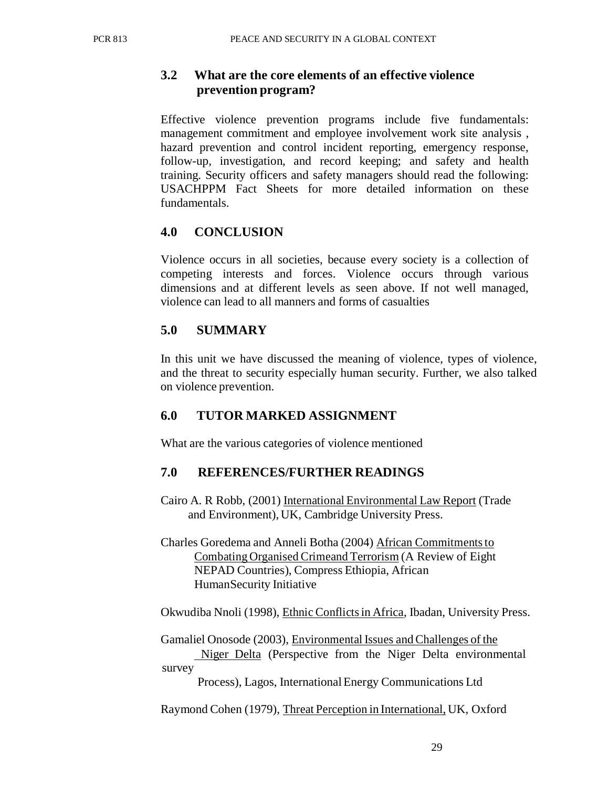## **3.2 What are the core elements of an effective violence prevention program?**

Effective violence prevention programs include five fundamentals: management commitment and employee involvement work site analysis , hazard prevention and control incident reporting, emergency response, follow-up, investigation, and record keeping; and safety and health training. Security officers and safety managers should read the following: USACHPPM Fact Sheets for more detailed information on these fundamentals.

## **4.0 CONCLUSION**

Violence occurs in all societies, because every society is a collection of competing interests and forces. Violence occurs through various dimensions and at different levels as seen above. If not well managed, violence can lead to all manners and forms of casualties

## **5.0 SUMMARY**

In this unit we have discussed the meaning of violence, types of violence, and the threat to security especially human security. Further, we also talked on violence prevention.

# **6.0 TUTOR MARKED ASSIGNMENT**

What are the various categories of violence mentioned

## **7.0 REFERENCES/FURTHER READINGS**

- Cairo A. R Robb, (2001) International Environmental Law Report (Trade and Environment), UK, Cambridge University Press.
- Charles Goredema and Anneli Botha (2004) African Commitments to Combating Organised Crimeand Terrorism (A Review of Eight NEPAD Countries), Compress Ethiopia, African HumanSecurity Initiative

Okwudiba Nnoli (1998), Ethnic Conflicts in Africa, Ibadan, University Press.

Gamaliel Onosode (2003), Environmental Issues and Challenges of the Niger Delta (Perspective from the Niger Delta environmental survey

Process), Lagos, International Energy Communications Ltd

Raymond Cohen (1979), Threat Perception in International, UK, Oxford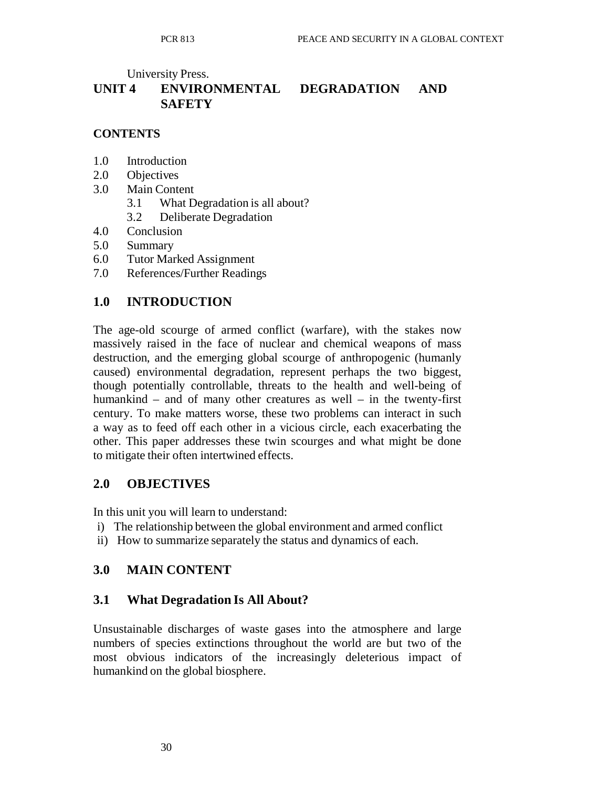#### University Press.

# **UNIT 4 ENVIRONMENTAL DEGRADATION AND SAFETY**

### **CONTENTS**

- 1.0 Introduction
- 2.0 Objectives
- 3.0 Main Content
	- 3.1 What Degradation is all about?
	- 3.2 Deliberate Degradation
- 4.0 Conclusion
- 5.0 Summary
- 6.0 Tutor Marked Assignment
- 7.0 References/Further Readings

## **1.0 INTRODUCTION**

The age-old scourge of armed conflict (warfare), with the stakes now massively raised in the face of nuclear and chemical weapons of mass destruction, and the emerging global scourge of anthropogenic (humanly caused) environmental degradation, represent perhaps the two biggest, though potentially controllable, threats to the health and well-being of humankind – and of many other creatures as well – in the twenty-first century. To make matters worse, these two problems can interact in such a way as to feed off each other in a vicious circle, each exacerbating the other. This paper addresses these twin scourges and what might be done to mitigate their often intertwined effects.

## **2.0 OBJECTIVES**

In this unit you will learn to understand:

- i) The relationship between the global environment and armed conflict
- ii) How to summarize separately the status and dynamics of each.

## **3.0 MAIN CONTENT**

## **3.1 What Degradation Is All About?**

Unsustainable discharges of waste gases into the atmosphere and large numbers of species extinctions throughout the world are but two of the most obvious indicators of the increasingly deleterious impact of humankind on the global biosphere.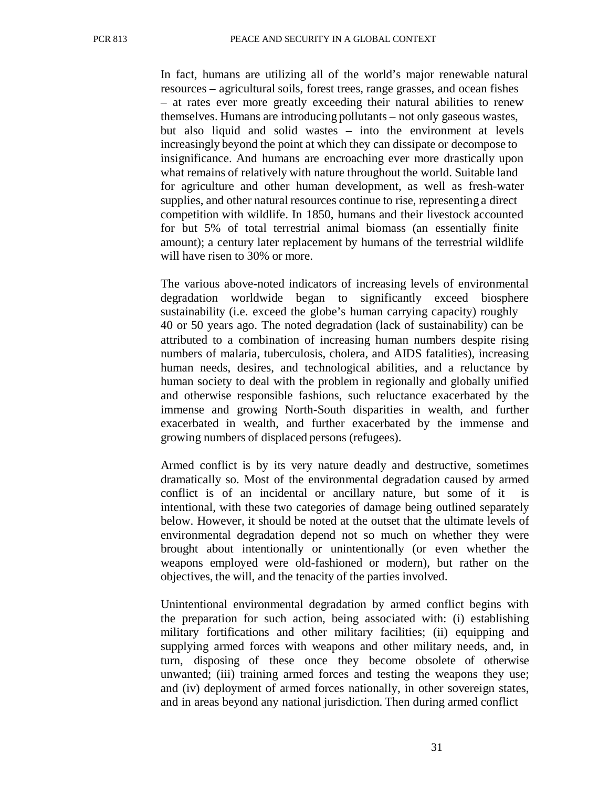In fact, humans are utilizing all of the world's major renewable natural resources – agricultural soils, forest trees, range grasses, and ocean fishes – at rates ever more greatly exceeding their natural abilities to renew themselves. Humans are introducing pollutants – not only gaseous wastes, but also liquid and solid wastes – into the environment at levels increasingly beyond the point at which they can dissipate or decompose to insignificance. And humans are encroaching ever more drastically upon what remains of relatively with nature throughout the world. Suitable land for agriculture and other human development, as well as fresh-water supplies, and other natural resources continue to rise, representing a direct competition with wildlife. In 1850, humans and their livestock accounted for but 5% of total terrestrial animal biomass (an essentially finite amount); a century later replacement by humans of the terrestrial wildlife will have risen to 30% or more.

The various above-noted indicators of increasing levels of environmental degradation worldwide began to significantly exceed biosphere sustainability (i.e. exceed the globe's human carrying capacity) roughly 40 or 50 years ago. The noted degradation (lack of sustainability) can be attributed to a combination of increasing human numbers despite rising numbers of malaria, tuberculosis, cholera, and AIDS fatalities), increasing human needs, desires, and technological abilities, and a reluctance by human society to deal with the problem in regionally and globally unified and otherwise responsible fashions, such reluctance exacerbated by the immense and growing North-South disparities in wealth, and further exacerbated in wealth, and further exacerbated by the immense and growing numbers of displaced persons (refugees).

Armed conflict is by its very nature deadly and destructive, sometimes dramatically so. Most of the environmental degradation caused by armed conflict is of an incidental or ancillary nature, but some of it is intentional, with these two categories of damage being outlined separately below. However, it should be noted at the outset that the ultimate levels of environmental degradation depend not so much on whether they were brought about intentionally or unintentionally (or even whether the weapons employed were old-fashioned or modern), but rather on the objectives, the will, and the tenacity of the parties involved.

Unintentional environmental degradation by armed conflict begins with the preparation for such action, being associated with: (i) establishing military fortifications and other military facilities; (ii) equipping and supplying armed forces with weapons and other military needs, and, in turn, disposing of these once they become obsolete of otherwise unwanted; (iii) training armed forces and testing the weapons they use; and (iv) deployment of armed forces nationally, in other sovereign states, and in areas beyond any national jurisdiction. Then during armed conflict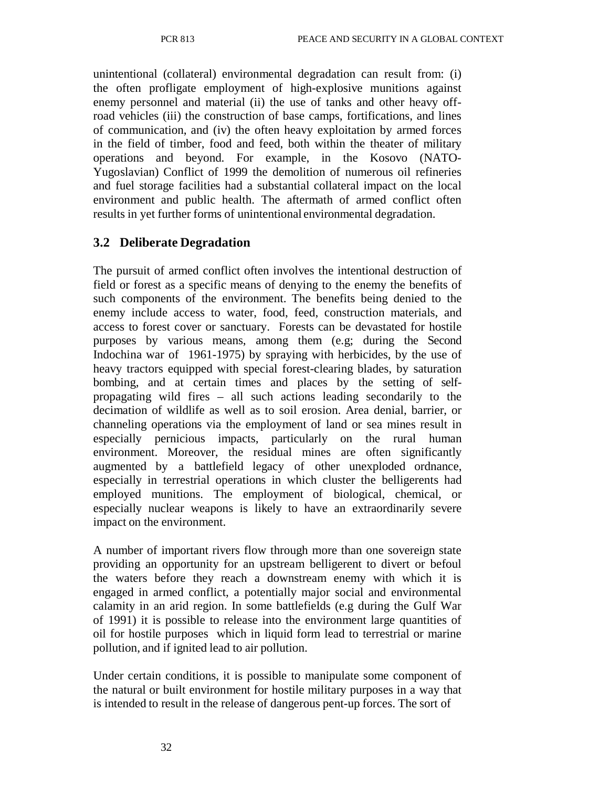unintentional (collateral) environmental degradation can result from: (i) the often profligate employment of high-explosive munitions against enemy personnel and material (ii) the use of tanks and other heavy offroad vehicles (iii) the construction of base camps, fortifications, and lines of communication, and (iv) the often heavy exploitation by armed forces in the field of timber, food and feed, both within the theater of military operations and beyond. For example, in the Kosovo (NATO-Yugoslavian) Conflict of 1999 the demolition of numerous oil refineries and fuel storage facilities had a substantial collateral impact on the local environment and public health. The aftermath of armed conflict often results in yet further forms of unintentional environmental degradation.

## **3.2 Deliberate Degradation**

The pursuit of armed conflict often involves the intentional destruction of field or forest as a specific means of denying to the enemy the benefits of such components of the environment. The benefits being denied to the enemy include access to water, food, feed, construction materials, and access to forest cover or sanctuary. Forests can be devastated for hostile purposes by various means, among them (e.g; during the Second Indochina war of 1961-1975) by spraying with herbicides, by the use of heavy tractors equipped with special forest-clearing blades, by saturation bombing, and at certain times and places by the setting of selfpropagating wild fires – all such actions leading secondarily to the decimation of wildlife as well as to soil erosion. Area denial, barrier, or channeling operations via the employment of land or sea mines result in especially pernicious impacts, particularly on the rural human environment. Moreover, the residual mines are often significantly augmented by a battlefield legacy of other unexploded ordnance, especially in terrestrial operations in which cluster the belligerents had employed munitions. The employment of biological, chemical, or especially nuclear weapons is likely to have an extraordinarily severe impact on the environment.

A number of important rivers flow through more than one sovereign state providing an opportunity for an upstream belligerent to divert or befoul the waters before they reach a downstream enemy with which it is engaged in armed conflict, a potentially major social and environmental calamity in an arid region. In some battlefields (e.g during the Gulf War of 1991) it is possible to release into the environment large quantities of oil for hostile purposes which in liquid form lead to terrestrial or marine pollution, and if ignited lead to air pollution.

Under certain conditions, it is possible to manipulate some component of the natural or built environment for hostile military purposes in a way that is intended to result in the release of dangerous pent-up forces. The sort of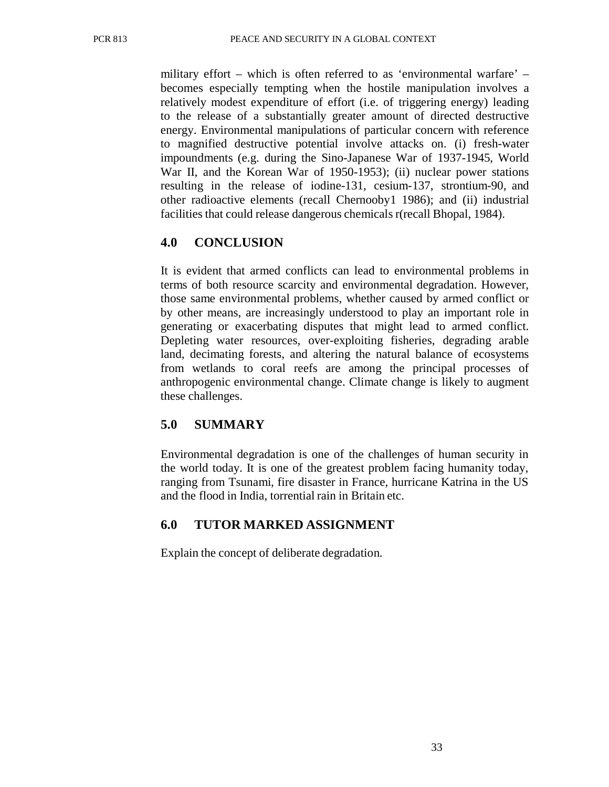military effort – which is often referred to as 'environmental warfare' – becomes especially tempting when the hostile manipulation involves a relatively modest expenditure of effort (i.e. of triggering energy) leading to the release of a substantially greater amount of directed destructive energy. Environmental manipulations of particular concern with reference to magnified destructive potential involve attacks on. (i) fresh-water impoundments (e.g. during the Sino-Japanese War of 1937-1945, World War II, and the Korean War of 1950-1953); (ii) nuclear power stations resulting in the release of iodine-131, cesium-137, strontium-90, and other radioactive elements (recall Chernooby1 1986); and (ii) industrial facilities that could release dangerous chemicals r(recall Bhopal, 1984).

## **4.0 CONCLUSION**

It is evident that armed conflicts can lead to environmental problems in terms of both resource scarcity and environmental degradation. However, those same environmental problems, whether caused by armed conflict or by other means, are increasingly understood to play an important role in generating or exacerbating disputes that might lead to armed conflict. Depleting water resources, over-exploiting fisheries, degrading arable land, decimating forests, and altering the natural balance of ecosystems from wetlands to coral reefs are among the principal processes of anthropogenic environmental change. Climate change is likely to augment these challenges.

# **5.0 SUMMARY**

Environmental degradation is one of the challenges of human security in the world today. It is one of the greatest problem facing humanity today, ranging from Tsunami, fire disaster in France, hurricane Katrina in the US and the flood in India, torrential rain in Britain etc.

## **6.0 TUTOR MARKED ASSIGNMENT**

Explain the concept of deliberate degradation.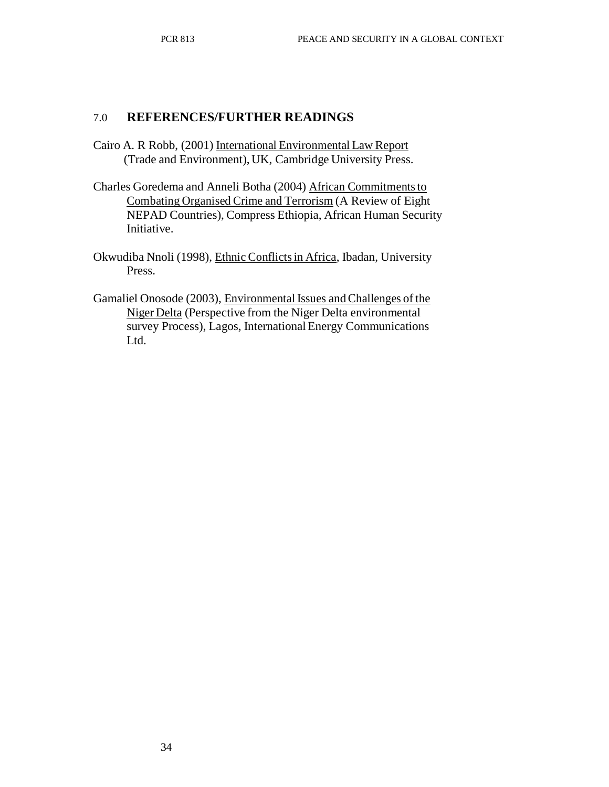#### 7.0 **REFERENCES/FURTHER READINGS**

- Cairo A. R Robb, (2001) International Environmental Law Report (Trade and Environment), UK, Cambridge University Press.
- Charles Goredema and Anneli Botha (2004) African Commitments to Combating Organised Crime and Terrorism (A Review of Eight NEPAD Countries), Compress Ethiopia, African Human Security Initiative.
- Okwudiba Nnoli (1998), Ethnic Conflicts in Africa, Ibadan, University Press.
- Gamaliel Onosode (2003), Environmental Issues and Challenges of the Niger Delta (Perspective from the Niger Delta environmental survey Process), Lagos, International Energy Communications Ltd.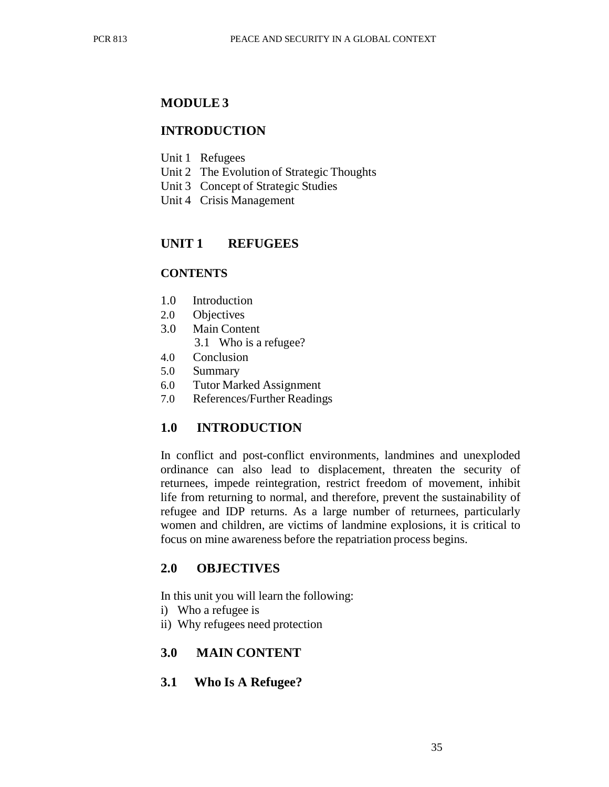### **MODULE 3**

#### **INTRODUCTION**

- Unit 1 Refugees
- Unit 2 The Evolution of Strategic Thoughts
- Unit 3 Concept of Strategic Studies
- Unit 4 Crisis Management

#### **UNIT 1 REFUGEES**

#### **CONTENTS**

- 1.0 Introduction
- 2.0 Objectives
- 3.0 Main Content
	- 3.1 Who is a refugee?
- 4.0 Conclusion
- 5.0 Summary
- 6.0 Tutor Marked Assignment
- 7.0 References/Further Readings

### **1.0 INTRODUCTION**

In conflict and post-conflict environments, landmines and unexploded ordinance can also lead to displacement, threaten the security of returnees, impede reintegration, restrict freedom of movement, inhibit life from returning to normal, and therefore, prevent the sustainability of refugee and IDP returns. As a large number of returnees, particularly women and children, are victims of landmine explosions, it is critical to focus on mine awareness before the repatriation process begins.

### **2.0 OBJECTIVES**

In this unit you will learn the following:

- i) Who a refugee is
- ii) Why refugees need protection

#### **3.0 MAIN CONTENT**

#### **3.1 Who Is A Refugee?**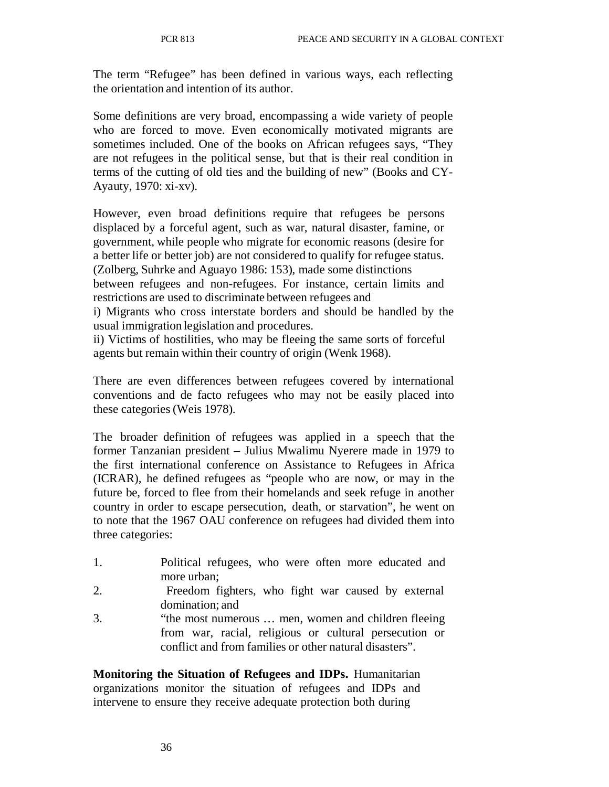The term "Refugee" has been defined in various ways, each reflecting the orientation and intention of its author.

Some definitions are very broad, encompassing a wide variety of people who are forced to move. Even economically motivated migrants are sometimes included. One of the books on African refugees says, "They are not refugees in the political sense, but that is their real condition in terms of the cutting of old ties and the building of new" (Books and CY-Ayauty, 1970: xi-xv).

However, even broad definitions require that refugees be persons displaced by a forceful agent, such as war, natural disaster, famine, or government, while people who migrate for economic reasons (desire for a better life or better job) are not considered to qualify for refugee status. (Zolberg, Suhrke and Aguayo 1986: 153), made some distinctions between refugees and non-refugees. For instance, certain limits and restrictions are used to discriminate between refugees and i) Migrants who cross interstate borders and should be handled by the usual immigration legislation and procedures.

ii) Victims of hostilities, who may be fleeing the same sorts of forceful agents but remain within their country of origin (Wenk 1968).

There are even differences between refugees covered by international conventions and de facto refugees who may not be easily placed into these categories (Weis 1978).

The broader definition of refugees was applied in a speech that the former Tanzanian president – Julius Mwalimu Nyerere made in 1979 to the first international conference on Assistance to Refugees in Africa (ICRAR), he defined refugees as "people who are now, or may in the future be, forced to flee from their homelands and seek refuge in another country in order to escape persecution, death, or starvation", he went on to note that the 1967 OAU conference on refugees had divided them into three categories:

- 1. Political refugees, who were often more educated and more urban;
- 2. Freedom fighters, who fight war caused by external domination; and
- 3. "the most numerous … men, women and children fleeing from war, racial, religious or cultural persecution or conflict and from families or other natural disasters".

**Monitoring the Situation of Refugees and IDPs.** Humanitarian organizations monitor the situation of refugees and IDPs and intervene to ensure they receive adequate protection both during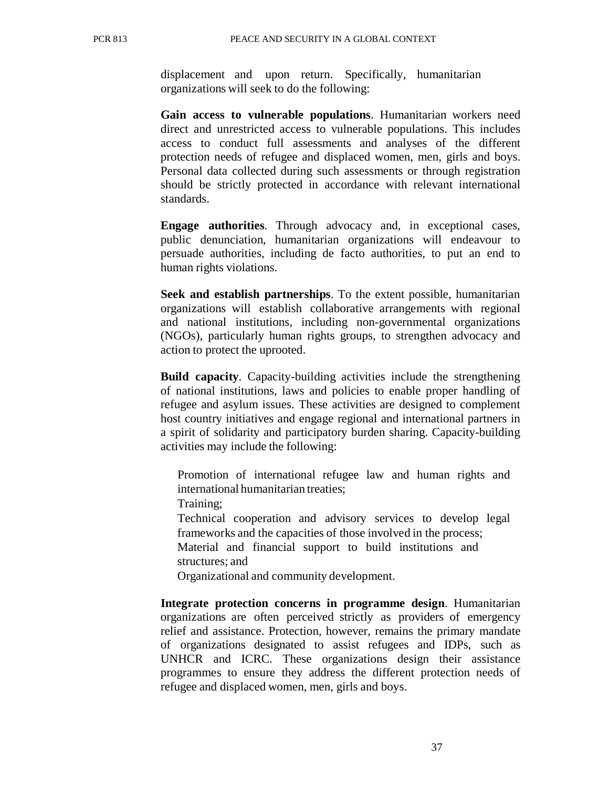displacement and upon return. Specifically, humanitarian organizations will seek to do the following:

**Gain access to vulnerable populations**. Humanitarian workers need direct and unrestricted access to vulnerable populations. This includes access to conduct full assessments and analyses of the different protection needs of refugee and displaced women, men, girls and boys. Personal data collected during such assessments or through registration should be strictly protected in accordance with relevant international standards.

**Engage authorities**. Through advocacy and, in exceptional cases, public denunciation, humanitarian organizations will endeavour to persuade authorities, including de facto authorities, to put an end to human rights violations.

**Seek and establish partnerships**. To the extent possible, humanitarian organizations will establish collaborative arrangements with regional and national institutions, including non-governmental organizations (NGOs), particularly human rights groups, to strengthen advocacy and action to protect the uprooted.

**Build capacity**. Capacity-building activities include the strengthening of national institutions, laws and policies to enable proper handling of refugee and asylum issues. These activities are designed to complement host country initiatives and engage regional and international partners in a spirit of solidarity and participatory burden sharing. Capacity-building activities may include the following:

Promotion of international refugee law and human rights and international humanitarian treaties;

Training;

Technical cooperation and advisory services to develop legal frameworks and the capacities of those involved in the process;

Material and financial support to build institutions and structures; and

Organizational and community development.

**Integrate protection concerns in programme design**. Humanitarian organizations are often perceived strictly as providers of emergency relief and assistance. Protection, however, remains the primary mandate of organizations designated to assist refugees and IDPs, such as UNHCR and ICRC. These organizations design their assistance programmes to ensure they address the different protection needs of refugee and displaced women, men, girls and boys.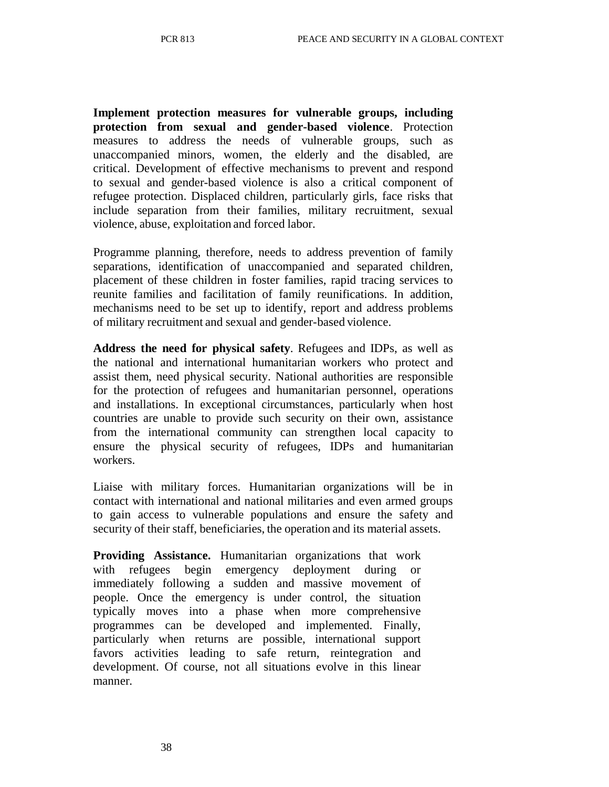**Implement protection measures for vulnerable groups, including protection from sexual and gender-based violence**. Protection measures to address the needs of vulnerable groups, such as unaccompanied minors, women, the elderly and the disabled, are critical. Development of effective mechanisms to prevent and respond to sexual and gender-based violence is also a critical component of refugee protection. Displaced children, particularly girls, face risks that include separation from their families, military recruitment, sexual violence, abuse, exploitation and forced labor.

Programme planning, therefore, needs to address prevention of family separations, identification of unaccompanied and separated children, placement of these children in foster families, rapid tracing services to reunite families and facilitation of family reunifications. In addition, mechanisms need to be set up to identify, report and address problems of military recruitment and sexual and gender-based violence.

**Address the need for physical safety**. Refugees and IDPs, as well as the national and international humanitarian workers who protect and assist them, need physical security. National authorities are responsible for the protection of refugees and humanitarian personnel, operations and installations. In exceptional circumstances, particularly when host countries are unable to provide such security on their own, assistance from the international community can strengthen local capacity to ensure the physical security of refugees, IDPs and humanitarian workers.

Liaise with military forces. Humanitarian organizations will be in contact with international and national militaries and even armed groups to gain access to vulnerable populations and ensure the safety and security of their staff, beneficiaries, the operation and its material assets.

**Providing Assistance.** Humanitarian organizations that work with refugees begin emergency deployment during or immediately following a sudden and massive movement of people. Once the emergency is under control, the situation typically moves into a phase when more comprehensive programmes can be developed and implemented. Finally, particularly when returns are possible, international support favors activities leading to safe return, reintegration and development. Of course, not all situations evolve in this linear manner.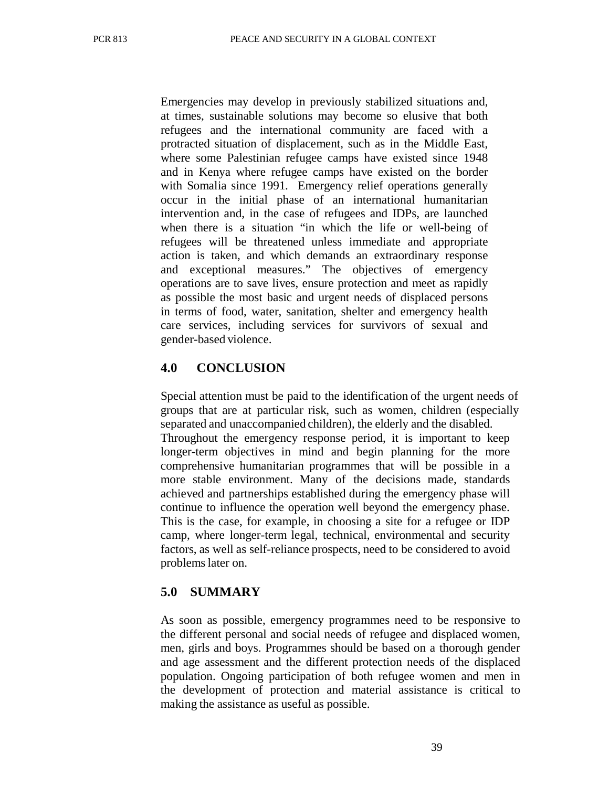Emergencies may develop in previously stabilized situations and, at times, sustainable solutions may become so elusive that both refugees and the international community are faced with a protracted situation of displacement, such as in the Middle East, where some Palestinian refugee camps have existed since 1948 and in Kenya where refugee camps have existed on the border with Somalia since 1991. Emergency relief operations generally occur in the initial phase of an international humanitarian intervention and, in the case of refugees and IDPs, are launched when there is a situation "in which the life or well-being of refugees will be threatened unless immediate and appropriate action is taken, and which demands an extraordinary response and exceptional measures." The objectives of emergency operations are to save lives, ensure protection and meet as rapidly as possible the most basic and urgent needs of displaced persons in terms of food, water, sanitation, shelter and emergency health care services, including services for survivors of sexual and gender-based violence.

#### **4.0 CONCLUSION**

Special attention must be paid to the identification of the urgent needs of groups that are at particular risk, such as women, children (especially separated and unaccompanied children), the elderly and the disabled. Throughout the emergency response period, it is important to keep longer-term objectives in mind and begin planning for the more comprehensive humanitarian programmes that will be possible in a more stable environment. Many of the decisions made, standards achieved and partnerships established during the emergency phase will continue to influence the operation well beyond the emergency phase. This is the case, for example, in choosing a site for a refugee or IDP camp, where longer-term legal, technical, environmental and security factors, as well as self-reliance prospects, need to be considered to avoid problems later on.

#### **5.0 SUMMARY**

As soon as possible, emergency programmes need to be responsive to the different personal and social needs of refugee and displaced women, men, girls and boys. Programmes should be based on a thorough gender and age assessment and the different protection needs of the displaced population. Ongoing participation of both refugee women and men in the development of protection and material assistance is critical to making the assistance as useful as possible.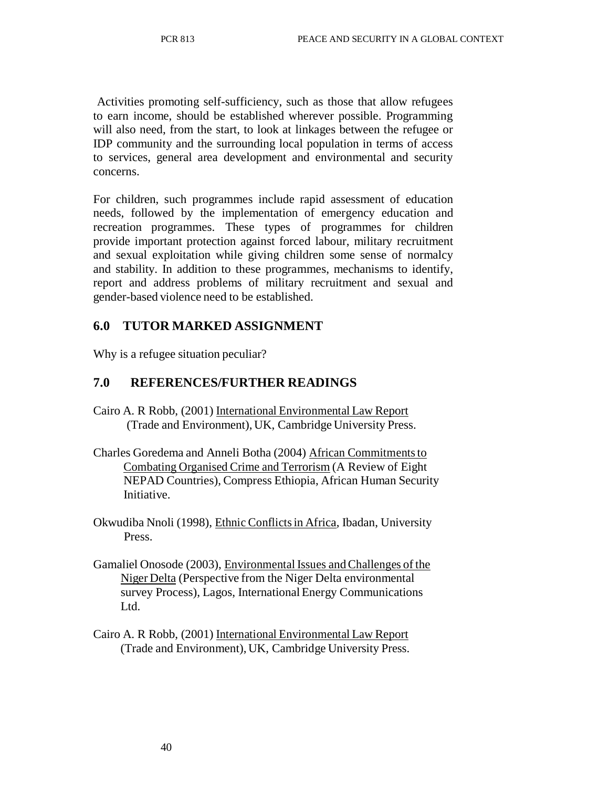Activities promoting self-sufficiency, such as those that allow refugees to earn income, should be established wherever possible. Programming will also need, from the start, to look at linkages between the refugee or IDP community and the surrounding local population in terms of access to services, general area development and environmental and security concerns.

For children, such programmes include rapid assessment of education needs, followed by the implementation of emergency education and recreation programmes. These types of programmes for children provide important protection against forced labour, military recruitment and sexual exploitation while giving children some sense of normalcy and stability. In addition to these programmes, mechanisms to identify, report and address problems of military recruitment and sexual and gender-based violence need to be established.

#### **6.0 TUTOR MARKED ASSIGNMENT**

Why is a refugee situation peculiar?

#### **7.0 REFERENCES/FURTHER READINGS**

- Cairo A. R Robb, (2001) International Environmental Law Report (Trade and Environment), UK, Cambridge University Press.
- Charles Goredema and Anneli Botha (2004) African Commitments to Combating Organised Crime and Terrorism (A Review of Eight NEPAD Countries), Compress Ethiopia, African Human Security Initiative.
- Okwudiba Nnoli (1998), Ethnic Conflicts in Africa, Ibadan, University Press.
- Gamaliel Onosode (2003), Environmental Issues and Challenges of the Niger Delta (Perspective from the Niger Delta environmental survey Process), Lagos, International Energy Communications Ltd.
- Cairo A. R Robb, (2001) International Environmental Law Report (Trade and Environment), UK, Cambridge University Press.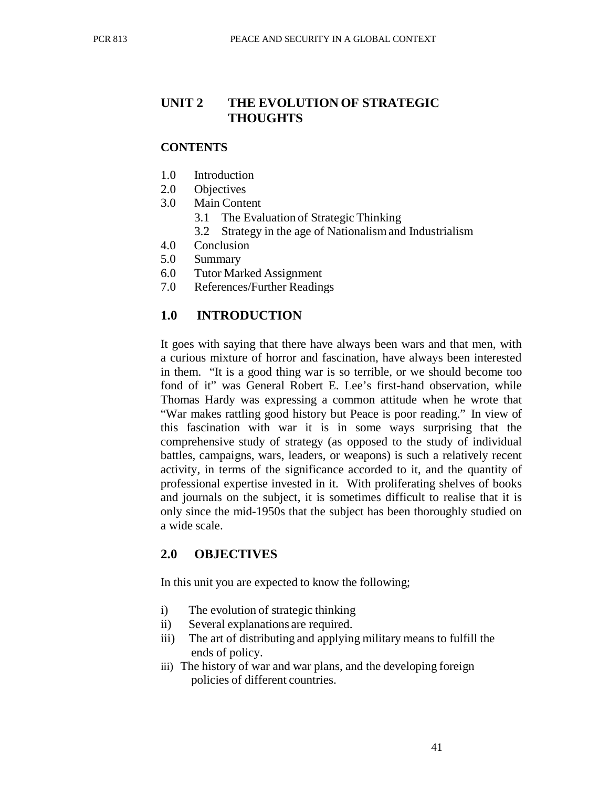# **UNIT 2 THE EVOLUTION OF STRATEGIC THOUGHTS**

### **CONTENTS**

- 1.0 Introduction
- 2.0 Objectives
- 3.0 Main Content
	- 3.1 The Evaluation of Strategic Thinking
	- 3.2 Strategy in the age of Nationalism and Industrialism
- 4.0 Conclusion
- 5.0 Summary
- 6.0 Tutor Marked Assignment
- 7.0 References/Further Readings

## **1.0 INTRODUCTION**

It goes with saying that there have always been wars and that men, with a curious mixture of horror and fascination, have always been interested in them. "It is a good thing war is so terrible, or we should become too fond of it" was General Robert E. Lee's first-hand observation, while Thomas Hardy was expressing a common attitude when he wrote that "War makes rattling good history but Peace is poor reading." In view of this fascination with war it is in some ways surprising that the comprehensive study of strategy (as opposed to the study of individual battles, campaigns, wars, leaders, or weapons) is such a relatively recent activity, in terms of the significance accorded to it, and the quantity of professional expertise invested in it. With proliferating shelves of books and journals on the subject, it is sometimes difficult to realise that it is only since the mid-1950s that the subject has been thoroughly studied on a wide scale.

## **2.0 OBJECTIVES**

In this unit you are expected to know the following;

- i) The evolution of strategic thinking
- ii) Several explanations are required.
- iii) The art of distributing and applying military means to fulfill the ends of policy.
- iii) The history of war and war plans, and the developing foreign policies of different countries.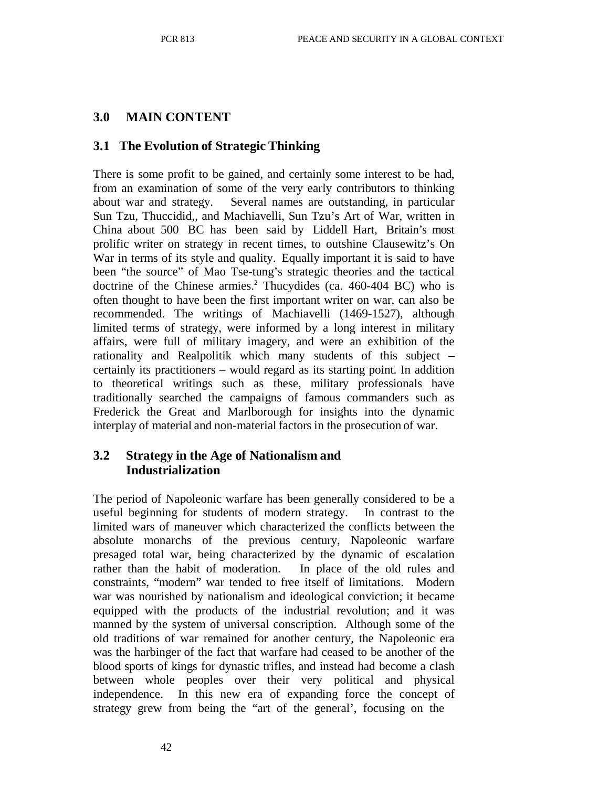### **3.0 MAIN CONTENT**

### **3.1 The Evolution of Strategic Thinking**

There is some profit to be gained, and certainly some interest to be had, from an examination of some of the very early contributors to thinking about war and strategy. Several names are outstanding, in particular Sun Tzu, Thuccidid,, and Machiavelli, Sun Tzu's Art of War, written in China about 500 BC has been said by Liddell Hart, Britain's most prolific writer on strategy in recent times, to outshine Clausewitz's On War in terms of its style and quality. Equally important it is said to have been "the source" of Mao Tse-tung's strategic theories and the tactical doctrine of the Chinese armies.<sup>2</sup> Thucydides (ca. 460-404 BC) who is often thought to have been the first important writer on war, can also be recommended. The writings of Machiavelli (1469-1527), although limited terms of strategy, were informed by a long interest in military affairs, were full of military imagery, and were an exhibition of the rationality and Realpolitik which many students of this subject – certainly its practitioners – would regard as its starting point. In addition to theoretical writings such as these, military professionals have traditionally searched the campaigns of famous commanders such as Frederick the Great and Marlborough for insights into the dynamic interplay of material and non-material factors in the prosecution of war.

### **3.2 Strategy in the Age of Nationalism and Industrialization**

The period of Napoleonic warfare has been generally considered to be a useful beginning for students of modern strategy. In contrast to the limited wars of maneuver which characterized the conflicts between the absolute monarchs of the previous century, Napoleonic warfare presaged total war, being characterized by the dynamic of escalation rather than the habit of moderation. In place of the old rules and constraints, "modern" war tended to free itself of limitations. Modern war was nourished by nationalism and ideological conviction; it became equipped with the products of the industrial revolution; and it was manned by the system of universal conscription. Although some of the old traditions of war remained for another century, the Napoleonic era was the harbinger of the fact that warfare had ceased to be another of the blood sports of kings for dynastic trifles, and instead had become a clash between whole peoples over their very political and physical independence. In this new era of expanding force the concept of strategy grew from being the "art of the general', focusing on the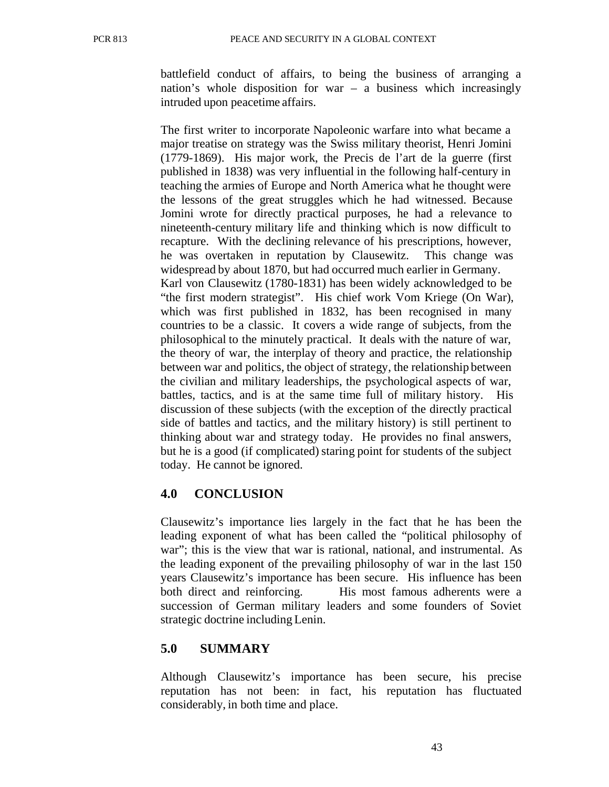battlefield conduct of affairs, to being the business of arranging a nation's whole disposition for war – a business which increasingly intruded upon peacetime affairs.

The first writer to incorporate Napoleonic warfare into what became a major treatise on strategy was the Swiss military theorist, Henri Jomini (1779-1869). His major work, the Precis de l'art de la guerre (first published in 1838) was very influential in the following half-century in teaching the armies of Europe and North America what he thought were the lessons of the great struggles which he had witnessed. Because Jomini wrote for directly practical purposes, he had a relevance to nineteenth-century military life and thinking which is now difficult to recapture. With the declining relevance of his prescriptions, however, he was overtaken in reputation by Clausewitz. This change was widespread by about 1870, but had occurred much earlier in Germany. Karl von Clausewitz (1780-1831) has been widely acknowledged to be "the first modern strategist". His chief work Vom Kriege (On War), which was first published in 1832, has been recognised in many countries to be a classic. It covers a wide range of subjects, from the philosophical to the minutely practical. It deals with the nature of war, the theory of war, the interplay of theory and practice, the relationship between war and politics, the object of strategy, the relationship between the civilian and military leaderships, the psychological aspects of war, battles, tactics, and is at the same time full of military history. His discussion of these subjects (with the exception of the directly practical side of battles and tactics, and the military history) is still pertinent to thinking about war and strategy today. He provides no final answers, but he is a good (if complicated) staring point for students of the subject today. He cannot be ignored.

## **4.0 CONCLUSION**

Clausewitz's importance lies largely in the fact that he has been the leading exponent of what has been called the "political philosophy of war"; this is the view that war is rational, national, and instrumental. As the leading exponent of the prevailing philosophy of war in the last 150 years Clausewitz's importance has been secure. His influence has been both direct and reinforcing. His most famous adherents were a succession of German military leaders and some founders of Soviet strategic doctrine including Lenin.

## **5.0 SUMMARY**

Although Clausewitz's importance has been secure, his precise reputation has not been: in fact, his reputation has fluctuated considerably, in both time and place.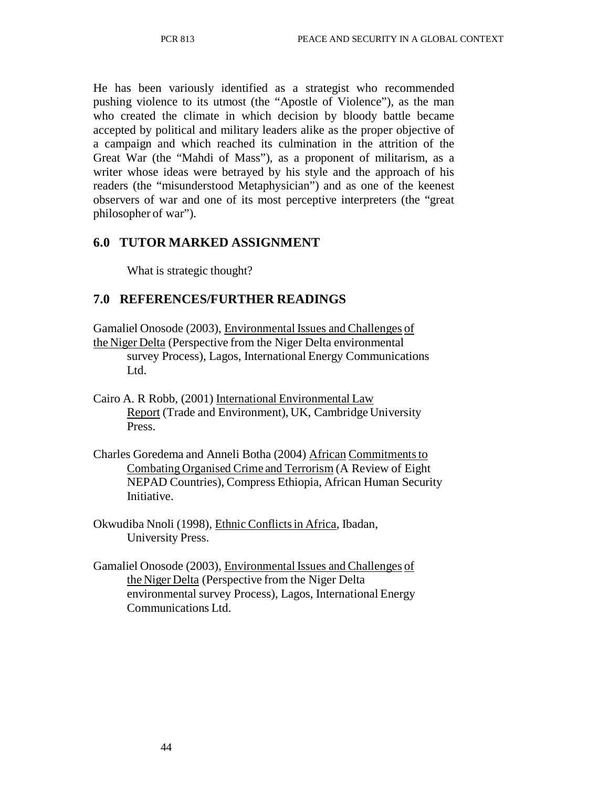He has been variously identified as a strategist who recommended pushing violence to its utmost (the "Apostle of Violence"), as the man who created the climate in which decision by bloody battle became accepted by political and military leaders alike as the proper objective of a campaign and which reached its culmination in the attrition of the Great War (the "Mahdi of Mass"), as a proponent of militarism, as a writer whose ideas were betrayed by his style and the approach of his readers (the "misunderstood Metaphysician") and as one of the keenest observers of war and one of its most perceptive interpreters (the "great philosopher of war").

### **6.0 TUTOR MARKED ASSIGNMENT**

What is strategic thought?

### **7.0 REFERENCES/FURTHER READINGS**

Gamaliel Onosode (2003), Environmental Issues and Challenges of the Niger Delta (Perspective from the Niger Delta environmental survey Process), Lagos, International Energy Communications Ltd.

- Cairo A. R Robb, (2001) International Environmental Law Report (Trade and Environment), UK, Cambridge University Press.
- Charles Goredema and Anneli Botha (2004) African Commitments to Combating Organised Crime and Terrorism (A Review of Eight NEPAD Countries), Compress Ethiopia, African Human Security Initiative.
- Okwudiba Nnoli (1998), Ethnic Conflicts in Africa, Ibadan, University Press.
- Gamaliel Onosode (2003), Environmental Issues and Challenges of the Niger Delta (Perspective from the Niger Delta environmental survey Process), Lagos, International Energy Communications Ltd.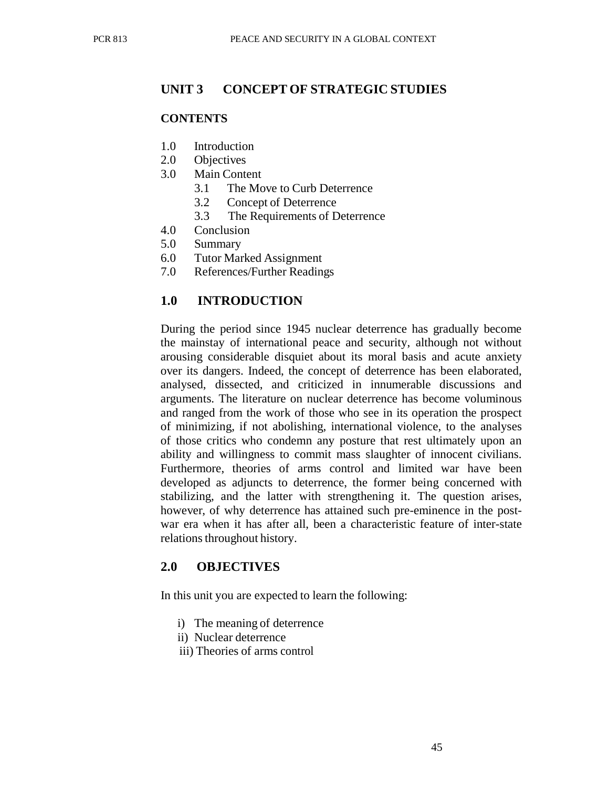# **UNIT 3 CONCEPT OF STRATEGIC STUDIES**

#### **CONTENTS**

- 1.0 Introduction
- 2.0 Objectives
- 3.0 Main Content
	- 3.1 The Move to Curb Deterrence
	- 3.2 Concept of Deterrence
	- 3.3 The Requirements of Deterrence
- 4.0 Conclusion
- 5.0 Summary
- 6.0 Tutor Marked Assignment
- 7.0 References/Further Readings

## **1.0 INTRODUCTION**

During the period since 1945 nuclear deterrence has gradually become the mainstay of international peace and security, although not without arousing considerable disquiet about its moral basis and acute anxiety over its dangers. Indeed, the concept of deterrence has been elaborated, analysed, dissected, and criticized in innumerable discussions and arguments. The literature on nuclear deterrence has become voluminous and ranged from the work of those who see in its operation the prospect of minimizing, if not abolishing, international violence, to the analyses of those critics who condemn any posture that rest ultimately upon an ability and willingness to commit mass slaughter of innocent civilians. Furthermore, theories of arms control and limited war have been developed as adjuncts to deterrence, the former being concerned with stabilizing, and the latter with strengthening it. The question arises, however, of why deterrence has attained such pre-eminence in the postwar era when it has after all, been a characteristic feature of inter-state relations throughout history.

## **2.0 OBJECTIVES**

In this unit you are expected to learn the following:

- i) The meaning of deterrence
- ii) Nuclear deterrence
- iii) Theories of arms control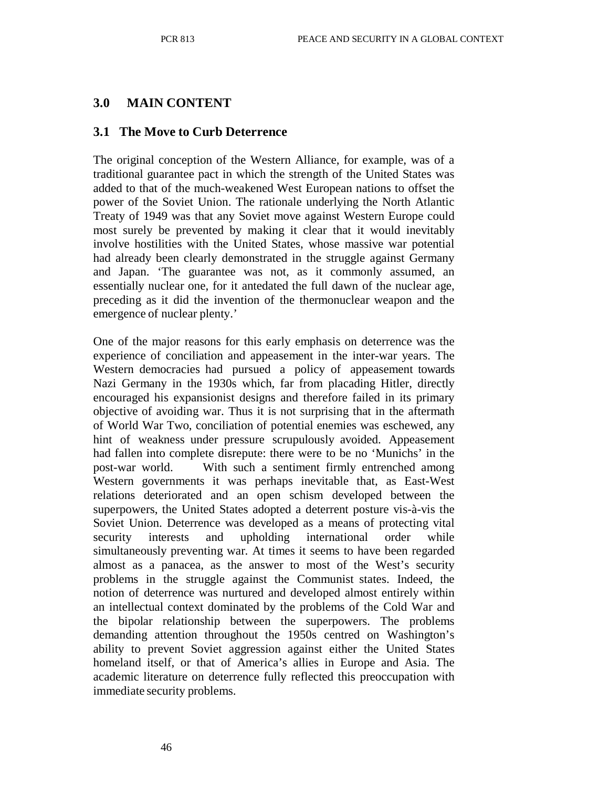### **3.0 MAIN CONTENT**

#### **3.1 The Move to Curb Deterrence**

The original conception of the Western Alliance, for example, was of a traditional guarantee pact in which the strength of the United States was added to that of the much-weakened West European nations to offset the power of the Soviet Union. The rationale underlying the North Atlantic Treaty of 1949 was that any Soviet move against Western Europe could most surely be prevented by making it clear that it would inevitably involve hostilities with the United States, whose massive war potential had already been clearly demonstrated in the struggle against Germany and Japan. 'The guarantee was not, as it commonly assumed, an essentially nuclear one, for it antedated the full dawn of the nuclear age, preceding as it did the invention of the thermonuclear weapon and the emergence of nuclear plenty.'

One of the major reasons for this early emphasis on deterrence was the experience of conciliation and appeasement in the inter-war years. The Western democracies had pursued a policy of appeasement towards Nazi Germany in the 1930s which, far from placading Hitler, directly encouraged his expansionist designs and therefore failed in its primary objective of avoiding war. Thus it is not surprising that in the aftermath of World War Two, conciliation of potential enemies was eschewed, any hint of weakness under pressure scrupulously avoided. Appeasement had fallen into complete disrepute: there were to be no 'Munichs' in the post-war world. With such a sentiment firmly entrenched among Western governments it was perhaps inevitable that, as East-West relations deteriorated and an open schism developed between the superpowers, the United States adopted a deterrent posture vis-à-vis the Soviet Union. Deterrence was developed as a means of protecting vital security interests and upholding international order while simultaneously preventing war. At times it seems to have been regarded almost as a panacea, as the answer to most of the West's security problems in the struggle against the Communist states. Indeed, the notion of deterrence was nurtured and developed almost entirely within an intellectual context dominated by the problems of the Cold War and the bipolar relationship between the superpowers. The problems demanding attention throughout the 1950s centred on Washington's ability to prevent Soviet aggression against either the United States homeland itself, or that of America's allies in Europe and Asia. The academic literature on deterrence fully reflected this preoccupation with immediate security problems.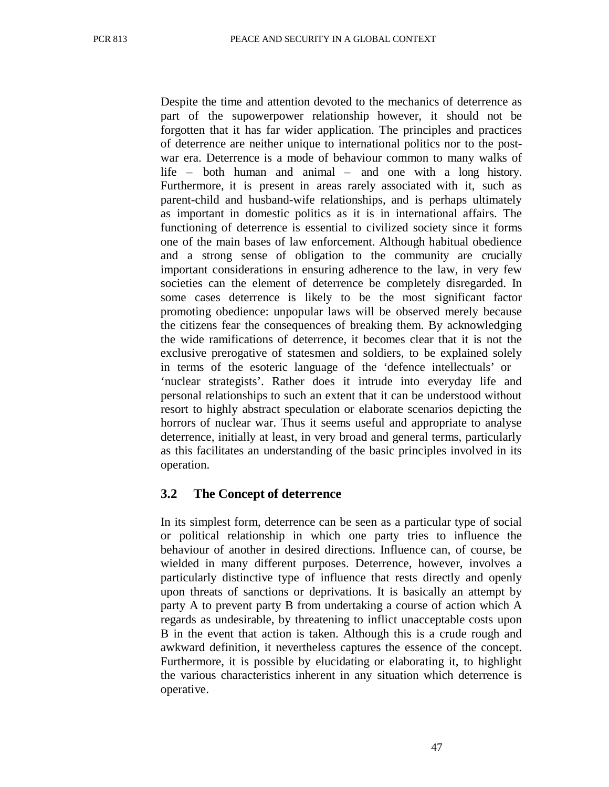Despite the time and attention devoted to the mechanics of deterrence as part of the supowerpower relationship however, it should not be forgotten that it has far wider application. The principles and practices of deterrence are neither unique to international politics nor to the postwar era. Deterrence is a mode of behaviour common to many walks of life – both human and animal – and one with a long history. Furthermore, it is present in areas rarely associated with it, such as parent-child and husband-wife relationships, and is perhaps ultimately as important in domestic politics as it is in international affairs. The functioning of deterrence is essential to civilized society since it forms one of the main bases of law enforcement. Although habitual obedience and a strong sense of obligation to the community are crucially important considerations in ensuring adherence to the law, in very few societies can the element of deterrence be completely disregarded. In some cases deterrence is likely to be the most significant factor promoting obedience: unpopular laws will be observed merely because the citizens fear the consequences of breaking them. By acknowledging the wide ramifications of deterrence, it becomes clear that it is not the exclusive prerogative of statesmen and soldiers, to be explained solely in terms of the esoteric language of the 'defence intellectuals' or 'nuclear strategists'. Rather does it intrude into everyday life and personal relationships to such an extent that it can be understood without resort to highly abstract speculation or elaborate scenarios depicting the horrors of nuclear war. Thus it seems useful and appropriate to analyse deterrence, initially at least, in very broad and general terms, particularly as this facilitates an understanding of the basic principles involved in its operation.

#### **3.2 The Concept of deterrence**

In its simplest form, deterrence can be seen as a particular type of social or political relationship in which one party tries to influence the behaviour of another in desired directions. Influence can, of course, be wielded in many different purposes. Deterrence, however, involves a particularly distinctive type of influence that rests directly and openly upon threats of sanctions or deprivations. It is basically an attempt by party A to prevent party B from undertaking a course of action which A regards as undesirable, by threatening to inflict unacceptable costs upon B in the event that action is taken. Although this is a crude rough and awkward definition, it nevertheless captures the essence of the concept. Furthermore, it is possible by elucidating or elaborating it, to highlight the various characteristics inherent in any situation which deterrence is operative.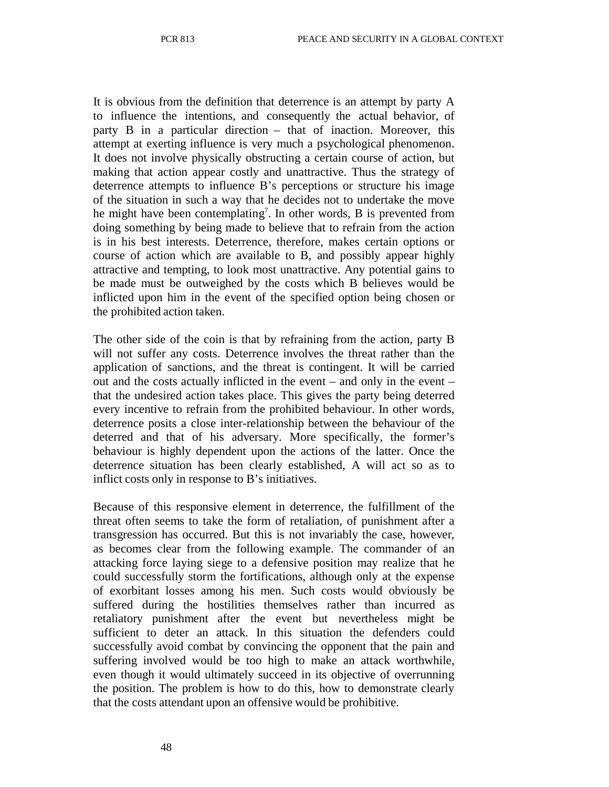It is obvious from the definition that deterrence is an attempt by party A to influence the intentions, and consequently the actual behavior, of party B in a particular direction – that of inaction. Moreover, this attempt at exerting influence is very much a psychological phenomenon. It does not involve physically obstructing a certain course of action, but making that action appear costly and unattractive. Thus the strategy of deterrence attempts to influence B's perceptions or structure his image of the situation in such a way that he decides not to undertake the move he might have been contemplating<sup>7</sup>. In other words, B is prevented from doing something by being made to believe that to refrain from the action is in his best interests. Deterrence, therefore, makes certain options or course of action which are available to B, and possibly appear highly attractive and tempting, to look most unattractive. Any potential gains to be made must be outweighed by the costs which B believes would be inflicted upon him in the event of the specified option being chosen or the prohibited action taken.

The other side of the coin is that by refraining from the action, party B will not suffer any costs. Deterrence involves the threat rather than the application of sanctions, and the threat is contingent. It will be carried out and the costs actually inflicted in the event – and only in the event – that the undesired action takes place. This gives the party being deterred every incentive to refrain from the prohibited behaviour. In other words, deterrence posits a close inter-relationship between the behaviour of the deterred and that of his adversary. More specifically, the former's behaviour is highly dependent upon the actions of the latter. Once the deterrence situation has been clearly established, A will act so as to inflict costs only in response to B's initiatives.

Because of this responsive element in deterrence, the fulfillment of the threat often seems to take the form of retaliation, of punishment after a transgression has occurred. But this is not invariably the case, however, as becomes clear from the following example. The commander of an attacking force laying siege to a defensive position may realize that he could successfully storm the fortifications, although only at the expense of exorbitant losses among his men. Such costs would obviously be suffered during the hostilities themselves rather than incurred as retaliatory punishment after the event but nevertheless might be sufficient to deter an attack. In this situation the defenders could successfully avoid combat by convincing the opponent that the pain and suffering involved would be too high to make an attack worthwhile, even though it would ultimately succeed in its objective of overrunning the position. The problem is how to do this, how to demonstrate clearly that the costs attendant upon an offensive would be prohibitive.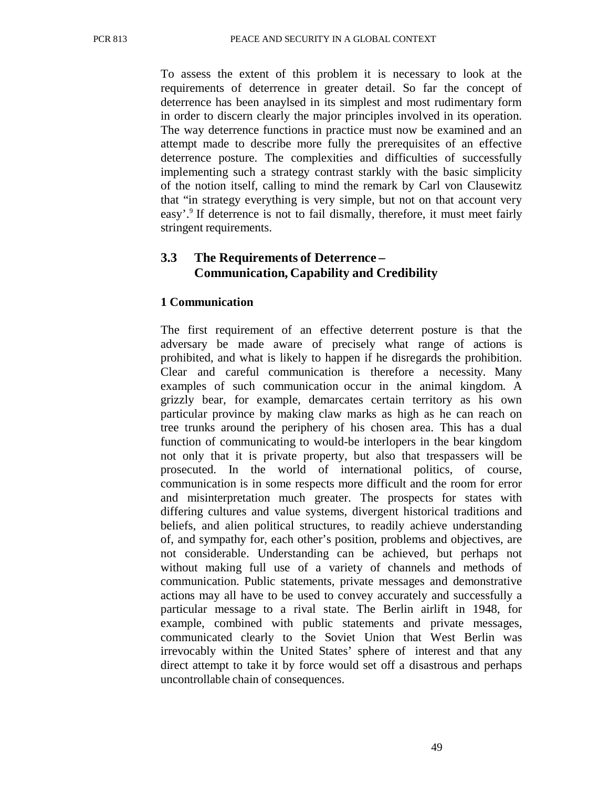To assess the extent of this problem it is necessary to look at the requirements of deterrence in greater detail. So far the concept of deterrence has been anaylsed in its simplest and most rudimentary form in order to discern clearly the major principles involved in its operation. The way deterrence functions in practice must now be examined and an attempt made to describe more fully the prerequisites of an effective deterrence posture. The complexities and difficulties of successfully implementing such a strategy contrast starkly with the basic simplicity of the notion itself, calling to mind the remark by Carl von Clausewitz that "in strategy everything is very simple, but not on that account very easy'.9 If deterrence is not to fail dismally, therefore, it must meet fairly stringent requirements.

## **3.3 The Requirements of Deterrence – Communication, Capability and Credibility**

#### **1 Communication**

The first requirement of an effective deterrent posture is that the adversary be made aware of precisely what range of actions is prohibited, and what is likely to happen if he disregards the prohibition. Clear and careful communication is therefore a necessity. Many examples of such communication occur in the animal kingdom. A grizzly bear, for example, demarcates certain territory as his own particular province by making claw marks as high as he can reach on tree trunks around the periphery of his chosen area. This has a dual function of communicating to would-be interlopers in the bear kingdom not only that it is private property, but also that trespassers will be prosecuted. In the world of international politics, of course, communication is in some respects more difficult and the room for error and misinterpretation much greater. The prospects for states with differing cultures and value systems, divergent historical traditions and beliefs, and alien political structures, to readily achieve understanding of, and sympathy for, each other's position, problems and objectives, are not considerable. Understanding can be achieved, but perhaps not without making full use of a variety of channels and methods of communication. Public statements, private messages and demonstrative actions may all have to be used to convey accurately and successfully a particular message to a rival state. The Berlin airlift in 1948, for example, combined with public statements and private messages, communicated clearly to the Soviet Union that West Berlin was irrevocably within the United States' sphere of interest and that any direct attempt to take it by force would set off a disastrous and perhaps uncontrollable chain of consequences.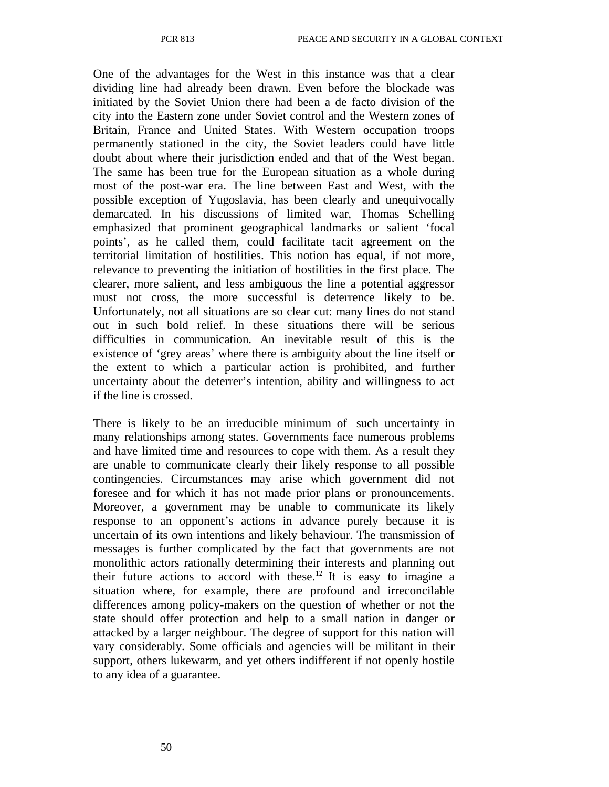One of the advantages for the West in this instance was that a clear dividing line had already been drawn. Even before the blockade was initiated by the Soviet Union there had been a de facto division of the city into the Eastern zone under Soviet control and the Western zones of Britain, France and United States. With Western occupation troops permanently stationed in the city, the Soviet leaders could have little doubt about where their jurisdiction ended and that of the West began. The same has been true for the European situation as a whole during most of the post-war era. The line between East and West, with the possible exception of Yugoslavia, has been clearly and unequivocally demarcated. In his discussions of limited war, Thomas Schelling emphasized that prominent geographical landmarks or salient 'focal points', as he called them, could facilitate tacit agreement on the territorial limitation of hostilities. This notion has equal, if not more, relevance to preventing the initiation of hostilities in the first place. The clearer, more salient, and less ambiguous the line a potential aggressor must not cross, the more successful is deterrence likely to be. Unfortunately, not all situations are so clear cut: many lines do not stand out in such bold relief. In these situations there will be serious difficulties in communication. An inevitable result of this is the existence of 'grey areas' where there is ambiguity about the line itself or the extent to which a particular action is prohibited, and further uncertainty about the deterrer's intention, ability and willingness to act if the line is crossed.

There is likely to be an irreducible minimum of such uncertainty in many relationships among states. Governments face numerous problems and have limited time and resources to cope with them. As a result they are unable to communicate clearly their likely response to all possible contingencies. Circumstances may arise which government did not foresee and for which it has not made prior plans or pronouncements. Moreover, a government may be unable to communicate its likely response to an opponent's actions in advance purely because it is uncertain of its own intentions and likely behaviour. The transmission of messages is further complicated by the fact that governments are not monolithic actors rationally determining their interests and planning out their future actions to accord with these.<sup>12</sup> It is easy to imagine a situation where, for example, there are profound and irreconcilable differences among policy-makers on the question of whether or not the state should offer protection and help to a small nation in danger or attacked by a larger neighbour. The degree of support for this nation will vary considerably. Some officials and agencies will be militant in their support, others lukewarm, and yet others indifferent if not openly hostile to any idea of a guarantee.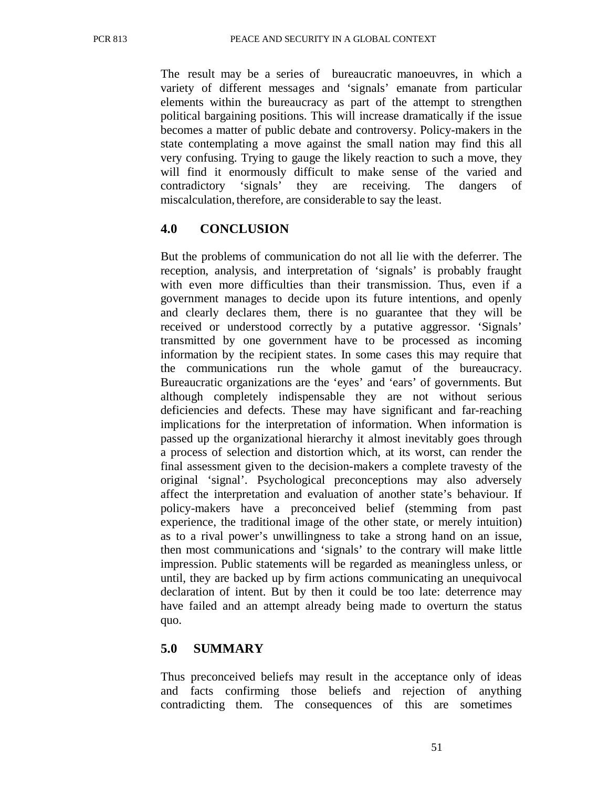The result may be a series of bureaucratic manoeuvres, in which a variety of different messages and 'signals' emanate from particular elements within the bureaucracy as part of the attempt to strengthen political bargaining positions. This will increase dramatically if the issue becomes a matter of public debate and controversy. Policy-makers in the state contemplating a move against the small nation may find this all very confusing. Trying to gauge the likely reaction to such a move, they will find it enormously difficult to make sense of the varied and contradictory 'signals' they are receiving. The dangers of miscalculation, therefore, are considerable to say the least.

## **4.0 CONCLUSION**

But the problems of communication do not all lie with the deferrer. The reception, analysis, and interpretation of 'signals' is probably fraught with even more difficulties than their transmission. Thus, even if a government manages to decide upon its future intentions, and openly and clearly declares them, there is no guarantee that they will be received or understood correctly by a putative aggressor. 'Signals' transmitted by one government have to be processed as incoming information by the recipient states. In some cases this may require that the communications run the whole gamut of the bureaucracy. Bureaucratic organizations are the 'eyes' and 'ears' of governments. But although completely indispensable they are not without serious deficiencies and defects. These may have significant and far-reaching implications for the interpretation of information. When information is passed up the organizational hierarchy it almost inevitably goes through a process of selection and distortion which, at its worst, can render the final assessment given to the decision-makers a complete travesty of the original 'signal'. Psychological preconceptions may also adversely affect the interpretation and evaluation of another state's behaviour. If policy-makers have a preconceived belief (stemming from past experience, the traditional image of the other state, or merely intuition) as to a rival power's unwillingness to take a strong hand on an issue, then most communications and 'signals' to the contrary will make little impression. Public statements will be regarded as meaningless unless, or until, they are backed up by firm actions communicating an unequivocal declaration of intent. But by then it could be too late: deterrence may have failed and an attempt already being made to overturn the status quo.

### **5.0 SUMMARY**

Thus preconceived beliefs may result in the acceptance only of ideas and facts confirming those beliefs and rejection of anything contradicting them. The consequences of this are sometimes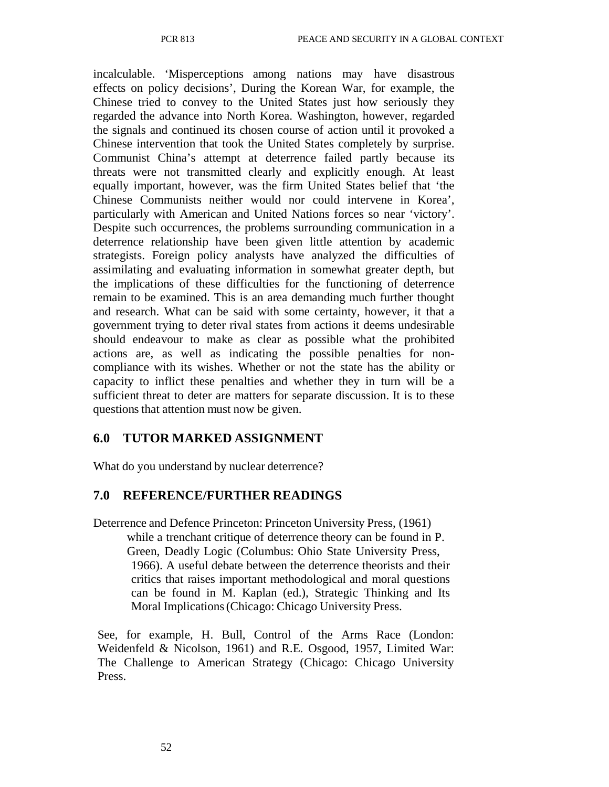incalculable. 'Misperceptions among nations may have disastrous effects on policy decisions', During the Korean War, for example, the Chinese tried to convey to the United States just how seriously they regarded the advance into North Korea. Washington, however, regarded the signals and continued its chosen course of action until it provoked a Chinese intervention that took the United States completely by surprise. Communist China's attempt at deterrence failed partly because its threats were not transmitted clearly and explicitly enough. At least equally important, however, was the firm United States belief that 'the Chinese Communists neither would nor could intervene in Korea', particularly with American and United Nations forces so near 'victory'. Despite such occurrences, the problems surrounding communication in a deterrence relationship have been given little attention by academic strategists. Foreign policy analysts have analyzed the difficulties of assimilating and evaluating information in somewhat greater depth, but the implications of these difficulties for the functioning of deterrence remain to be examined. This is an area demanding much further thought and research. What can be said with some certainty, however, it that a government trying to deter rival states from actions it deems undesirable should endeavour to make as clear as possible what the prohibited actions are, as well as indicating the possible penalties for noncompliance with its wishes. Whether or not the state has the ability or capacity to inflict these penalties and whether they in turn will be a sufficient threat to deter are matters for separate discussion. It is to these questions that attention must now be given.

#### **6.0 TUTOR MARKED ASSIGNMENT**

What do you understand by nuclear deterrence?

#### **7.0 REFERENCE/FURTHER READINGS**

Deterrence and Defence Princeton: Princeton University Press, (1961) while a trenchant critique of deterrence theory can be found in P. Green, Deadly Logic (Columbus: Ohio State University Press, 1966). A useful debate between the deterrence theorists and their critics that raises important methodological and moral questions can be found in M. Kaplan (ed.), Strategic Thinking and Its Moral Implications (Chicago: Chicago University Press.

See, for example, H. Bull, Control of the Arms Race (London: Weidenfeld & Nicolson, 1961) and R.E. Osgood, 1957, Limited War: The Challenge to American Strategy (Chicago: Chicago University Press.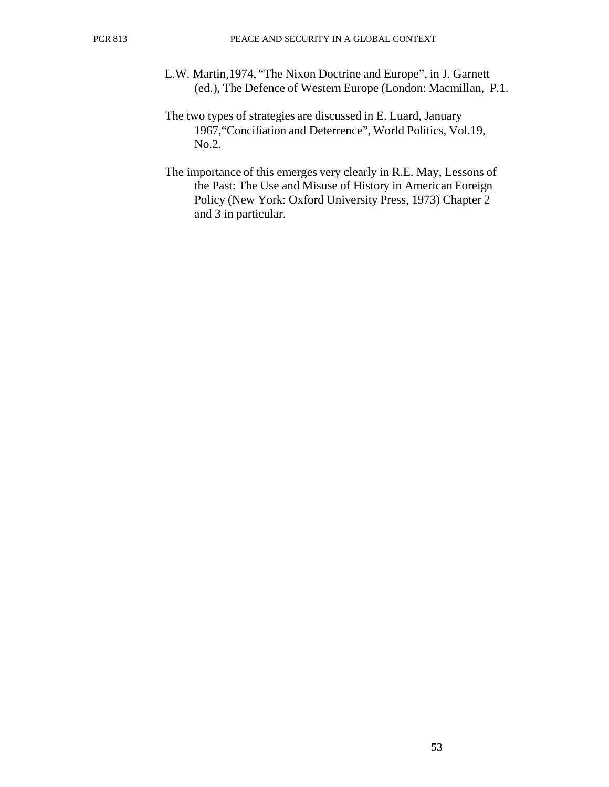- L.W. Martin,1974, "The Nixon Doctrine and Europe", in J. Garnett (ed.), The Defence of Western Europe (London: Macmillan, P.1.
- The two types of strategies are discussed in E. Luard, January 1967,"Conciliation and Deterrence", World Politics, Vol.19, No.2.
- The importance of this emerges very clearly in R.E. May, Lessons of the Past: The Use and Misuse of History in American Foreign Policy (New York: Oxford University Press, 1973) Chapter 2 and 3 in particular.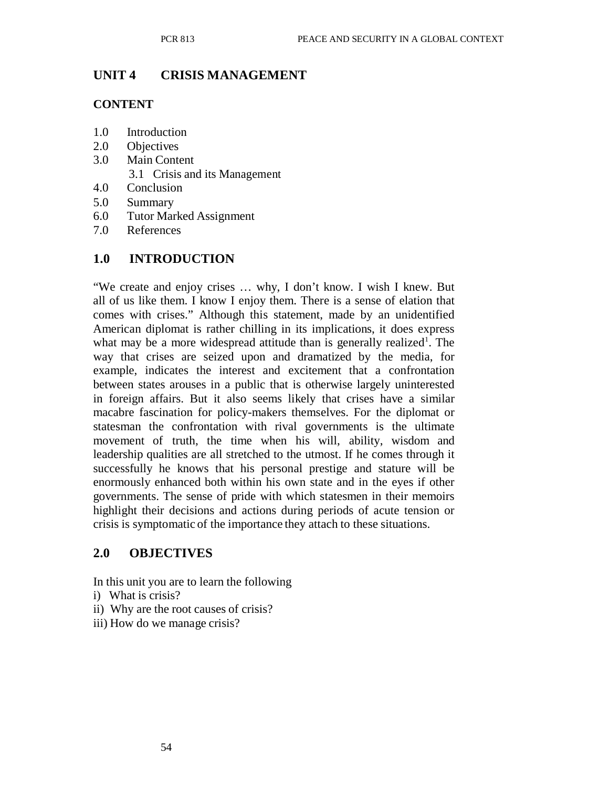#### **UNIT 4 CRISIS MANAGEMENT**

#### **CONTENT**

- 1.0 Introduction
- 2.0 Objectives
- 3.0 Main Content
	- 3.1 Crisis and its Management
- 4.0 Conclusion
- 5.0 Summary
- 6.0 Tutor Marked Assignment
- 7.0 References

### **1.0 INTRODUCTION**

"We create and enjoy crises … why, I don't know. I wish I knew. But all of us like them. I know I enjoy them. There is a sense of elation that comes with crises." Although this statement, made by an unidentified American diplomat is rather chilling in its implications, it does express what may be a more widespread attitude than is generally realized<sup>1</sup>. The way that crises are seized upon and dramatized by the media, for example, indicates the interest and excitement that a confrontation between states arouses in a public that is otherwise largely uninterested in foreign affairs. But it also seems likely that crises have a similar macabre fascination for policy-makers themselves. For the diplomat or statesman the confrontation with rival governments is the ultimate movement of truth, the time when his will, ability, wisdom and leadership qualities are all stretched to the utmost. If he comes through it successfully he knows that his personal prestige and stature will be enormously enhanced both within his own state and in the eyes if other governments. The sense of pride with which statesmen in their memoirs highlight their decisions and actions during periods of acute tension or crisis is symptomatic of the importance they attach to these situations.

#### **2.0 OBJECTIVES**

In this unit you are to learn the following

- i) What is crisis?
- ii) Why are the root causes of crisis?
- iii) How do we manage crisis?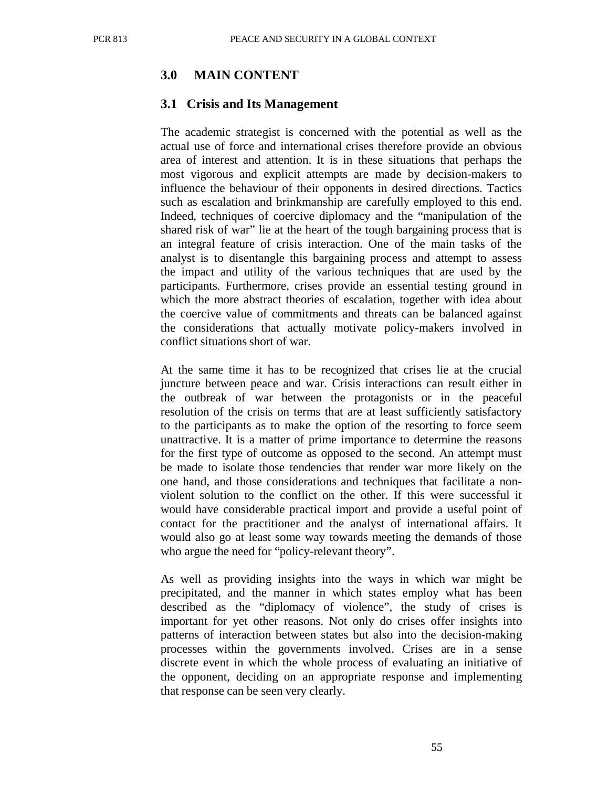### **3.0 MAIN CONTENT**

#### **3.1 Crisis and Its Management**

The academic strategist is concerned with the potential as well as the actual use of force and international crises therefore provide an obvious area of interest and attention. It is in these situations that perhaps the most vigorous and explicit attempts are made by decision-makers to influence the behaviour of their opponents in desired directions. Tactics such as escalation and brinkmanship are carefully employed to this end. Indeed, techniques of coercive diplomacy and the "manipulation of the shared risk of war" lie at the heart of the tough bargaining process that is an integral feature of crisis interaction. One of the main tasks of the analyst is to disentangle this bargaining process and attempt to assess the impact and utility of the various techniques that are used by the participants. Furthermore, crises provide an essential testing ground in which the more abstract theories of escalation, together with idea about the coercive value of commitments and threats can be balanced against the considerations that actually motivate policy-makers involved in conflict situations short of war.

At the same time it has to be recognized that crises lie at the crucial juncture between peace and war. Crisis interactions can result either in the outbreak of war between the protagonists or in the peaceful resolution of the crisis on terms that are at least sufficiently satisfactory to the participants as to make the option of the resorting to force seem unattractive. It is a matter of prime importance to determine the reasons for the first type of outcome as opposed to the second. An attempt must be made to isolate those tendencies that render war more likely on the one hand, and those considerations and techniques that facilitate a nonviolent solution to the conflict on the other. If this were successful it would have considerable practical import and provide a useful point of contact for the practitioner and the analyst of international affairs. It would also go at least some way towards meeting the demands of those who argue the need for "policy-relevant theory".

As well as providing insights into the ways in which war might be precipitated, and the manner in which states employ what has been described as the "diplomacy of violence", the study of crises is important for yet other reasons. Not only do crises offer insights into patterns of interaction between states but also into the decision-making processes within the governments involved. Crises are in a sense discrete event in which the whole process of evaluating an initiative of the opponent, deciding on an appropriate response and implementing that response can be seen very clearly.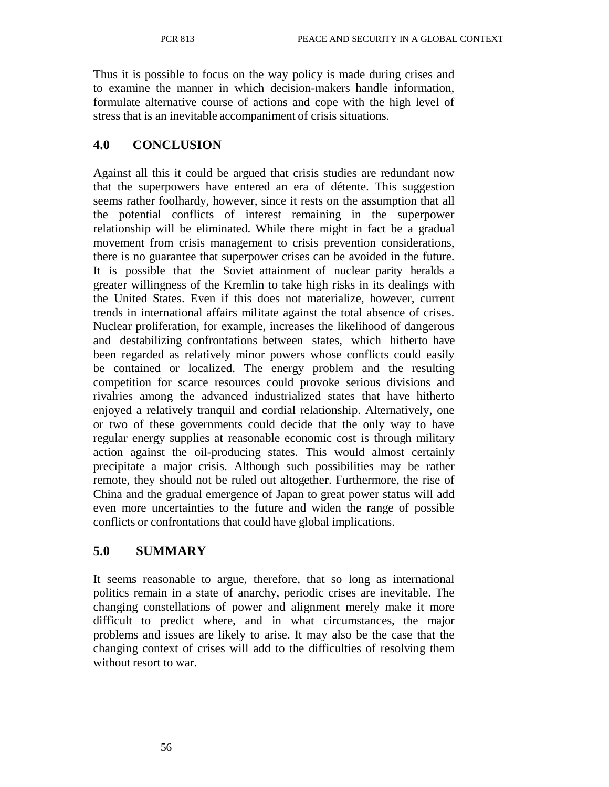Thus it is possible to focus on the way policy is made during crises and to examine the manner in which decision-makers handle information, formulate alternative course of actions and cope with the high level of stress that is an inevitable accompaniment of crisis situations.

#### **4.0 CONCLUSION**

Against all this it could be argued that crisis studies are redundant now that the superpowers have entered an era of détente. This suggestion seems rather foolhardy, however, since it rests on the assumption that all the potential conflicts of interest remaining in the superpower relationship will be eliminated. While there might in fact be a gradual movement from crisis management to crisis prevention considerations, there is no guarantee that superpower crises can be avoided in the future. It is possible that the Soviet attainment of nuclear parity heralds a greater willingness of the Kremlin to take high risks in its dealings with the United States. Even if this does not materialize, however, current trends in international affairs militate against the total absence of crises. Nuclear proliferation, for example, increases the likelihood of dangerous and destabilizing confrontations between states, which hitherto have been regarded as relatively minor powers whose conflicts could easily be contained or localized. The energy problem and the resulting competition for scarce resources could provoke serious divisions and rivalries among the advanced industrialized states that have hitherto enjoyed a relatively tranquil and cordial relationship. Alternatively, one or two of these governments could decide that the only way to have regular energy supplies at reasonable economic cost is through military action against the oil-producing states. This would almost certainly precipitate a major crisis. Although such possibilities may be rather remote, they should not be ruled out altogether. Furthermore, the rise of China and the gradual emergence of Japan to great power status will add even more uncertainties to the future and widen the range of possible conflicts or confrontations that could have global implications.

### **5.0 SUMMARY**

It seems reasonable to argue, therefore, that so long as international politics remain in a state of anarchy, periodic crises are inevitable. The changing constellations of power and alignment merely make it more difficult to predict where, and in what circumstances, the major problems and issues are likely to arise. It may also be the case that the changing context of crises will add to the difficulties of resolving them without resort to war.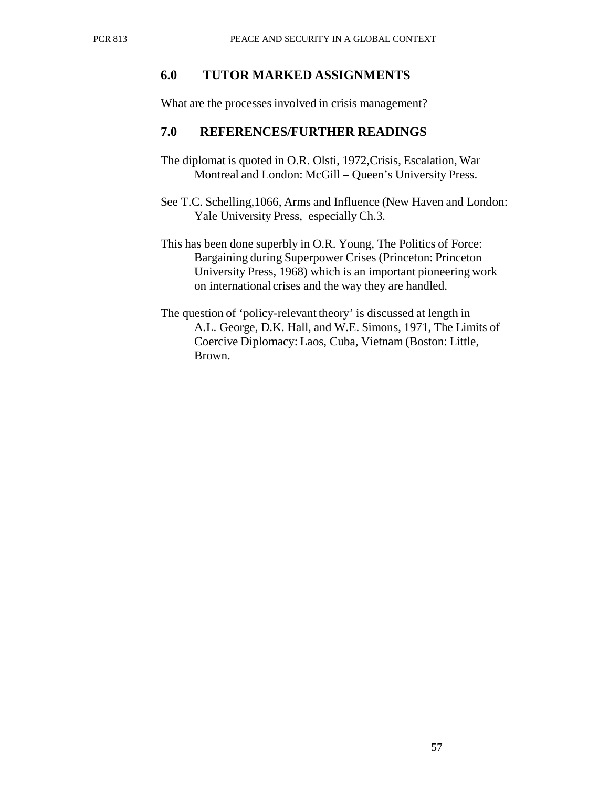### **6.0 TUTOR MARKED ASSIGNMENTS**

What are the processes involved in crisis management?

#### **7.0 REFERENCES/FURTHER READINGS**

- The diplomat is quoted in O.R. Olsti, 1972,Crisis, Escalation, War Montreal and London: McGill – Queen's University Press.
- See T.C. Schelling,1066, Arms and Influence (New Haven and London: Yale University Press, especially Ch.3.
- This has been done superbly in O.R. Young, The Politics of Force: Bargaining during Superpower Crises (Princeton: Princeton University Press, 1968) which is an important pioneering work on international crises and the way they are handled.
- The question of 'policy-relevant theory' is discussed at length in A.L. George, D.K. Hall, and W.E. Simons, 1971, The Limits of Coercive Diplomacy: Laos, Cuba, Vietnam (Boston: Little, Brown.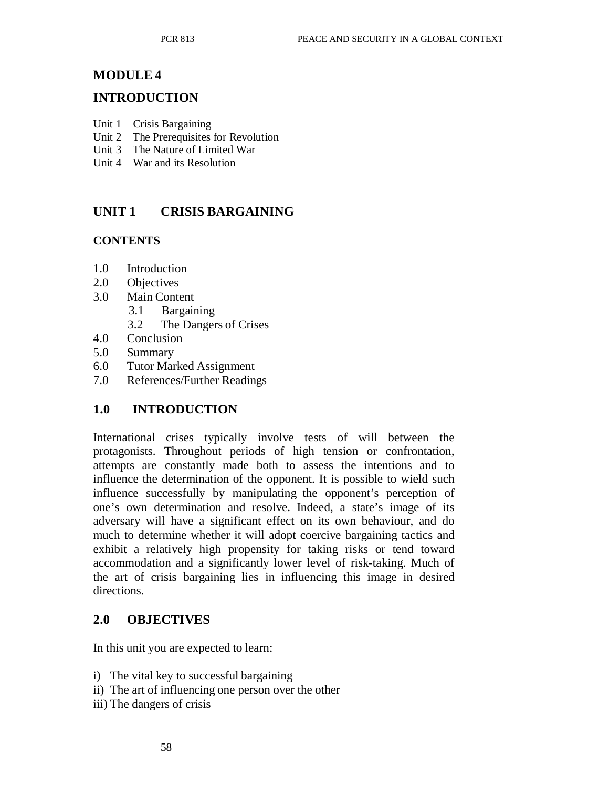## **MODULE 4**

#### **INTRODUCTION**

- Unit 1 Crisis Bargaining
- Unit 2 The Prerequisites for Revolution
- Unit 3 The Nature of Limited War
- Unit 4 War and its Resolution

## **UNIT 1 CRISIS BARGAINING**

### **CONTENTS**

- 1.0 Introduction
- 2.0 Objectives
- 3.0 Main Content
	- 3.1 Bargaining
	- 3.2 The Dangers of Crises
- 4.0 Conclusion
- 5.0 Summary
- 6.0 Tutor Marked Assignment
- 7.0 References/Further Readings

## **1.0 INTRODUCTION**

International crises typically involve tests of will between the protagonists. Throughout periods of high tension or confrontation, attempts are constantly made both to assess the intentions and to influence the determination of the opponent. It is possible to wield such influence successfully by manipulating the opponent's perception of one's own determination and resolve. Indeed, a state's image of its adversary will have a significant effect on its own behaviour, and do much to determine whether it will adopt coercive bargaining tactics and exhibit a relatively high propensity for taking risks or tend toward accommodation and a significantly lower level of risk-taking. Much of the art of crisis bargaining lies in influencing this image in desired directions.

### **2.0 OBJECTIVES**

In this unit you are expected to learn:

- i) The vital key to successful bargaining
- ii) The art of influencing one person over the other
- iii) The dangers of crisis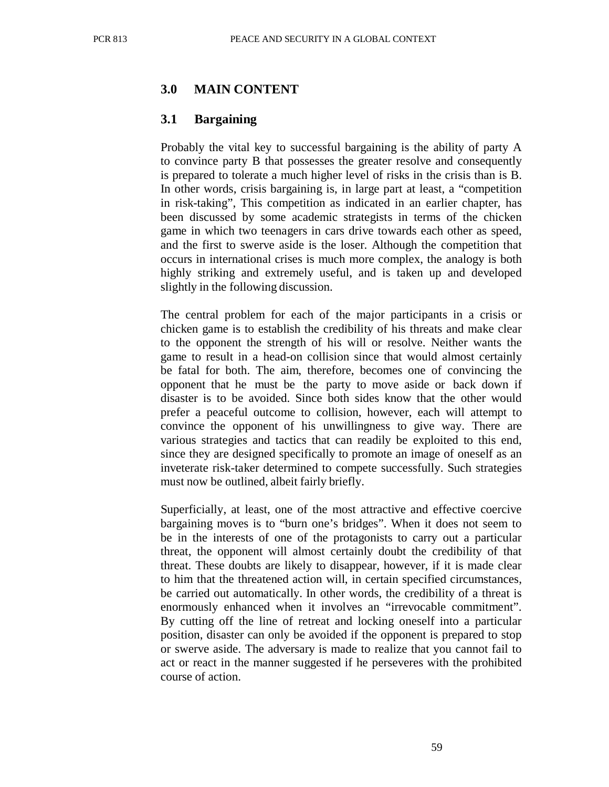## **3.0 MAIN CONTENT**

#### **3.1 Bargaining**

Probably the vital key to successful bargaining is the ability of party A to convince party B that possesses the greater resolve and consequently is prepared to tolerate a much higher level of risks in the crisis than is B. In other words, crisis bargaining is, in large part at least, a "competition in risk-taking", This competition as indicated in an earlier chapter, has been discussed by some academic strategists in terms of the chicken game in which two teenagers in cars drive towards each other as speed, and the first to swerve aside is the loser. Although the competition that occurs in international crises is much more complex, the analogy is both highly striking and extremely useful, and is taken up and developed slightly in the following discussion.

The central problem for each of the major participants in a crisis or chicken game is to establish the credibility of his threats and make clear to the opponent the strength of his will or resolve. Neither wants the game to result in a head-on collision since that would almost certainly be fatal for both. The aim, therefore, becomes one of convincing the opponent that he must be the party to move aside or back down if disaster is to be avoided. Since both sides know that the other would prefer a peaceful outcome to collision, however, each will attempt to convince the opponent of his unwillingness to give way. There are various strategies and tactics that can readily be exploited to this end, since they are designed specifically to promote an image of oneself as an inveterate risk-taker determined to compete successfully. Such strategies must now be outlined, albeit fairly briefly.

Superficially, at least, one of the most attractive and effective coercive bargaining moves is to "burn one's bridges". When it does not seem to be in the interests of one of the protagonists to carry out a particular threat, the opponent will almost certainly doubt the credibility of that threat. These doubts are likely to disappear, however, if it is made clear to him that the threatened action will, in certain specified circumstances, be carried out automatically. In other words, the credibility of a threat is enormously enhanced when it involves an "irrevocable commitment". By cutting off the line of retreat and locking oneself into a particular position, disaster can only be avoided if the opponent is prepared to stop or swerve aside. The adversary is made to realize that you cannot fail to act or react in the manner suggested if he perseveres with the prohibited course of action.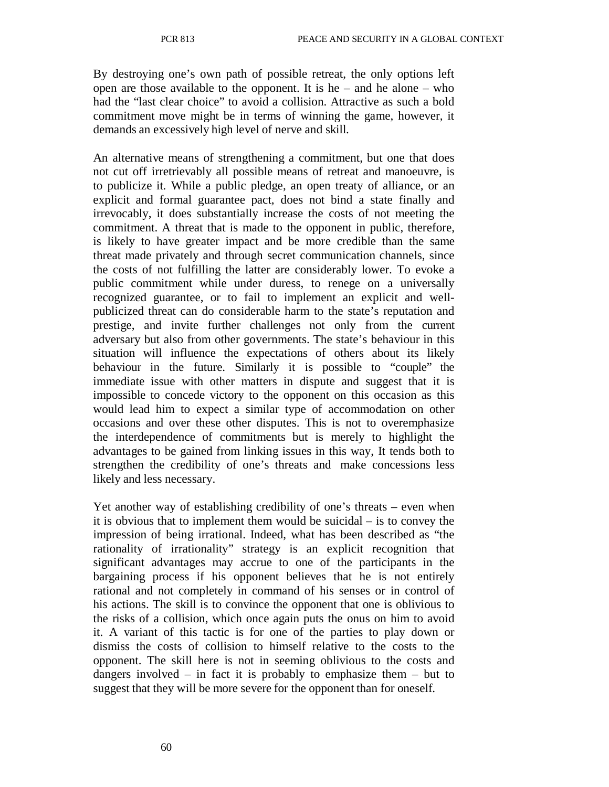By destroying one's own path of possible retreat, the only options left open are those available to the opponent. It is he – and he alone – who had the "last clear choice" to avoid a collision. Attractive as such a bold commitment move might be in terms of winning the game, however, it demands an excessively high level of nerve and skill.

An alternative means of strengthening a commitment, but one that does not cut off irretrievably all possible means of retreat and manoeuvre, is to publicize it. While a public pledge, an open treaty of alliance, or an explicit and formal guarantee pact, does not bind a state finally and irrevocably, it does substantially increase the costs of not meeting the commitment. A threat that is made to the opponent in public, therefore, is likely to have greater impact and be more credible than the same threat made privately and through secret communication channels, since the costs of not fulfilling the latter are considerably lower. To evoke a public commitment while under duress, to renege on a universally recognized guarantee, or to fail to implement an explicit and wellpublicized threat can do considerable harm to the state's reputation and prestige, and invite further challenges not only from the current adversary but also from other governments. The state's behaviour in this situation will influence the expectations of others about its likely behaviour in the future. Similarly it is possible to "couple" the immediate issue with other matters in dispute and suggest that it is impossible to concede victory to the opponent on this occasion as this would lead him to expect a similar type of accommodation on other occasions and over these other disputes. This is not to overemphasize the interdependence of commitments but is merely to highlight the advantages to be gained from linking issues in this way, It tends both to strengthen the credibility of one's threats and make concessions less likely and less necessary.

Yet another way of establishing credibility of one's threats – even when it is obvious that to implement them would be suicidal – is to convey the impression of being irrational. Indeed, what has been described as "the rationality of irrationality" strategy is an explicit recognition that significant advantages may accrue to one of the participants in the bargaining process if his opponent believes that he is not entirely rational and not completely in command of his senses or in control of his actions. The skill is to convince the opponent that one is oblivious to the risks of a collision, which once again puts the onus on him to avoid it. A variant of this tactic is for one of the parties to play down or dismiss the costs of collision to himself relative to the costs to the opponent. The skill here is not in seeming oblivious to the costs and dangers involved – in fact it is probably to emphasize them – but to suggest that they will be more severe for the opponent than for oneself.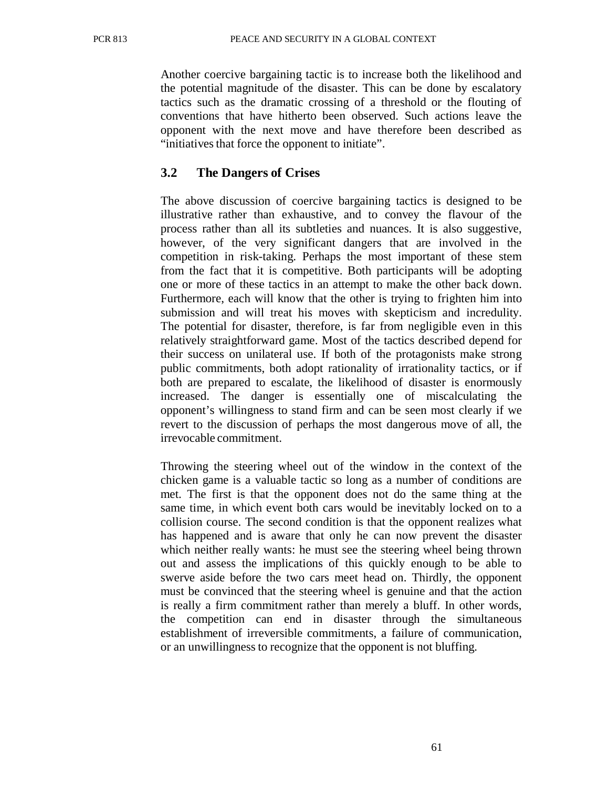Another coercive bargaining tactic is to increase both the likelihood and the potential magnitude of the disaster. This can be done by escalatory tactics such as the dramatic crossing of a threshold or the flouting of conventions that have hitherto been observed. Such actions leave the opponent with the next move and have therefore been described as "initiatives that force the opponent to initiate".

# **3.2 The Dangers of Crises**

The above discussion of coercive bargaining tactics is designed to be illustrative rather than exhaustive, and to convey the flavour of the process rather than all its subtleties and nuances. It is also suggestive, however, of the very significant dangers that are involved in the competition in risk-taking. Perhaps the most important of these stem from the fact that it is competitive. Both participants will be adopting one or more of these tactics in an attempt to make the other back down. Furthermore, each will know that the other is trying to frighten him into submission and will treat his moves with skepticism and incredulity. The potential for disaster, therefore, is far from negligible even in this relatively straightforward game. Most of the tactics described depend for their success on unilateral use. If both of the protagonists make strong public commitments, both adopt rationality of irrationality tactics, or if both are prepared to escalate, the likelihood of disaster is enormously increased. The danger is essentially one of miscalculating the opponent's willingness to stand firm and can be seen most clearly if we revert to the discussion of perhaps the most dangerous move of all, the irrevocable commitment.

Throwing the steering wheel out of the window in the context of the chicken game is a valuable tactic so long as a number of conditions are met. The first is that the opponent does not do the same thing at the same time, in which event both cars would be inevitably locked on to a collision course. The second condition is that the opponent realizes what has happened and is aware that only he can now prevent the disaster which neither really wants: he must see the steering wheel being thrown out and assess the implications of this quickly enough to be able to swerve aside before the two cars meet head on. Thirdly, the opponent must be convinced that the steering wheel is genuine and that the action is really a firm commitment rather than merely a bluff. In other words, the competition can end in disaster through the simultaneous establishment of irreversible commitments, a failure of communication, or an unwillingness to recognize that the opponent is not bluffing.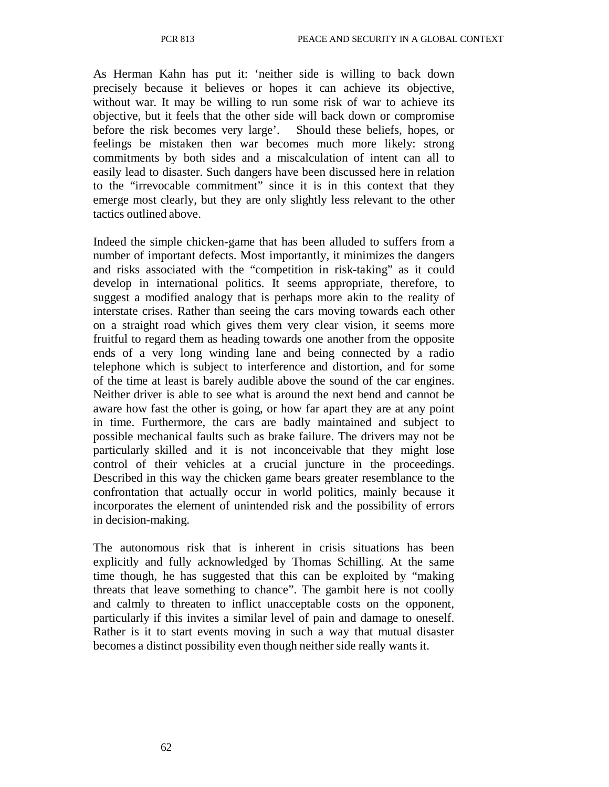As Herman Kahn has put it: 'neither side is willing to back down precisely because it believes or hopes it can achieve its objective, without war. It may be willing to run some risk of war to achieve its objective, but it feels that the other side will back down or compromise before the risk becomes very large'. Should these beliefs, hopes, or feelings be mistaken then war becomes much more likely: strong commitments by both sides and a miscalculation of intent can all to easily lead to disaster. Such dangers have been discussed here in relation to the "irrevocable commitment" since it is in this context that they emerge most clearly, but they are only slightly less relevant to the other tactics outlined above.

Indeed the simple chicken-game that has been alluded to suffers from a number of important defects. Most importantly, it minimizes the dangers and risks associated with the "competition in risk-taking" as it could develop in international politics. It seems appropriate, therefore, to suggest a modified analogy that is perhaps more akin to the reality of interstate crises. Rather than seeing the cars moving towards each other on a straight road which gives them very clear vision, it seems more fruitful to regard them as heading towards one another from the opposite ends of a very long winding lane and being connected by a radio telephone which is subject to interference and distortion, and for some of the time at least is barely audible above the sound of the car engines. Neither driver is able to see what is around the next bend and cannot be aware how fast the other is going, or how far apart they are at any point in time. Furthermore, the cars are badly maintained and subject to possible mechanical faults such as brake failure. The drivers may not be particularly skilled and it is not inconceivable that they might lose control of their vehicles at a crucial juncture in the proceedings. Described in this way the chicken game bears greater resemblance to the confrontation that actually occur in world politics, mainly because it incorporates the element of unintended risk and the possibility of errors in decision-making.

The autonomous risk that is inherent in crisis situations has been explicitly and fully acknowledged by Thomas Schilling. At the same time though, he has suggested that this can be exploited by "making threats that leave something to chance". The gambit here is not coolly and calmly to threaten to inflict unacceptable costs on the opponent, particularly if this invites a similar level of pain and damage to oneself. Rather is it to start events moving in such a way that mutual disaster becomes a distinct possibility even though neither side really wants it.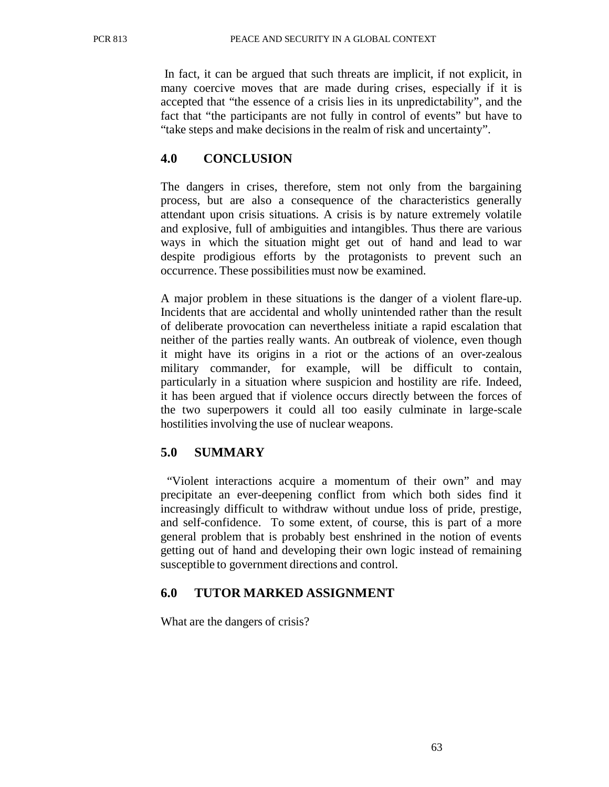In fact, it can be argued that such threats are implicit, if not explicit, in many coercive moves that are made during crises, especially if it is accepted that "the essence of a crisis lies in its unpredictability", and the fact that "the participants are not fully in control of events" but have to "take steps and make decisions in the realm of risk and uncertainty".

# **4.0 CONCLUSION**

The dangers in crises, therefore, stem not only from the bargaining process, but are also a consequence of the characteristics generally attendant upon crisis situations. A crisis is by nature extremely volatile and explosive, full of ambiguities and intangibles. Thus there are various ways in which the situation might get out of hand and lead to war despite prodigious efforts by the protagonists to prevent such an occurrence. These possibilities must now be examined.

A major problem in these situations is the danger of a violent flare-up. Incidents that are accidental and wholly unintended rather than the result of deliberate provocation can nevertheless initiate a rapid escalation that neither of the parties really wants. An outbreak of violence, even though it might have its origins in a riot or the actions of an over-zealous military commander, for example, will be difficult to contain, particularly in a situation where suspicion and hostility are rife. Indeed, it has been argued that if violence occurs directly between the forces of the two superpowers it could all too easily culminate in large-scale hostilities involving the use of nuclear weapons.

# **5.0 SUMMARY**

"Violent interactions acquire a momentum of their own" and may precipitate an ever-deepening conflict from which both sides find it increasingly difficult to withdraw without undue loss of pride, prestige, and self-confidence. To some extent, of course, this is part of a more general problem that is probably best enshrined in the notion of events getting out of hand and developing their own logic instead of remaining susceptible to government directions and control.

## **6.0 TUTOR MARKED ASSIGNMENT**

What are the dangers of crisis?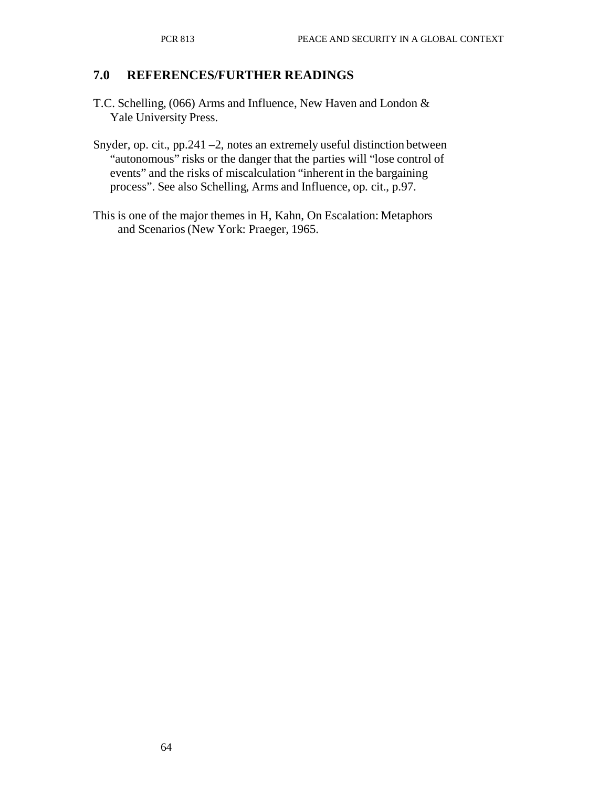#### **7.0 REFERENCES/FURTHER READINGS**

- T.C. Schelling, (066) Arms and Influence, New Haven and London & Yale University Press.
- Snyder, op. cit., pp.241 –2, notes an extremely useful distinction between "autonomous" risks or the danger that the parties will "lose control of events" and the risks of miscalculation "inherent in the bargaining process". See also Schelling, Arms and Influence, op. cit., p.97.
- This is one of the major themes in H, Kahn, On Escalation: Metaphors and Scenarios (New York: Praeger, 1965.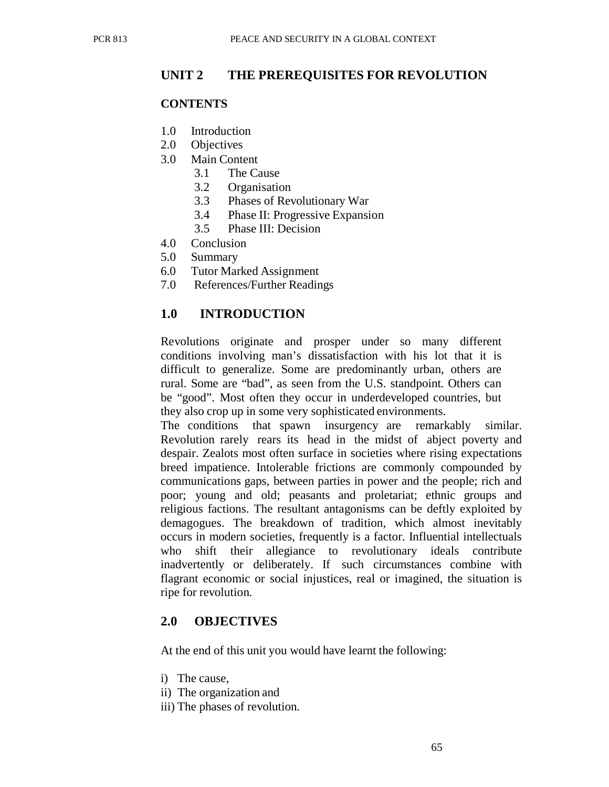# **UNIT 2 THE PREREQUISITES FOR REVOLUTION**

#### **CONTENTS**

- 1.0 Introduction
- 2.0 Objectives
- 3.0 Main Content
	- 3.1 The Cause
	- 3.2 Organisation
	- 3.3 Phases of Revolutionary War
	- 3.4 Phase II: Progressive Expansion
	- 3.5 Phase III: Decision
- 4.0 Conclusion
- 5.0 Summary
- 6.0 Tutor Marked Assignment
- 7.0 References/Further Readings

## **1.0 INTRODUCTION**

Revolutions originate and prosper under so many different conditions involving man's dissatisfaction with his lot that it is difficult to generalize. Some are predominantly urban, others are rural. Some are "bad", as seen from the U.S. standpoint. Others can be "good". Most often they occur in underdeveloped countries, but they also crop up in some very sophisticated environments.

The conditions that spawn insurgency are remarkably similar. Revolution rarely rears its head in the midst of abject poverty and despair. Zealots most often surface in societies where rising expectations breed impatience. Intolerable frictions are commonly compounded by communications gaps, between parties in power and the people; rich and poor; young and old; peasants and proletariat; ethnic groups and religious factions. The resultant antagonisms can be deftly exploited by demagogues. The breakdown of tradition, which almost inevitably occurs in modern societies, frequently is a factor. Influential intellectuals who shift their allegiance to revolutionary ideals contribute inadvertently or deliberately. If such circumstances combine with flagrant economic or social injustices, real or imagined, the situation is ripe for revolution.

### **2.0 OBJECTIVES**

At the end of this unit you would have learnt the following:

- i) The cause,
- ii) The organization and
- iii) The phases of revolution.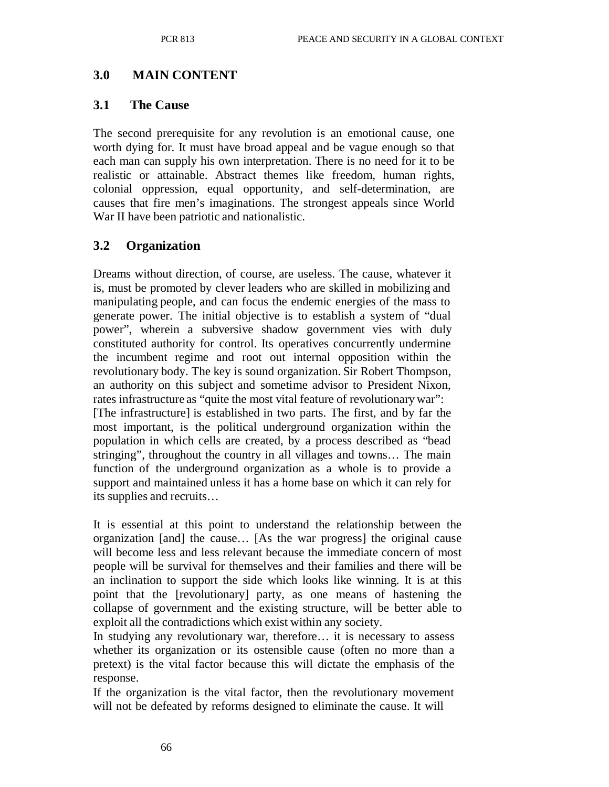## **3.0 MAIN CONTENT**

#### **3.1 The Cause**

The second prerequisite for any revolution is an emotional cause, one worth dying for. It must have broad appeal and be vague enough so that each man can supply his own interpretation. There is no need for it to be realistic or attainable. Abstract themes like freedom, human rights, colonial oppression, equal opportunity, and self-determination, are causes that fire men's imaginations. The strongest appeals since World War II have been patriotic and nationalistic.

## **3.2 Organization**

Dreams without direction, of course, are useless. The cause, whatever it is, must be promoted by clever leaders who are skilled in mobilizing and manipulating people, and can focus the endemic energies of the mass to generate power. The initial objective is to establish a system of "dual power", wherein a subversive shadow government vies with duly constituted authority for control. Its operatives concurrently undermine the incumbent regime and root out internal opposition within the revolutionary body. The key is sound organization. Sir Robert Thompson, an authority on this subject and sometime advisor to President Nixon, rates infrastructure as "quite the most vital feature of revolutionary war": [The infrastructure] is established in two parts. The first, and by far the most important, is the political underground organization within the population in which cells are created, by a process described as "bead stringing", throughout the country in all villages and towns… The main function of the underground organization as a whole is to provide a support and maintained unless it has a home base on which it can rely for its supplies and recruits…

It is essential at this point to understand the relationship between the organization [and] the cause… [As the war progress] the original cause will become less and less relevant because the immediate concern of most people will be survival for themselves and their families and there will be an inclination to support the side which looks like winning. It is at this point that the [revolutionary] party, as one means of hastening the collapse of government and the existing structure, will be better able to exploit all the contradictions which exist within any society.

In studying any revolutionary war, therefore… it is necessary to assess whether its organization or its ostensible cause (often no more than a pretext) is the vital factor because this will dictate the emphasis of the response.

If the organization is the vital factor, then the revolutionary movement will not be defeated by reforms designed to eliminate the cause. It will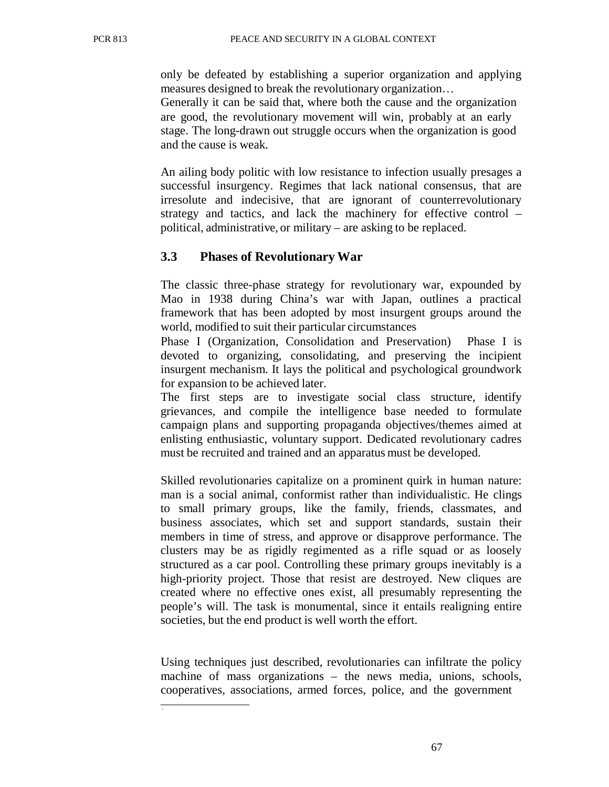only be defeated by establishing a superior organization and applying measures designed to break the revolutionary organization…

Generally it can be said that, where both the cause and the organization are good, the revolutionary movement will win, probably at an early stage. The long-drawn out struggle occurs when the organization is good and the cause is weak.

An ailing body politic with low resistance to infection usually presages a successful insurgency. Regimes that lack national consensus, that are irresolute and indecisive, that are ignorant of counterrevolutionary strategy and tactics, and lack the machinery for effective control – political, administrative, or military – are asking to be replaced.

# **3.3 Phases of Revolutionary War**

The classic three-phase strategy for revolutionary war, expounded by Mao in 1938 during China's war with Japan, outlines a practical framework that has been adopted by most insurgent groups around the world, modified to suit their particular circumstances

Phase I (Organization, Consolidation and Preservation) Phase I is devoted to organizing, consolidating, and preserving the incipient insurgent mechanism. It lays the political and psychological groundwork for expansion to be achieved later.

The first steps are to investigate social class structure, identify grievances, and compile the intelligence base needed to formulate campaign plans and supporting propaganda objectives/themes aimed at enlisting enthusiastic, voluntary support. Dedicated revolutionary cadres must be recruited and trained and an apparatus must be developed.

Skilled revolutionaries capitalize on a prominent quirk in human nature: man is a social animal, conformist rather than individualistic. He clings to small primary groups, like the family, friends, classmates, and business associates, which set and support standards, sustain their members in time of stress, and approve or disapprove performance. The clusters may be as rigidly regimented as a rifle squad or as loosely structured as a car pool. Controlling these primary groups inevitably is a high-priority project. Those that resist are destroyed. New cliques are created where no effective ones exist, all presumably representing the people's will. The task is monumental, since it entails realigning entire societies, but the end product is well worth the effort.

Using techniques just described, revolutionaries can infiltrate the policy machine of mass organizations – the news media, unions, schools, cooperatives, associations, armed forces, police, and the government

・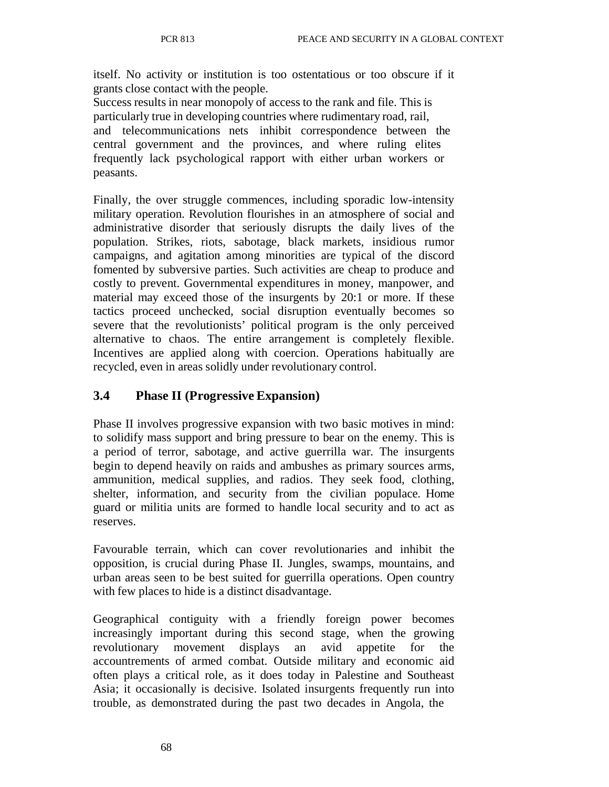itself. No activity or institution is too ostentatious or too obscure if it grants close contact with the people.

Success results in near monopoly of access to the rank and file. This is particularly true in developing countries where rudimentary road, rail, and telecommunications nets inhibit correspondence between the central government and the provinces, and where ruling elites frequently lack psychological rapport with either urban workers or peasants.

Finally, the over struggle commences, including sporadic low-intensity military operation. Revolution flourishes in an atmosphere of social and administrative disorder that seriously disrupts the daily lives of the population. Strikes, riots, sabotage, black markets, insidious rumor campaigns, and agitation among minorities are typical of the discord fomented by subversive parties. Such activities are cheap to produce and costly to prevent. Governmental expenditures in money, manpower, and material may exceed those of the insurgents by 20:1 or more. If these tactics proceed unchecked, social disruption eventually becomes so severe that the revolutionists' political program is the only perceived alternative to chaos. The entire arrangement is completely flexible. Incentives are applied along with coercion. Operations habitually are recycled, even in areas solidly under revolutionary control.

#### **3.4 Phase II (Progressive Expansion)**

Phase II involves progressive expansion with two basic motives in mind: to solidify mass support and bring pressure to bear on the enemy. This is a period of terror, sabotage, and active guerrilla war. The insurgents begin to depend heavily on raids and ambushes as primary sources arms, ammunition, medical supplies, and radios. They seek food, clothing, shelter, information, and security from the civilian populace. Home guard or militia units are formed to handle local security and to act as reserves.

Favourable terrain, which can cover revolutionaries and inhibit the opposition, is crucial during Phase II. Jungles, swamps, mountains, and urban areas seen to be best suited for guerrilla operations. Open country with few places to hide is a distinct disadvantage.

Geographical contiguity with a friendly foreign power becomes increasingly important during this second stage, when the growing revolutionary movement displays an avid appetite for the accountrements of armed combat. Outside military and economic aid often plays a critical role, as it does today in Palestine and Southeast Asia; it occasionally is decisive. Isolated insurgents frequently run into trouble, as demonstrated during the past two decades in Angola, the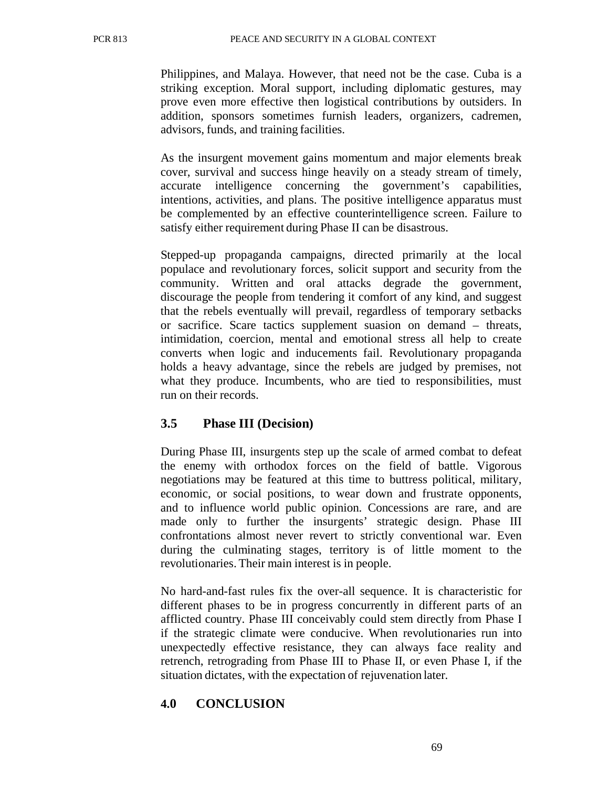Philippines, and Malaya. However, that need not be the case. Cuba is a striking exception. Moral support, including diplomatic gestures, may prove even more effective then logistical contributions by outsiders. In addition, sponsors sometimes furnish leaders, organizers, cadremen, advisors, funds, and training facilities.

As the insurgent movement gains momentum and major elements break cover, survival and success hinge heavily on a steady stream of timely, accurate intelligence concerning the government's capabilities, intentions, activities, and plans. The positive intelligence apparatus must be complemented by an effective counterintelligence screen. Failure to satisfy either requirement during Phase II can be disastrous.

Stepped-up propaganda campaigns, directed primarily at the local populace and revolutionary forces, solicit support and security from the community. Written and oral attacks degrade the government, discourage the people from tendering it comfort of any kind, and suggest that the rebels eventually will prevail, regardless of temporary setbacks or sacrifice. Scare tactics supplement suasion on demand – threats, intimidation, coercion, mental and emotional stress all help to create converts when logic and inducements fail. Revolutionary propaganda holds a heavy advantage, since the rebels are judged by premises, not what they produce. Incumbents, who are tied to responsibilities, must run on their records.

## **3.5 Phase III (Decision)**

During Phase III, insurgents step up the scale of armed combat to defeat the enemy with orthodox forces on the field of battle. Vigorous negotiations may be featured at this time to buttress political, military, economic, or social positions, to wear down and frustrate opponents, and to influence world public opinion. Concessions are rare, and are made only to further the insurgents' strategic design. Phase III confrontations almost never revert to strictly conventional war. Even during the culminating stages, territory is of little moment to the revolutionaries. Their main interest is in people.

No hard-and-fast rules fix the over-all sequence. It is characteristic for different phases to be in progress concurrently in different parts of an afflicted country. Phase III conceivably could stem directly from Phase I if the strategic climate were conducive. When revolutionaries run into unexpectedly effective resistance, they can always face reality and retrench, retrograding from Phase III to Phase II, or even Phase I, if the situation dictates, with the expectation of rejuvenation later.

## **4.0 CONCLUSION**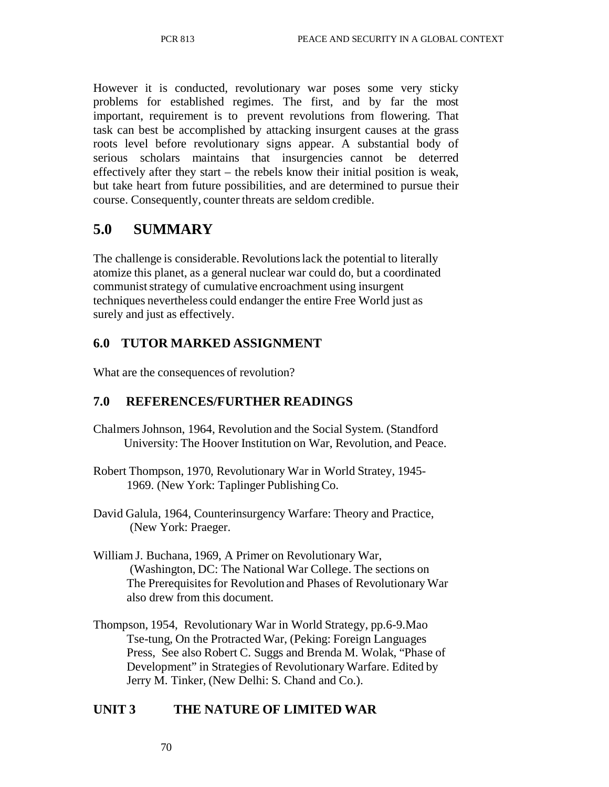However it is conducted, revolutionary war poses some very sticky problems for established regimes. The first, and by far the most important, requirement is to prevent revolutions from flowering. That task can best be accomplished by attacking insurgent causes at the grass roots level before revolutionary signs appear. A substantial body of serious scholars maintains that insurgencies cannot be deterred effectively after they start – the rebels know their initial position is weak, but take heart from future possibilities, and are determined to pursue their course. Consequently, counter threats are seldom credible.

# **5.0 SUMMARY**

The challenge is considerable. Revolutions lack the potential to literally atomize this planet, as a general nuclear war could do, but a coordinated communist strategy of cumulative encroachment using insurgent techniques nevertheless could endanger the entire Free World just as surely and just as effectively.

## **6.0 TUTOR MARKED ASSIGNMENT**

What are the consequences of revolution?

### **7.0 REFERENCES/FURTHER READINGS**

- Chalmers Johnson, 1964, Revolution and the Social System. (Standford University: The Hoover Institution on War, Revolution, and Peace.
- Robert Thompson, 1970, Revolutionary War in World Stratey, 1945- 1969. (New York: Taplinger Publishing Co.
- David Galula, 1964, Counterinsurgency Warfare: Theory and Practice, (New York: Praeger.
- William J. Buchana, 1969, A Primer on Revolutionary War, (Washington, DC: The National War College. The sections on The Prerequisites for Revolution and Phases of Revolutionary War also drew from this document.
- Thompson, 1954, Revolutionary War in World Strategy, pp.6-9.Mao Tse-tung, On the Protracted War, (Peking: Foreign Languages Press, See also Robert C. Suggs and Brenda M. Wolak, "Phase of Development" in Strategies of Revolutionary Warfare. Edited by Jerry M. Tinker, (New Delhi: S. Chand and Co.).

### **UNIT 3 THE NATURE OF LIMITED WAR**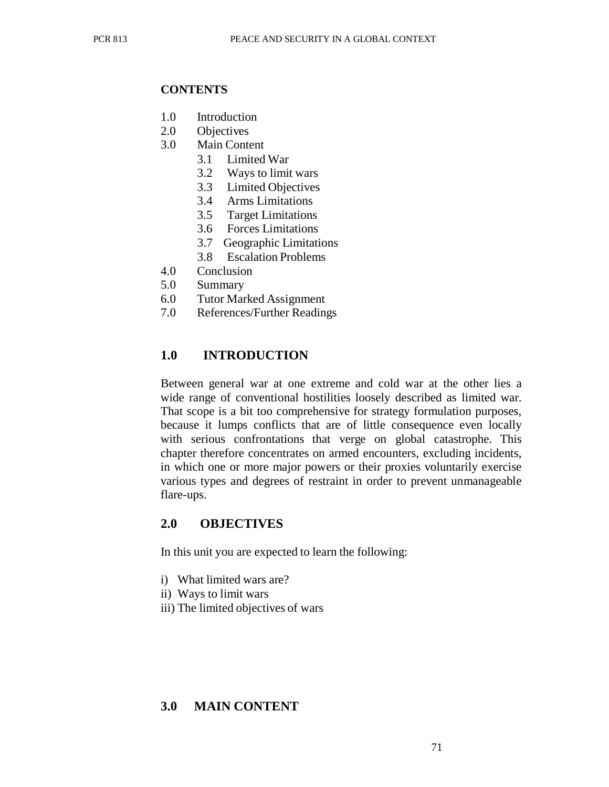#### **CONTENTS**

- 1.0 Introduction
- 2.0 Objectives
- 3.0 Main Content
	- 3.1 Limited War
	- 3.2 Ways to limit wars
	- 3.3 Limited Objectives
	- 3.4 Arms Limitations
	- 3.5 Target Limitations
	- 3.6 Forces Limitations
	- 3.7 Geographic Limitations
	- 3.8 Escalation Problems
- 4.0 Conclusion
- 5.0 Summary
- 6.0 Tutor Marked Assignment
- 7.0 References/Further Readings

## **1.0 INTRODUCTION**

Between general war at one extreme and cold war at the other lies a wide range of conventional hostilities loosely described as limited war. That scope is a bit too comprehensive for strategy formulation purposes, because it lumps conflicts that are of little consequence even locally with serious confrontations that verge on global catastrophe. This chapter therefore concentrates on armed encounters, excluding incidents, in which one or more major powers or their proxies voluntarily exercise various types and degrees of restraint in order to prevent unmanageable flare-ups.

### **2.0 OBJECTIVES**

In this unit you are expected to learn the following:

- i) What limited wars are?
- ii) Ways to limit wars
- iii) The limited objectives of wars

### **3.0 MAIN CONTENT**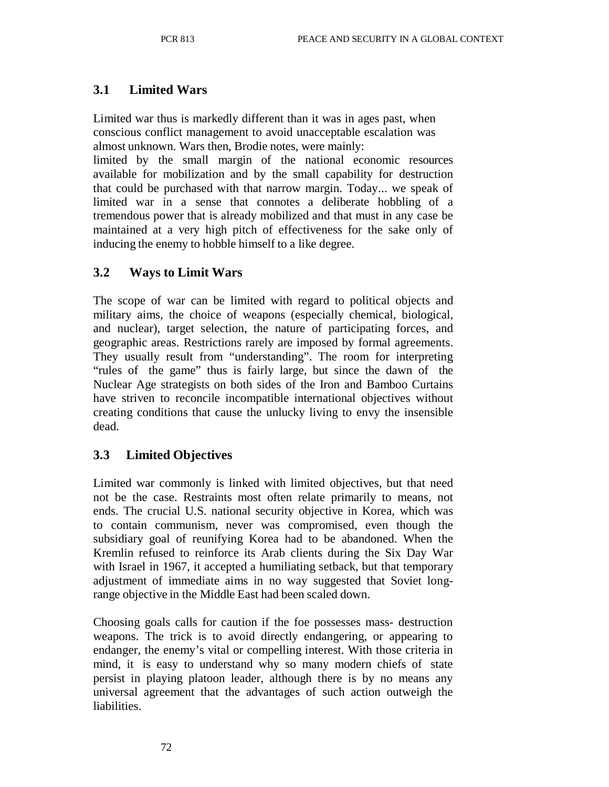## **3.1 Limited Wars**

Limited war thus is markedly different than it was in ages past, when conscious conflict management to avoid unacceptable escalation was almost unknown. Wars then, Brodie notes, were mainly:

limited by the small margin of the national economic resources available for mobilization and by the small capability for destruction that could be purchased with that narrow margin. Today... we speak of limited war in a sense that connotes a deliberate hobbling of a tremendous power that is already mobilized and that must in any case be maintained at a very high pitch of effectiveness for the sake only of inducing the enemy to hobble himself to a like degree.

## **3.2 Ways to Limit Wars**

The scope of war can be limited with regard to political objects and military aims, the choice of weapons (especially chemical, biological, and nuclear), target selection, the nature of participating forces, and geographic areas. Restrictions rarely are imposed by formal agreements. They usually result from "understanding". The room for interpreting "rules of the game" thus is fairly large, but since the dawn of the Nuclear Age strategists on both sides of the Iron and Bamboo Curtains have striven to reconcile incompatible international objectives without creating conditions that cause the unlucky living to envy the insensible dead.

## **3.3 Limited Objectives**

Limited war commonly is linked with limited objectives, but that need not be the case. Restraints most often relate primarily to means, not ends. The crucial U.S. national security objective in Korea, which was to contain communism, never was compromised, even though the subsidiary goal of reunifying Korea had to be abandoned. When the Kremlin refused to reinforce its Arab clients during the Six Day War with Israel in 1967, it accepted a humiliating setback, but that temporary adjustment of immediate aims in no way suggested that Soviet longrange objective in the Middle East had been scaled down.

Choosing goals calls for caution if the foe possesses mass- destruction weapons. The trick is to avoid directly endangering, or appearing to endanger, the enemy's vital or compelling interest. With those criteria in mind, it is easy to understand why so many modern chiefs of state persist in playing platoon leader, although there is by no means any universal agreement that the advantages of such action outweigh the liabilities.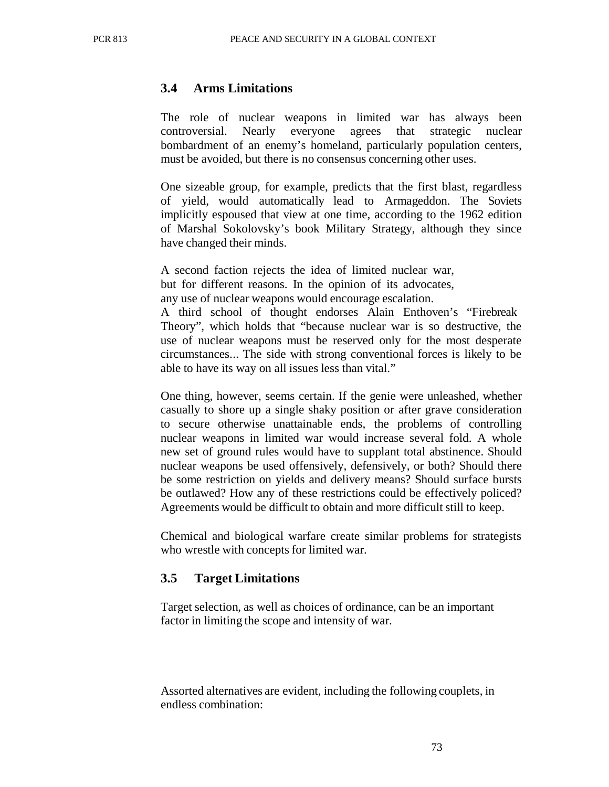## **3.4 Arms Limitations**

The role of nuclear weapons in limited war has always been controversial. Nearly everyone agrees that strategic nuclear bombardment of an enemy's homeland, particularly population centers, must be avoided, but there is no consensus concerning other uses.

One sizeable group, for example, predicts that the first blast, regardless of yield, would automatically lead to Armageddon. The Soviets implicitly espoused that view at one time, according to the 1962 edition of Marshal Sokolovsky's book Military Strategy, although they since have changed their minds.

A second faction rejects the idea of limited nuclear war, but for different reasons. In the opinion of its advocates, any use of nuclear weapons would encourage escalation. A third school of thought endorses Alain Enthoven's "Firebreak

Theory", which holds that "because nuclear war is so destructive, the use of nuclear weapons must be reserved only for the most desperate circumstances... The side with strong conventional forces is likely to be able to have its way on all issues less than vital."

One thing, however, seems certain. If the genie were unleashed, whether casually to shore up a single shaky position or after grave consideration to secure otherwise unattainable ends, the problems of controlling nuclear weapons in limited war would increase several fold. A whole new set of ground rules would have to supplant total abstinence. Should nuclear weapons be used offensively, defensively, or both? Should there be some restriction on yields and delivery means? Should surface bursts be outlawed? How any of these restrictions could be effectively policed? Agreements would be difficult to obtain and more difficult still to keep.

Chemical and biological warfare create similar problems for strategists who wrestle with concepts for limited war.

## **3.5 Target Limitations**

Target selection, as well as choices of ordinance, can be an important factor in limiting the scope and intensity of war.

Assorted alternatives are evident, including the following couplets, in endless combination: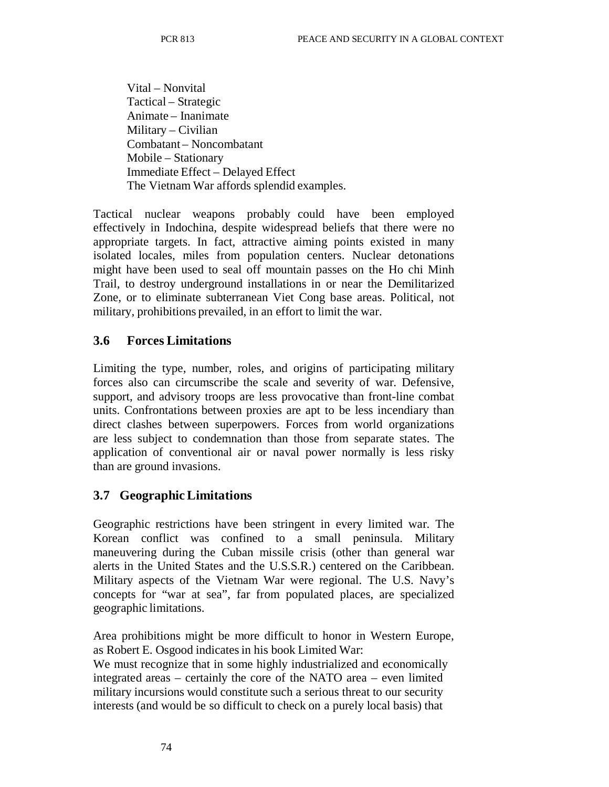Vital – Nonvital Tactical – Strategic Animate – Inanimate Military – Civilian Combatant – Noncombatant Mobile – Stationary Immediate Effect – Delayed Effect The Vietnam War affords splendid examples.

Tactical nuclear weapons probably could have been employed effectively in Indochina, despite widespread beliefs that there were no appropriate targets. In fact, attractive aiming points existed in many isolated locales, miles from population centers. Nuclear detonations might have been used to seal off mountain passes on the Ho chi Minh Trail, to destroy underground installations in or near the Demilitarized Zone, or to eliminate subterranean Viet Cong base areas. Political, not military, prohibitions prevailed, in an effort to limit the war.

#### **3.6 Forces Limitations**

Limiting the type, number, roles, and origins of participating military forces also can circumscribe the scale and severity of war. Defensive, support, and advisory troops are less provocative than front-line combat units. Confrontations between proxies are apt to be less incendiary than direct clashes between superpowers. Forces from world organizations are less subject to condemnation than those from separate states. The application of conventional air or naval power normally is less risky than are ground invasions.

### **3.7 Geographic Limitations**

Geographic restrictions have been stringent in every limited war. The Korean conflict was confined to a small peninsula. Military maneuvering during the Cuban missile crisis (other than general war alerts in the United States and the U.S.S.R.) centered on the Caribbean. Military aspects of the Vietnam War were regional. The U.S. Navy's concepts for "war at sea", far from populated places, are specialized geographic limitations.

Area prohibitions might be more difficult to honor in Western Europe, as Robert E. Osgood indicates in his book Limited War:

We must recognize that in some highly industrialized and economically integrated areas – certainly the core of the NATO area – even limited military incursions would constitute such a serious threat to our security interests (and would be so difficult to check on a purely local basis) that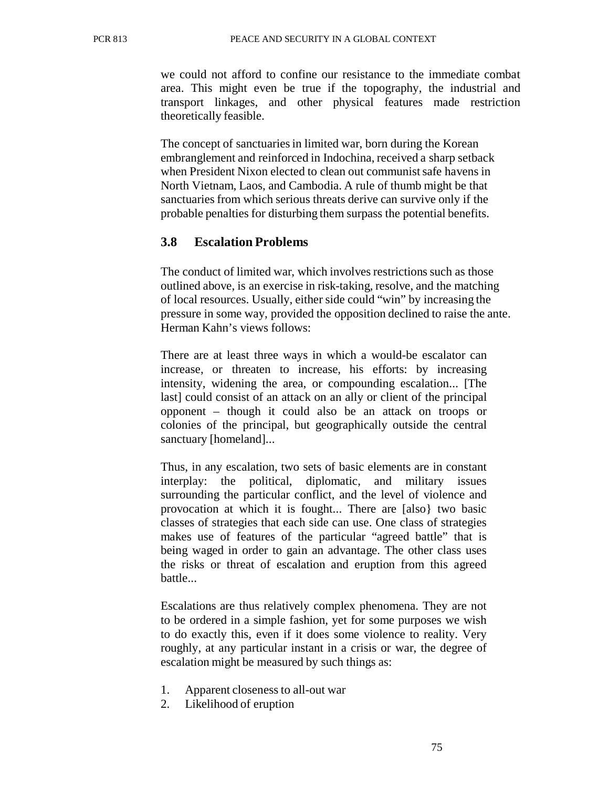we could not afford to confine our resistance to the immediate combat area. This might even be true if the topography, the industrial and transport linkages, and other physical features made restriction theoretically feasible.

The concept of sanctuaries in limited war, born during the Korean embranglement and reinforced in Indochina, received a sharp setback when President Nixon elected to clean out communist safe havens in North Vietnam, Laos, and Cambodia. A rule of thumb might be that sanctuaries from which serious threats derive can survive only if the probable penalties for disturbing them surpass the potential benefits.

#### **3.8 Escalation Problems**

The conduct of limited war, which involves restrictions such as those outlined above, is an exercise in risk-taking, resolve, and the matching of local resources. Usually, either side could "win" by increasing the pressure in some way, provided the opposition declined to raise the ante. Herman Kahn's views follows:

There are at least three ways in which a would-be escalator can increase, or threaten to increase, his efforts: by increasing intensity, widening the area, or compounding escalation... [The last] could consist of an attack on an ally or client of the principal opponent – though it could also be an attack on troops or colonies of the principal, but geographically outside the central sanctuary [homeland]...

Thus, in any escalation, two sets of basic elements are in constant interplay: the political, diplomatic, and military issues surrounding the particular conflict, and the level of violence and provocation at which it is fought... There are [also} two basic classes of strategies that each side can use. One class of strategies makes use of features of the particular "agreed battle" that is being waged in order to gain an advantage. The other class uses the risks or threat of escalation and eruption from this agreed battle...

Escalations are thus relatively complex phenomena. They are not to be ordered in a simple fashion, yet for some purposes we wish to do exactly this, even if it does some violence to reality. Very roughly, at any particular instant in a crisis or war, the degree of escalation might be measured by such things as:

- 1. Apparent closeness to all-out war
- 2. Likelihood of eruption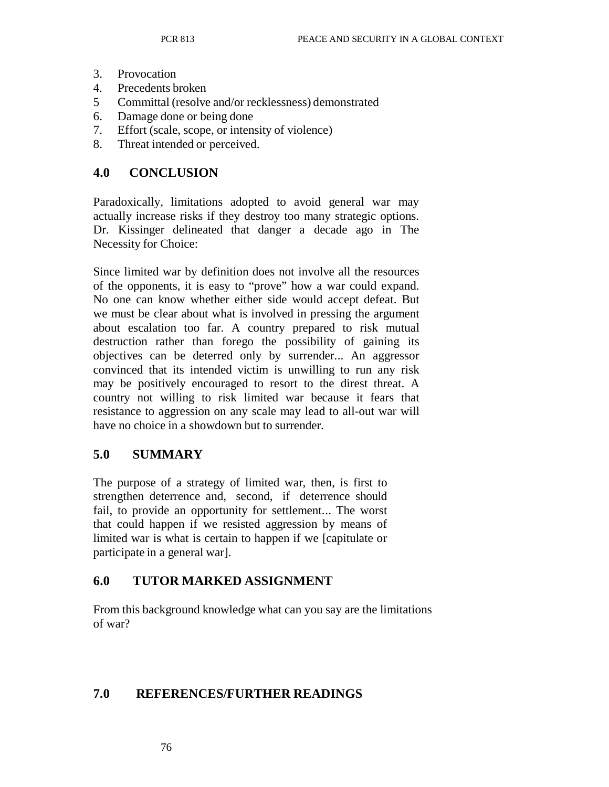- 3. Provocation
- 4. Precedents broken
- 5 Committal (resolve and/or recklessness) demonstrated
- 6. Damage done or being done
- 7. Effort (scale, scope, or intensity of violence)
- 8. Threat intended or perceived.

# **4.0 CONCLUSION**

Paradoxically, limitations adopted to avoid general war may actually increase risks if they destroy too many strategic options. Dr. Kissinger delineated that danger a decade ago in The Necessity for Choice:

Since limited war by definition does not involve all the resources of the opponents, it is easy to "prove" how a war could expand. No one can know whether either side would accept defeat. But we must be clear about what is involved in pressing the argument about escalation too far. A country prepared to risk mutual destruction rather than forego the possibility of gaining its objectives can be deterred only by surrender... An aggressor convinced that its intended victim is unwilling to run any risk may be positively encouraged to resort to the direst threat. A country not willing to risk limited war because it fears that resistance to aggression on any scale may lead to all-out war will have no choice in a showdown but to surrender.

# **5.0 SUMMARY**

The purpose of a strategy of limited war, then, is first to strengthen deterrence and, second, if deterrence should fail, to provide an opportunity for settlement... The worst that could happen if we resisted aggression by means of limited war is what is certain to happen if we [capitulate or participate in a general war].

## **6.0 TUTOR MARKED ASSIGNMENT**

From this background knowledge what can you say are the limitations of war?

### **7.0 REFERENCES/FURTHER READINGS**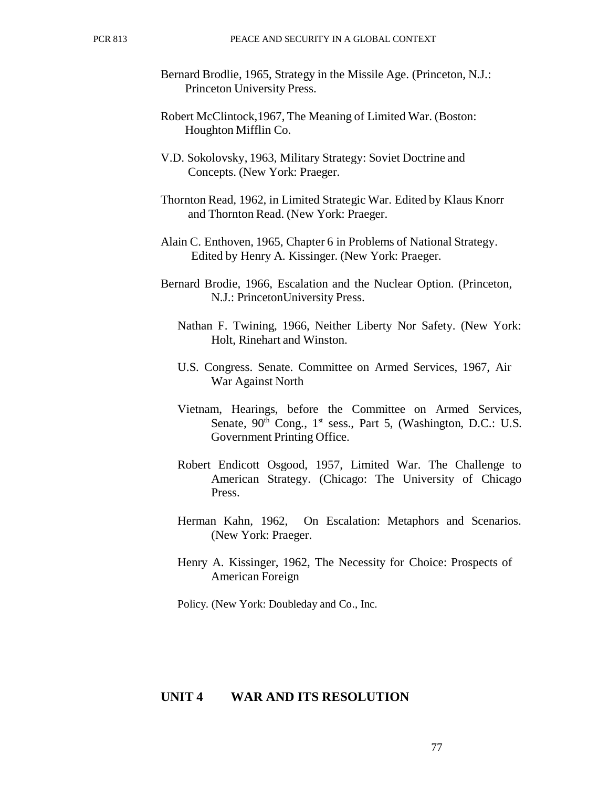- Bernard Brodlie, 1965, Strategy in the Missile Age. (Princeton, N.J.: Princeton University Press.
- Robert McClintock,1967, The Meaning of Limited War. (Boston: Houghton Mifflin Co.
- V.D. Sokolovsky, 1963, Military Strategy: Soviet Doctrine and Concepts. (New York: Praeger.
- Thornton Read, 1962, in Limited Strategic War. Edited by Klaus Knorr and Thornton Read. (New York: Praeger.
- Alain C. Enthoven, 1965, Chapter 6 in Problems of National Strategy. Edited by Henry A. Kissinger. (New York: Praeger.
- Bernard Brodie, 1966, Escalation and the Nuclear Option. (Princeton, N.J.: PrincetonUniversity Press.
	- Nathan F. Twining, 1966, Neither Liberty Nor Safety. (New York: Holt, Rinehart and Winston.
	- U.S. Congress. Senate. Committee on Armed Services, 1967, Air War Against North
	- Vietnam, Hearings, before the Committee on Armed Services, Senate,  $90<sup>th</sup>$  Cong.,  $1<sup>st</sup>$  sess., Part 5, (Washington, D.C.: U.S. Government Printing Office.
	- Robert Endicott Osgood, 1957, Limited War. The Challenge to American Strategy. (Chicago: The University of Chicago Press.
	- Herman Kahn, 1962, On Escalation: Metaphors and Scenarios. (New York: Praeger.
	- Henry A. Kissinger, 1962, The Necessity for Choice: Prospects of American Foreign

Policy. (New York: Doubleday and Co., Inc.

#### **UNIT 4 WAR AND ITS RESOLUTION**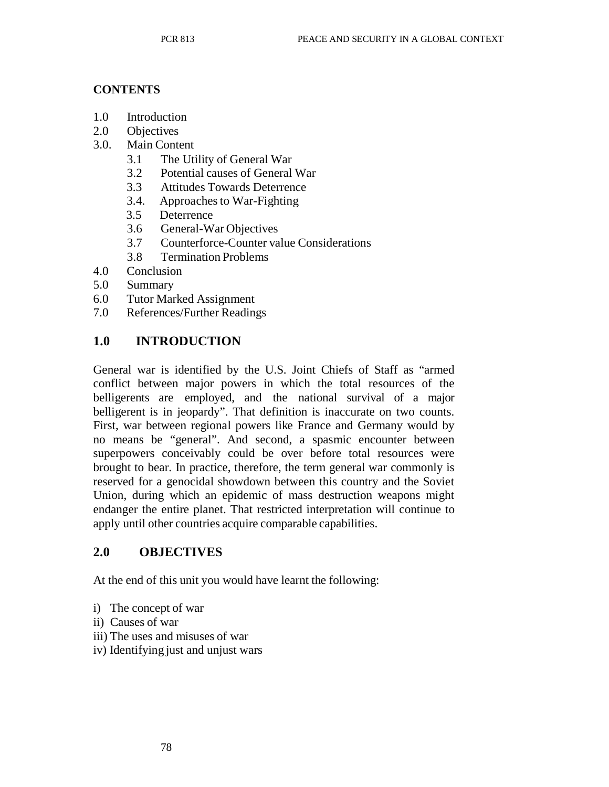#### **CONTENTS**

- 1.0 Introduction
- 2.0 Objectives
- 3.0. Main Content
	- 3.1 The Utility of General War
	- 3.2 Potential causes of General War
	- 3.3 Attitudes Towards Deterrence
	- 3.4. Approaches to War-Fighting
	- 3.5 Deterrence
	- 3.6 General-War Objectives
	- 3.7 Counterforce-Counter value Considerations
	- 3.8 Termination Problems
- 4.0 Conclusion
- 5.0 Summary
- 6.0 Tutor Marked Assignment
- 7.0 References/Further Readings

## **1.0 INTRODUCTION**

General war is identified by the U.S. Joint Chiefs of Staff as "armed conflict between major powers in which the total resources of the belligerents are employed, and the national survival of a major belligerent is in jeopardy". That definition is inaccurate on two counts. First, war between regional powers like France and Germany would by no means be "general". And second, a spasmic encounter between superpowers conceivably could be over before total resources were brought to bear. In practice, therefore, the term general war commonly is reserved for a genocidal showdown between this country and the Soviet Union, during which an epidemic of mass destruction weapons might endanger the entire planet. That restricted interpretation will continue to apply until other countries acquire comparable capabilities.

### **2.0 OBJECTIVES**

At the end of this unit you would have learnt the following:

- i) The concept of war
- ii) Causes of war
- iii) The uses and misuses of war
- iv) Identifying just and unjust wars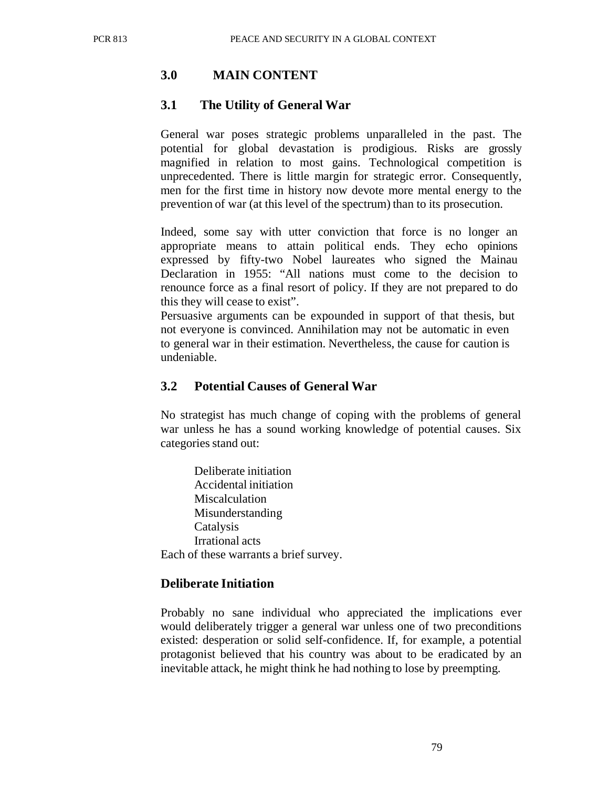### **3.0 MAIN CONTENT**

#### **3.1 The Utility of General War**

General war poses strategic problems unparalleled in the past. The potential for global devastation is prodigious. Risks are grossly magnified in relation to most gains. Technological competition is unprecedented. There is little margin for strategic error. Consequently, men for the first time in history now devote more mental energy to the prevention of war (at this level of the spectrum) than to its prosecution.

Indeed, some say with utter conviction that force is no longer an appropriate means to attain political ends. They echo opinions expressed by fifty-two Nobel laureates who signed the Mainau Declaration in 1955: "All nations must come to the decision to renounce force as a final resort of policy. If they are not prepared to do this they will cease to exist".

Persuasive arguments can be expounded in support of that thesis, but not everyone is convinced. Annihilation may not be automatic in even to general war in their estimation. Nevertheless, the cause for caution is undeniable.

#### **3.2 Potential Causes of General War**

No strategist has much change of coping with the problems of general war unless he has a sound working knowledge of potential causes. Six categories stand out:

Deliberate initiation Accidental initiation Miscalculation Misunderstanding Catalysis Irrational acts Each of these warrants a brief survey.

#### **Deliberate Initiation**

Probably no sane individual who appreciated the implications ever would deliberately trigger a general war unless one of two preconditions existed: desperation or solid self-confidence. If, for example, a potential protagonist believed that his country was about to be eradicated by an inevitable attack, he might think he had nothing to lose by preempting.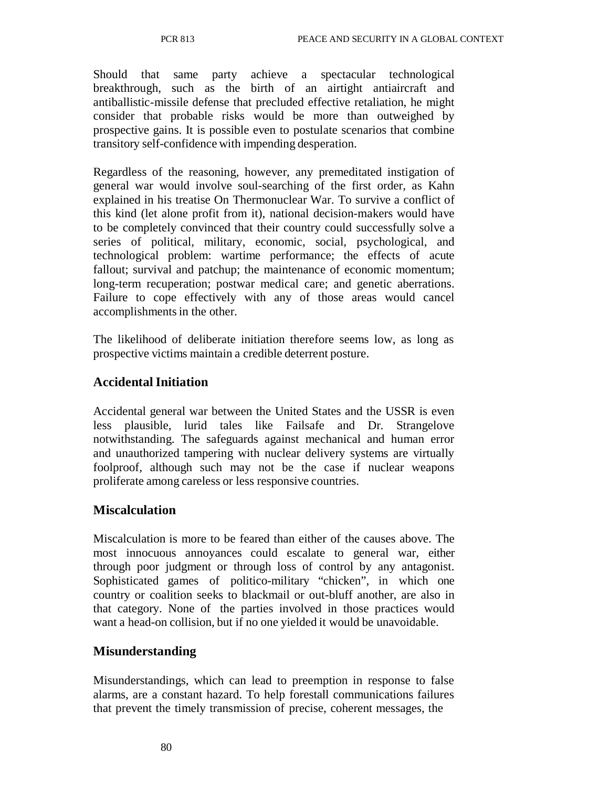Should that same party achieve a spectacular technological breakthrough, such as the birth of an airtight antiaircraft and antiballistic-missile defense that precluded effective retaliation, he might consider that probable risks would be more than outweighed by prospective gains. It is possible even to postulate scenarios that combine transitory self-confidence with impending desperation.

Regardless of the reasoning, however, any premeditated instigation of general war would involve soul-searching of the first order, as Kahn explained in his treatise On Thermonuclear War. To survive a conflict of this kind (let alone profit from it), national decision-makers would have to be completely convinced that their country could successfully solve a series of political, military, economic, social, psychological, and technological problem: wartime performance; the effects of acute fallout; survival and patchup; the maintenance of economic momentum; long-term recuperation; postwar medical care; and genetic aberrations. Failure to cope effectively with any of those areas would cancel accomplishments in the other.

The likelihood of deliberate initiation therefore seems low, as long as prospective victims maintain a credible deterrent posture.

## **Accidental Initiation**

Accidental general war between the United States and the USSR is even less plausible, lurid tales like Failsafe and Dr. Strangelove notwithstanding. The safeguards against mechanical and human error and unauthorized tampering with nuclear delivery systems are virtually foolproof, although such may not be the case if nuclear weapons proliferate among careless or less responsive countries.

### **Miscalculation**

Miscalculation is more to be feared than either of the causes above. The most innocuous annoyances could escalate to general war, either through poor judgment or through loss of control by any antagonist. Sophisticated games of politico-military "chicken", in which one country or coalition seeks to blackmail or out-bluff another, are also in that category. None of the parties involved in those practices would want a head-on collision, but if no one yielded it would be unavoidable.

### **Misunderstanding**

Misunderstandings, which can lead to preemption in response to false alarms, are a constant hazard. To help forestall communications failures that prevent the timely transmission of precise, coherent messages, the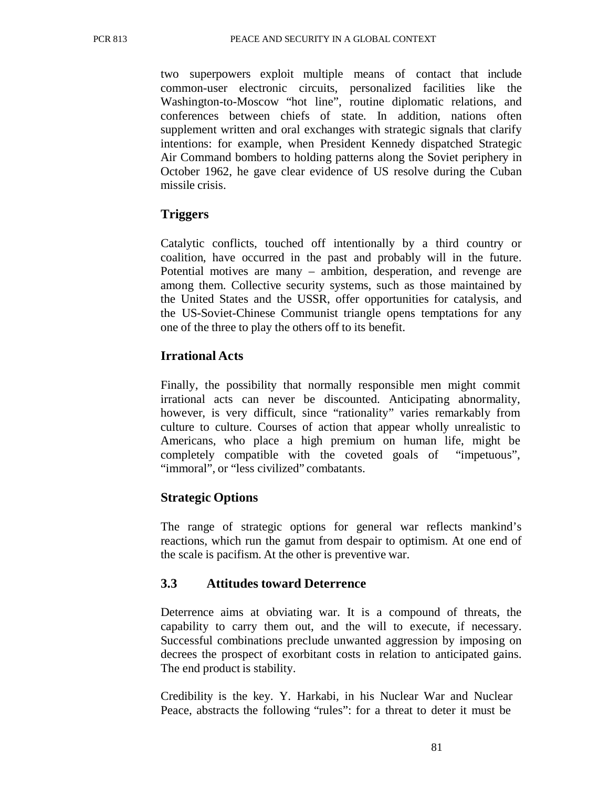two superpowers exploit multiple means of contact that include common-user electronic circuits, personalized facilities like the Washington-to-Moscow "hot line", routine diplomatic relations, and conferences between chiefs of state. In addition, nations often supplement written and oral exchanges with strategic signals that clarify intentions: for example, when President Kennedy dispatched Strategic Air Command bombers to holding patterns along the Soviet periphery in October 1962, he gave clear evidence of US resolve during the Cuban missile crisis.

### **Triggers**

Catalytic conflicts, touched off intentionally by a third country or coalition, have occurred in the past and probably will in the future. Potential motives are many – ambition, desperation, and revenge are among them. Collective security systems, such as those maintained by the United States and the USSR, offer opportunities for catalysis, and the US-Soviet-Chinese Communist triangle opens temptations for any one of the three to play the others off to its benefit.

## **Irrational Acts**

Finally, the possibility that normally responsible men might commit irrational acts can never be discounted. Anticipating abnormality, however, is very difficult, since "rationality" varies remarkably from culture to culture. Courses of action that appear wholly unrealistic to Americans, who place a high premium on human life, might be completely compatible with the coveted goals of "impetuous", "immoral", or "less civilized" combatants.

### **Strategic Options**

The range of strategic options for general war reflects mankind's reactions, which run the gamut from despair to optimism. At one end of the scale is pacifism. At the other is preventive war.

## **3.3 Attitudes toward Deterrence**

Deterrence aims at obviating war. It is a compound of threats, the capability to carry them out, and the will to execute, if necessary. Successful combinations preclude unwanted aggression by imposing on decrees the prospect of exorbitant costs in relation to anticipated gains. The end product is stability.

Credibility is the key. Y. Harkabi, in his Nuclear War and Nuclear Peace, abstracts the following "rules": for a threat to deter it must be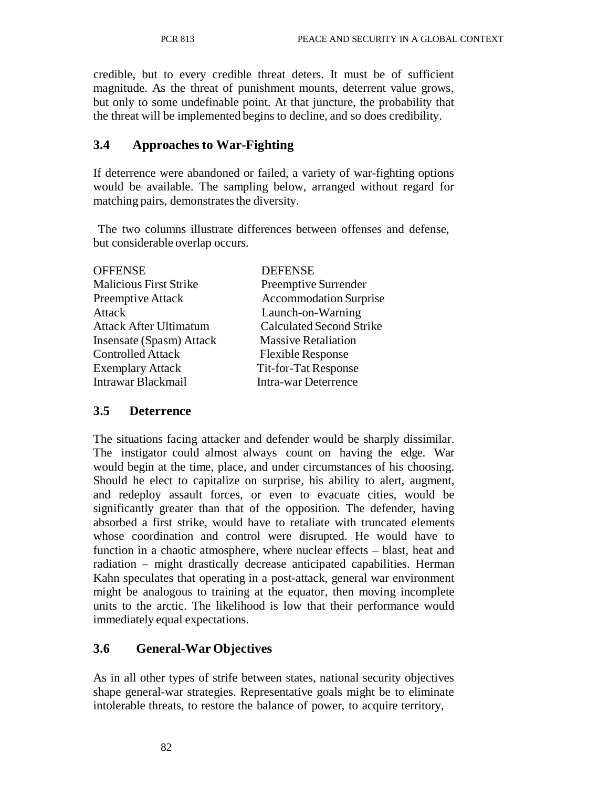credible, but to every credible threat deters. It must be of sufficient magnitude. As the threat of punishment mounts, deterrent value grows, but only to some undefinable point. At that juncture, the probability that the threat will be implemented begins to decline, and so does credibility.

## **3.4 Approaches to War-Fighting**

If deterrence were abandoned or failed, a variety of war-fighting options would be available. The sampling below, arranged without regard for matching pairs, demonstrates the diversity.

The two columns illustrate differences between offenses and defense, but considerable overlap occurs.

| <b>DEFENSE</b>                  |
|---------------------------------|
| Preemptive Surrender            |
| <b>Accommodation Surprise</b>   |
| Launch-on-Warning               |
| <b>Calculated Second Strike</b> |
| <b>Massive Retaliation</b>      |
| <b>Flexible Response</b>        |
| <b>Tit-for-Tat Response</b>     |
| <b>Intra-war Deterrence</b>     |
|                                 |

### **3.5 Deterrence**

The situations facing attacker and defender would be sharply dissimilar. The instigator could almost always count on having the edge. War would begin at the time, place, and under circumstances of his choosing. Should he elect to capitalize on surprise, his ability to alert, augment, and redeploy assault forces, or even to evacuate cities, would be significantly greater than that of the opposition. The defender, having absorbed a first strike, would have to retaliate with truncated elements whose coordination and control were disrupted. He would have to function in a chaotic atmosphere, where nuclear effects – blast, heat and radiation – might drastically decrease anticipated capabilities. Herman Kahn speculates that operating in a post-attack, general war environment might be analogous to training at the equator, then moving incomplete units to the arctic. The likelihood is low that their performance would immediately equal expectations.

## **3.6 General-War Objectives**

As in all other types of strife between states, national security objectives shape general-war strategies. Representative goals might be to eliminate intolerable threats, to restore the balance of power, to acquire territory,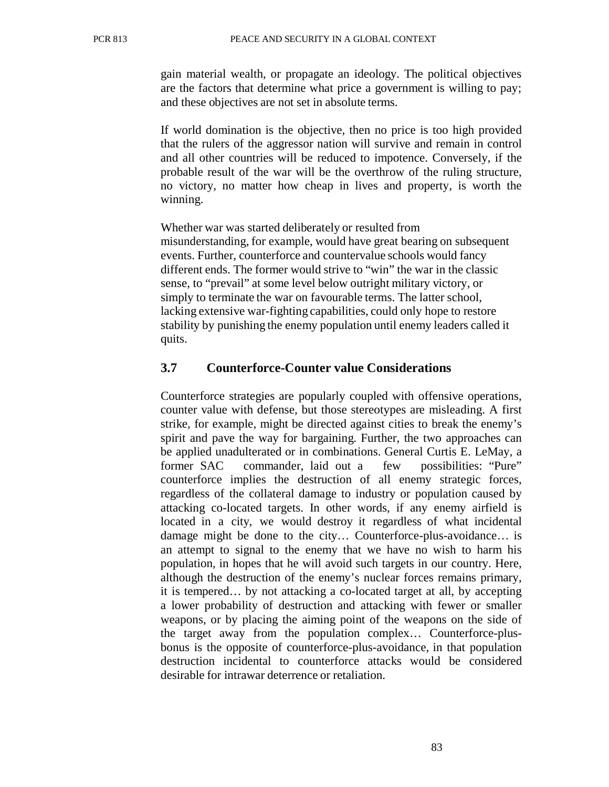gain material wealth, or propagate an ideology. The political objectives are the factors that determine what price a government is willing to pay; and these objectives are not set in absolute terms.

If world domination is the objective, then no price is too high provided that the rulers of the aggressor nation will survive and remain in control and all other countries will be reduced to impotence. Conversely, if the probable result of the war will be the overthrow of the ruling structure, no victory, no matter how cheap in lives and property, is worth the winning.

Whether war was started deliberately or resulted from misunderstanding, for example, would have great bearing on subsequent events. Further, counterforce and countervalue schools would fancy different ends. The former would strive to "win" the war in the classic sense, to "prevail" at some level below outright military victory, or simply to terminate the war on favourable terms. The latter school, lacking extensive war-fighting capabilities, could only hope to restore stability by punishing the enemy population until enemy leaders called it quits.

#### **3.7 Counterforce-Counter value Considerations**

Counterforce strategies are popularly coupled with offensive operations, counter value with defense, but those stereotypes are misleading. A first strike, for example, might be directed against cities to break the enemy's spirit and pave the way for bargaining. Further, the two approaches can be applied unadulterated or in combinations. General Curtis E. LeMay, a former SAC commander, laid out a few possibilities: "Pure" counterforce implies the destruction of all enemy strategic forces, regardless of the collateral damage to industry or population caused by attacking co-located targets. In other words, if any enemy airfield is located in a city, we would destroy it regardless of what incidental damage might be done to the city… Counterforce-plus-avoidance… is an attempt to signal to the enemy that we have no wish to harm his population, in hopes that he will avoid such targets in our country. Here, although the destruction of the enemy's nuclear forces remains primary, it is tempered… by not attacking a co-located target at all, by accepting a lower probability of destruction and attacking with fewer or smaller weapons, or by placing the aiming point of the weapons on the side of the target away from the population complex… Counterforce-plusbonus is the opposite of counterforce-plus-avoidance, in that population destruction incidental to counterforce attacks would be considered desirable for intrawar deterrence or retaliation.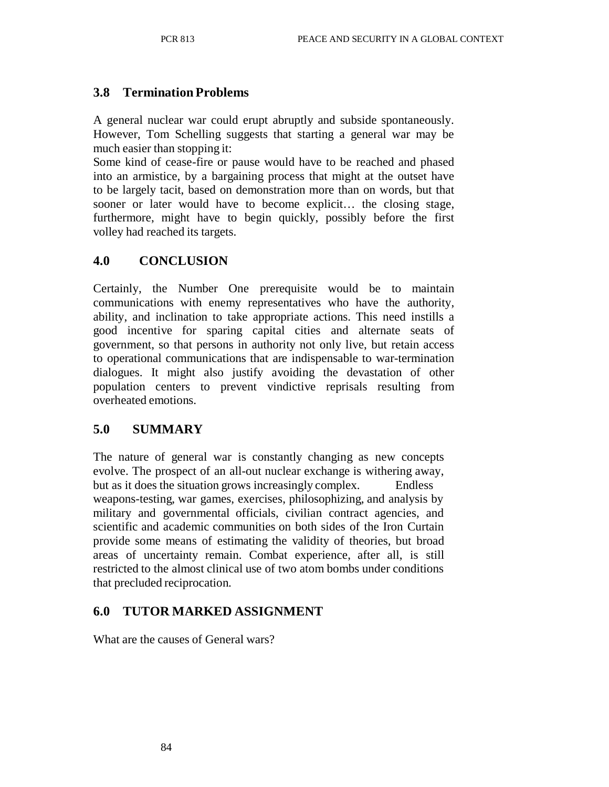#### **3.8 Termination Problems**

A general nuclear war could erupt abruptly and subside spontaneously. However, Tom Schelling suggests that starting a general war may be much easier than stopping it:

Some kind of cease-fire or pause would have to be reached and phased into an armistice, by a bargaining process that might at the outset have to be largely tacit, based on demonstration more than on words, but that sooner or later would have to become explicit… the closing stage, furthermore, might have to begin quickly, possibly before the first volley had reached its targets.

#### **4.0 CONCLUSION**

Certainly, the Number One prerequisite would be to maintain communications with enemy representatives who have the authority, ability, and inclination to take appropriate actions. This need instills a good incentive for sparing capital cities and alternate seats of government, so that persons in authority not only live, but retain access to operational communications that are indispensable to war-termination dialogues. It might also justify avoiding the devastation of other population centers to prevent vindictive reprisals resulting from overheated emotions.

#### **5.0 SUMMARY**

The nature of general war is constantly changing as new concepts evolve. The prospect of an all-out nuclear exchange is withering away, but as it does the situation grows increasingly complex. Endless weapons-testing, war games, exercises, philosophizing, and analysis by military and governmental officials, civilian contract agencies, and scientific and academic communities on both sides of the Iron Curtain provide some means of estimating the validity of theories, but broad areas of uncertainty remain. Combat experience, after all, is still restricted to the almost clinical use of two atom bombs under conditions that precluded reciprocation.

### **6.0 TUTOR MARKED ASSIGNMENT**

What are the causes of General wars?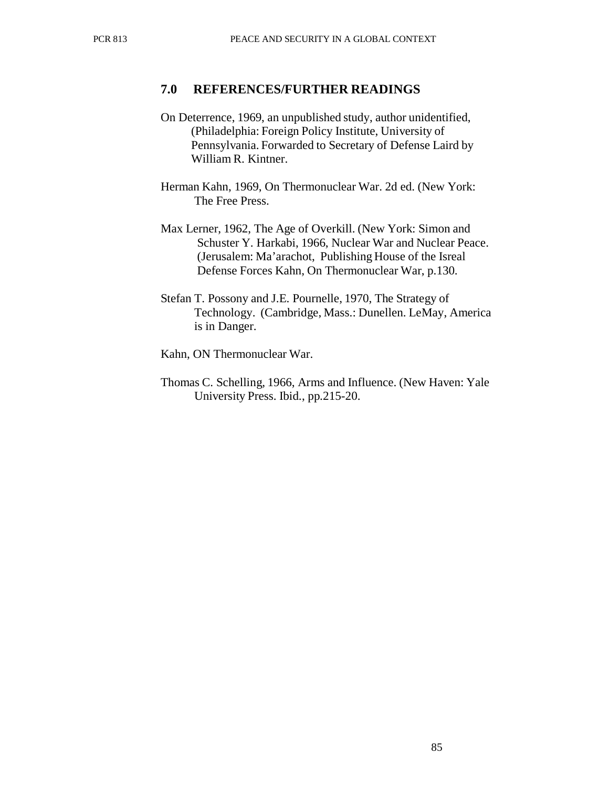#### **7.0 REFERENCES/FURTHER READINGS**

- On Deterrence, 1969, an unpublished study, author unidentified, (Philadelphia: Foreign Policy Institute, University of Pennsylvania. Forwarded to Secretary of Defense Laird by William R. Kintner.
- Herman Kahn, 1969, On Thermonuclear War. 2d ed. (New York: The Free Press.
- Max Lerner, 1962, The Age of Overkill. (New York: Simon and Schuster Y. Harkabi, 1966, Nuclear War and Nuclear Peace. (Jerusalem: Ma'arachot, Publishing House of the Isreal Defense Forces Kahn, On Thermonuclear War, p.130.
- Stefan T. Possony and J.E. Pournelle, 1970, The Strategy of Technology. (Cambridge, Mass.: Dunellen. LeMay, America is in Danger.
- Kahn, ON Thermonuclear War.
- Thomas C. Schelling, 1966, Arms and Influence. (New Haven: Yale University Press. Ibid., pp.215-20.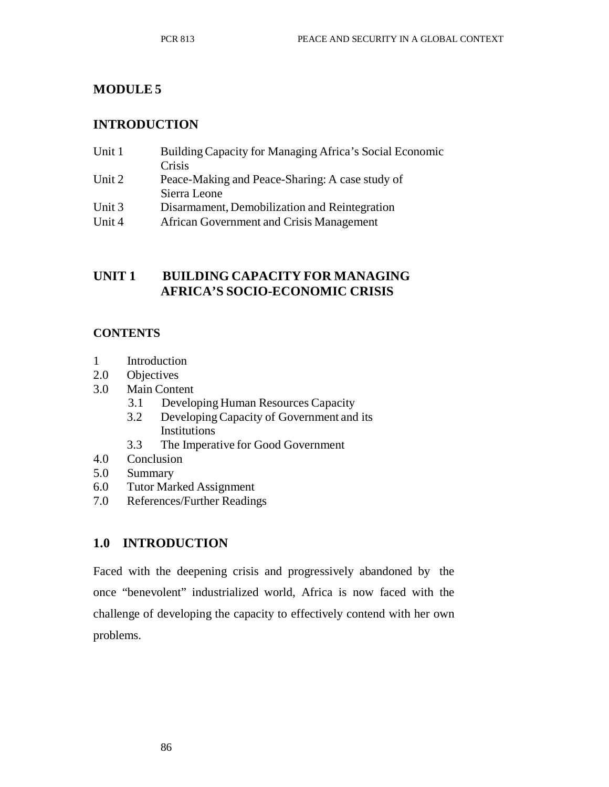# **MODULE 5**

# **INTRODUCTION**

| Unit 1   | Building Capacity for Managing Africa's Social Economic |
|----------|---------------------------------------------------------|
|          | Crisis                                                  |
| Unit 2   | Peace-Making and Peace-Sharing: A case study of         |
|          | Sierra Leone                                            |
| Unit $3$ | Disarmament, Demobilization and Reintegration           |
| Unit 4   | African Government and Crisis Management                |
|          |                                                         |

## **UNIT 1 BUILDING CAPACITY FOR MANAGING AFRICA'S SOCIO-ECONOMIC CRISIS**

## **CONTENTS**

- 1 Introduction
- 2.0 Objectives
- 3.0 Main Content
	- 3.1 Developing Human Resources Capacity
	- 3.2 Developing Capacity of Government and its Institutions
	- 3.3 The Imperative for Good Government
- 4.0 Conclusion
- 5.0 Summary
- 6.0 Tutor Marked Assignment
- 7.0 References/Further Readings

# **1.0 INTRODUCTION**

Faced with the deepening crisis and progressively abandoned by the once "benevolent" industrialized world, Africa is now faced with the challenge of developing the capacity to effectively contend with her own problems.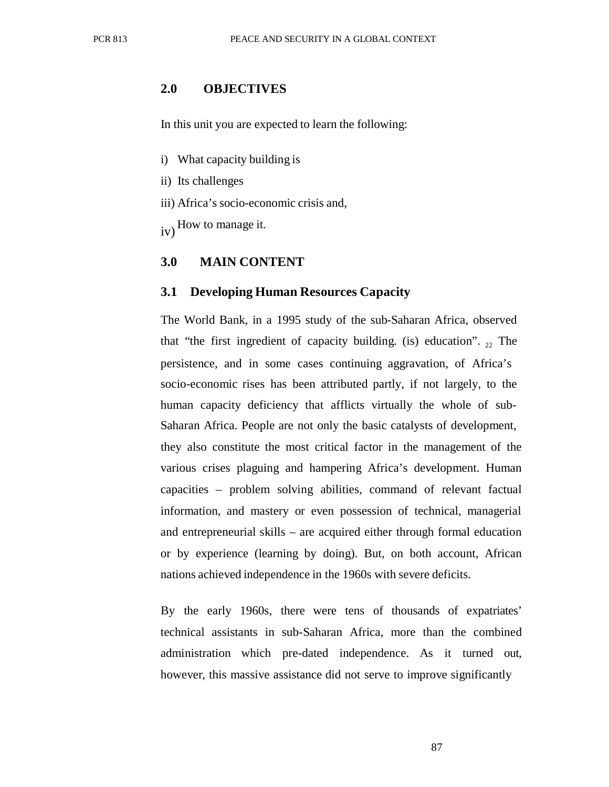### **2.0 OBJECTIVES**

In this unit you are expected to learn the following:

- i) What capacity building is
- ii) Its challenges
- iii) Africa's socio-economic crisis and,
- $iv)$  How to manage it.

#### **3.0 MAIN CONTENT**

#### **3.1 Developing Human Resources Capacity**

The World Bank, in a 1995 study of the sub-Saharan Africa, observed that "the first ingredient of capacity building. (is) education".  $_{22}$  The persistence, and in some cases continuing aggravation, of Africa's socio-economic rises has been attributed partly, if not largely, to the human capacity deficiency that afflicts virtually the whole of sub-Saharan Africa. People are not only the basic catalysts of development, they also constitute the most critical factor in the management of the various crises plaguing and hampering Africa's development. Human capacities – problem solving abilities, command of relevant factual information, and mastery or even possession of technical, managerial and entrepreneurial skills – are acquired either through formal education or by experience (learning by doing). But, on both account, African nations achieved independence in the 1960s with severe deficits.

By the early 1960s, there were tens of thousands of expatriates' technical assistants in sub-Saharan Africa, more than the combined administration which pre-dated independence. As it turned out, however, this massive assistance did not serve to improve significantly

87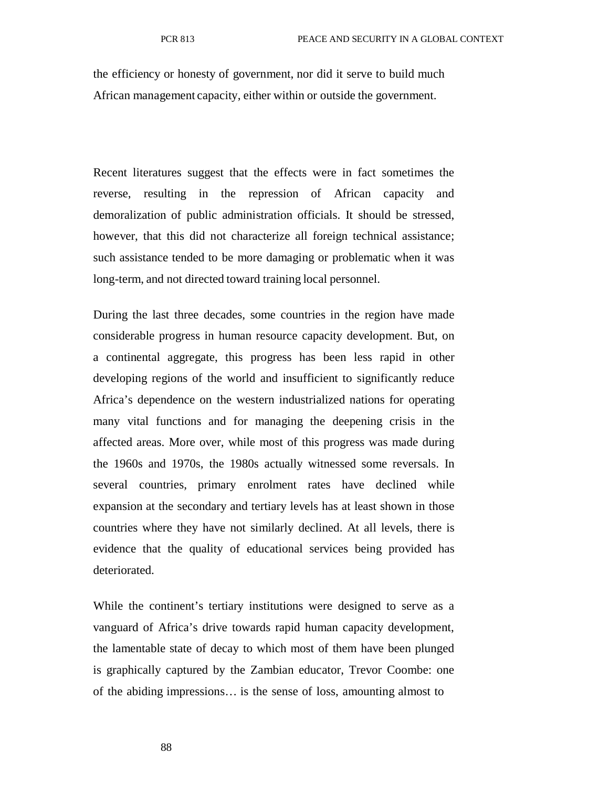the efficiency or honesty of government, nor did it serve to build much African management capacity, either within or outside the government.

Recent literatures suggest that the effects were in fact sometimes the reverse, resulting in the repression of African capacity and demoralization of public administration officials. It should be stressed, however, that this did not characterize all foreign technical assistance; such assistance tended to be more damaging or problematic when it was long-term, and not directed toward training local personnel.

During the last three decades, some countries in the region have made considerable progress in human resource capacity development. But, on a continental aggregate, this progress has been less rapid in other developing regions of the world and insufficient to significantly reduce Africa's dependence on the western industrialized nations for operating many vital functions and for managing the deepening crisis in the affected areas. More over, while most of this progress was made during the 1960s and 1970s, the 1980s actually witnessed some reversals. In several countries, primary enrolment rates have declined while expansion at the secondary and tertiary levels has at least shown in those countries where they have not similarly declined. At all levels, there is evidence that the quality of educational services being provided has deteriorated.

While the continent's tertiary institutions were designed to serve as a vanguard of Africa's drive towards rapid human capacity development, the lamentable state of decay to which most of them have been plunged is graphically captured by the Zambian educator, Trevor Coombe: one of the abiding impressions… is the sense of loss, amounting almost to

88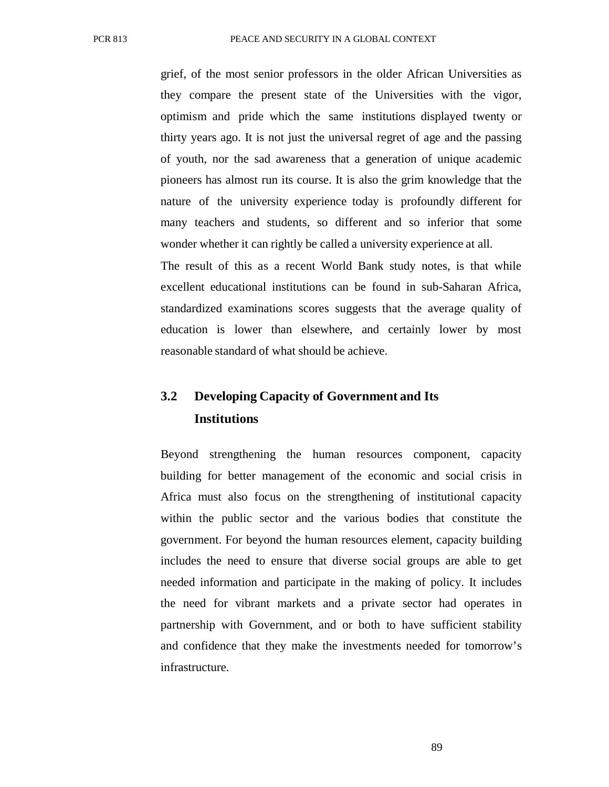grief, of the most senior professors in the older African Universities as they compare the present state of the Universities with the vigor, optimism and pride which the same institutions displayed twenty or thirty years ago. It is not just the universal regret of age and the passing of youth, nor the sad awareness that a generation of unique academic pioneers has almost run its course. It is also the grim knowledge that the nature of the university experience today is profoundly different for many teachers and students, so different and so inferior that some wonder whether it can rightly be called a university experience at all.

The result of this as a recent World Bank study notes, is that while excellent educational institutions can be found in sub-Saharan Africa, standardized examinations scores suggests that the average quality of education is lower than elsewhere, and certainly lower by most reasonable standard of what should be achieve.

# **3.2 Developing Capacity of Government and Its Institutions**

Beyond strengthening the human resources component, capacity building for better management of the economic and social crisis in Africa must also focus on the strengthening of institutional capacity within the public sector and the various bodies that constitute the government. For beyond the human resources element, capacity building includes the need to ensure that diverse social groups are able to get needed information and participate in the making of policy. It includes the need for vibrant markets and a private sector had operates in partnership with Government, and or both to have sufficient stability and confidence that they make the investments needed for tomorrow's infrastructure.

89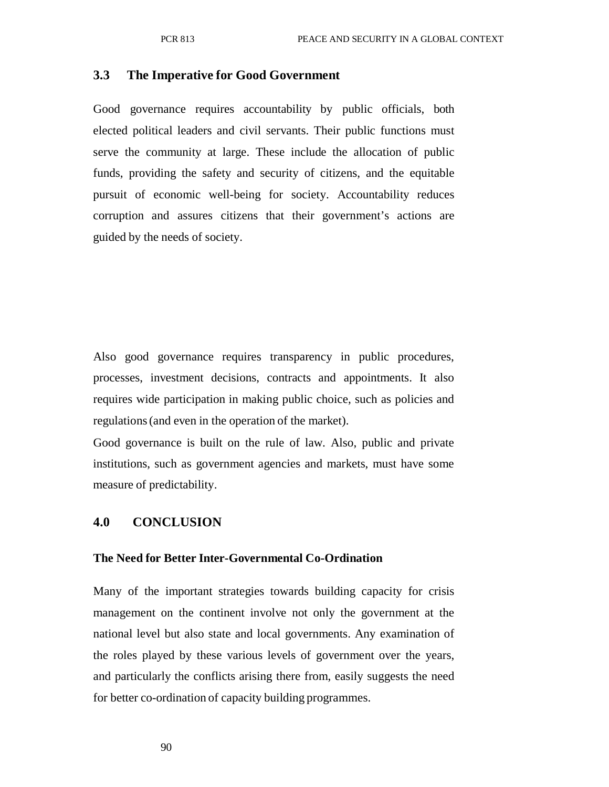#### **3.3 The Imperative for Good Government**

Good governance requires accountability by public officials, both elected political leaders and civil servants. Their public functions must serve the community at large. These include the allocation of public funds, providing the safety and security of citizens, and the equitable pursuit of economic well-being for society. Accountability reduces corruption and assures citizens that their government's actions are guided by the needs of society.

Also good governance requires transparency in public procedures, processes, investment decisions, contracts and appointments. It also requires wide participation in making public choice, such as policies and regulations (and even in the operation of the market).

Good governance is built on the rule of law. Also, public and private institutions, such as government agencies and markets, must have some measure of predictability.

#### **4.0 CONCLUSION**

#### **The Need for Better Inter-Governmental Co-Ordination**

Many of the important strategies towards building capacity for crisis management on the continent involve not only the government at the national level but also state and local governments. Any examination of the roles played by these various levels of government over the years, and particularly the conflicts arising there from, easily suggests the need for better co-ordination of capacity building programmes.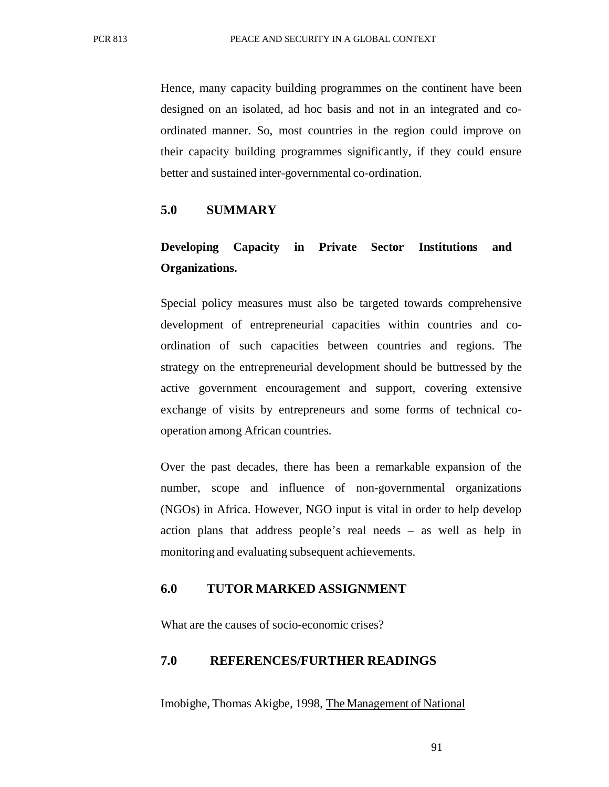Hence, many capacity building programmes on the continent have been designed on an isolated, ad hoc basis and not in an integrated and coordinated manner. So, most countries in the region could improve on their capacity building programmes significantly, if they could ensure better and sustained inter-governmental co-ordination.

#### **5.0 SUMMARY**

# **Developing Capacity in Private Sector Institutions and Organizations.**

Special policy measures must also be targeted towards comprehensive development of entrepreneurial capacities within countries and coordination of such capacities between countries and regions. The strategy on the entrepreneurial development should be buttressed by the active government encouragement and support, covering extensive exchange of visits by entrepreneurs and some forms of technical cooperation among African countries.

Over the past decades, there has been a remarkable expansion of the number, scope and influence of non-governmental organizations (NGOs) in Africa. However, NGO input is vital in order to help develop action plans that address people's real needs – as well as help in monitoring and evaluating subsequent achievements.

#### **6.0 TUTOR MARKED ASSIGNMENT**

What are the causes of socio-economic crises?

#### **7.0 REFERENCES/FURTHER READINGS**

Imobighe, Thomas Akigbe, 1998, The Management of National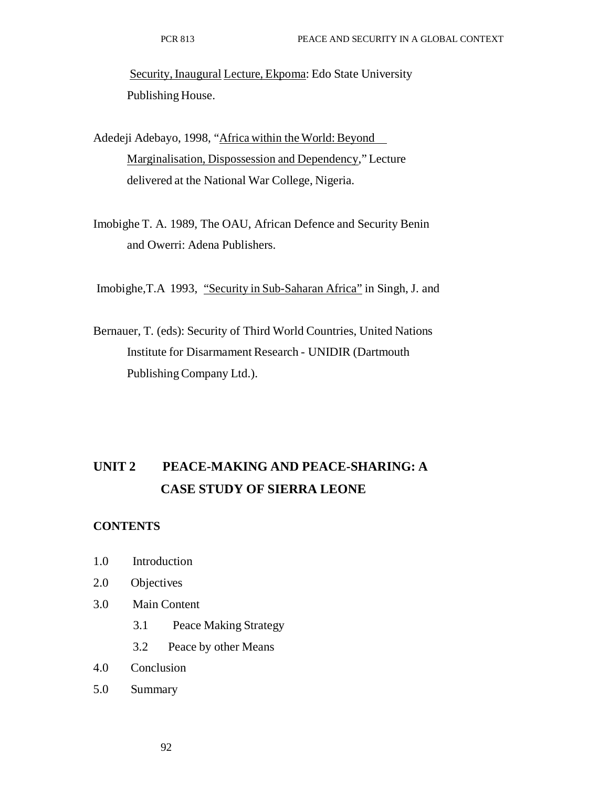Security, Inaugural Lecture, Ekpoma: Edo State University Publishing House.

Adedeji Adebayo, 1998, "Africa within the World: Beyond Marginalisation, Dispossession and Dependency," Lecture delivered at the National War College, Nigeria.

Imobighe T. A. 1989, The OAU, African Defence and Security Benin and Owerri: Adena Publishers.

Imobighe,T.A 1993, "Security in Sub-Saharan Africa" in Singh, J. and

Bernauer, T. (eds): Security of Third World Countries, United Nations Institute for Disarmament Research - UNIDIR (Dartmouth Publishing Company Ltd.).

# **UNIT 2 PEACE-MAKING AND PEACE-SHARING: A CASE STUDY OF SIERRA LEONE**

#### **CONTENTS**

- 1.0 Introduction
- 2.0 Objectives
- 3.0 Main Content
	- 3.1 Peace Making Strategy
	- 3.2 Peace by other Means
- 4.0 Conclusion
- 5.0 Summary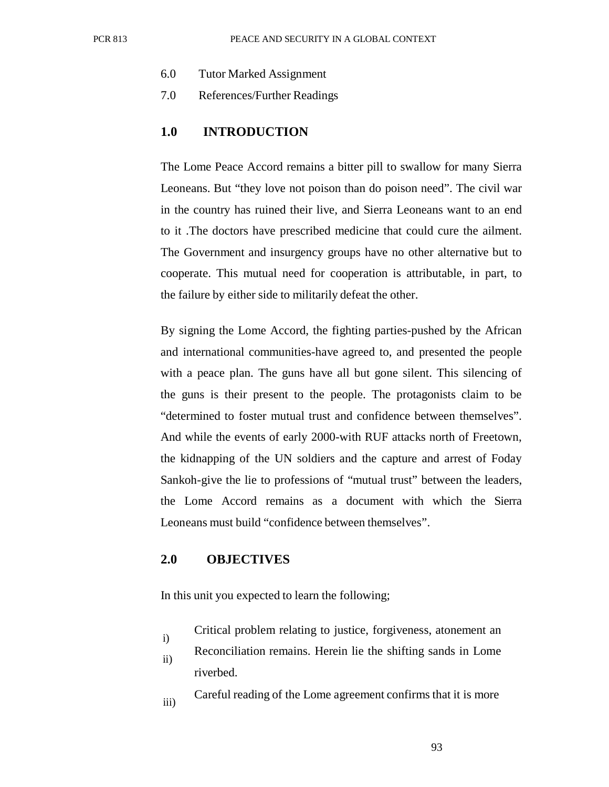- 6.0 Tutor Marked Assignment
- 7.0 References/Further Readings

# **1.0 INTRODUCTION**

The Lome Peace Accord remains a bitter pill to swallow for many Sierra Leoneans. But "they love not poison than do poison need". The civil war in the country has ruined their live, and Sierra Leoneans want to an end to it .The doctors have prescribed medicine that could cure the ailment. The Government and insurgency groups have no other alternative but to cooperate. This mutual need for cooperation is attributable, in part, to the failure by either side to militarily defeat the other.

By signing the Lome Accord, the fighting parties-pushed by the African and international communities-have agreed to, and presented the people with a peace plan. The guns have all but gone silent. This silencing of the guns is their present to the people. The protagonists claim to be "determined to foster mutual trust and confidence between themselves". And while the events of early 2000-with RUF attacks north of Freetown, the kidnapping of the UN soldiers and the capture and arrest of Foday Sankoh-give the lie to professions of "mutual trust" between the leaders, the Lome Accord remains as a document with which the Sierra Leoneans must build "confidence between themselves".

# **2.0 OBJECTIVES**

In this unit you expected to learn the following;

- i) Critical problem relating to justice, forgiveness, atonement an
- ii) Reconciliation remains. Herein lie the shifting sands in Lome riverbed.
- iii) Careful reading of the Lome agreement confirms that it is more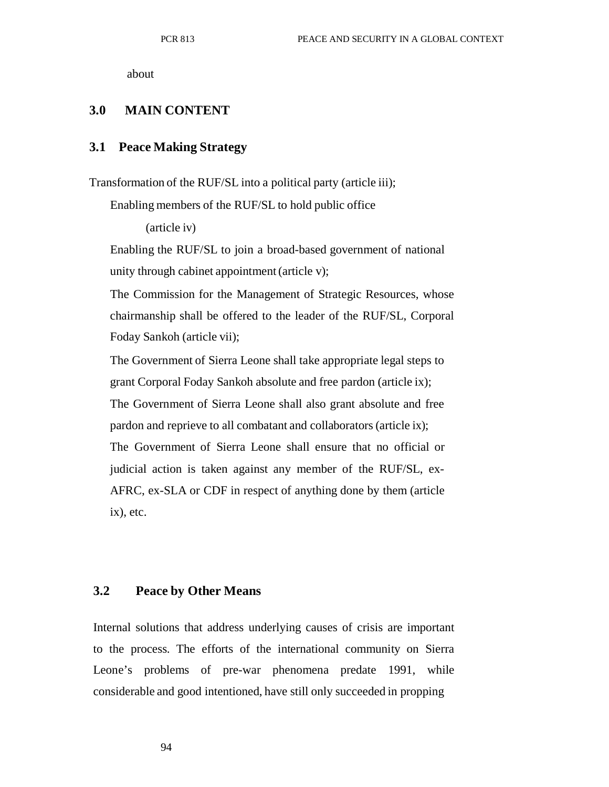about

# **3.0 MAIN CONTENT**

# **3.1 Peace Making Strategy**

Transformation of the RUF/SL into a political party (article iii);

Enabling members of the RUF/SL to hold public office

(article iv)

Enabling the RUF/SL to join a broad-based government of national unity through cabinet appointment (article v);

The Commission for the Management of Strategic Resources, whose chairmanship shall be offered to the leader of the RUF/SL, Corporal Foday Sankoh (article vii);

The Government of Sierra Leone shall take appropriate legal steps to grant Corporal Foday Sankoh absolute and free pardon (article ix); The Government of Sierra Leone shall also grant absolute and free pardon and reprieve to all combatant and collaborators (article ix); The Government of Sierra Leone shall ensure that no official or judicial action is taken against any member of the RUF/SL, ex-AFRC, ex-SLA or CDF in respect of anything done by them (article ix), etc.

#### **3.2 Peace by Other Means**

Internal solutions that address underlying causes of crisis are important to the process. The efforts of the international community on Sierra Leone's problems of pre-war phenomena predate 1991, while considerable and good intentioned, have still only succeeded in propping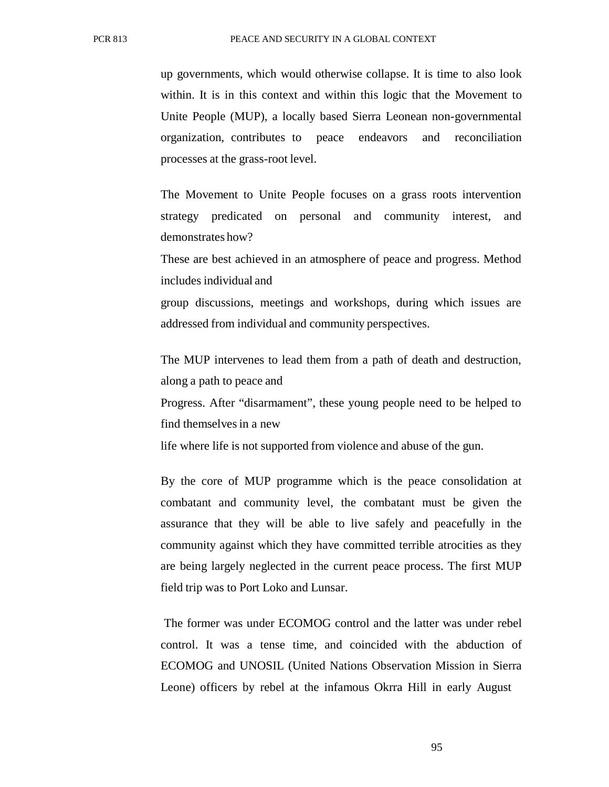up governments, which would otherwise collapse. It is time to also look within. It is in this context and within this logic that the Movement to Unite People (MUP), a locally based Sierra Leonean non-governmental organization, contributes to peace endeavors and reconciliation processes at the grass-root level.

The Movement to Unite People focuses on a grass roots intervention strategy predicated on personal and community interest, and demonstrates how?

These are best achieved in an atmosphere of peace and progress. Method includes individual and

group discussions, meetings and workshops, during which issues are addressed from individual and community perspectives.

The MUP intervenes to lead them from a path of death and destruction, along a path to peace and

Progress. After "disarmament", these young people need to be helped to find themselves in a new

life where life is not supported from violence and abuse of the gun.

By the core of MUP programme which is the peace consolidation at combatant and community level, the combatant must be given the assurance that they will be able to live safely and peacefully in the community against which they have committed terrible atrocities as they are being largely neglected in the current peace process. The first MUP field trip was to Port Loko and Lunsar.

The former was under ECOMOG control and the latter was under rebel control. It was a tense time, and coincided with the abduction of ECOMOG and UNOSIL (United Nations Observation Mission in Sierra Leone) officers by rebel at the infamous Okrra Hill in early August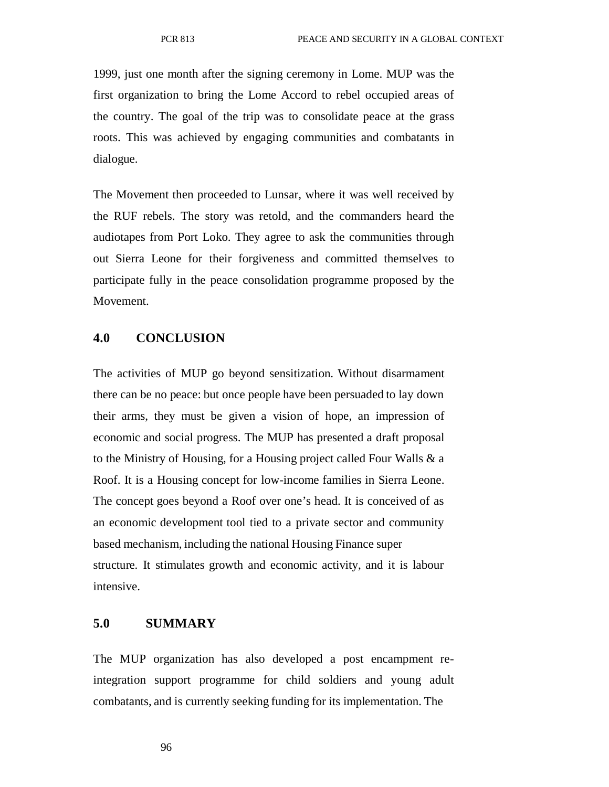1999, just one month after the signing ceremony in Lome. MUP was the first organization to bring the Lome Accord to rebel occupied areas of the country. The goal of the trip was to consolidate peace at the grass roots. This was achieved by engaging communities and combatants in dialogue.

The Movement then proceeded to Lunsar, where it was well received by the RUF rebels. The story was retold, and the commanders heard the audiotapes from Port Loko. They agree to ask the communities through out Sierra Leone for their forgiveness and committed themselves to participate fully in the peace consolidation programme proposed by the Movement.

# **4.0 CONCLUSION**

The activities of MUP go beyond sensitization. Without disarmament there can be no peace: but once people have been persuaded to lay down their arms, they must be given a vision of hope, an impression of economic and social progress. The MUP has presented a draft proposal to the Ministry of Housing, for a Housing project called Four Walls & a Roof. It is a Housing concept for low-income families in Sierra Leone. The concept goes beyond a Roof over one's head. It is conceived of as an economic development tool tied to a private sector and community based mechanism, including the national Housing Finance super structure. It stimulates growth and economic activity, and it is labour intensive.

# **5.0 SUMMARY**

The MUP organization has also developed a post encampment reintegration support programme for child soldiers and young adult combatants, and is currently seeking funding for its implementation. The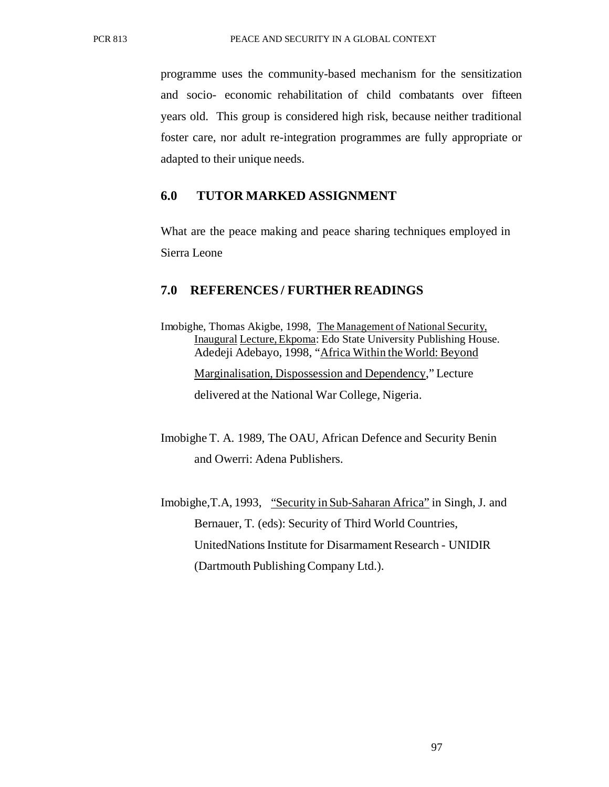programme uses the community-based mechanism for the sensitization and socio- economic rehabilitation of child combatants over fifteen years old. This group is considered high risk, because neither traditional foster care, nor adult re-integration programmes are fully appropriate or adapted to their unique needs.

# **6.0 TUTOR MARKED ASSIGNMENT**

What are the peace making and peace sharing techniques employed in Sierra Leone

# **7.0 REFERENCES / FURTHER READINGS**

Imobighe, Thomas Akigbe, 1998, The Management of National Security, Inaugural Lecture, Ekpoma: Edo State University Publishing House. Adedeji Adebayo, 1998, "Africa Within the World: Beyond Marginalisation, Dispossession and Dependency," Lecture delivered at the National War College, Nigeria.

Imobighe T. A. 1989, The OAU, African Defence and Security Benin and Owerri: Adena Publishers.

Imobighe,T.A, 1993, "Security in Sub-Saharan Africa" in Singh, J. and Bernauer, T. (eds): Security of Third World Countries, UnitedNations Institute for Disarmament Research - UNIDIR (Dartmouth Publishing Company Ltd.).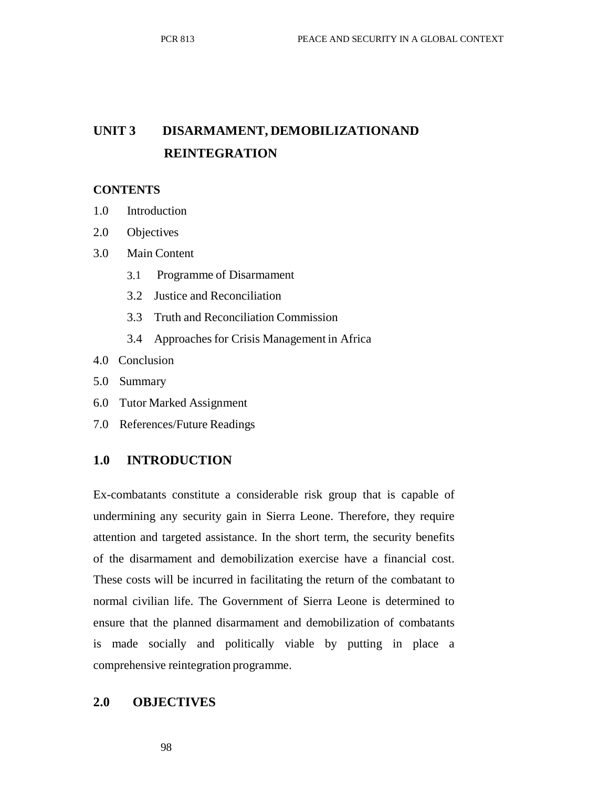# **UNIT 3 DISARMAMENT, DEMOBILIZATIONAND REINTEGRATION**

#### **CONTENTS**

- 1.0 Introduction
- 2.0 Objectives
- 3.0 Main Content
	- 3.1 Programme of Disarmament
	- 3.2 Justice and Reconciliation
	- 3.3 Truth and Reconciliation Commission
	- 3.4 Approaches for Crisis Management in Africa
- 4.0 Conclusion
- 5.0 Summary
- 6.0 Tutor Marked Assignment
- 7.0 References/Future Readings

# **1.0 INTRODUCTION**

Ex-combatants constitute a considerable risk group that is capable of undermining any security gain in Sierra Leone. Therefore, they require attention and targeted assistance. In the short term, the security benefits of the disarmament and demobilization exercise have a financial cost. These costs will be incurred in facilitating the return of the combatant to normal civilian life. The Government of Sierra Leone is determined to ensure that the planned disarmament and demobilization of combatants is made socially and politically viable by putting in place a comprehensive reintegration programme.

# **2.0 OBJECTIVES**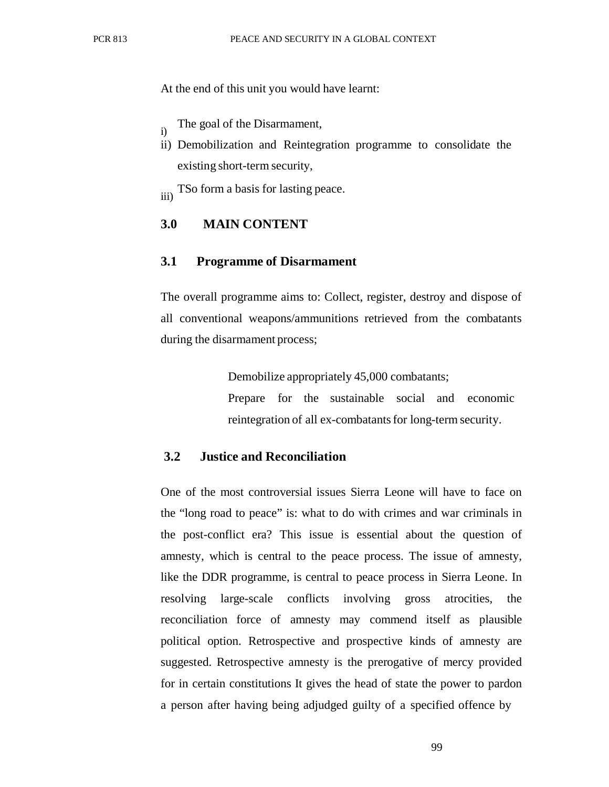At the end of this unit you would have learnt:

- $i)$  The goal of the Disarmament,
- ii) Demobilization and Reintegration programme to consolidate the existing short-term security,
- $T$ So form a basis for lasting peace.

# **3.0 MAIN CONTENT**

### **3.1 Programme of Disarmament**

The overall programme aims to: Collect, register, destroy and dispose of all conventional weapons/ammunitions retrieved from the combatants during the disarmament process;

Demobilize appropriately 45,000 combatants;

Prepare for the sustainable social and economic reintegration of all ex-combatants for long-term security.

# **3.2 Justice and Reconciliation**

One of the most controversial issues Sierra Leone will have to face on the "long road to peace" is: what to do with crimes and war criminals in the post-conflict era? This issue is essential about the question of amnesty, which is central to the peace process. The issue of amnesty, like the DDR programme, is central to peace process in Sierra Leone. In resolving large-scale conflicts involving gross atrocities, the reconciliation force of amnesty may commend itself as plausible political option. Retrospective and prospective kinds of amnesty are suggested. Retrospective amnesty is the prerogative of mercy provided for in certain constitutions It gives the head of state the power to pardon a person after having being adjudged guilty of a specified offence by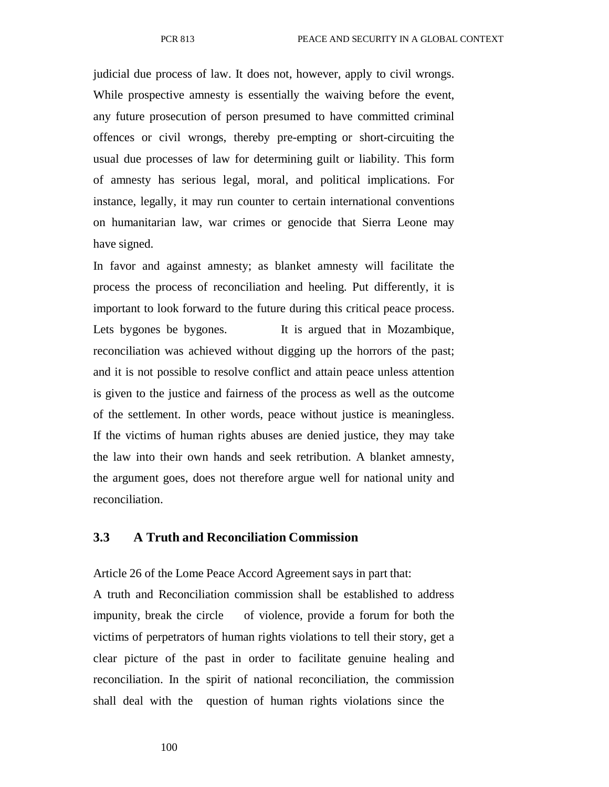judicial due process of law. It does not, however, apply to civil wrongs. While prospective amnesty is essentially the waiving before the event, any future prosecution of person presumed to have committed criminal offences or civil wrongs, thereby pre-empting or short-circuiting the usual due processes of law for determining guilt or liability. This form of amnesty has serious legal, moral, and political implications. For instance, legally, it may run counter to certain international conventions on humanitarian law, war crimes or genocide that Sierra Leone may have signed.

In favor and against amnesty; as blanket amnesty will facilitate the process the process of reconciliation and heeling. Put differently, it is important to look forward to the future during this critical peace process. Lets bygones be bygones. It is argued that in Mozambique, reconciliation was achieved without digging up the horrors of the past; and it is not possible to resolve conflict and attain peace unless attention is given to the justice and fairness of the process as well as the outcome of the settlement. In other words, peace without justice is meaningless. If the victims of human rights abuses are denied justice, they may take the law into their own hands and seek retribution. A blanket amnesty, the argument goes, does not therefore argue well for national unity and reconciliation.

# **3.3 A Truth and Reconciliation Commission**

Article 26 of the Lome Peace Accord Agreement says in part that:

A truth and Reconciliation commission shall be established to address impunity, break the circle of violence, provide a forum for both the victims of perpetrators of human rights violations to tell their story, get a clear picture of the past in order to facilitate genuine healing and reconciliation. In the spirit of national reconciliation, the commission shall deal with the question of human rights violations since the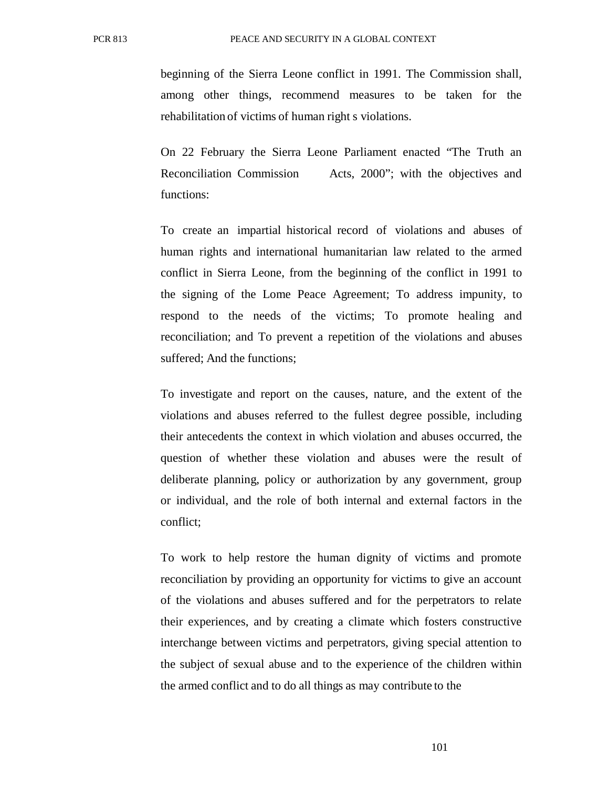beginning of the Sierra Leone conflict in 1991. The Commission shall, among other things, recommend measures to be taken for the rehabilitation of victims of human right s violations.

On 22 February the Sierra Leone Parliament enacted "The Truth an Reconciliation Commission Acts, 2000"; with the objectives and functions:

To create an impartial historical record of violations and abuses of human rights and international humanitarian law related to the armed conflict in Sierra Leone, from the beginning of the conflict in 1991 to the signing of the Lome Peace Agreement; To address impunity, to respond to the needs of the victims; To promote healing and reconciliation; and To prevent a repetition of the violations and abuses suffered; And the functions;

To investigate and report on the causes, nature, and the extent of the violations and abuses referred to the fullest degree possible, including their antecedents the context in which violation and abuses occurred, the question of whether these violation and abuses were the result of deliberate planning, policy or authorization by any government, group or individual, and the role of both internal and external factors in the conflict;

To work to help restore the human dignity of victims and promote reconciliation by providing an opportunity for victims to give an account of the violations and abuses suffered and for the perpetrators to relate their experiences, and by creating a climate which fosters constructive interchange between victims and perpetrators, giving special attention to the subject of sexual abuse and to the experience of the children within the armed conflict and to do all things as may contribute to the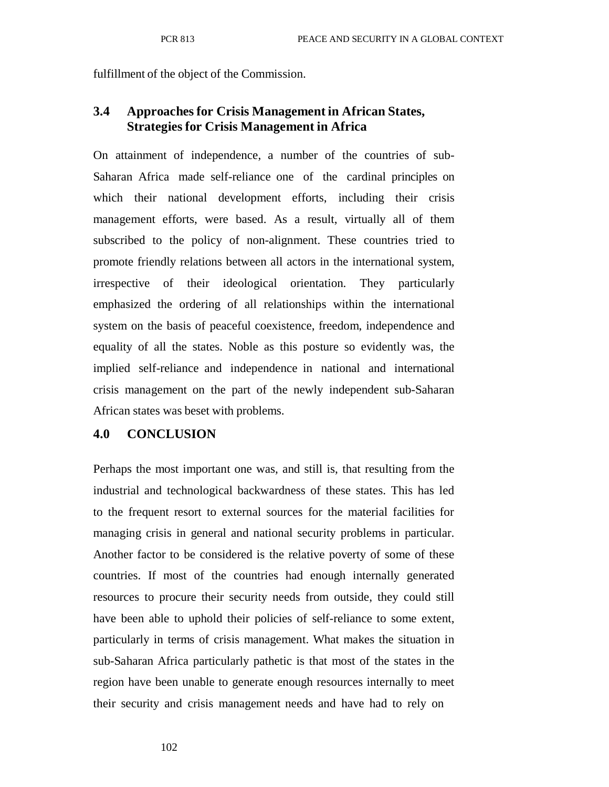fulfillment of the object of the Commission.

# **3.4 Approaches for Crisis Management in African States, Strategies for Crisis Management in Africa**

On attainment of independence, a number of the countries of sub-Saharan Africa made self-reliance one of the cardinal principles on which their national development efforts, including their crisis management efforts, were based. As a result, virtually all of them subscribed to the policy of non-alignment. These countries tried to promote friendly relations between all actors in the international system, irrespective of their ideological orientation. They particularly emphasized the ordering of all relationships within the international system on the basis of peaceful coexistence, freedom, independence and equality of all the states. Noble as this posture so evidently was, the implied self-reliance and independence in national and international crisis management on the part of the newly independent sub-Saharan African states was beset with problems.

# **4.0 CONCLUSION**

Perhaps the most important one was, and still is, that resulting from the industrial and technological backwardness of these states. This has led to the frequent resort to external sources for the material facilities for managing crisis in general and national security problems in particular. Another factor to be considered is the relative poverty of some of these countries. If most of the countries had enough internally generated resources to procure their security needs from outside, they could still have been able to uphold their policies of self-reliance to some extent, particularly in terms of crisis management. What makes the situation in sub-Saharan Africa particularly pathetic is that most of the states in the region have been unable to generate enough resources internally to meet their security and crisis management needs and have had to rely on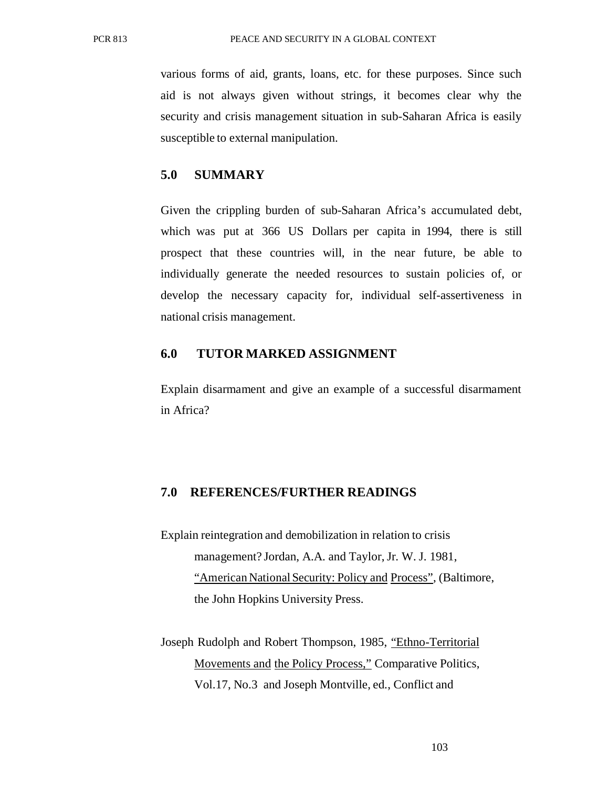various forms of aid, grants, loans, etc. for these purposes. Since such aid is not always given without strings, it becomes clear why the security and crisis management situation in sub-Saharan Africa is easily susceptible to external manipulation.

### **5.0 SUMMARY**

Given the crippling burden of sub-Saharan Africa's accumulated debt, which was put at 366 US Dollars per capita in 1994, there is still prospect that these countries will, in the near future, be able to individually generate the needed resources to sustain policies of, or develop the necessary capacity for, individual self-assertiveness in national crisis management.

# **6.0 TUTOR MARKED ASSIGNMENT**

Explain disarmament and give an example of a successful disarmament in Africa?

### **7.0 REFERENCES/FURTHER READINGS**

- Explain reintegration and demobilization in relation to crisis management? Jordan, A.A. and Taylor, Jr. W. J. 1981, "American National Security: Policy and Process", (Baltimore, the John Hopkins University Press.
- Joseph Rudolph and Robert Thompson, 1985, "Ethno-Territorial Movements and the Policy Process," Comparative Politics, Vol.17, No.3 and Joseph Montville, ed., Conflict and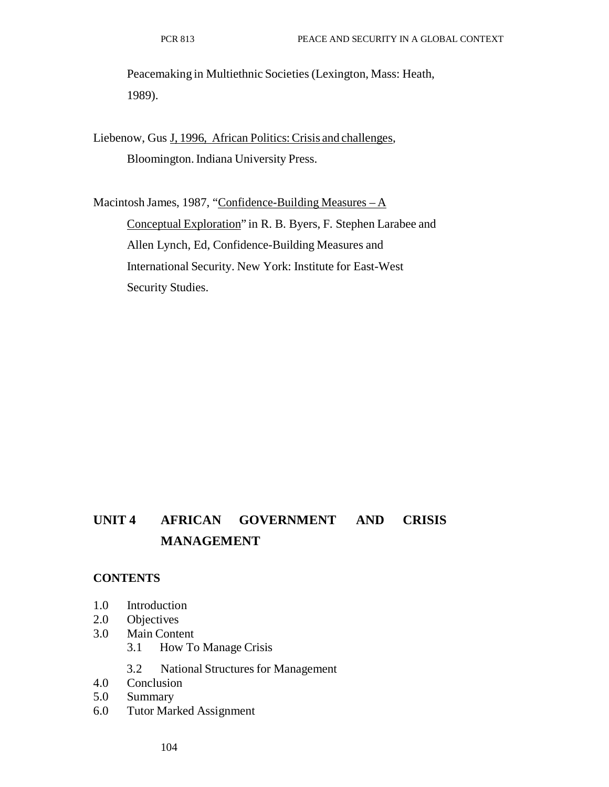Peacemaking in Multiethnic Societies (Lexington, Mass: Heath, 1989).

Liebenow, Gus J, 1996, African Politics: Crisis and challenges, Bloomington. Indiana University Press.

Macintosh James, 1987, "Confidence-Building Measures – A Conceptual Exploration" in R. B. Byers, F. Stephen Larabee and Allen Lynch, Ed, Confidence-Building Measures and International Security. New York: Institute for East-West Security Studies.

# **UNIT 4 AFRICAN GOVERNMENT AND CRISIS MANAGEMENT**

# **CONTENTS**

- 1.0 Introduction
- 2.0 Objectives
- 3.0 Main Content
	- 3.1 How To Manage Crisis
	- 3.2 National Structures for Management
- 4.0 Conclusion
- 5.0 Summary
- 6.0 Tutor Marked Assignment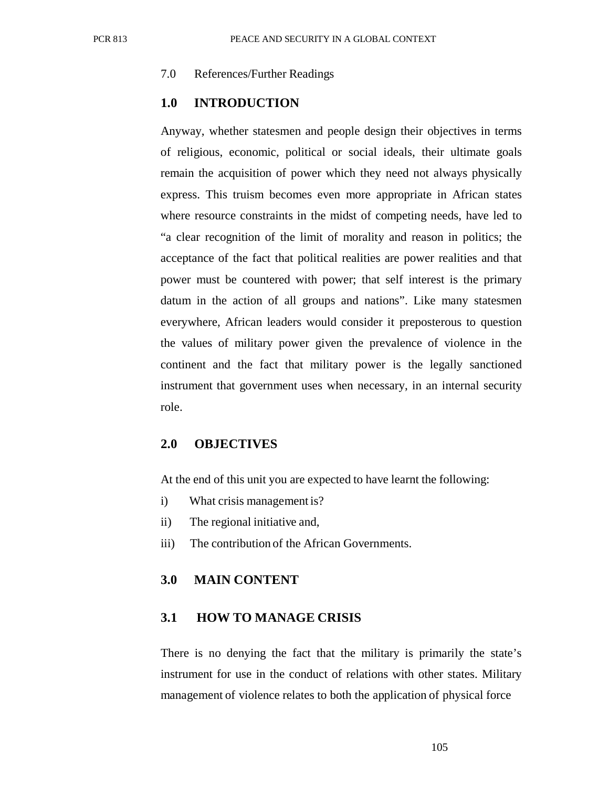#### 7.0 References/Further Readings

# **1.0 INTRODUCTION**

Anyway, whether statesmen and people design their objectives in terms of religious, economic, political or social ideals, their ultimate goals remain the acquisition of power which they need not always physically express. This truism becomes even more appropriate in African states where resource constraints in the midst of competing needs, have led to "a clear recognition of the limit of morality and reason in politics; the acceptance of the fact that political realities are power realities and that power must be countered with power; that self interest is the primary datum in the action of all groups and nations". Like many statesmen everywhere, African leaders would consider it preposterous to question the values of military power given the prevalence of violence in the continent and the fact that military power is the legally sanctioned instrument that government uses when necessary, in an internal security role.

## **2.0 OBJECTIVES**

At the end of this unit you are expected to have learnt the following:

- i) What crisis management is?
- ii) The regional initiative and,
- iii) The contribution of the African Governments.

# **3.0 MAIN CONTENT**

# **3.1 HOW TO MANAGE CRISIS**

There is no denying the fact that the military is primarily the state's instrument for use in the conduct of relations with other states. Military management of violence relates to both the application of physical force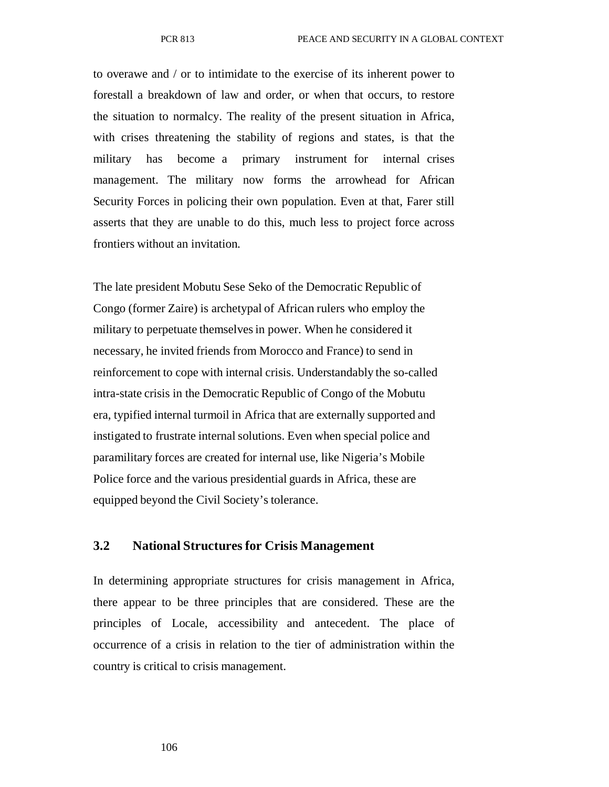to overawe and / or to intimidate to the exercise of its inherent power to forestall a breakdown of law and order, or when that occurs, to restore the situation to normalcy. The reality of the present situation in Africa, with crises threatening the stability of regions and states, is that the military has become a primary instrument for internal crises management. The military now forms the arrowhead for African Security Forces in policing their own population. Even at that, Farer still asserts that they are unable to do this, much less to project force across frontiers without an invitation.

The late president Mobutu Sese Seko of the Democratic Republic of Congo (former Zaire) is archetypal of African rulers who employ the military to perpetuate themselves in power. When he considered it necessary, he invited friends from Morocco and France) to send in reinforcement to cope with internal crisis. Understandably the so-called intra-state crisis in the Democratic Republic of Congo of the Mobutu era, typified internal turmoil in Africa that are externally supported and instigated to frustrate internal solutions. Even when special police and paramilitary forces are created for internal use, like Nigeria's Mobile Police force and the various presidential guards in Africa, these are equipped beyond the Civil Society's tolerance.

# **3.2 National Structures for Crisis Management**

In determining appropriate structures for crisis management in Africa, there appear to be three principles that are considered. These are the principles of Locale, accessibility and antecedent. The place of occurrence of a crisis in relation to the tier of administration within the country is critical to crisis management.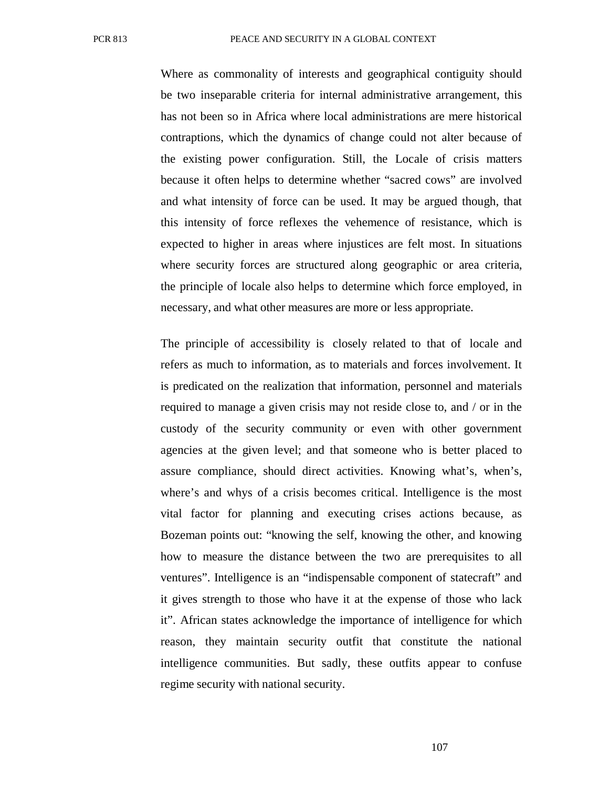Where as commonality of interests and geographical contiguity should be two inseparable criteria for internal administrative arrangement, this has not been so in Africa where local administrations are mere historical contraptions, which the dynamics of change could not alter because of the existing power configuration. Still, the Locale of crisis matters because it often helps to determine whether "sacred cows" are involved and what intensity of force can be used. It may be argued though, that this intensity of force reflexes the vehemence of resistance, which is expected to higher in areas where injustices are felt most. In situations where security forces are structured along geographic or area criteria, the principle of locale also helps to determine which force employed, in necessary, and what other measures are more or less appropriate.

The principle of accessibility is closely related to that of locale and refers as much to information, as to materials and forces involvement. It is predicated on the realization that information, personnel and materials required to manage a given crisis may not reside close to, and / or in the custody of the security community or even with other government agencies at the given level; and that someone who is better placed to assure compliance, should direct activities. Knowing what's, when's, where's and whys of a crisis becomes critical. Intelligence is the most vital factor for planning and executing crises actions because, as Bozeman points out: "knowing the self, knowing the other, and knowing how to measure the distance between the two are prerequisites to all ventures". Intelligence is an "indispensable component of statecraft" and it gives strength to those who have it at the expense of those who lack it". African states acknowledge the importance of intelligence for which reason, they maintain security outfit that constitute the national intelligence communities. But sadly, these outfits appear to confuse regime security with national security.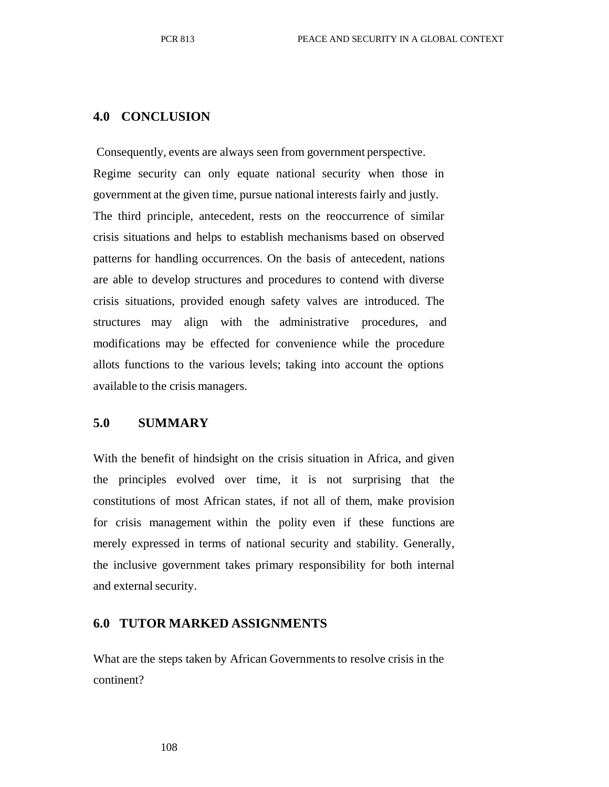#### **4.0 CONCLUSION**

Consequently, events are always seen from government perspective. Regime security can only equate national security when those in government at the given time, pursue national interests fairly and justly. The third principle, antecedent, rests on the reoccurrence of similar crisis situations and helps to establish mechanisms based on observed patterns for handling occurrences. On the basis of antecedent, nations are able to develop structures and procedures to contend with diverse crisis situations, provided enough safety valves are introduced. The structures may align with the administrative procedures, and modifications may be effected for convenience while the procedure allots functions to the various levels; taking into account the options available to the crisis managers.

# **5.0 SUMMARY**

With the benefit of hindsight on the crisis situation in Africa, and given the principles evolved over time, it is not surprising that the constitutions of most African states, if not all of them, make provision for crisis management within the polity even if these functions are merely expressed in terms of national security and stability. Generally, the inclusive government takes primary responsibility for both internal and external security.

#### **6.0 TUTOR MARKED ASSIGNMENTS**

What are the steps taken by African Governments to resolve crisis in the continent?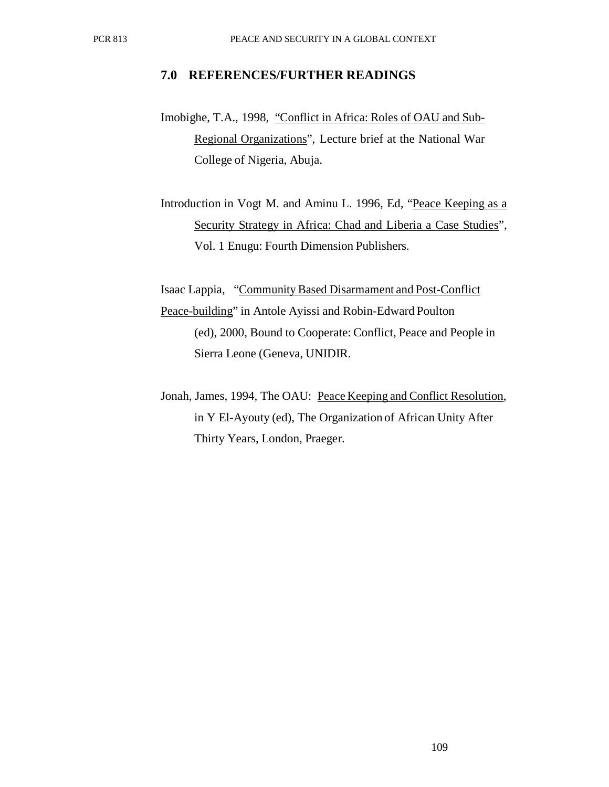### **7.0 REFERENCES/FURTHER READINGS**

- Imobighe, T.A., 1998, "Conflict in Africa: Roles of OAU and Sub-Regional Organizations", Lecture brief at the National War College of Nigeria, Abuja.
- Introduction in Vogt M. and Aminu L. 1996, Ed, "Peace Keeping as a Security Strategy in Africa: Chad and Liberia a Case Studies", Vol. 1 Enugu: Fourth Dimension Publishers.

Isaac Lappia, "Community Based Disarmament and Post-Conflict Peace-building" in Antole Ayissi and Robin-Edward Poulton (ed), 2000, Bound to Cooperate: Conflict, Peace and People in Sierra Leone (Geneva, UNIDIR.

Jonah, James, 1994, The OAU: Peace Keeping and Conflict Resolution, in Y El-Ayouty (ed), The Organization of African Unity After Thirty Years, London, Praeger.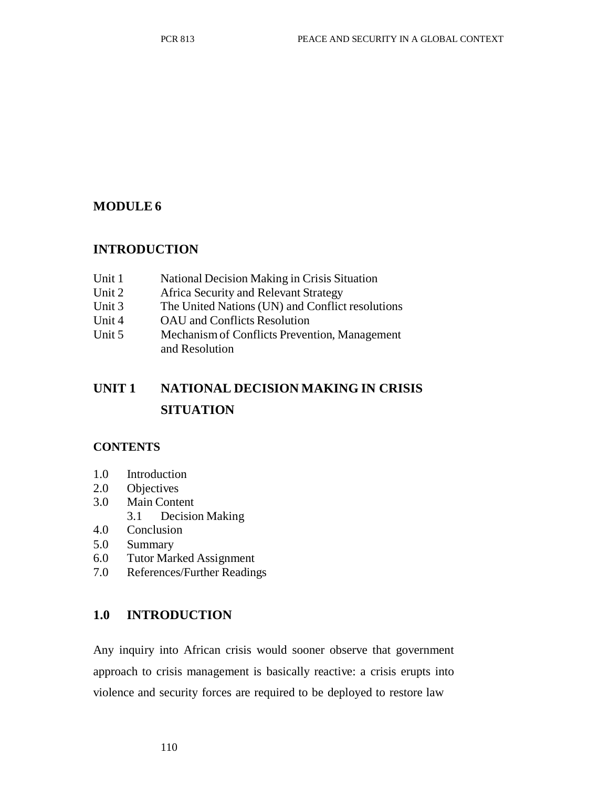# **MODULE 6**

# **INTRODUCTION**

- Unit 1 National Decision Making in Crisis Situation
- Unit 2 Africa Security and Relevant Strategy
- Unit 3 The United Nations (UN) and Conflict resolutions
- Unit 4 OAU and Conflicts Resolution
- Unit 5 Mechanism of Conflicts Prevention, Management and Resolution

# **UNIT 1 NATIONAL DECISION MAKING IN CRISIS SITUATION**

# **CONTENTS**

- 1.0 Introduction
- 2.0 Objectives
- 3.0 Main Content
	- 3.1 Decision Making
- 4.0 Conclusion
- 5.0 Summary
- 6.0 Tutor Marked Assignment
- 7.0 References/Further Readings

# **1.0 INTRODUCTION**

Any inquiry into African crisis would sooner observe that government approach to crisis management is basically reactive: a crisis erupts into violence and security forces are required to be deployed to restore law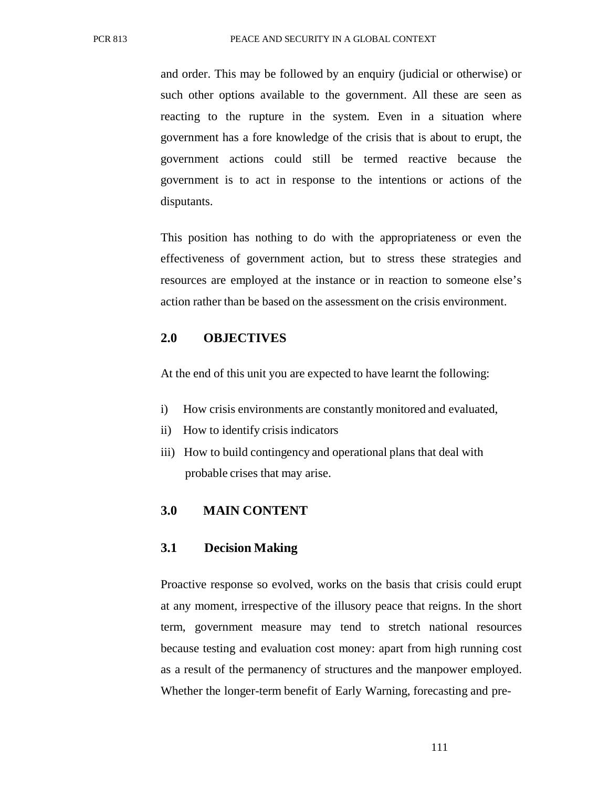and order. This may be followed by an enquiry (judicial or otherwise) or such other options available to the government. All these are seen as reacting to the rupture in the system. Even in a situation where government has a fore knowledge of the crisis that is about to erupt, the government actions could still be termed reactive because the government is to act in response to the intentions or actions of the disputants.

This position has nothing to do with the appropriateness or even the effectiveness of government action, but to stress these strategies and resources are employed at the instance or in reaction to someone else's action rather than be based on the assessment on the crisis environment.

### **2.0 OBJECTIVES**

At the end of this unit you are expected to have learnt the following:

- i) How crisis environments are constantly monitored and evaluated,
- ii) How to identify crisis indicators
- iii) How to build contingency and operational plans that deal with probable crises that may arise.

# **3.0 MAIN CONTENT**

#### **3.1 Decision Making**

Proactive response so evolved, works on the basis that crisis could erupt at any moment, irrespective of the illusory peace that reigns. In the short term, government measure may tend to stretch national resources because testing and evaluation cost money: apart from high running cost as a result of the permanency of structures and the manpower employed. Whether the longer-term benefit of Early Warning, forecasting and pre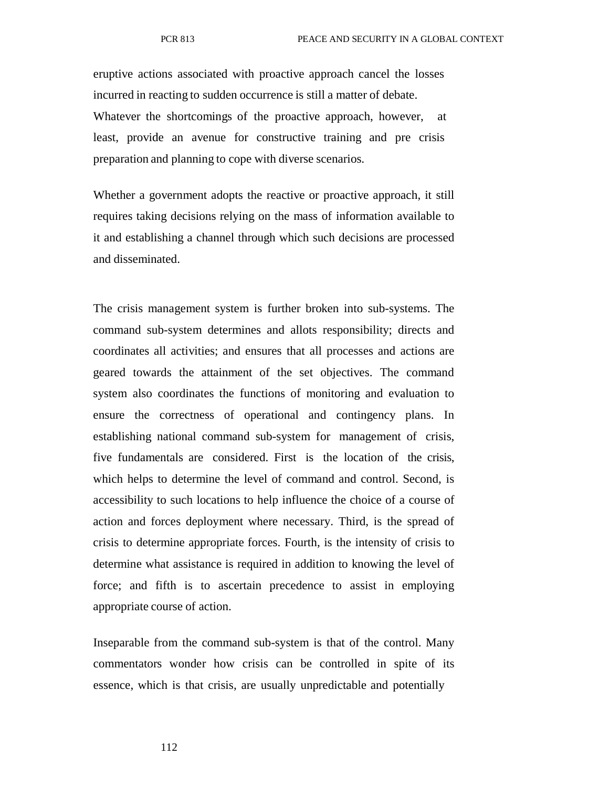eruptive actions associated with proactive approach cancel the losses incurred in reacting to sudden occurrence is still a matter of debate. Whatever the shortcomings of the proactive approach, however, at least, provide an avenue for constructive training and pre crisis preparation and planning to cope with diverse scenarios.

Whether a government adopts the reactive or proactive approach, it still requires taking decisions relying on the mass of information available to it and establishing a channel through which such decisions are processed and disseminated.

The crisis management system is further broken into sub-systems. The command sub-system determines and allots responsibility; directs and coordinates all activities; and ensures that all processes and actions are geared towards the attainment of the set objectives. The command system also coordinates the functions of monitoring and evaluation to ensure the correctness of operational and contingency plans. In establishing national command sub-system for management of crisis, five fundamentals are considered. First is the location of the crisis, which helps to determine the level of command and control. Second, is accessibility to such locations to help influence the choice of a course of action and forces deployment where necessary. Third, is the spread of crisis to determine appropriate forces. Fourth, is the intensity of crisis to determine what assistance is required in addition to knowing the level of force; and fifth is to ascertain precedence to assist in employing appropriate course of action.

Inseparable from the command sub-system is that of the control. Many commentators wonder how crisis can be controlled in spite of its essence, which is that crisis, are usually unpredictable and potentially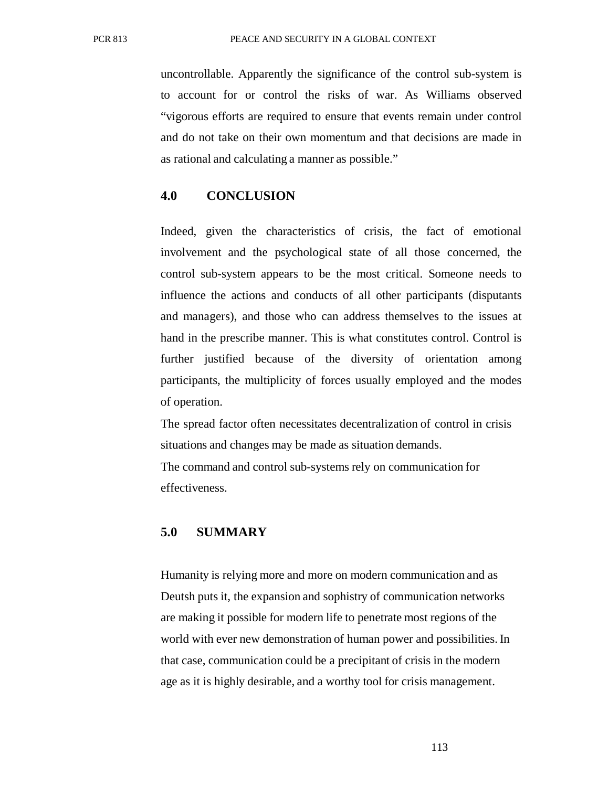uncontrollable. Apparently the significance of the control sub-system is to account for or control the risks of war. As Williams observed "vigorous efforts are required to ensure that events remain under control and do not take on their own momentum and that decisions are made in as rational and calculating a manner as possible."

# **4.0 CONCLUSION**

Indeed, given the characteristics of crisis, the fact of emotional involvement and the psychological state of all those concerned, the control sub-system appears to be the most critical. Someone needs to influence the actions and conducts of all other participants (disputants and managers), and those who can address themselves to the issues at hand in the prescribe manner. This is what constitutes control. Control is further justified because of the diversity of orientation among participants, the multiplicity of forces usually employed and the modes of operation.

The spread factor often necessitates decentralization of control in crisis situations and changes may be made as situation demands.

The command and control sub-systems rely on communication for effectiveness.

# **5.0 SUMMARY**

Humanity is relying more and more on modern communication and as Deutsh puts it, the expansion and sophistry of communication networks are making it possible for modern life to penetrate most regions of the world with ever new demonstration of human power and possibilities. In that case, communication could be a precipitant of crisis in the modern age as it is highly desirable, and a worthy tool for crisis management.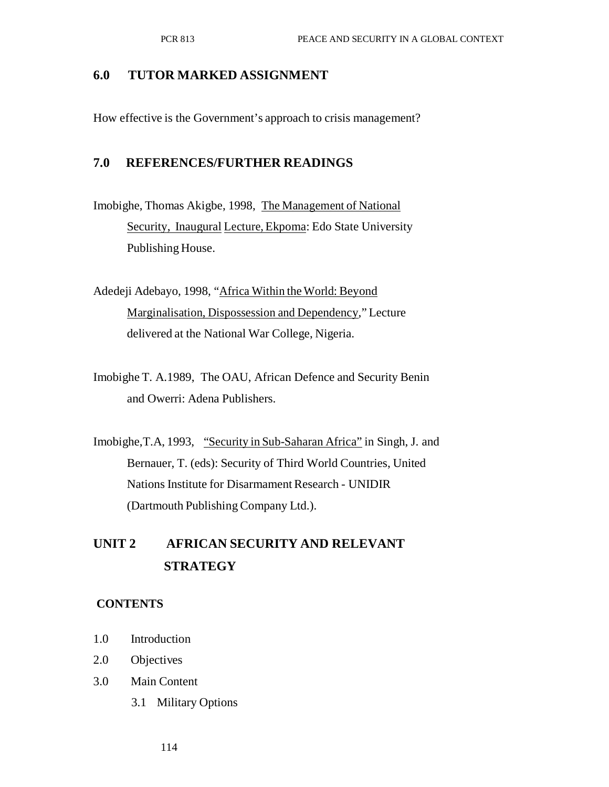# **6.0 TUTOR MARKED ASSIGNMENT**

How effective is the Government's approach to crisis management?

# **7.0 REFERENCES/FURTHER READINGS**

- Imobighe, Thomas Akigbe, 1998, The Management of National Security, Inaugural Lecture, Ekpoma: Edo State University Publishing House.
- Adedeji Adebayo, 1998, "Africa Within the World: Beyond Marginalisation, Dispossession and Dependency," Lecture delivered at the National War College, Nigeria.
- Imobighe T. A.1989, The OAU, African Defence and Security Benin and Owerri: Adena Publishers.
- Imobighe,T.A, 1993, "Security in Sub-Saharan Africa" in Singh, J. and Bernauer, T. (eds): Security of Third World Countries, United Nations Institute for Disarmament Research - UNIDIR (Dartmouth Publishing Company Ltd.).

# **UNIT 2 AFRICAN SECURITY AND RELEVANT STRATEGY**

# **CONTENTS**

- 1.0 Introduction
- 2.0 Objectives
- 3.0 Main Content
	- 3.1 Military Options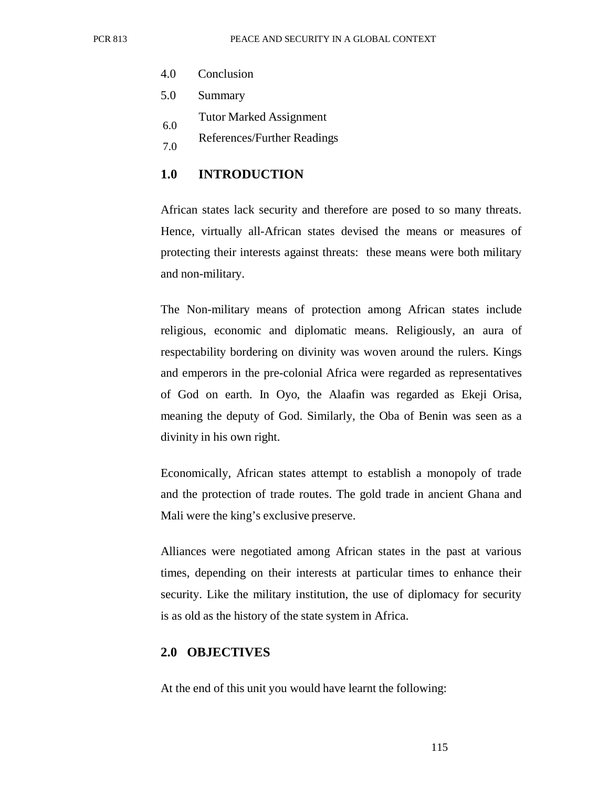- 4.0 Conclusion
- 5.0 Summary
- Tutor Marked Assignment
- 7.0 References/Further Readings

### **1.0 INTRODUCTION**

African states lack security and therefore are posed to so many threats. Hence, virtually all-African states devised the means or measures of protecting their interests against threats: these means were both military and non-military.

The Non-military means of protection among African states include religious, economic and diplomatic means. Religiously, an aura of respectability bordering on divinity was woven around the rulers. Kings and emperors in the pre-colonial Africa were regarded as representatives of God on earth. In Oyo, the Alaafin was regarded as Ekeji Orisa, meaning the deputy of God. Similarly, the Oba of Benin was seen as a divinity in his own right.

Economically, African states attempt to establish a monopoly of trade and the protection of trade routes. The gold trade in ancient Ghana and Mali were the king's exclusive preserve.

Alliances were negotiated among African states in the past at various times, depending on their interests at particular times to enhance their security. Like the military institution, the use of diplomacy for security is as old as the history of the state system in Africa.

# **2.0 OBJECTIVES**

At the end of this unit you would have learnt the following: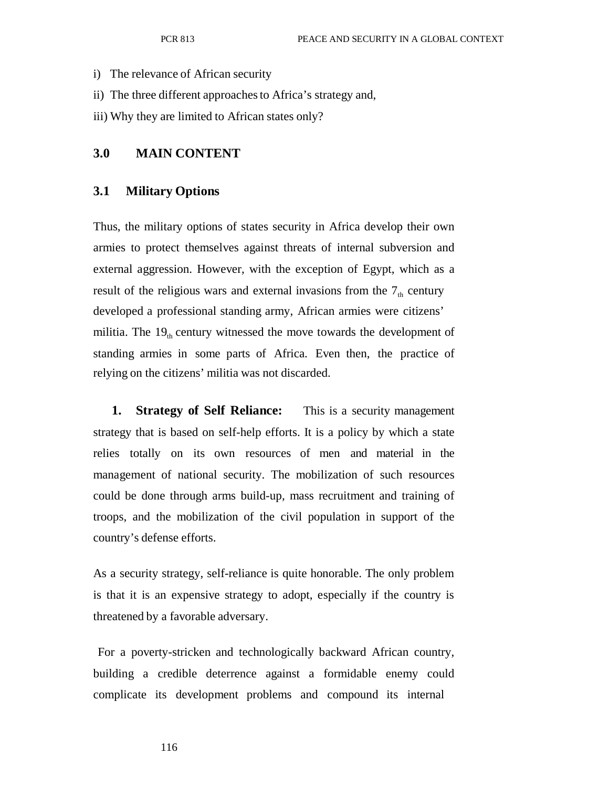- i) The relevance of African security
- ii) The three different approaches to Africa's strategy and,
- iii) Why they are limited to African states only?

# **3.0 MAIN CONTENT**

### **3.1 Military Options**

Thus, the military options of states security in Africa develop their own armies to protect themselves against threats of internal subversion and external aggression. However, with the exception of Egypt, which as a result of the religious wars and external invasions from the  $7<sub>th</sub>$  century developed a professional standing army, African armies were citizens' militia. The  $19<sub>th</sub>$  century witnessed the move towards the development of standing armies in some parts of Africa. Even then, the practice of relying on the citizens' militia was not discarded.

**1. Strategy of Self Reliance:** This is a security management strategy that is based on self-help efforts. It is a policy by which a state relies totally on its own resources of men and material in the management of national security. The mobilization of such resources could be done through arms build-up, mass recruitment and training of troops, and the mobilization of the civil population in support of the country's defense efforts.

As a security strategy, self-reliance is quite honorable. The only problem is that it is an expensive strategy to adopt, especially if the country is threatened by a favorable adversary.

For a poverty-stricken and technologically backward African country, building a credible deterrence against a formidable enemy could complicate its development problems and compound its internal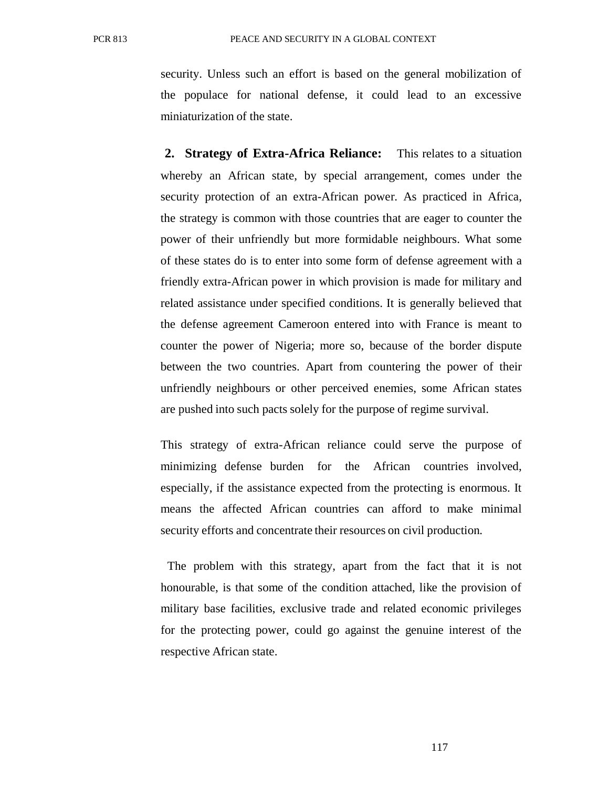security. Unless such an effort is based on the general mobilization of the populace for national defense, it could lead to an excessive miniaturization of the state.

**2. Strategy of Extra-Africa Reliance:** This relates to a situation whereby an African state, by special arrangement, comes under the security protection of an extra-African power. As practiced in Africa, the strategy is common with those countries that are eager to counter the power of their unfriendly but more formidable neighbours. What some of these states do is to enter into some form of defense agreement with a friendly extra-African power in which provision is made for military and related assistance under specified conditions. It is generally believed that the defense agreement Cameroon entered into with France is meant to counter the power of Nigeria; more so, because of the border dispute between the two countries. Apart from countering the power of their unfriendly neighbours or other perceived enemies, some African states are pushed into such pacts solely for the purpose of regime survival.

This strategy of extra-African reliance could serve the purpose of minimizing defense burden for the African countries involved, especially, if the assistance expected from the protecting is enormous. It means the affected African countries can afford to make minimal security efforts and concentrate their resources on civil production.

The problem with this strategy, apart from the fact that it is not honourable, is that some of the condition attached, like the provision of military base facilities, exclusive trade and related economic privileges for the protecting power, could go against the genuine interest of the respective African state.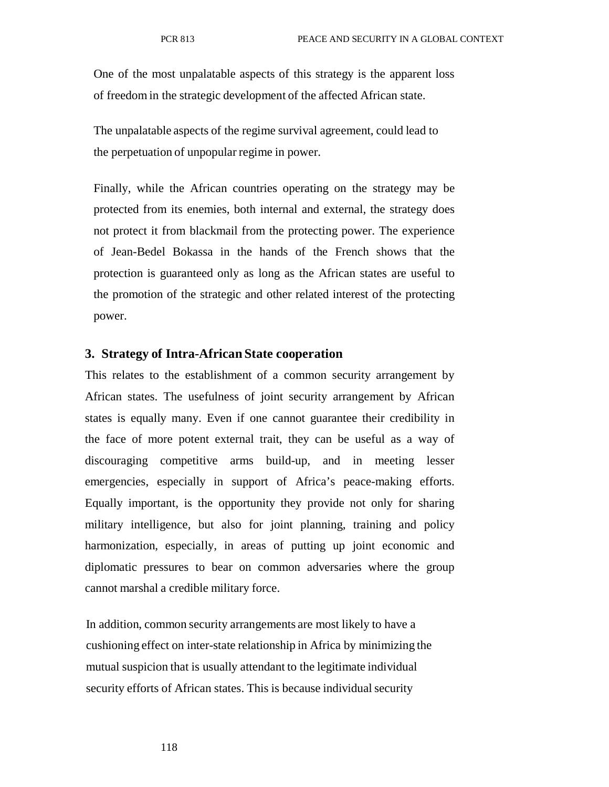One of the most unpalatable aspects of this strategy is the apparent loss of freedom in the strategic development of the affected African state.

The unpalatable aspects of the regime survival agreement, could lead to the perpetuation of unpopular regime in power.

Finally, while the African countries operating on the strategy may be protected from its enemies, both internal and external, the strategy does not protect it from blackmail from the protecting power. The experience of Jean-Bedel Bokassa in the hands of the French shows that the protection is guaranteed only as long as the African states are useful to the promotion of the strategic and other related interest of the protecting power.

#### **3. Strategy of Intra-African State cooperation**

This relates to the establishment of a common security arrangement by African states. The usefulness of joint security arrangement by African states is equally many. Even if one cannot guarantee their credibility in the face of more potent external trait, they can be useful as a way of discouraging competitive arms build-up, and in meeting lesser emergencies, especially in support of Africa's peace-making efforts. Equally important, is the opportunity they provide not only for sharing military intelligence, but also for joint planning, training and policy harmonization, especially, in areas of putting up joint economic and diplomatic pressures to bear on common adversaries where the group cannot marshal a credible military force.

In addition, common security arrangements are most likely to have a cushioning effect on inter-state relationship in Africa by minimizing the mutual suspicion that is usually attendant to the legitimate individual security efforts of African states. This is because individual security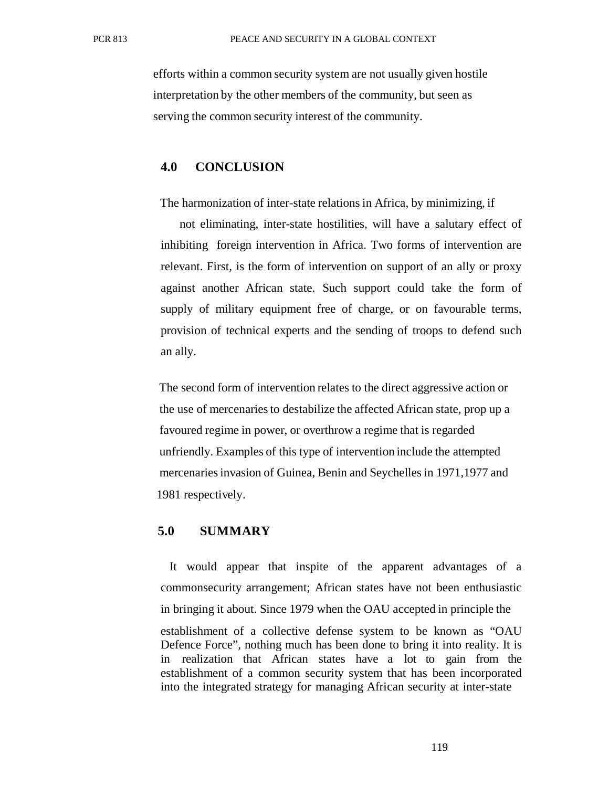efforts within a common security system are not usually given hostile interpretation by the other members of the community, but seen as serving the common security interest of the community.

### **4.0 CONCLUSION**

The harmonization of inter-state relations in Africa, by minimizing, if

not eliminating, inter-state hostilities, will have a salutary effect of inhibiting foreign intervention in Africa. Two forms of intervention are relevant. First, is the form of intervention on support of an ally or proxy against another African state. Such support could take the form of supply of military equipment free of charge, or on favourable terms, provision of technical experts and the sending of troops to defend such an ally.

The second form of intervention relates to the direct aggressive action or the use of mercenaries to destabilize the affected African state, prop up a favoured regime in power, or overthrow a regime that is regarded unfriendly. Examples of this type of intervention include the attempted mercenaries invasion of Guinea, Benin and Seychelles in 1971,1977 and 1981 respectively.

# **5.0 SUMMARY**

It would appear that inspite of the apparent advantages of a commonsecurity arrangement; African states have not been enthusiastic in bringing it about. Since 1979 when the OAU accepted in principle the establishment of a collective defense system to be known as "OAU Defence Force", nothing much has been done to bring it into reality. It is in realization that African states have a lot to gain from the establishment of a common security system that has been incorporated into the integrated strategy for managing African security at inter-state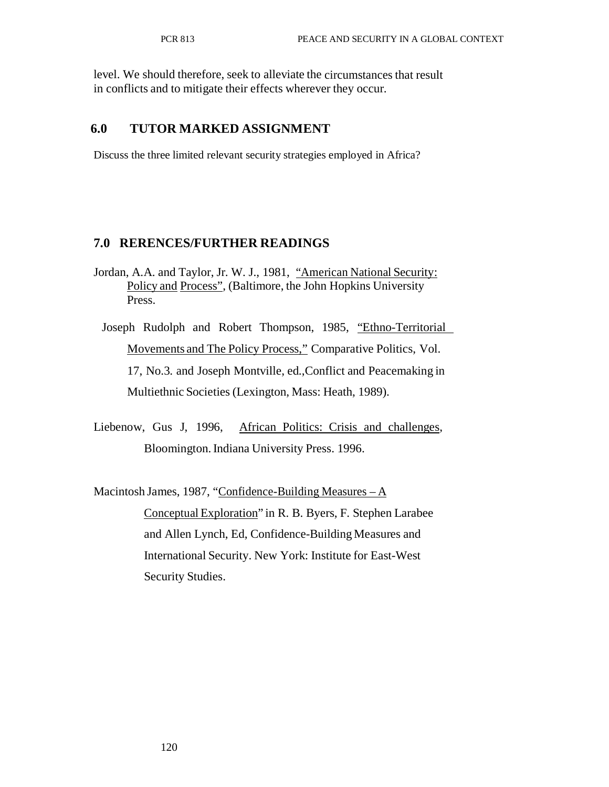level. We should therefore, seek to alleviate the circumstances that result in conflicts and to mitigate their effects wherever they occur.

# **6.0 TUTOR MARKED ASSIGNMENT**

Discuss the three limited relevant security strategies employed in Africa?

# **7.0 RERENCES/FURTHER READINGS**

Jordan, A.A. and Taylor, Jr. W. J., 1981, "American National Security: Policy and Process", (Baltimore, the John Hopkins University Press.

Joseph Rudolph and Robert Thompson, 1985, "Ethno-Territorial Movements and The Policy Process," Comparative Politics, Vol. 17, No.3. and Joseph Montville, ed.,Conflict and Peacemaking in Multiethnic Societies (Lexington, Mass: Heath, 1989).

Liebenow, Gus J, 1996, African Politics: Crisis and challenges, Bloomington. Indiana University Press. 1996.

Macintosh James, 1987, "Confidence-Building Measures – A Conceptual Exploration" in R. B. Byers, F. Stephen Larabee and Allen Lynch, Ed, Confidence-Building Measures and International Security. New York: Institute for East-West Security Studies.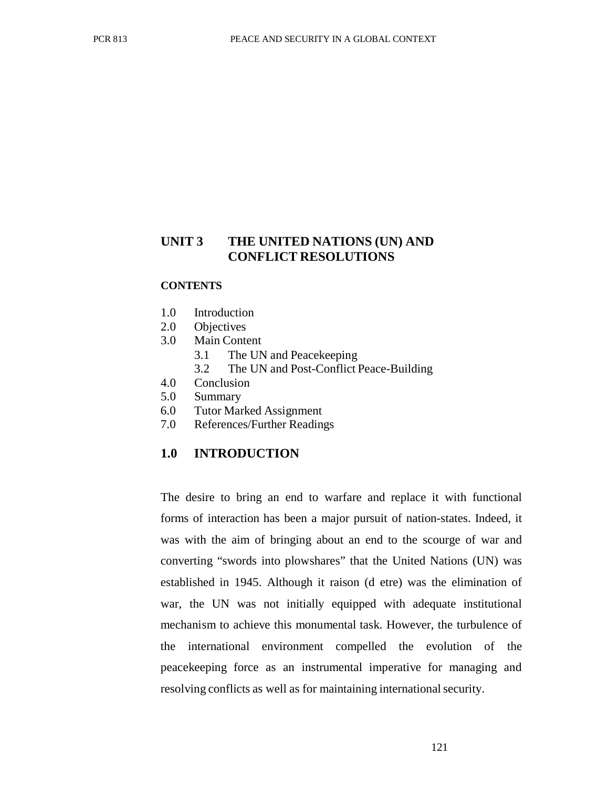# **UNIT 3 THE UNITED NATIONS (UN) AND CONFLICT RESOLUTIONS**

#### **CONTENTS**

- 1.0 Introduction
- 2.0 Objectives
- 3.0 Main Content
	- 3.1 The UN and Peacekeeping
	- 3.2 The UN and Post-Conflict Peace-Building
- 4.0 Conclusion
- 5.0 Summary
- 6.0 Tutor Marked Assignment
- 7.0 References/Further Readings

# **1.0 INTRODUCTION**

The desire to bring an end to warfare and replace it with functional forms of interaction has been a major pursuit of nation-states. Indeed, it was with the aim of bringing about an end to the scourge of war and converting "swords into plowshares" that the United Nations (UN) was established in 1945. Although it raison (d etre) was the elimination of war, the UN was not initially equipped with adequate institutional mechanism to achieve this monumental task. However, the turbulence of the international environment compelled the evolution of the peacekeeping force as an instrumental imperative for managing and resolving conflicts as well as for maintaining international security.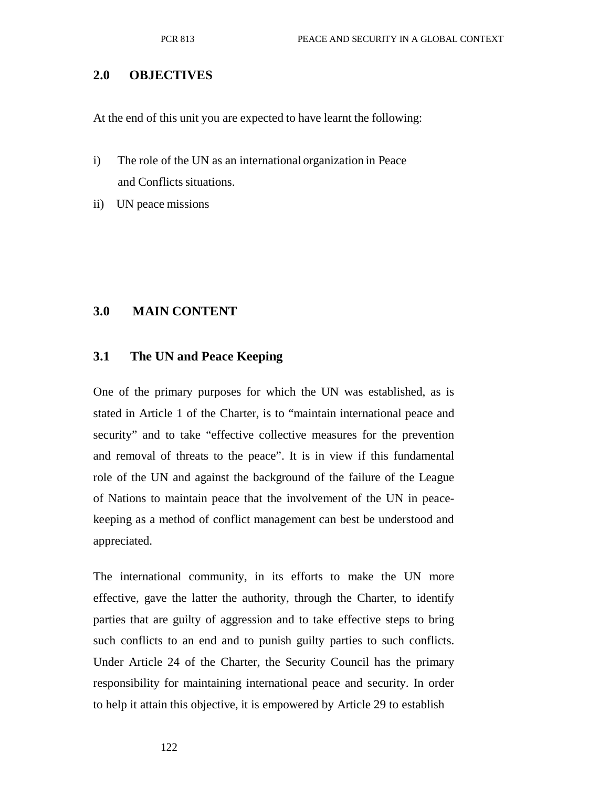#### **2.0 OBJECTIVES**

At the end of this unit you are expected to have learnt the following:

- i) The role of the UN as an international organization in Peace and Conflicts situations.
- ii) UN peace missions

# **3.0 MAIN CONTENT**

# **3.1 The UN and Peace Keeping**

One of the primary purposes for which the UN was established, as is stated in Article 1 of the Charter, is to "maintain international peace and security" and to take "effective collective measures for the prevention and removal of threats to the peace". It is in view if this fundamental role of the UN and against the background of the failure of the League of Nations to maintain peace that the involvement of the UN in peacekeeping as a method of conflict management can best be understood and appreciated.

The international community, in its efforts to make the UN more effective, gave the latter the authority, through the Charter, to identify parties that are guilty of aggression and to take effective steps to bring such conflicts to an end and to punish guilty parties to such conflicts. Under Article 24 of the Charter, the Security Council has the primary responsibility for maintaining international peace and security. In order to help it attain this objective, it is empowered by Article 29 to establish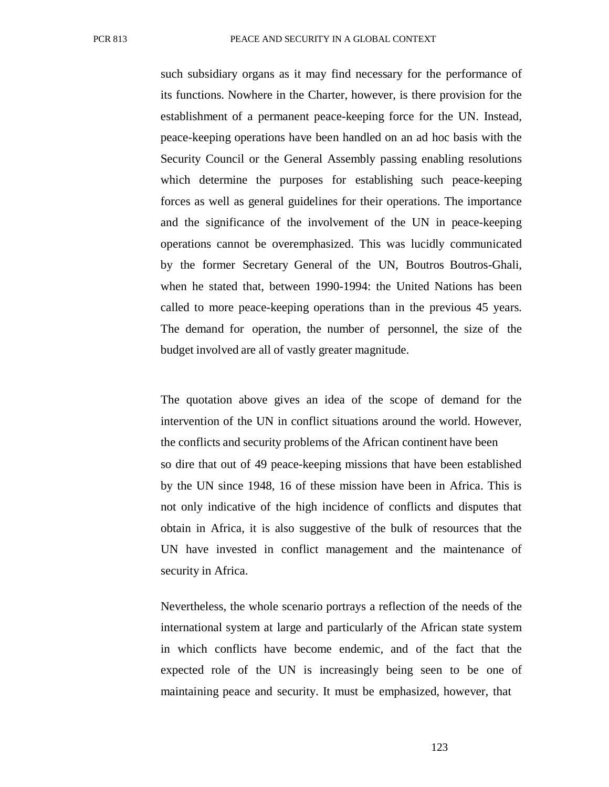such subsidiary organs as it may find necessary for the performance of its functions. Nowhere in the Charter, however, is there provision for the establishment of a permanent peace-keeping force for the UN. Instead, peace-keeping operations have been handled on an ad hoc basis with the Security Council or the General Assembly passing enabling resolutions which determine the purposes for establishing such peace-keeping forces as well as general guidelines for their operations. The importance and the significance of the involvement of the UN in peace-keeping operations cannot be overemphasized. This was lucidly communicated by the former Secretary General of the UN, Boutros Boutros-Ghali, when he stated that, between 1990-1994: the United Nations has been called to more peace-keeping operations than in the previous 45 years. The demand for operation, the number of personnel, the size of the budget involved are all of vastly greater magnitude.

The quotation above gives an idea of the scope of demand for the intervention of the UN in conflict situations around the world. However, the conflicts and security problems of the African continent have been so dire that out of 49 peace-keeping missions that have been established by the UN since 1948, 16 of these mission have been in Africa. This is not only indicative of the high incidence of conflicts and disputes that obtain in Africa, it is also suggestive of the bulk of resources that the UN have invested in conflict management and the maintenance of security in Africa.

Nevertheless, the whole scenario portrays a reflection of the needs of the international system at large and particularly of the African state system in which conflicts have become endemic, and of the fact that the expected role of the UN is increasingly being seen to be one of maintaining peace and security. It must be emphasized, however, that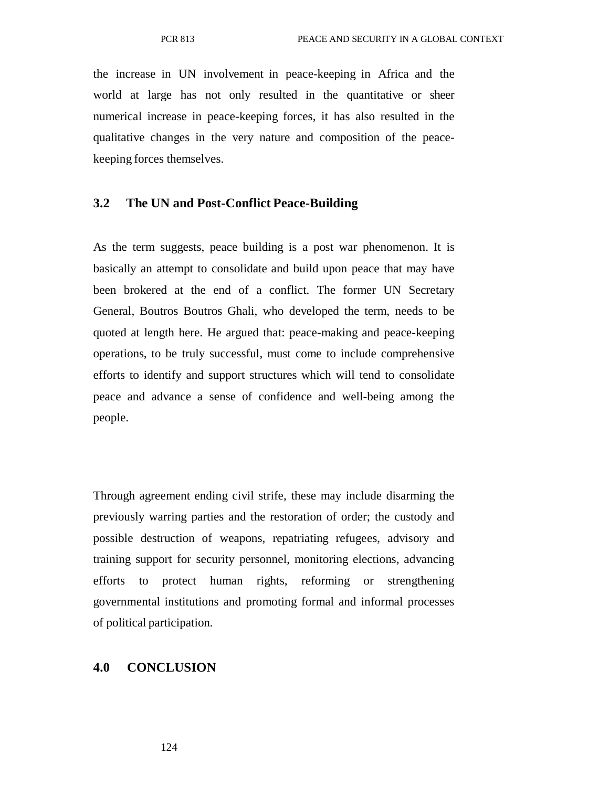the increase in UN involvement in peace-keeping in Africa and the world at large has not only resulted in the quantitative or sheer numerical increase in peace-keeping forces, it has also resulted in the qualitative changes in the very nature and composition of the peacekeeping forces themselves.

#### **3.2 The UN and Post-Conflict Peace-Building**

As the term suggests, peace building is a post war phenomenon. It is basically an attempt to consolidate and build upon peace that may have been brokered at the end of a conflict. The former UN Secretary General, Boutros Boutros Ghali, who developed the term, needs to be quoted at length here. He argued that: peace-making and peace-keeping operations, to be truly successful, must come to include comprehensive efforts to identify and support structures which will tend to consolidate peace and advance a sense of confidence and well-being among the people.

Through agreement ending civil strife, these may include disarming the previously warring parties and the restoration of order; the custody and possible destruction of weapons, repatriating refugees, advisory and training support for security personnel, monitoring elections, advancing efforts to protect human rights, reforming or strengthening governmental institutions and promoting formal and informal processes of political participation.

#### **4.0 CONCLUSION**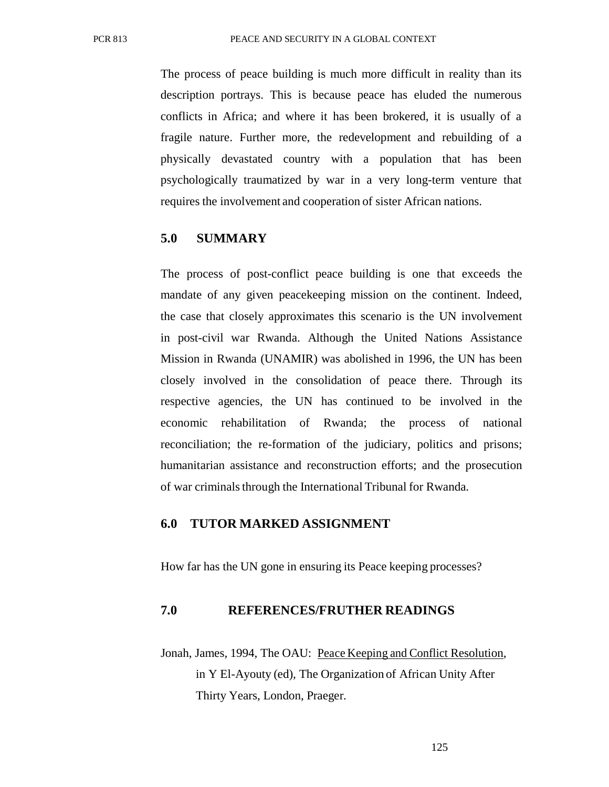The process of peace building is much more difficult in reality than its description portrays. This is because peace has eluded the numerous conflicts in Africa; and where it has been brokered, it is usually of a fragile nature. Further more, the redevelopment and rebuilding of a physically devastated country with a population that has been psychologically traumatized by war in a very long-term venture that requires the involvement and cooperation of sister African nations.

#### **5.0 SUMMARY**

The process of post-conflict peace building is one that exceeds the mandate of any given peacekeeping mission on the continent. Indeed, the case that closely approximates this scenario is the UN involvement in post-civil war Rwanda. Although the United Nations Assistance Mission in Rwanda (UNAMIR) was abolished in 1996, the UN has been closely involved in the consolidation of peace there. Through its respective agencies, the UN has continued to be involved in the economic rehabilitation of Rwanda; the process of national reconciliation; the re-formation of the judiciary, politics and prisons; humanitarian assistance and reconstruction efforts; and the prosecution of war criminals through the International Tribunal for Rwanda.

#### **6.0 TUTOR MARKED ASSIGNMENT**

How far has the UN gone in ensuring its Peace keeping processes?

#### **7.0 REFERENCES/FRUTHER READINGS**

Jonah, James, 1994, The OAU: Peace Keeping and Conflict Resolution, in Y El-Ayouty (ed), The Organization of African Unity After Thirty Years, London, Praeger.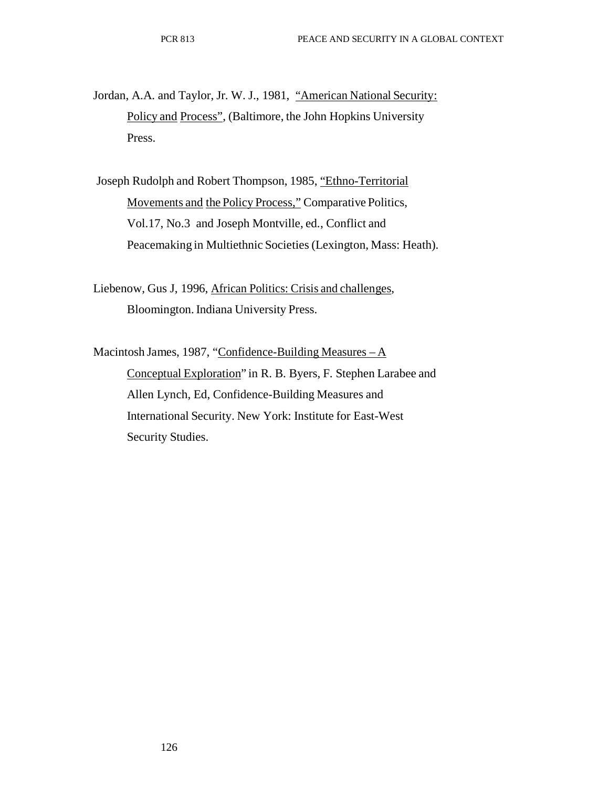- Jordan, A.A. and Taylor, Jr. W. J., 1981, "American National Security: Policy and Process", (Baltimore, the John Hopkins University Press.
- Joseph Rudolph and Robert Thompson, 1985, "Ethno-Territorial Movements and the Policy Process," Comparative Politics, Vol.17, No.3 and Joseph Montville, ed., Conflict and Peacemaking in Multiethnic Societies (Lexington, Mass: Heath).
- Liebenow, Gus J, 1996, African Politics: Crisis and challenges, Bloomington. Indiana University Press.
- Macintosh James, 1987, "Confidence-Building Measures  $-A$ Conceptual Exploration" in R. B. Byers, F. Stephen Larabee and Allen Lynch, Ed, Confidence-Building Measures and International Security. New York: Institute for East-West Security Studies.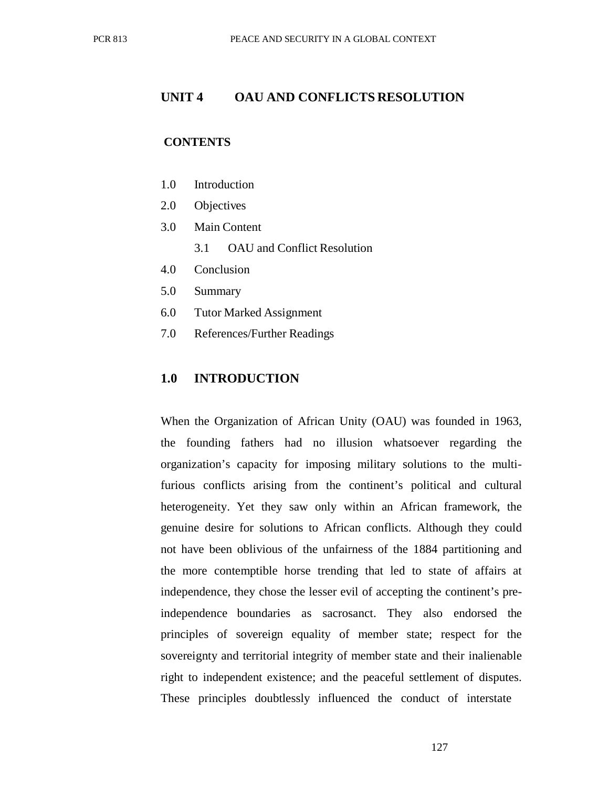# **UNIT 4 OAU AND CONFLICTS RESOLUTION**

#### **CONTENTS**

- 1.0 Introduction
- 2.0 Objectives
- 3.0 Main Content
	- 3.1 OAU and Conflict Resolution
- 4.0 Conclusion
- 5.0 Summary
- 6.0 Tutor Marked Assignment
- 7.0 References/Further Readings

# **1.0 INTRODUCTION**

When the Organization of African Unity (OAU) was founded in 1963, the founding fathers had no illusion whatsoever regarding the organization's capacity for imposing military solutions to the multifurious conflicts arising from the continent's political and cultural heterogeneity. Yet they saw only within an African framework, the genuine desire for solutions to African conflicts. Although they could not have been oblivious of the unfairness of the 1884 partitioning and the more contemptible horse trending that led to state of affairs at independence, they chose the lesser evil of accepting the continent's preindependence boundaries as sacrosanct. They also endorsed the principles of sovereign equality of member state; respect for the sovereignty and territorial integrity of member state and their inalienable right to independent existence; and the peaceful settlement of disputes. These principles doubtlessly influenced the conduct of interstate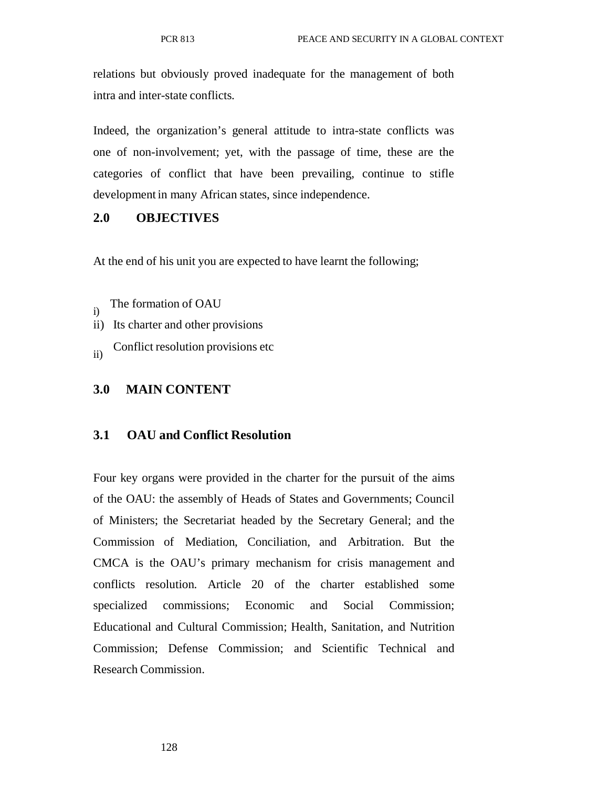relations but obviously proved inadequate for the management of both intra and inter-state conflicts.

Indeed, the organization's general attitude to intra-state conflicts was one of non-involvement; yet, with the passage of time, these are the categories of conflict that have been prevailing, continue to stifle development in many African states, since independence.

# **2.0 OBJECTIVES**

At the end of his unit you are expected to have learnt the following;

 $\sum_{i}$  The formation of OAU

ii) Its charter and other provisions

ii) Conflict resolution provisions etc

# **3.0 MAIN CONTENT**

#### **3.1 OAU and Conflict Resolution**

Four key organs were provided in the charter for the pursuit of the aims of the OAU: the assembly of Heads of States and Governments; Council of Ministers; the Secretariat headed by the Secretary General; and the Commission of Mediation, Conciliation, and Arbitration. But the CMCA is the OAU's primary mechanism for crisis management and conflicts resolution. Article 20 of the charter established some specialized commissions; Economic and Social Commission; Educational and Cultural Commission; Health, Sanitation, and Nutrition Commission; Defense Commission; and Scientific Technical and Research Commission.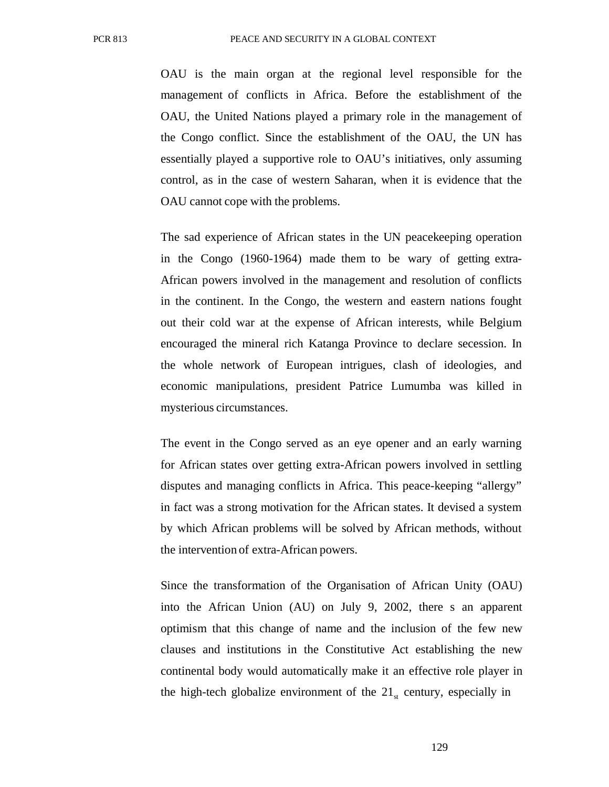OAU is the main organ at the regional level responsible for the management of conflicts in Africa. Before the establishment of the OAU, the United Nations played a primary role in the management of the Congo conflict. Since the establishment of the OAU, the UN has essentially played a supportive role to OAU's initiatives, only assuming control, as in the case of western Saharan, when it is evidence that the OAU cannot cope with the problems.

The sad experience of African states in the UN peacekeeping operation in the Congo (1960-1964) made them to be wary of getting extra-African powers involved in the management and resolution of conflicts in the continent. In the Congo, the western and eastern nations fought out their cold war at the expense of African interests, while Belgium encouraged the mineral rich Katanga Province to declare secession. In the whole network of European intrigues, clash of ideologies, and economic manipulations, president Patrice Lumumba was killed in mysterious circumstances.

The event in the Congo served as an eye opener and an early warning for African states over getting extra-African powers involved in settling disputes and managing conflicts in Africa. This peace-keeping "allergy" in fact was a strong motivation for the African states. It devised a system by which African problems will be solved by African methods, without the intervention of extra-African powers.

Since the transformation of the Organisation of African Unity (OAU) into the African Union (AU) on July 9, 2002, there s an apparent optimism that this change of name and the inclusion of the few new clauses and institutions in the Constitutive Act establishing the new continental body would automatically make it an effective role player in the high-tech globalize environment of the  $21<sub>s</sub>$  century, especially in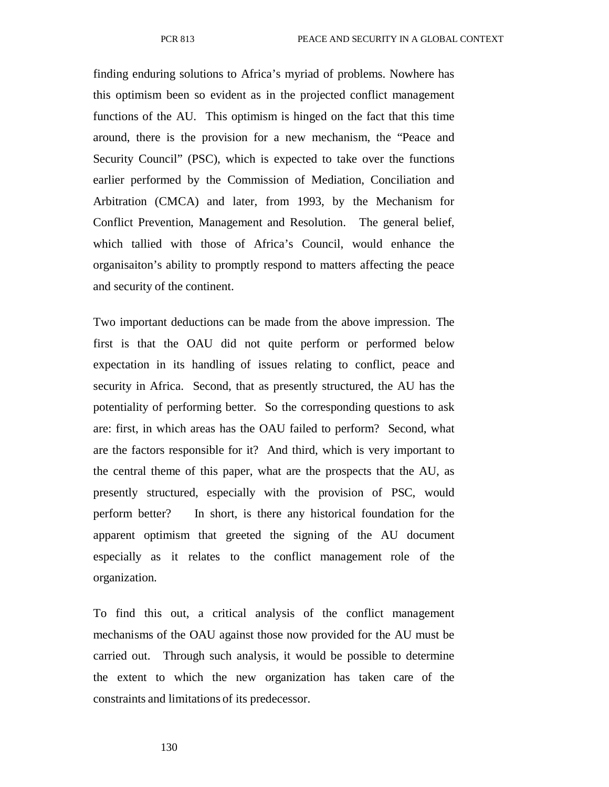finding enduring solutions to Africa's myriad of problems. Nowhere has this optimism been so evident as in the projected conflict management functions of the AU. This optimism is hinged on the fact that this time around, there is the provision for a new mechanism, the "Peace and Security Council" (PSC), which is expected to take over the functions earlier performed by the Commission of Mediation, Conciliation and Arbitration (CMCA) and later, from 1993, by the Mechanism for Conflict Prevention, Management and Resolution. The general belief, which tallied with those of Africa's Council, would enhance the organisaiton's ability to promptly respond to matters affecting the peace and security of the continent.

Two important deductions can be made from the above impression. The first is that the OAU did not quite perform or performed below expectation in its handling of issues relating to conflict, peace and security in Africa. Second, that as presently structured, the AU has the potentiality of performing better. So the corresponding questions to ask are: first, in which areas has the OAU failed to perform? Second, what are the factors responsible for it? And third, which is very important to the central theme of this paper, what are the prospects that the AU, as presently structured, especially with the provision of PSC, would perform better? In short, is there any historical foundation for the apparent optimism that greeted the signing of the AU document especially as it relates to the conflict management role of the organization.

To find this out, a critical analysis of the conflict management mechanisms of the OAU against those now provided for the AU must be carried out. Through such analysis, it would be possible to determine the extent to which the new organization has taken care of the constraints and limitations of its predecessor.

130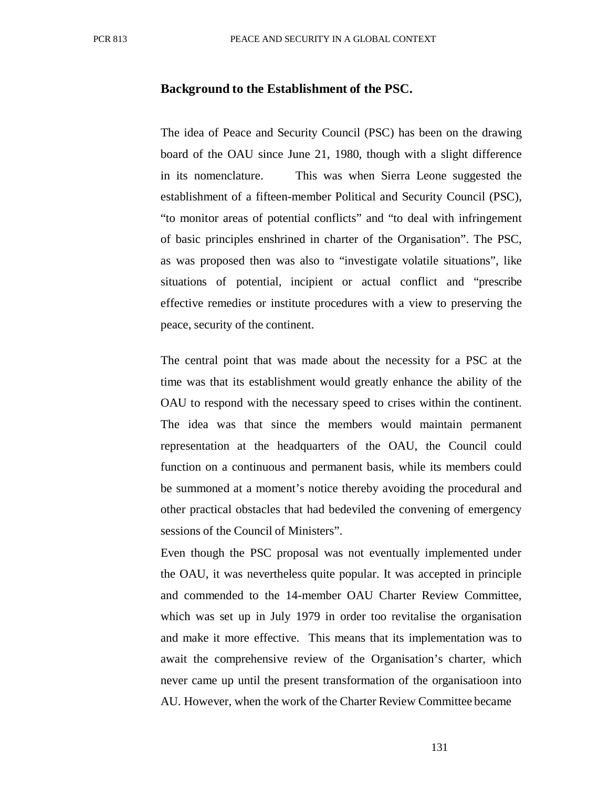#### **Background to the Establishment of the PSC.**

The idea of Peace and Security Council (PSC) has been on the drawing board of the OAU since June 21, 1980, though with a slight difference in its nomenclature. This was when Sierra Leone suggested the establishment of a fifteen-member Political and Security Council (PSC), "to monitor areas of potential conflicts" and "to deal with infringement of basic principles enshrined in charter of the Organisation". The PSC, as was proposed then was also to "investigate volatile situations", like situations of potential, incipient or actual conflict and "prescribe effective remedies or institute procedures with a view to preserving the peace, security of the continent.

The central point that was made about the necessity for a PSC at the time was that its establishment would greatly enhance the ability of the OAU to respond with the necessary speed to crises within the continent. The idea was that since the members would maintain permanent representation at the headquarters of the OAU, the Council could function on a continuous and permanent basis, while its members could be summoned at a moment's notice thereby avoiding the procedural and other practical obstacles that had bedeviled the convening of emergency sessions of the Council of Ministers".

Even though the PSC proposal was not eventually implemented under the OAU, it was nevertheless quite popular. It was accepted in principle and commended to the 14-member OAU Charter Review Committee, which was set up in July 1979 in order too revitalise the organisation and make it more effective. This means that its implementation was to await the comprehensive review of the Organisation's charter, which never came up until the present transformation of the organisatioon into AU. However, when the work of the Charter Review Committee became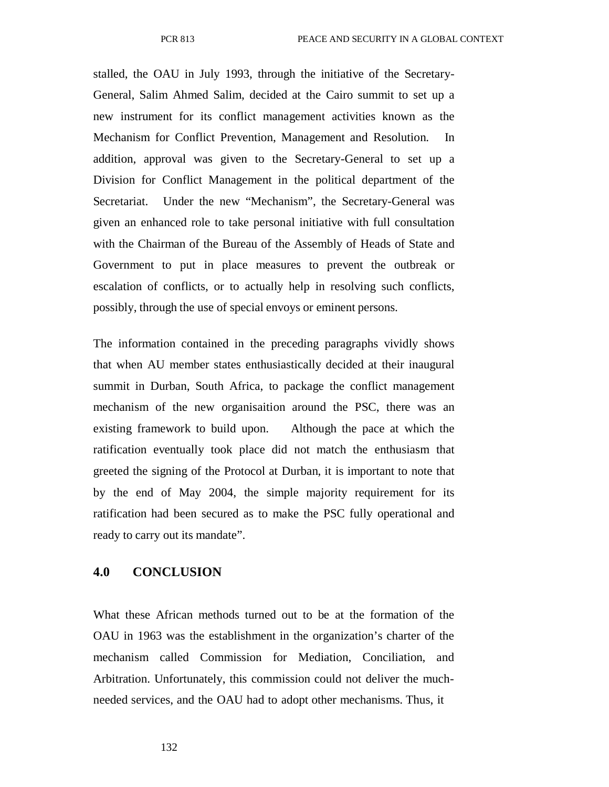stalled, the OAU in July 1993, through the initiative of the Secretary-General, Salim Ahmed Salim, decided at the Cairo summit to set up a new instrument for its conflict management activities known as the Mechanism for Conflict Prevention, Management and Resolution. In addition, approval was given to the Secretary-General to set up a Division for Conflict Management in the political department of the Secretariat. Under the new "Mechanism", the Secretary-General was given an enhanced role to take personal initiative with full consultation with the Chairman of the Bureau of the Assembly of Heads of State and Government to put in place measures to prevent the outbreak or escalation of conflicts, or to actually help in resolving such conflicts, possibly, through the use of special envoys or eminent persons.

The information contained in the preceding paragraphs vividly shows that when AU member states enthusiastically decided at their inaugural summit in Durban, South Africa, to package the conflict management mechanism of the new organisaition around the PSC, there was an existing framework to build upon. Although the pace at which the ratification eventually took place did not match the enthusiasm that greeted the signing of the Protocol at Durban, it is important to note that by the end of May 2004, the simple majority requirement for its ratification had been secured as to make the PSC fully operational and ready to carry out its mandate".

## **4.0 CONCLUSION**

What these African methods turned out to be at the formation of the OAU in 1963 was the establishment in the organization's charter of the mechanism called Commission for Mediation, Conciliation, and Arbitration. Unfortunately, this commission could not deliver the muchneeded services, and the OAU had to adopt other mechanisms. Thus, it

132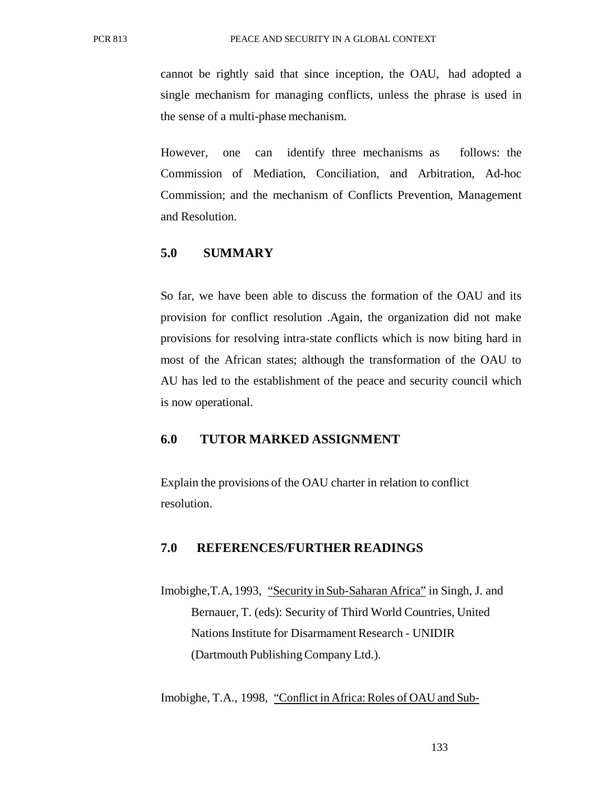cannot be rightly said that since inception, the OAU, had adopted a single mechanism for managing conflicts, unless the phrase is used in the sense of a multi-phase mechanism.

However, one can identify three mechanisms as follows: the Commission of Mediation, Conciliation, and Arbitration, Ad-hoc Commission; and the mechanism of Conflicts Prevention, Management and Resolution.

## **5.0 SUMMARY**

So far, we have been able to discuss the formation of the OAU and its provision for conflict resolution .Again, the organization did not make provisions for resolving intra-state conflicts which is now biting hard in most of the African states; although the transformation of the OAU to AU has led to the establishment of the peace and security council which is now operational.

## **6.0 TUTOR MARKED ASSIGNMENT**

Explain the provisions of the OAU charter in relation to conflict resolution.

## **7.0 REFERENCES/FURTHER READINGS**

Imobighe,T.A, 1993, "Security in Sub-Saharan Africa" in Singh, J. and Bernauer, T. (eds): Security of Third World Countries, United Nations Institute for Disarmament Research - UNIDIR (Dartmouth Publishing Company Ltd.).

Imobighe, T.A., 1998, "Conflict in Africa: Roles of OAU and Sub-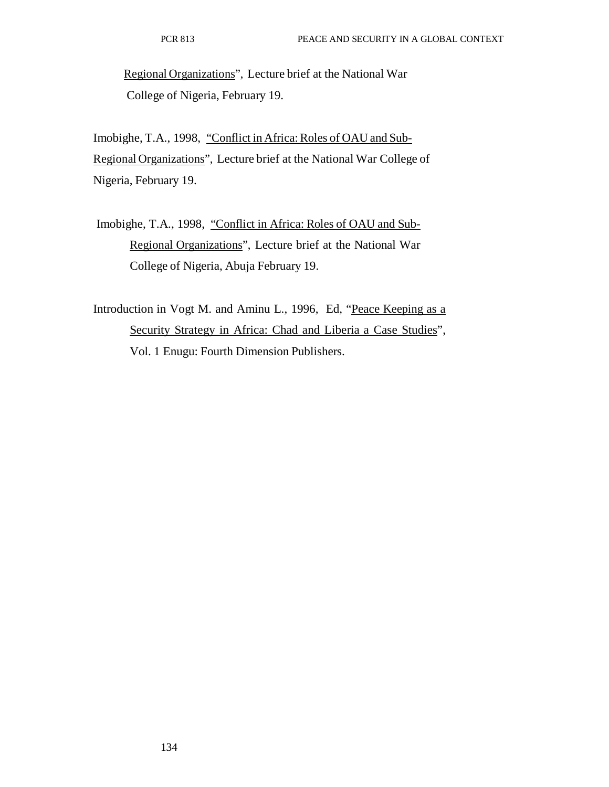Regional Organizations", Lecture brief at the National War College of Nigeria, February 19.

Imobighe, T.A., 1998, "Conflict in Africa: Roles of OAU and Sub-Regional Organizations", Lecture brief at the National War College of Nigeria, February 19.

Imobighe, T.A., 1998, "Conflict in Africa: Roles of OAU and Sub-Regional Organizations", Lecture brief at the National War College of Nigeria, Abuja February 19.

Introduction in Vogt M. and Aminu L., 1996, Ed, "Peace Keeping as a Security Strategy in Africa: Chad and Liberia a Case Studies", Vol. 1 Enugu: Fourth Dimension Publishers.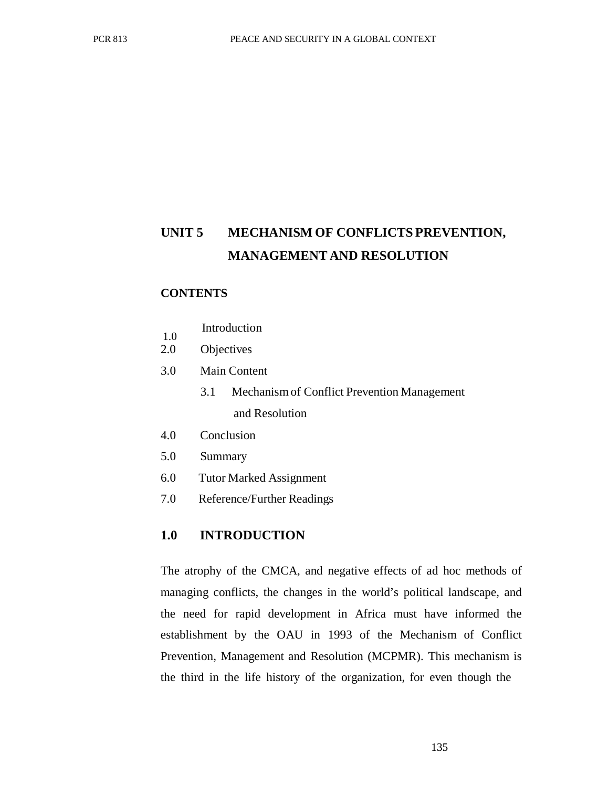# **UNIT 5 MECHANISM OF CONFLICTS PREVENTION, MANAGEMENT AND RESOLUTION**

### **CONTENTS**

| Introduction |
|--------------|
|              |

- 2.0 Objectives
- 3.0 Main Content
	- 3.1 Mechanism of Conflict Prevention Management and Resolution
- 4.0 Conclusion
- 5.0 Summary
- 6.0 Tutor Marked Assignment
- 7.0 Reference/Further Readings

## **1.0 INTRODUCTION**

The atrophy of the CMCA, and negative effects of ad hoc methods of managing conflicts, the changes in the world's political landscape, and the need for rapid development in Africa must have informed the establishment by the OAU in 1993 of the Mechanism of Conflict Prevention, Management and Resolution (MCPMR). This mechanism is the third in the life history of the organization, for even though the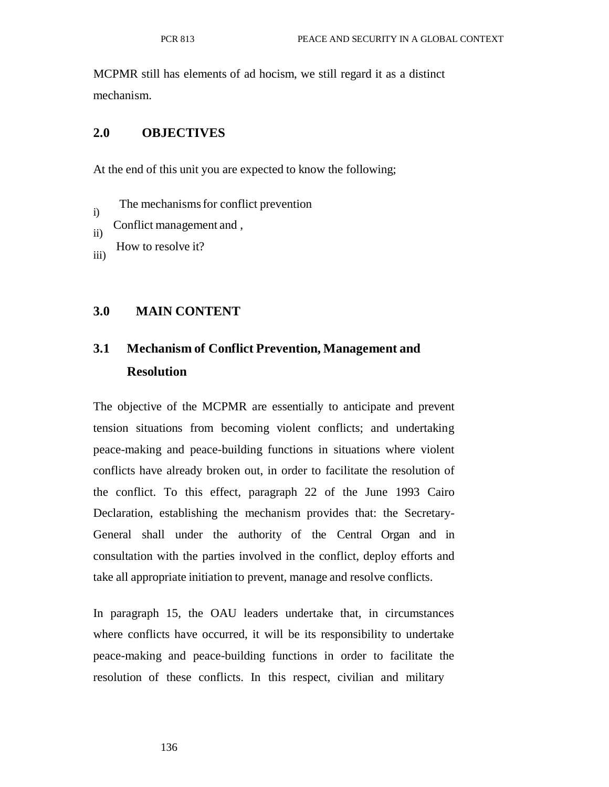MCPMR still has elements of ad hocism, we still regard it as a distinct mechanism.

## **2.0 OBJECTIVES**

At the end of this unit you are expected to know the following;

i) The mechanisms for conflict prevention

ii) Conflict management and ,

How to resolve it?

iii)

## **3.0 MAIN CONTENT**

## **3.1 Mechanism of Conflict Prevention, Management and Resolution**

The objective of the MCPMR are essentially to anticipate and prevent tension situations from becoming violent conflicts; and undertaking peace-making and peace-building functions in situations where violent conflicts have already broken out, in order to facilitate the resolution of the conflict. To this effect, paragraph 22 of the June 1993 Cairo Declaration, establishing the mechanism provides that: the Secretary-General shall under the authority of the Central Organ and in consultation with the parties involved in the conflict, deploy efforts and take all appropriate initiation to prevent, manage and resolve conflicts.

In paragraph 15, the OAU leaders undertake that, in circumstances where conflicts have occurred, it will be its responsibility to undertake peace-making and peace-building functions in order to facilitate the resolution of these conflicts. In this respect, civilian and military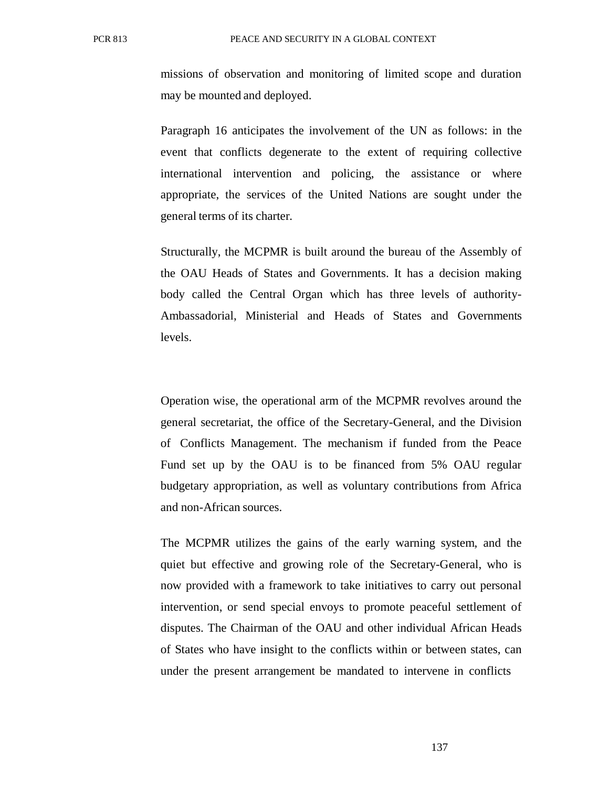missions of observation and monitoring of limited scope and duration may be mounted and deployed.

Paragraph 16 anticipates the involvement of the UN as follows: in the event that conflicts degenerate to the extent of requiring collective international intervention and policing, the assistance or where appropriate, the services of the United Nations are sought under the general terms of its charter.

Structurally, the MCPMR is built around the bureau of the Assembly of the OAU Heads of States and Governments. It has a decision making body called the Central Organ which has three levels of authority-Ambassadorial, Ministerial and Heads of States and Governments levels.

Operation wise, the operational arm of the MCPMR revolves around the general secretariat, the office of the Secretary-General, and the Division of Conflicts Management. The mechanism if funded from the Peace Fund set up by the OAU is to be financed from 5% OAU regular budgetary appropriation, as well as voluntary contributions from Africa and non-African sources.

The MCPMR utilizes the gains of the early warning system, and the quiet but effective and growing role of the Secretary-General, who is now provided with a framework to take initiatives to carry out personal intervention, or send special envoys to promote peaceful settlement of disputes. The Chairman of the OAU and other individual African Heads of States who have insight to the conflicts within or between states, can under the present arrangement be mandated to intervene in conflicts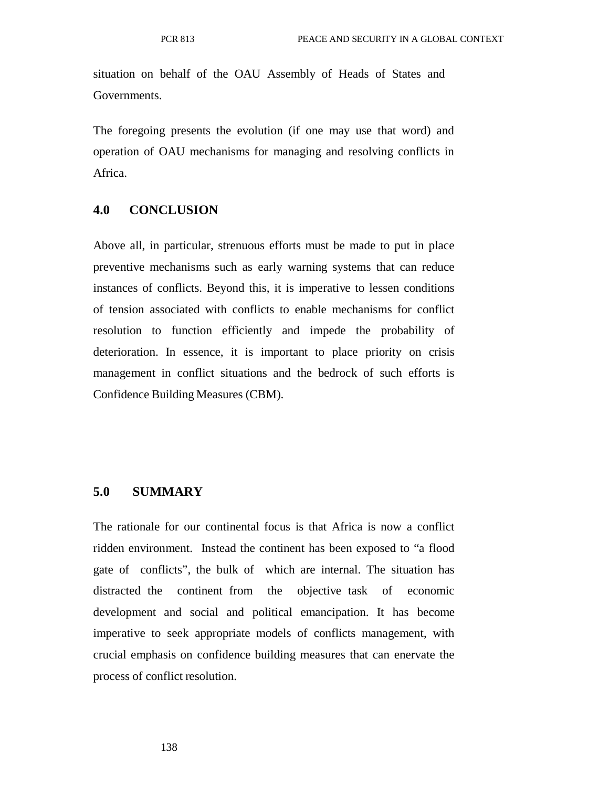situation on behalf of the OAU Assembly of Heads of States and Governments.

The foregoing presents the evolution (if one may use that word) and operation of OAU mechanisms for managing and resolving conflicts in Africa.

## **4.0 CONCLUSION**

Above all, in particular, strenuous efforts must be made to put in place preventive mechanisms such as early warning systems that can reduce instances of conflicts. Beyond this, it is imperative to lessen conditions of tension associated with conflicts to enable mechanisms for conflict resolution to function efficiently and impede the probability of deterioration. In essence, it is important to place priority on crisis management in conflict situations and the bedrock of such efforts is Confidence Building Measures (CBM).

## **5.0 SUMMARY**

The rationale for our continental focus is that Africa is now a conflict ridden environment. Instead the continent has been exposed to "a flood gate of conflicts", the bulk of which are internal. The situation has distracted the continent from the objective task of economic development and social and political emancipation. It has become imperative to seek appropriate models of conflicts management, with crucial emphasis on confidence building measures that can enervate the process of conflict resolution.

138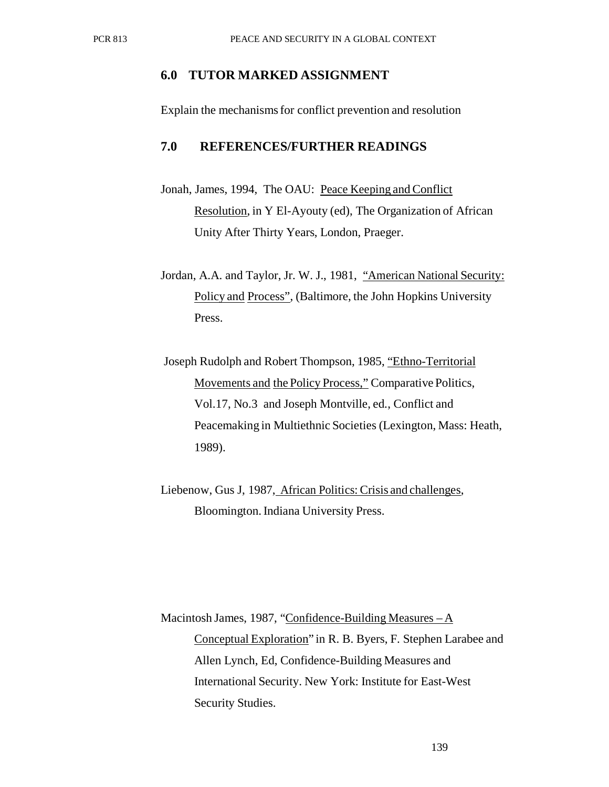#### **6.0 TUTOR MARKED ASSIGNMENT**

Explain the mechanisms for conflict prevention and resolution

## **7.0 REFERENCES/FURTHER READINGS**

Jonah, James, 1994, The OAU: Peace Keeping and Conflict Resolution, in Y El-Ayouty (ed), The Organization of African Unity After Thirty Years, London, Praeger.

Jordan, A.A. and Taylor, Jr. W. J., 1981, "American National Security: Policy and Process", (Baltimore, the John Hopkins University Press.

Joseph Rudolph and Robert Thompson, 1985, "Ethno-Territorial Movements and the Policy Process," Comparative Politics, Vol.17, No.3 and Joseph Montville, ed., Conflict and Peacemaking in Multiethnic Societies (Lexington, Mass: Heath, 1989).

Liebenow, Gus J, 1987, African Politics: Crisis and challenges, Bloomington. Indiana University Press.

Macintosh James, 1987, "Confidence-Building Measures – A Conceptual Exploration" in R. B. Byers, F. Stephen Larabee and Allen Lynch, Ed, Confidence-Building Measures and International Security. New York: Institute for East-West Security Studies.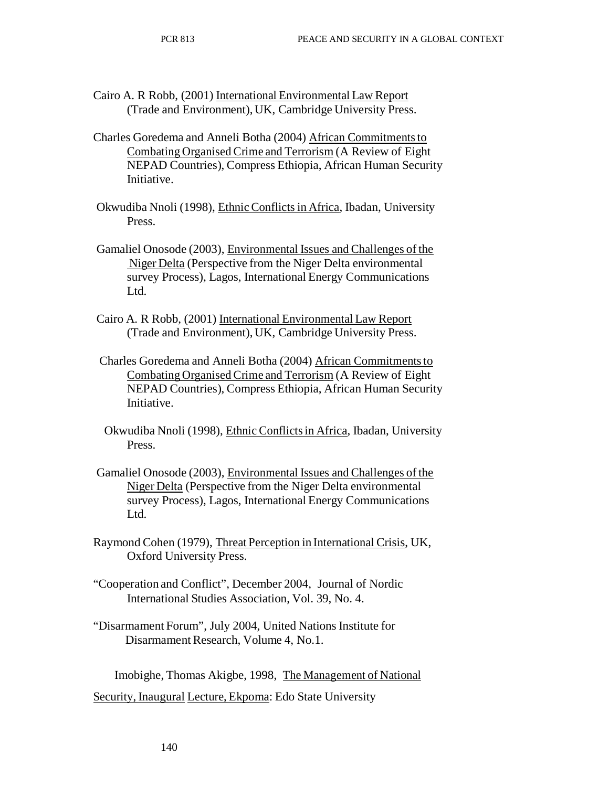- Cairo A. R Robb, (2001) International Environmental Law Report (Trade and Environment), UK, Cambridge University Press.
- Charles Goredema and Anneli Botha (2004) African Commitments to Combating Organised Crime and Terrorism (A Review of Eight NEPAD Countries), Compress Ethiopia, African Human Security Initiative.
- Okwudiba Nnoli (1998), Ethnic Conflicts in Africa, Ibadan, University Press.
- Gamaliel Onosode (2003), Environmental Issues and Challenges of the Niger Delta (Perspective from the Niger Delta environmental survey Process), Lagos, International Energy Communications Ltd.
- Cairo A. R Robb, (2001) International Environmental Law Report (Trade and Environment), UK, Cambridge University Press.
- Charles Goredema and Anneli Botha (2004) African Commitments to Combating Organised Crime and Terrorism (A Review of Eight NEPAD Countries), Compress Ethiopia, African Human Security Initiative.
- Okwudiba Nnoli (1998), Ethnic Conflicts in Africa, Ibadan, University Press.
- Gamaliel Onosode (2003), Environmental Issues and Challenges of the Niger Delta (Perspective from the Niger Delta environmental survey Process), Lagos, International Energy Communications Ltd.
- Raymond Cohen (1979), Threat Perception in International Crisis, UK, Oxford University Press.
- "Cooperation and Conflict", December 2004, Journal of Nordic International Studies Association, Vol. 39, No. 4.
- "Disarmament Forum", July 2004, United Nations Institute for Disarmament Research, Volume 4, No.1.

Imobighe, Thomas Akigbe, 1998, The Management of National

Security, Inaugural Lecture, Ekpoma: Edo State University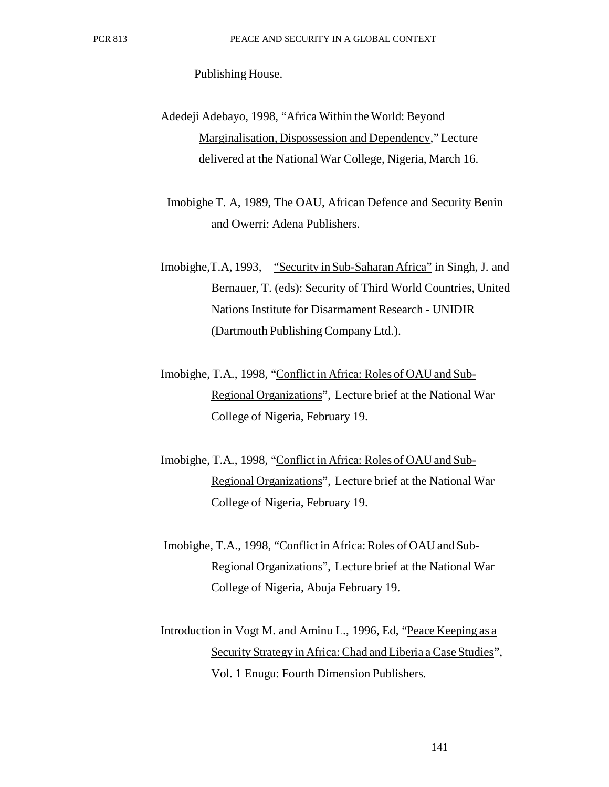Publishing House.

- Adedeji Adebayo, 1998, "Africa Within the World: Beyond Marginalisation, Dispossession and Dependency," Lecture delivered at the National War College, Nigeria, March 16.
- Imobighe T. A, 1989, The OAU, African Defence and Security Benin and Owerri: Adena Publishers.
- Imobighe,T.A, 1993, "Security in Sub-Saharan Africa" in Singh, J. and Bernauer, T. (eds): Security of Third World Countries, United Nations Institute for Disarmament Research - UNIDIR (Dartmouth Publishing Company Ltd.).
- Imobighe, T.A., 1998, "Conflict in Africa: Roles of OAU and Sub-Regional Organizations", Lecture brief at the National War College of Nigeria, February 19.
- Imobighe, T.A., 1998, "Conflict in Africa: Roles of OAU and Sub-Regional Organizations", Lecture brief at the National War College of Nigeria, February 19.
- Imobighe, T.A., 1998, "Conflict in Africa: Roles of OAU and Sub-Regional Organizations", Lecture brief at the National War College of Nigeria, Abuja February 19.
- Introduction in Vogt M. and Aminu L., 1996, Ed, "Peace Keeping as a Security Strategy in Africa: Chad and Liberia a Case Studies", Vol. 1 Enugu: Fourth Dimension Publishers.